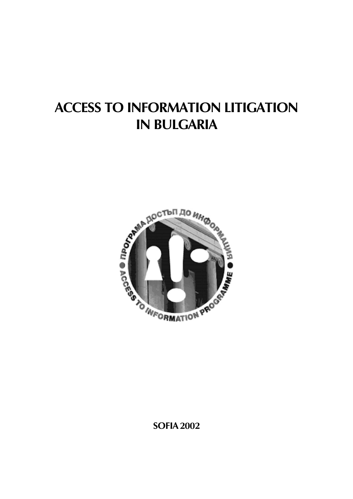## **ACCESS TO INFORMATION LITIGATION IN BULGARIA**



**SOFIA 2002**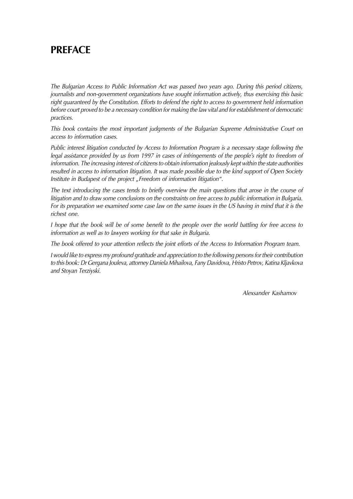### **PRFFACF**

The Bulgarian Access to Public Information Act was passed two years ago. During this period citizens, journalists and non-government organizations have sought information actively, thus exercising this basic right quaranteed by the Constitution. Efforts to defend the right to access to government held information before court proved to be a necessary condition for making the law vital and for establishment of democratic practices.

This book contains the most important judgments of the Bulgarian Supreme Administrative Court on access to information cases.

Public interest litigation conducted by Access to Information Program is a necessary stage following the legal assistance provided by us from 1997 in cases of infringements of the people's right to freedom of information. The increasing interest of citizens to obtain information jealously kept within the state authorities resulted in access to information litigation. It was made possible due to the kind support of Open Society Institute in Budapest of the project "Freedom of information litigation".

The text introducing the cases tends to briefly overview the main questions that arose in the course of litigation and to draw some conclusions on the constraints on free access to public information in Bulgaria. For its preparation we examined some case law on the same issues in the US having in mind that it is the richest one.

I hope that the book will be of some benefit to the people over the world battling for free access to information as well as to lawyers working for that sake in Bulgaria.

The book offered to your attention reflects the joint efforts of the Access to Information Program team.

I would like to express my profound gratitude and appreciation to the following persons for their contribution to this book: Dr Gergana Jouleva, attorney Daniela Mihailova, Fany Davidova, Hristo Petrov, Katina Kljavkova and Stoyan Terziyski.

Alexsander Kashamov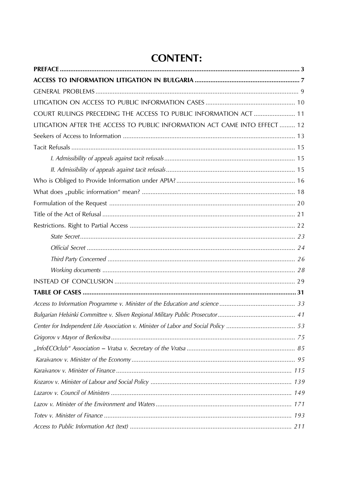### **CONTENT:**

| COURT RULINGS PRECEDING THE ACCESS TO PUBLIC INFORMATION ACT  11<br>LITIGATION AFTER THE ACCESS TO PUBLIC INFORMATION ACT CAME INTO EFFECT  12 |  |
|------------------------------------------------------------------------------------------------------------------------------------------------|--|
|                                                                                                                                                |  |
|                                                                                                                                                |  |
|                                                                                                                                                |  |
|                                                                                                                                                |  |
|                                                                                                                                                |  |
|                                                                                                                                                |  |
|                                                                                                                                                |  |
|                                                                                                                                                |  |
|                                                                                                                                                |  |
|                                                                                                                                                |  |
|                                                                                                                                                |  |
|                                                                                                                                                |  |
|                                                                                                                                                |  |
|                                                                                                                                                |  |
|                                                                                                                                                |  |
|                                                                                                                                                |  |
|                                                                                                                                                |  |
|                                                                                                                                                |  |
|                                                                                                                                                |  |
|                                                                                                                                                |  |
|                                                                                                                                                |  |
|                                                                                                                                                |  |
|                                                                                                                                                |  |
|                                                                                                                                                |  |
|                                                                                                                                                |  |
|                                                                                                                                                |  |
|                                                                                                                                                |  |
|                                                                                                                                                |  |
|                                                                                                                                                |  |
|                                                                                                                                                |  |
|                                                                                                                                                |  |
|                                                                                                                                                |  |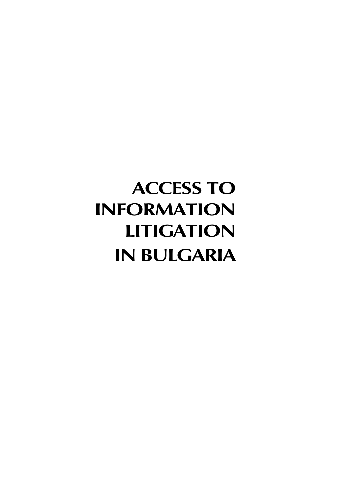# **ACCESS TO INFORMATION LITIGATION IN BULGARIA**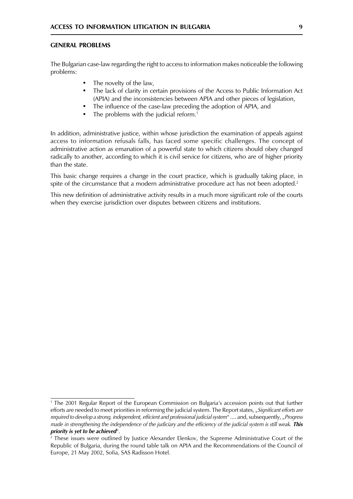#### **GENERAL PROBLEMS**

The Bulgarian case-law regarding the right to access to information makes noticeable the following problems:

- The novelty of the law,
- $\bullet$ The lack of clarity in certain provisions of the Access to Public Information Act (APIA) and the inconsistencies between APIA and other pieces of legislation,
- The influence of the case-law preceding the adoption of APIA, and
- The problems with the judicial reform.<sup>1</sup>  $\bullet$

In addition, administrative justice, within whose jurisdiction the examination of appeals against access to information refusals falls, has faced some specific challenges. The concept of administrative action as emanation of a powerful state to which citizens should obey changed radically to another, according to which it is civil service for citizens, who are of higher priority than the state.

This basic change requires a change in the court practice, which is gradually taking place, in spite of the circumstance that a modern administrative procedure act has not been adopted.<sup>2</sup>

This new definition of administrative activity results in a much more significant role of the courts when they exercise jurisdiction over disputes between citizens and institutions.

<sup>&</sup>lt;sup>1</sup> The 2001 Regular Report of the European Commission on Bulgaria's accession points out that further efforts are needed to meet priorities in reforming the judicial system. The Report states, "Significant efforts are required to develop a strong, independent, efficient and professional judicial system" .... and, subsequently, "Progress made in strengthening the independence of the judiciary and the efficiency of the judicial system is still weak. This priority is yet to be achieved".

 $2$  These issues were outlined by Justice Alexander Elenkov, the Supreme Administrative Court of the Republic of Bulgaria, during the round table talk on APIA and the Recommendations of the Council of Europe, 21 May 2002, Sofia, SAS Radisson Hotel.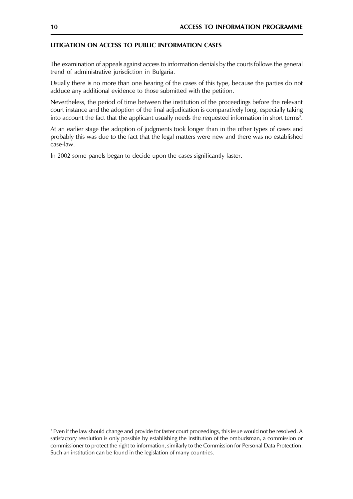#### LITIGATION ON ACCESS TO PUBLIC INFORMATION CASES

The examination of appeals against access to information denials by the courts follows the general trend of administrative jurisdiction in Bulgaria.

Usually there is no more than one hearing of the cases of this type, because the parties do not adduce any additional evidence to those submitted with the petition.

Nevertheless, the period of time between the institution of the proceedings before the relevant court instance and the adoption of the final adjudication is comparatively long, especially taking into account the fact that the applicant usually needs the requested information in short terms<sup>3</sup>.

At an earlier stage the adoption of judgments took longer than in the other types of cases and probably this was due to the fact that the legal matters were new and there was no established case-law.

In 2002 some panels began to decide upon the cases significantly faster.

<sup>&</sup>lt;sup>3</sup> Even if the law should change and provide for faster court proceedings, this issue would not be resolved. A satisfactory resolution is only possible by establishing the institution of the ombudsman, a commission or commissioner to protect the right to information, similarly to the Commission for Personal Data Protection. Such an institution can be found in the legislation of many countries.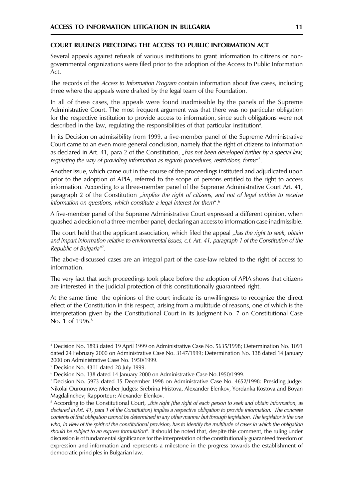#### COURT RULINGS PRECEDING THE ACCESS TO PUBLIC INFORMATION ACT

Several appeals against refusals of various institutions to grant information to citizens or nongovernmental organizations were filed prior to the adoption of the Access to Public Information Act.

The records of the Access to Information Program contain information about five cases, including three where the appeals were drafted by the legal team of the Foundation.

In all of these cases, the appeals were found inadmissible by the panels of the Supreme Administrative Court. The most frequent argument was that there was no particular obligation for the respective institution to provide access to information, since such obligations were not described in the law, regulating the responsibilities of that particular institution<sup>4</sup>.

In its Decision on admissibility from 1999, a five-member panel of the Supreme Administrative Court came to an even more general conclusion, namely that the right of citizens to information as declared in Art. 41, para 2 of the Constitution, "has not been developed further by a special law, requlating the way of providing information as regards procedures, restrictions, forms"<sup>5</sup>.

Another issue, which came out in the course of the proceedings instituted and adjudicated upon prior to the adoption of APIA, referred to the scope of persons entitled to the right to access information. According to a three-member panel of the Supreme Administrative Court Art. 41, paragraph 2 of the Constitution "implies the right of citizens, and not of legal entities to receive information on questions, which constitute a legal interest for them".<sup>6</sup>

A five-member panel of the Supreme Administrative Court expressed a different opinion, when quashed a decision of a three-member panel, declaring an access to information case inadmissible.

The court held that the applicant association, which filed the appeal "has the right to seek, obtain and impart information relative to environmental issues, c.f. Art. 41, paragraph 1 of the Constitution of the Republic of Bulgaria"<sup>7</sup>.

The above-discussed cases are an integral part of the case-law related to the right of access to information.

The very fact that such proceedings took place before the adoption of APIA shows that citizens are interested in the judicial protection of this constitutionally guaranteed right.

At the same time the opinions of the court indicate its unwillingness to recognize the direct effect of the Constitution in this respect, arising from a multitude of reasons, one of which is the interpretation given by the Constitutional Court in its Judgment No. 7 on Constitutional Case No. 1 of 1996.<sup>8</sup>

<sup>&</sup>lt;sup>4</sup> Decision No. 1893 dated 19 April 1999 on Administrative Case No. 5635/1998; Determination No. 1091 dated 24 February 2000 on Administrative Case No. 3147/1999; Determination No. 138 dated 14 January 2000 on Administrative Case No. 1950/1999.

<sup>&</sup>lt;sup>5</sup> Decision No. 4311 dated 28 July 1999.

<sup>&</sup>lt;sup>6</sup> Decision No. 138 dated 14 January 2000 on Administrative Case No.1950/1999.

<sup>&</sup>lt;sup>7</sup> Decision No. 5973 dated 15 December 1998 on Administrative Case No. 4652/1998: Presiding Judge: Nikolai Ouroumov; Member Judges: Srebrina Hristova, Alexander Elenkov, Yordanka Kostova and Boyan Magdalinchev; Rapporteur: Alexander Elenkov.

<sup>&</sup>lt;sup>8</sup> According to the Constitutional Court, "this right [the right of each person to seek and obtain information, as declared in Art. 41, para 1 of the Constitution] implies a respective obligation to provide information. The concrete contents of that obligation cannot be determined in any other manner but through legislation. The legislator is the one who, in view of the spirit of the constitutional provision, has to identify the multitude of cases in which the obligation should be subject to an express formulation". It should be noted that, despite this comment, the ruling under discussion is of fundamental significance for the interpretation of the constitutionally guaranteed freedom of expression and information and represents a milestone in the progress towards the establishment of democratic principles in Bulgarian law.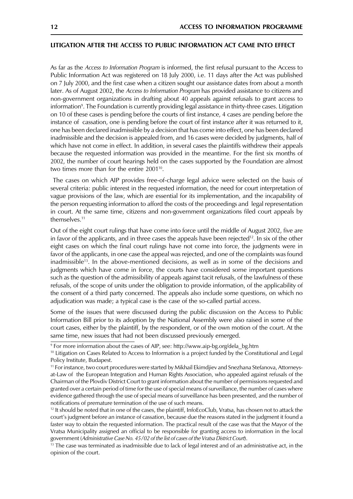#### LITIGATION AFTER THE ACCESS TO PUBLIC INFORMATION ACT CAME INTO EFFECT

As far as the Access to Information Program is informed, the first refusal pursuant to the Access to Public Information Act was registered on 18 July 2000, i.e. 11 days after the Act was published on 7 July 2000, and the first case when a citizen sought our assistance dates from about a month later. As of August 2002, the Access to Information Program has provided assistance to citizens and non-government organizations in drafting about 40 appeals against refusals to grant access to information<sup>9</sup>. The Foundation is currently providing legal assistance in thirty-three cases. Litigation on 10 of these cases is pending before the courts of first instance, 4 cases are pending before the instance of cassation, one is pending before the court of first instance after it was returned to it, one has been declared inadmissible by a decision that has come into effect, one has been declared inadmissible and the decision is appealed from, and 16 cases were decided by judgments, half of which have not come in effect. In addition, in several cases the plaintiffs withdrew their appeals because the requested information was provided in the meantime. For the first six months of 2002, the number of court hearings held on the cases supported by the Foundation are almost two times more than for the entire 2001<sup>10</sup>.

The cases on which AIP provides free-of-charge legal advice were selected on the basis of several criteria: public interest in the requested information, the need for court interpretation of vague provisions of the law, which are essential for its implementation, and the incapability of the person requesting information to afford the costs of the proceedings and legal representation in court. At the same time, citizens and non-government organizations filed court appeals by themselves.<sup>11</sup>

Out of the eight court rulings that have come into force until the middle of August 2002, five are in favor of the applicants, and in three cases the appeals have been rejected<sup>12</sup>. In six of the other eight cases on which the final court rulings have not come into force, the judgments were in favor of the applicants, in one case the appeal was rejected, and one of the complaints was found inadmissible<sup>13</sup>. In the above-mentioned decisions, as well as in some of the decisions and judgments which have come in force, the courts have considered some important questions such as the question of the admissibility of appeals against tacit refusals, of the lawfulness of these refusals, of the scope of units under the obligation to provide information, of the applicability of the consent of a third party concerned. The appeals also include some questions, on which no adjudication was made; a typical case is the case of the so-called partial access.

Some of the issues that were discussed during the public discussion on the Access to Public Information Bill prior to its adoption by the National Assembly were also raised in some of the court cases, either by the plaintiff, by the respondent, or of the own motion of the court. At the same time, new issues that had not been discussed previously emerged.

<sup>&</sup>lt;sup>9</sup> For more information about the cases of AIP, see: http://www.aip-bg.org/dela bg.htm

<sup>&</sup>lt;sup>10</sup> Litigation on Cases Related to Access to Information is a project funded by the Constitutional and Legal Policy Institute, Budapest.

<sup>&</sup>lt;sup>11</sup> For instance, two court procedures were started by Mikhail Ekimdjiev and Snezhana Stefanova, Attorneysat-Law of the European Integration and Human Rights Association, who appealed against refusals of the Chairman of the Plovdiv District Court to grant information about the number of permissions requested and granted over a certain period of time for the use of special means of surveillance, the number of cases where evidence gathered through the use of special means of surveillance has been presented, and the number of notifications of premature termination of the use of such means.

 $12$  It should be noted that in one of the cases, the plaintiff, InfoEcoClub, Vratsa, has chosen not to attack the court's judgment before an instance of cassation, because due the reasons stated in the judgment it found a faster way to obtain the requested information. The practical result of the case was that the Mayor of the Vratsa Municipality assigned an official to be responsible for granting access to information in the local government (Administrative Case No. 45/02 of the list of cases of the Vratsa District Court).

 $<sup>13</sup>$  The case was terminated as inadmissible due to lack of legal interest and of an administrative act, in the</sup> opinion of the court.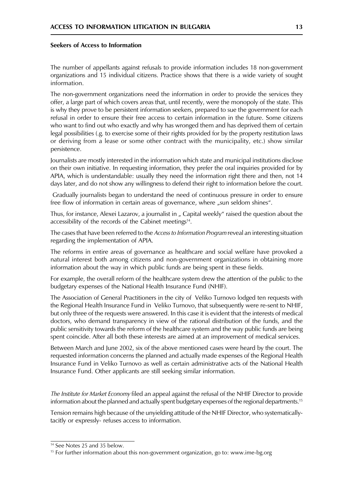#### Seekers of Access to Information

The number of appellants against refusals to provide information includes 18 non-government organizations and 15 individual citizens. Practice shows that there is a wide variety of sought information.

The non-government organizations need the information in order to provide the services they offer, a large part of which covers areas that, until recently, were the monopoly of the state. This is why they prove to be persistent information seekers, prepared to sue the government for each refusal in order to ensure their free access to certain information in the future. Some citizens who want to find out who exactly and why has wronged them and has deprived them of certain legal possibilities (.g. to exercise some of their rights provided for by the property restitution laws or deriving from a lease or some other contract with the municipality, etc.) show similar persistence.

Journalists are mostly interested in the information which state and municipal institutions disclose on their own initiative. In requesting information, they prefer the oral inquiries provided for by APIA, which is understandable: usually they need the information right there and then, not 14 days later, and do not show any willingness to defend their right to information before the court.

Gradually journalists began to understand the need of continuous pressure in order to ensure free flow of information in certain areas of governance, where "sun seldom shines".

Thus, for instance, Alexei Lazarov, a journalist in " Capital weekly" raised the question about the accessibility of the records of the Cabinet meetings<sup>14</sup>.

The cases that have been referred to the Access to Information Program reveal an interesting situation regarding the implementation of APIA.

The reforms in entire areas of governance as healthcare and social welfare have provoked a natural interest both among citizens and non-government organizations in obtaining more information about the way in which public funds are being spent in these fields.

For example, the overall reform of the healthcare system drew the attention of the public to the budgetary expenses of the National Health Insurance Fund (NHIF).

The Association of General Practitioners in the city of Veliko Turnovo lodged ten requests with the Regional Health Insurance Fund in Veliko Turnovo, that subsequently were re-sent to NHIF, but only three of the requests were answered. In this case it is evident that the interests of medical doctors, who demand transparency in view of the rational distribution of the funds, and the public sensitivity towards the reform of the healthcare system and the way public funds are being spent coincide. After all both these interests are aimed at an improvement of medical services.

Between March and June 2002, six of the above mentioned cases were heard by the court. The requested information concerns the planned and actually made expenses of the Regional Health Insurance Fund in Veliko Turnovo as well as certain administrative acts of the National Health Insurance Fund. Other applicants are still seeking similar information.

The Institute for Market Economy filed an appeal against the refusal of the NHIF Director to provide information about the planned and actually spent budgetary expenses of the regional departments.<sup>15</sup>

Tension remains high because of the unyielding attitude of the NHIF Director, who systematicallytacitly or expressly-refuses access to information.

<sup>&</sup>lt;sup>14</sup> See Notes 25 and 35 below.

<sup>&</sup>lt;sup>15</sup> For further information about this non-government organization, go to: www.ime-bg.org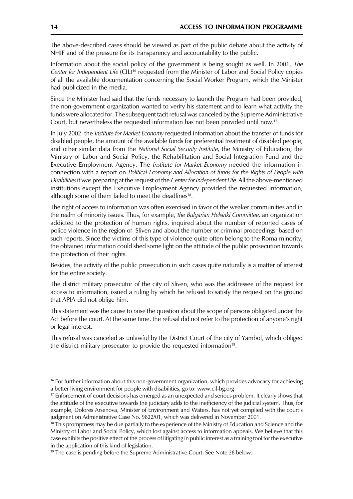The above-described cases should be viewed as part of the public debate about the activity of NHIF and of the pressure for its transparency and accountability to the public.

Information about the social policy of the government is being sought as well. In 2001, The Center for Independent Life (CIL)<sup>16</sup> requested from the Minister of Labor and Social Policy copies of all the available documentation concerning the Social Worker Program, which the Minister had publicized in the media.

Since the Minister had said that the funds necessary to launch the Program had been provided, the non-government organization wanted to verify his statement and to learn what activity the funds were allocated for. The subsequent tacit refusal was canceled by the Supreme Administrative Court, but nevertheless the requested information has not been provided until now.<sup>17</sup>

In July 2002 the *Institute for Market Economy* requested information about the transfer of funds for disabled people, the amount of the available funds for preferential treatment of disabled people, and other similar data from the National Social Security Institute, the Ministry of Education, the Ministry of Labor and Social Policy, the Rehabilitation and Social Integration Fund and the Executive Employment Agency. The Institute for Market Economy needed the information in connection with a report on Political Economy and Allocation of funds for the Rights of People with Disabilities it was preparing at the request of the Center for Independent Life. All the above-mentioned institutions except the Executive Employment Agency provided the requested information, although some of them failed to meet the deadlines<sup>18</sup>.

The right of access to information was often exercised in favor of the weaker communities and in the realm of minority issues. Thus, for example, the Bulgarian Helsinki Committee, an organization addicted to the protection of human rights, inquired about the number of reported cases of police violence in the region of Sliven and about the number of criminal proceedings based on such reports. Since the victims of this type of violence quite often belong to the Roma minority, the obtained information could shed some light on the attitude of the public prosecution towards the protection of their rights.

Besides, the activity of the public prosecution in such cases quite naturally is a matter of interest for the entire society.

The district military prosecutor of the city of Sliven, who was the addressee of the request for access to information, issued a ruling by which he refused to satisfy the request on the ground that APIA did not oblige him.

This statement was the cause to raise the question about the scope of persons obligated under the Act before the court. At the same time, the refusal did not refer to the protection of anyone's right or legal interest.

This refusal was canceled as unlawful by the District Court of the city of Yambol, which obliged the district military prosecutor to provide the requested information<sup>19</sup>.

<sup>&</sup>lt;sup>16</sup> For further information about this non-government organization, which provides advocacy for achieving a better living environment for people with disabilities, go to: www.cil-bg.org

<sup>&</sup>lt;sup>17</sup> Enforcement of court decisions has emerged as an unexpected and serious problem. It clearly shows that the attitude of the executive towards the judiciary adds to the inefficiency of the judicial system. Thus, for example, Dolores Arsenova, Minister of Environment and Waters, has not yet complied with the court's judgment on Administrative Case No. 9822/01, which was delivered in November 2001.

<sup>&</sup>lt;sup>18</sup> This promptness may be due partially to the experience of the Ministry of Education and Science and the Ministry of Labor and Social Policy, which lost against access to information appeals. We believe that this case exhibits the positive effect of the process of litigating in public interest as a training tool for the executive in the application of this kind of legislation.

<sup>&</sup>lt;sup>19</sup> The case is pending before the Supreme Administrative Court. See Note 28 below.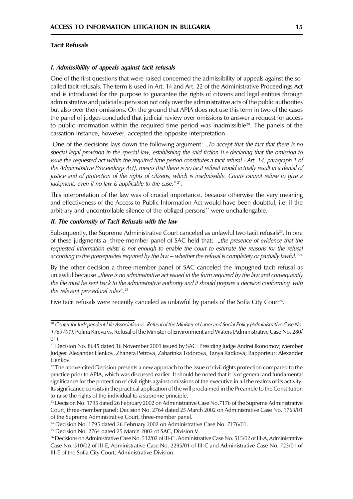#### **Tacit Refusals**

#### I. Admissibility of appeals against tacit refusals

One of the first questions that were raised concerned the admissibility of appeals against the socalled tacit refusals. The term is used in Art. 14 and Art. 22 of the Administrative Proceedings Act and is introduced for the purpose to guarantee the rights of citizens and legal entities through administrative and judicial supervision not only over the administrative acts of the public authorities but also over their omissions. On the ground that APIA does not use this term in two of the cases the panel of judges concluded that judicial review over omissions to answer a request for access to public information within the required time period was inadmissible<sup>20</sup>. The panels of the cassation instance, however, accepted the opposite interpretation.

One of the decisions lays down the following argument: "To accept that the fact that there is no special legal provision in the special law, establishing the said fiction [i.e.declaring that the omission to issue the requested act within the required time period constitutes a tacit refusal - Art. 14, paragraph 1 of the Administrative Proceedings Act], means that there is no tacit refusal would actually result in a denial of justice and of protection of the rights of citizens, which is inadmissible. Courts cannot refuse to give a judgment, even if no law is applicable to the case."  $21$ .

This interpretation of the law was of crucial importance, because otherwise the very meaning and effectiveness of the Access to Public Information Act would have been doubtful, i.e. if the arbitrary and uncontrollable silence of the obliged persons<sup>22</sup> were unchallengable.

#### II. The conformity of Tacit Refusals with the law

Subsequently, the Supreme Administrative Court canceled as unlawful two tacit refusals<sup>23</sup>. In one of these judgments a three-member panel of SAC held that: "the presence of evidence that the requested information exists is not enough to enable the court to estimate the reasons for the refusal according to the prerequisites required by the law – whether the refusal is completely or partially lawful."<sup>24</sup>

By the other decision a three-member panel of SAC canceled the impugned tacit refusal as unlawful because, there is no administrative act issued in the form required by the law and consequently the file must be sent back to the administrative authority and it should prepare a decision conforming with the relevant procedural rules".<sup>25</sup>

Five tacit refusals were recently canceled as unlawful by panels of the Sofia City Court<sup>26</sup>.

<sup>&</sup>lt;sup>20</sup> Center for Independent Life Association vs. Refusal of the Minister of Labor and Social Policy (Administrative Case No. 1763/01), Polina Kireva vs. Refusal of the Minister of Environment and Waters (Administrative Case No. 280/  $01$ ).

<sup>&</sup>lt;sup>21</sup> Decision No. 8645 dated 16 November 2001 issued by SAC: Presiding Judge Andrei Ikonomov; Member Judges: Alexander Elenkov, Zhaneta Petrova, Zaharinka Todorova, Tanya Radkova; Rapporteur: Alexander Elenkov.

<sup>&</sup>lt;sup>22</sup> The above-cited Decision presents a new approach to the issue of civil rights protection compared to the practice prior to APIA, which was discussed earlier. It should be noted that it is of general and fundamental significance for the protection of civil rights against omissions of the executive in all the realms of its activity. Its significance consists in the practical application of the will proclaimed in the Preamble to the Constitution to raise the rights of the individual to a supreme principle.

<sup>&</sup>lt;sup>23</sup> Decision No. 1795 dated 26 February 2002 on Administrative Case No.7176 of the Supreme Administrative Court, three-member panel; Decision No. 2764 dated 25 March 2002 on Administrative Case No. 1763/01 of the Supreme Administrative Court, three-member panel.

<sup>&</sup>lt;sup>24</sup> Decision No. 1795 dated 26 February 2002 on Administrative Case No. 7176/01.

<sup>&</sup>lt;sup>25</sup> Decision No. 2764 dated 25 March 2002 of SAC, Division V.

<sup>&</sup>lt;sup>26</sup> Decisions on Administrative Case No. 512/02 of III-C, Administrative Case No. 515/02 of III-A, Administrative Case No. 510/02 of III-E, Administrative Case No. 2295/01 of III-C and Administrative Case No. 723/01 of III-E of the Sofia City Court, Administrative Division.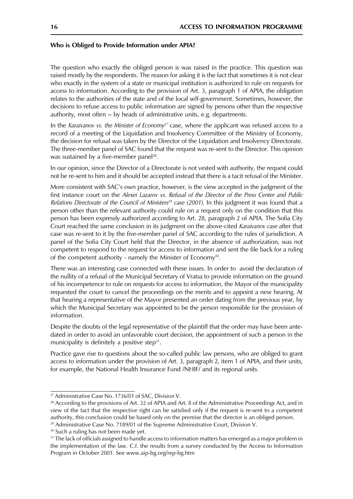#### Who is Obliged to Provide Information under APIA?

The question who exactly the obliged person is was raised in the practice. This question was raised mostly by the respondents. The reason for asking it is the fact that sometimes it is not clear who exactly in the system of a state or municipal institution is authorized to rule on requests for access to information. According to the provision of Art. 3, paragraph 1 of APIA, the obligation relates to the authorities of the state and of the local self-government. Sometimes, however, the decisions to refuse access to public information are signed by persons other than the respective authority, most often – by heads of administrative units, e.g. departments.

In the Karaivanov vs. the Minister of Economy<sup>27</sup> case, where the applicant was refused access to a record of a meeting of the Liquidation and Insolvency Committee of the Ministry of Economy, the decision for refusal was taken by the Director of the Liquidation and Insolvency Directorate. The three-member panel of SAC found that the request was re-sent to the Director. This opinion was sustained by a five-member panel<sup>28</sup>.

In our opinion, since the Director of a Directorate is not vested with authority, the request could not be re-sent to him and it should be accepted instead that there is a tacit refusal of the Minister.

More consistent with SAC's own practice, however, is the view accepted in the judgment of the first instance court on the Alexei Lazarov vs. Refusal of the Director of the Press Center and Public Relations Directorate of the Council of Ministers<sup>29</sup> case (2001). In this judgment it was found that a person other than the relevant authority could rule on a request only on the condition that this person has been expressly authorized according to Art. 28, paragraph 2 of APIA. The Sofia City Court reached the same conclusion in its judgment on the above-cited Karaivanov case after that case was re-sent to it by the five-member panel of SAC according to the rules of jurisdiction. A panel of the Sofia City Court held that the Director, in the absence of authorization, was not competent to respond to the request for access to information and sent the file back for a ruling of the competent authority - namely the Minister of Economy<sup>30</sup>.

There was an interesting case connected with these issues. In order to avoid the declaration of the nullity of a refusal of the Municipal Secretary of Vratsa to provide information on the ground of his incompetence to rule on requests for access to information, the Mayor of the municipality requested the court to cancel the proceedings on the merits and to appoint a new hearing. At that hearing a representative of the Mayor presented an order dating from the previous year, by which the Municipal Secretary was appointed to be the person responsible for the provision of information.

Despite the doubts of the legal representative of the plaintiff that the order may have been antedated in order to avoid an unfavorable court decision, the appointment of such a person in the municipality is definitely a positive step<sup>31</sup>.

Practice gave rise to questions about the so-called public law persons, who are obliged to grant access to information under the provision of Art. 3, paragraph 2, item 1 of APIA, and their units, for example, the National Health Insurance Fund /NHIF/ and its regional units.

<sup>30</sup> Such a ruling has not been made yet.

<sup>&</sup>lt;sup>27</sup> Administrative Case No. 1736/01 of SAC, Division V.

<sup>&</sup>lt;sup>28</sup> According to the provisions of Art. 32 of APIA and Art. 8 of the Administrative Proceedings Act, and in view of the fact that the respective right can be satisfied only if the request is re-sent to a competent authority, this conclusion could be based only on the premise that the director is an obliged person. <sup>29</sup> Administrative Case No. 7189/01 of the Supreme Administrative Court, Division V.

<sup>&</sup>lt;sup>31</sup> The lack of officials assigned to handle access to information matters has emerged as a major problem in the implementation of the law. C.f. the results from a survey conducted by the Access to Information Program in October 2001. See www.aip-bg.org/rep-bg.htm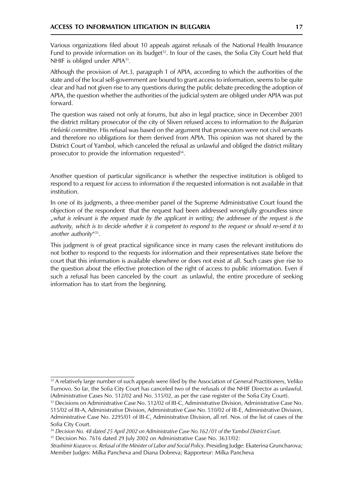Various organizations filed about 10 appeals against refusals of the National Health Insurance Fund to provide information on its budget<sup>32</sup>. In four of the cases, the Sofia City Court held that NHIF is obliged under APIA<sup>33</sup>.

Although the provision of Art.3, paragraph 1 of APIA, according to which the authorities of the state and of the local self-government are bound to grant access to information, seems to be quite clear and had not given rise to any questions during the public debate preceding the adoption of APIA, the question whether the authorities of the judicial system are obliged under APIA was put forward.

The question was raised not only at forums, but also in legal practice, since in December 2001 the district military prosecutor of the city of Sliven refused access to information to the Bulgarian Helsinki committee. His refusal was based on the argument that prosecutors were not civil servants and therefore no obligations for them derived from APIA. This opinion was not shared by the District Court of Yambol, which canceled the refusal as unlawful and obliged the district military prosecutor to provide the information requested<sup>34</sup>.

Another question of particular significance is whether the respective institution is obliged to respond to a request for access to information if the requested information is not available in that institution.

In one of its judgments, a three-member panel of the Supreme Administrative Court found the objection of the respondent that the request had been addressed wrongfully groundless since "what is relevant is the request made by the applicant in writing; the addressee of the request is the authority, which is to decide whether it is competent to respond to the request or should re-send it to another authority"<sup>35</sup>.

This judgment is of great practical significance since in many cases the relevant institutions do not bother to respond to the requests for information and their representatives state before the court that this information is available elsewhere or does not exist at all. Such cases give rise to the question about the effective protection of the right of access to public information. Even if such a refusal has been canceled by the court as unlawful, the entire procedure of seeking information has to start from the beginning.

<sup>35</sup> Decision No. 7616 dated 29 July 2002 on Administrative Case No. 3631/02:

<sup>&</sup>lt;sup>32</sup> A relatively large number of such appeals were filed by the Association of General Practitioners, Veliko Turnovo. So far, the Sofia City Court has canceled two of the refusals of the NHIF Director as unlawful. (Administrative Cases No. 512/02 and No. 515/02, as per the case register of the Sofia City Court).

<sup>&</sup>lt;sup>33</sup> Decisions on Administrative Case No. 512/02 of III-C, Administrative Division, Administrative Case No. 515/02 of III-A, Administrative Division, Administrative Case No. 510/02 of III-E, Administrative Division, Administrative Case No. 2295/01 of III-C, Administrative Division, all ref. Nos. of the list of cases of the Sofia City Court.

<sup>&</sup>lt;sup>34</sup> Decision No. 48 dated 25 April 2002 on Administrative Case No. 162/01 of the Yambol District Court.

Strashimir Kozarov vs. Refusal of the Minister of Labor and Social Policy. Presiding Judge: Ekaterina Gruncharova; Member Judges: Milka Pancheva and Diana Dobreva; Rapporteur: Milka Pancheva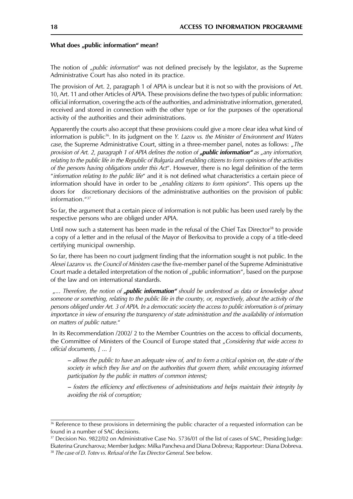#### What does "public information" mean?

The notion of "*public information*" was not defined precisely by the legislator, as the Supreme Administrative Court has also noted in its practice.

The provision of Art. 2, paragraph 1 of APIA is unclear but it is not so with the provisions of Art. 10, Art. 11 and other Articles of APIA. These provisions define the two types of public information: official information, covering the acts of the authorities, and administrative information, generated, received and stored in connection with the other type or for the purposes of the operational activity of the authorities and their administrations.

Apparently the courts also accept that these provisions could give a more clear idea what kind of information is public<sup>36</sup>. In its judgment on the *Y. Lazov vs. the Minister of Environment and Waters* case, the Supreme Administrative Court, sitting in a three-member panel, notes as follows: "The provision of Art. 2, paragraph 1 of APIA defines the notion of **"public information**" as "any information, relating to the public life in the Republic of Bulgaria and enabling citizens to form opinions of the activities of the persons having obligations under this Act". However, there is no legal definition of the term "information relating to the public life" and it is not defined what characteristics a certain piece of information should have in order to be "enabling citizens to form opinions". This opens up the doors for discretionary decisions of the administrative authorities on the provision of public information. $437$ 

So far, the argument that a certain piece of information is not public has been used rarely by the respective persons who are obliged under APIA.

Until now such a statement has been made in the refusal of the Chief Tax Director<sup>38</sup> to provide a copy of a letter and in the refusal of the Mayor of Berkovitsa to provide a copy of a title-deed certifying municipal ownership.

So far, there has been no court judgment finding that the information sought is not public. In the Alexei Lazarov vs. the Council of Ministers case the five-member panel of the Supreme Administrative Court made a detailed interpretation of the notion of "public information", based on the purpose of the law and on international standards.

"... Therefore, the notion of **"public information**" should be understood as data or knowledge about someone or something, relating to the public life in the country, or, respectively, about the activity of the persons obliged under Art. 3 of APIA. In a democratic society the access to public information is of primary importance in view of ensuring the transparency of state administration and the availability of information on matters of public nature."

In its Recommendation /2002/ 2 to the Member Countries on the access to official documents, the Committee of Ministers of the Council of Europe stated that "Considering that wide access to official documents. [ ... ]

- allows the public to have an adequate view of, and to form a critical opinion on, the state of the society in which they live and on the authorities that govern them, whilst encouraging informed participation by the public in matters of common interest;

- fosters the efficiency and effectiveness of administrations and helps maintain their integrity by avoiding the risk of corruption;

<sup>&</sup>lt;sup>36</sup> Reference to these provisions in determining the public character of a requested information can be found in a number of SAC decisions.

<sup>&</sup>lt;sup>37</sup> Decision No. 9822/02 on Administrative Case No. 5736/01 of the list of cases of SAC, Presiding Judge: Ekaterina Gruncharova; Member Judges: Milka Pancheva and Diana Dobreva; Rapporteur: Diana Dobreva.

<sup>&</sup>lt;sup>38</sup> The case of D. Totev vs. Refusal of the Tax Director General. See below.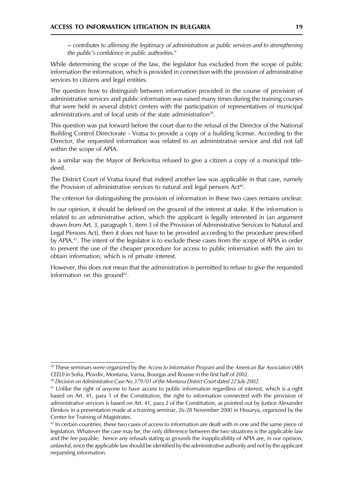- contributes to affirming the legitimacy of administrations as public services and to strengthening the public's confidence in public authorities."

While determining the scope of the law, the legislator has excluded from the scope of public information the information, which is provided in connection with the provision of administrative services to citizens and legal entities.

The question how to distinguish between information provided in the course of provision of administrative services and public information was raised many times during the training courses that were held in several district centers with the participation of representatives of municipal administrations and of local units of the state administration<sup>39</sup>.

This question was put forward before the court due to the refusal of the Director of the National Building Control Directorate - Vratsa to provide a copy of a building license. According to the Director, the requested information was related to an administrative service and did not fall within the scope of APIA.

In a similar way the Mayor of Berkovitsa refused to give a citizen a copy of a municipal titledeed.

The District Court of Vratsa found that indeed another law was applicable in that case, namely the Provision of administrative services to natural and legal persons Act<sup>40</sup>.

The criterion for distinguishing the provision of information in these two cases remains unclear.

In our opinion, it should be defined on the ground of the interest at stake. If the information is related to an administrative action, which the applicant is legally interested in (an argument drawn from Art. 3, paragraph 1, item 3 of the Provision of Administrative Services to Natural and Legal Persons Act), then it does not have to be provided according to the procedure prescribed by APIA.<sup>41</sup>. The intent of the legislator is to exclude these cases from the scope of APIA in order to prevent the use of the cheaper procedure for access to public information with the aim to obtain information, which is of private interest.

However, this does not mean that the administration is permitted to refuse to give the requested information on this ground<sup>42</sup>.

<sup>&</sup>lt;sup>39</sup> These seminars were organized by the Access to Information Program and the American Bar Association (ABA CEELI) in Sofia, Plovdiv, Montana, Varna, Bourgas and Rousse in the first half of 2002.

<sup>&</sup>lt;sup>40</sup> Decision on Administrative Case No.379/01 of the Montana District Court dated 22 July 2002.

<sup>&</sup>lt;sup>41</sup> Unlike the right of anyone to have access to public information regardless of interest, which is a right based on Art. 41, para 1 of the Constitution, the right to information connected with the provision of administrative services is based on Art. 41, para 2 of the Constitution, as pointed out by Justice Alexander Elenkov in a presentation made at a training seminar, 26-28 November 2000 in Hissarya, organized by the Center for Training of Magistrates.

 $42$  In certain countries, these two cases of access to information are dealt with in one and the same piece of legislation. Whatever the case may be, the only difference between the two situations is the applicable law and the fee payable; hence any refusals stating as grounds the inapplicability of APIA are, in our opinion, unlawful, since the applicable law should be identified by the administrative authority and not by the applicant requesting information.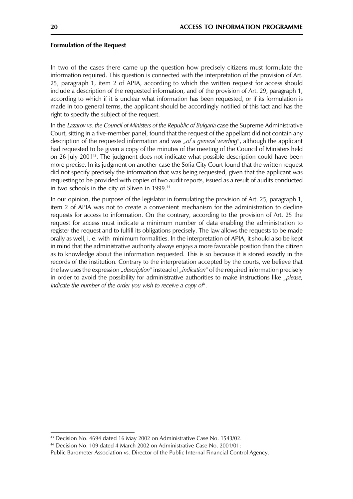#### **Formulation of the Request**

In two of the cases there came up the question how precisely citizens must formulate the information required. This question is connected with the interpretation of the provision of Art. 25, paragraph 1, item 2 of APIA, according to which the written request for access should include a description of the requested information, and of the provision of Art. 29, paragraph 1, according to which if it is unclear what information has been requested, or if its formulation is made in too general terms, the applicant should be accordingly notified of this fact and has the right to specify the subject of the request.

In the Lazarov vs. the Council of Ministers of the Republic of Bulgaria case the Supreme Administrative Court, sitting in a five-member panel, found that the request of the appellant did not contain any description of the requested information and was "of a general wording", although the applicant had requested to be given a copy of the minutes of the meeting of the Council of Ministers held on 26 July 2001<sup>43</sup>. The judgment does not indicate what possible description could have been more precise. In its judgment on another case the Sofia City Court found that the written request did not specify precisely the information that was being requested, given that the applicant was requesting to be provided with copies of two audit reports, issued as a result of audits conducted in two schools in the city of Sliven in 1999.<sup>44</sup>

In our opinion, the purpose of the legislator in formulating the provision of Art. 25, paragraph 1, item 2 of APIA was not to create a convenient mechanism for the administration to decline requests for access to information. On the contrary, according to the provision of Art. 25 the request for access must indicate a minimum number of data enabling the administration to register the request and to fulfill its obligations precisely. The law allows the requests to be made orally as well, i. e. with minimum formalities. In the interpretation of APIA, it should also be kept in mind that the administrative authority always enjoys a more favorable position than the citizen as to knowledge about the information requested. This is so because it is stored exactly in the records of the institution. Contrary to the interpretation accepted by the courts, we believe that the law uses the expression "description" instead of "indication" of the required information precisely in order to avoid the possibility for administrative authorities to make instructions like "please, indicate the number of the order you wish to receive a copy of".

<sup>&</sup>lt;sup>43</sup> Decision No. 4694 dated 16 May 2002 on Administrative Case No. 1543/02.

<sup>&</sup>lt;sup>44</sup> Decision No. 109 dated 4 March 2002 on Administrative Case No. 2001/01:

Public Barometer Association vs. Director of the Public Internal Financial Control Agency.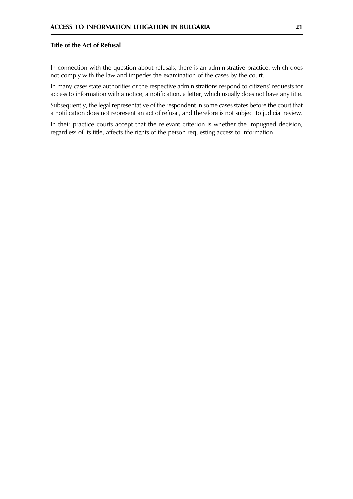#### Title of the Act of Refusal

In connection with the question about refusals, there is an administrative practice, which does not comply with the law and impedes the examination of the cases by the court.

In many cases state authorities or the respective administrations respond to citizens' requests for access to information with a notice, a notification, a letter, which usually does not have any title.

Subsequently, the legal representative of the respondent in some cases states before the court that a notification does not represent an act of refusal, and therefore is not subject to judicial review.

In their practice courts accept that the relevant criterion is whether the impugned decision, regardless of its title, affects the rights of the person requesting access to information.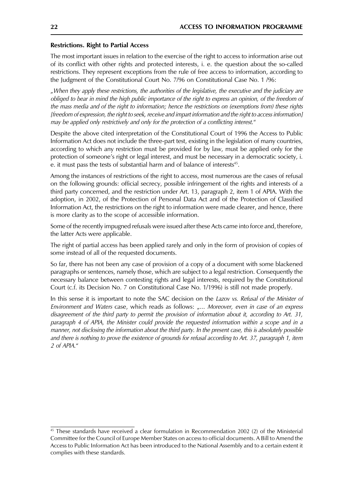#### **Restrictions. Right to Partial Access**

The most important issues in relation to the exercise of the right to access to information arise out of its conflict with other rights and protected interests, i. e. the question about the so-called restrictions. They represent exceptions from the rule of free access to information, according to the Judgment of the Constitutional Court No. 7/96 on Constitutional Case No. 1/96:

"When they apply these restrictions, the authorities of the legislative, the executive and the judiciary are obliged to bear in mind the high public importance of the right to express an opinion, of the freedom of the mass media and of the right to information; hence the restrictions on (exemptions from) these rights [freedom of expression, the right to seek, receive and impart information and the right to access information] may be applied only restrictively and only for the protection of a conflicting interest."

Despite the above cited interpretation of the Constitutional Court of 1996 the Access to Public Information Act does not include the three-part test, existing in the legislation of many countries, according to which any restriction must be provided for by law, must be applied only for the protection of someone's right or legal interest, and must be necessary in a democratic society, i. e. it must pass the tests of substantial harm and of balance of interests<sup>45</sup>.

Among the instances of restrictions of the right to access, most numerous are the cases of refusal on the following grounds: official secrecy, possible infringement of the rights and interests of a third party concerned, and the restriction under Art. 13, paragraph 2, item 1 of APIA. With the adoption, in 2002, of the Protection of Personal Data Act and of the Protection of Classified Information Act, the restrictions on the right to information were made clearer, and hence, there is more clarity as to the scope of accessible information.

Some of the recently impugned refusals were issued after these Acts came into force and, therefore, the latter Acts were applicable.

The right of partial access has been applied rarely and only in the form of provision of copies of some instead of all of the requested documents.

So far, there has not been any case of provision of a copy of a document with some blackened paragraphs or sentences, namely those, which are subject to a legal restriction. Consequently the necessary balance between contesting rights and legal interests, required by the Constitutional Court (c.f. its Decision No. 7 on Constitutional Case No. 1/1996) is still not made properly.

In this sense it is important to note the SAC decision on the Lazov vs. Refusal of the Minister of Environment and Waters case, which reads as follows: "... Moreover, even in case of an express disagreement of the third party to permit the provision of information about it, according to Art. 31, paragraph 4 of APIA, the Minister could provide the requested information within a scope and in a manner, not disclosing the information about the third party. In the present case, this is absolutely possible and there is nothing to prove the existence of grounds for refusal according to Art. 37, paragraph 1, item 2 of APIA."

<sup>&</sup>lt;sup>45</sup> These standards have received a clear formulation in Recommendation 2002 (2) of the Ministerial Committee for the Council of Europe Member States on access to official documents. A Bill to Amend the Access to Public Information Act has been introduced to the National Assembly and to a certain extent it complies with these standards.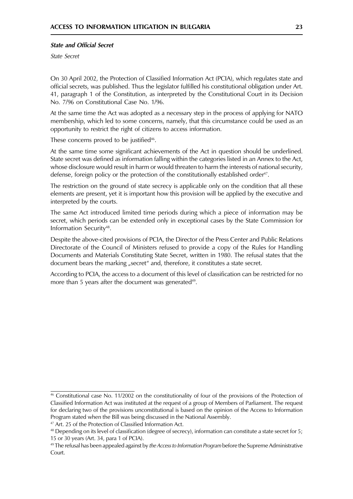#### **State and Official Secret**

State Secret

On 30 April 2002, the Protection of Classified Information Act (PCIA), which regulates state and official secrets, was published. Thus the legislator fulfilled his constitutional obligation under Art. 41, paragraph 1 of the Constitution, as interpreted by the Constitutional Court in its Decision No. 7/96 on Constitutional Case No. 1/96.

At the same time the Act was adopted as a necessary step in the process of applying for NATO membership, which led to some concerns, namely, that this circumstance could be used as an opportunity to restrict the right of citizens to access information.

These concerns proved to be justified<sup>46</sup>.

At the same time some significant achievements of the Act in question should be underlined. State secret was defined as information falling within the categories listed in an Annex to the Act, whose disclosure would result in harm or would threaten to harm the interests of national security, defense, foreign policy or the protection of the constitutionally established order<sup>47</sup>.

The restriction on the ground of state secrecy is applicable only on the condition that all these elements are present, yet it is important how this provision will be applied by the executive and interpreted by the courts.

The same Act introduced limited time periods during which a piece of information may be secret, which periods can be extended only in exceptional cases by the State Commission for Information Security<sup>48</sup>.

Despite the above-cited provisions of PCIA, the Director of the Press Center and Public Relations Directorate of the Council of Ministers refused to provide a copy of the Rules for Handling Documents and Materials Constituting State Secret, written in 1980. The refusal states that the document bears the marking "secret" and, therefore, it constitutes a state secret.

According to PCIA, the access to a document of this level of classification can be restricted for no more than 5 years after the document was generated<sup>49</sup>.

 $46$  Constitutional case No. 11/2002 on the constitutionality of four of the provisions of the Protection of Classified Information Act was instituted at the request of a group of Members of Parliament. The request for declaring two of the provisions unconstitutional is based on the opinion of the Access to Information Program stated when the Bill was being discussed in the National Assembly.

<sup>&</sup>lt;sup>47</sup> Art. 25 of the Protection of Classified Information Act.

<sup>&</sup>lt;sup>48</sup> Depending on its level of classification (degree of secrecy), information can constitute a state secret for 5; 15 or 30 years (Art. 34, para 1 of PCIA).

<sup>&</sup>lt;sup>49</sup> The refusal has been appealed against by *the Access to Information Program* before the Supreme Administrative Court.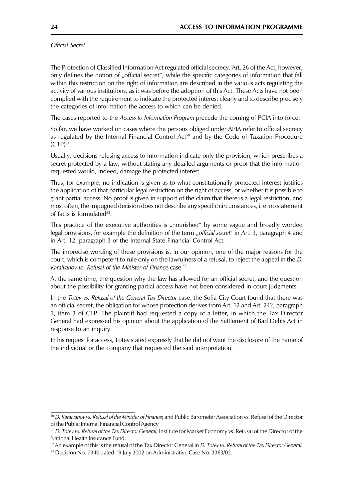Official Secret

The Protection of Classified Information Act regulated official secrecy. Art. 26 of the Act, however, only defines the notion of "official secret", while the specific categories of information that fall within this restriction on the right of information are described in the various acts regulating the activity of various institutions, as it was before the adoption of this Act. These Acts have not been complied with the requirement to indicate the protected interest clearly and to describe precisely the categories of information the access to which can be denied.

The cases reported to the *Access to Information Program* precede the coming of PCIA into force.

So far, we have worked on cases where the persons obliged under APIA refer to official secrecy as regulated by the Internal Financial Control Act<sup>50</sup> and by the Code of Taxation Procedure  $(CTP)^{51}$ .

Usually, decisions refusing access to information indicate only the provision, which prescribes a secret protected by a law, without stating any detailed arguments or proof that the information requested would, indeed, damage the protected interest.

Thus, for example, no indication is given as to what constitutionally protected interest justifies the application of that particular legal restriction on the right of access, or whether it is possible to grant partial access. No proof is given in support of the claim that there is a legal restriction, and most often, the impugned decision does not describe any specific circumstances, i. e. no statement of facts is formulated<sup>52</sup>.

This practice of the executive authorities is "nourished" by some vague and broadly worded legal provisions, for example the definition of the term "official secret" in Art. 3, paragraph 4 and in Art. 12, paragraph 3 of the Internal State Financial Control Act.

The imprecise wording of these provisions is, in our opinion, one of the major reasons for the court, which is competent to rule only on the lawfulness of a refusal, to reject the appeal in the *D*. Karaivanov vs. Refusal of the Minister of Finance case <sup>53</sup>.

At the same time, the question why the law has allowed for an official secret, and the question about the possibility for granting partial access have not been considered in court judgments.

In the Totev vs. Refusal of the General Tax Director case, the Sofia City Court found that there was an official secret, the obligation for whose protection derives from Art. 12 and Art. 242, paragraph 1, item 3 of CTP. The plaintiff had requested a copy of a letter, in which the Tax Director General had expressed his opinion about the application of the Settlement of Bad Debts Act in response to an inquiry.

In his request for access, Totev stated expressly that he did not want the disclosure of the name of the individual or the company that requested the said interpretation.

<sup>50</sup> D. Karaivanov vs. Refusal of the Minister of Finance; and Public Barometer Association vs. Refusal of the Director of the Public Internal Financial Control Agency

<sup>&</sup>lt;sup>51</sup> D. Totev vs. Refusal of the Tax Director General; Institute for Market Economy vs. Refusal of the Director of the National Health Insurance Fund.

<sup>&</sup>lt;sup>52</sup> An example of this is the refusal of the Tax Director General in *D. Totev vs. Refusal of the Tax Director General.* 

<sup>&</sup>lt;sup>53</sup> Decision No. 7340 dated 19 July 2002 on Administrative Case No. 3363/02.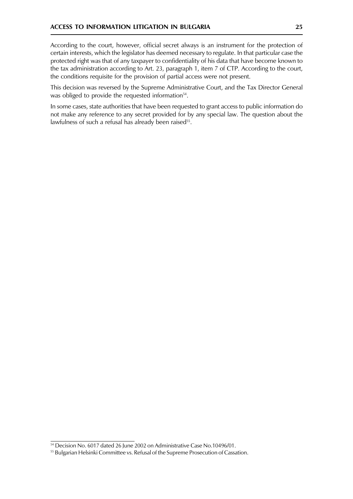According to the court, however, official secret always is an instrument for the protection of certain interests, which the legislator has deemed necessary to regulate. In that particular case the protected right was that of any taxpayer to confidentiality of his data that have become known to the tax administration according to Art. 23, paragraph 1, item 7 of CTP. According to the court, the conditions requisite for the provision of partial access were not present.

This decision was reversed by the Supreme Administrative Court, and the Tax Director General was obliged to provide the requested information<sup>54</sup>.

In some cases, state authorities that have been requested to grant access to public information do not make any reference to any secret provided for by any special law. The question about the lawfulness of such a refusal has already been raised<sup>55</sup>.

<sup>54</sup> Decision No. 6017 dated 26 June 2002 on Administrative Case No.10496/01.

<sup>&</sup>lt;sup>55</sup> Bulgarian Helsinki Committee vs. Refusal of the Supreme Prosecution of Cassation.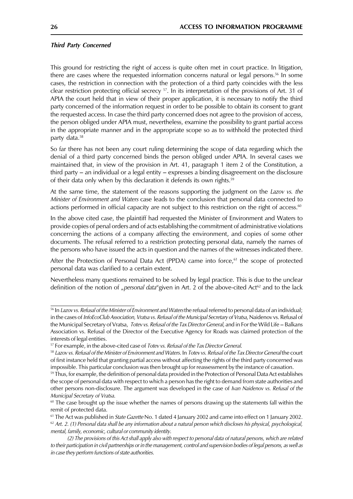#### **Third Party Concerned**

This ground for restricting the right of access is quite often met in court practice. In litigation, there are cases where the requested information concerns natural or legal persons.<sup>56</sup> In some cases, the restriction in connection with the protection of a third party coincides with the less clear restriction protecting official secrecy <sup>57</sup>. In its interpretation of the provisions of Art. 31 of APIA the court held that in view of their proper application, it is necessary to notify the third party concerned of the information request in order to be possible to obtain its consent to grant the requested access. In case the third party concerned does not agree to the provision of access, the person obliged under APIA must, nevertheless, examine the possibility to grant partial access in the appropriate manner and in the appropriate scope so as to withhold the protected third party data.<sup>58</sup>

So far there has not been any court ruling determining the scope of data regarding which the denial of a third party concerned binds the person obliged under APIA. In several cases we maintained that, in view of the provision in Art. 41, paragraph 1 item 2 of the Constitution, a third party  $-$  an individual or a legal entity  $-$  expresses a binding disagreement on the disclosure of their data only when by this declaration it defends its own rights.<sup>59</sup>

At the same time, the statement of the reasons supporting the judgment on the Lazov vs. the Minister of Environment and Waters case leads to the conclusion that personal data connected to actions performed in official capacity are not subject to this restriction on the right of access.<sup>60</sup>

In the above cited case, the plaintiff had requested the Minister of Environment and Waters to provide copies of penal orders and of acts establishing the commitment of administrative violations concerning the actions of a company affecting the environment, and copies of some other documents. The refusal referred to a restriction protecting personal data, namely the names of the persons who have issued the acts in question and the names of the witnesses indicated there.

After the Protection of Personal Data Act (PPDA) came into force, $61$  the scope of protected personal data was clarified to a certain extent.

Nevertheless many questions remained to be solved by legal practice. This is due to the unclear definition of the notion of "personal data"given in Art. 2 of the above-cited Act<sup>62</sup> and to the lack

<sup>&</sup>lt;sup>56</sup> In Lazov vs. Refusal of the Minister of Environment and Waters the refusal referred to personal data of an individual; in the cases of InfoEcoClub Association, Vratsa vs. Refusal of the Municipal Secretary of Vratsa, Naidenov vs. Refusal of the Municipal Secretary of Vratsa, Totev vs. Refusal of the Tax Director General, and in For the Wild Life - Balkans Association vs. Refusal of the Director of the Executive Agency for Roads was claimed protection of the interests of legal entities.

<sup>&</sup>lt;sup>57</sup> For example, in the above-cited case of *Totev vs. Refusal of the Tax Director General*.

<sup>58</sup> Lazov vs. Refusal of the Minister of Environment and Waters. In Totev vs. Refusal of the Tax Director General the court of first instance held that granting partial access without affecting the rights of the third party concerned was impossible. This particular conclusion was then brought up for reassessment by the instance of cassation.

<sup>&</sup>lt;sup>59</sup> Thus, for example, the definition of personal data provided in the Protection of Personal Data Act establishes the scope of personal data with respect to which a person has the right to demand from state authorities and other persons non-disclosure. The argument was developed in the case of Ivan Naidenov vs. Refusal of the Municipal Secretary of Vratsa.

 $60$  The case brought up the issue whether the names of persons drawing up the statements fall within the remit of protected data.

 $61$  The Act was published in *State Gazette* No. 1 dated 4 January 2002 and came into effect on 1 January 2002.  $62$  Art. 2. (1) Personal data shall be any information about a natural person which discloses his physical, psychological, mental, family, economic, cultural or community identity.

<sup>(2)</sup> The provisions of this Act shall apply also with respect to personal data of natural persons, which are related to their participation in civil partnerships or in the management, control and supervision bodies of legal persons, as well as in case they perform functions of state authorities.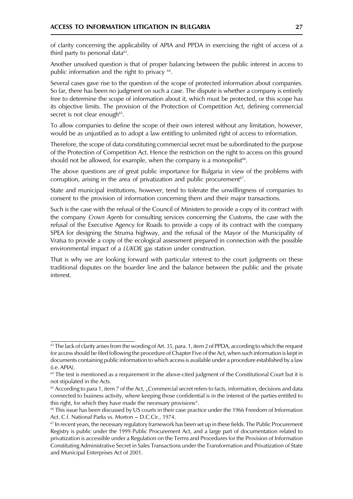of clarity concerning the applicability of APIA and PPDA in exercising the right of access of a third party to personal data<sup>63</sup>.

Another unsolved question is that of proper balancing between the public interest in access to public information and the right to privacy <sup>64</sup>.

Several cases gave rise to the question of the scope of protected information about companies. So far, there has been no judgment on such a case. The dispute is whether a company is entirely free to determine the scope of information about it, which must be protected, or this scope has its objective limits. The provision of the Protection of Competition Act, defining commercial secret is not clear enough<sup>65</sup>.

To allow companies to define the scope of their own interest without any limitation, however, would be as unjustified as to adopt a law entitling to unlimited right of access to information.

Therefore, the scope of data constituting commercial secret must be subordinated to the purpose of the Protection of Competition Act. Hence the restriction on the right to access on this ground should not be allowed, for example, when the company is a monopolist<sup>66</sup>.

The above questions are of great public importance for Bulgaria in view of the problems with corruption, arising in the area of privatization and public procurement<sup>67</sup>.

State and municipal institutions, however, tend to tolerate the unwillingness of companies to consent to the provision of information concerning them and their major transactions.

Such is the case with the refusal of the Council of Ministers to provide a copy of its contract with the company *Crown Agents* for consulting services concerning the Customs, the case with the refusal of the Executive Agency for Roads to provide a copy of its contract with the company SPEA for designing the Struma highway, and the refusal of the Mayor of the Municipality of Vratsa to provide a copy of the ecological assessment prepared in connection with the possible environmental impact of a *LUKOIL* gas station under construction.

That is why we are looking forward with particular interest to the court judgments on these traditional disputes on the boarder line and the balance between the public and the private interest.

<sup>&</sup>lt;sup>63</sup> The lack of clarity arises from the wording of Art. 35, para. 1, item 2 of PPDA, according to which the request for access should be filed following the procedure of Chapter Five of the Act, when such information is kept in documents containing public information to which access is available under a procedure established by a law  $(i.e. APIA)$ .

<sup>&</sup>lt;sup>64</sup> The test is mentioned as a requirement in the above-cited judgment of the Constitutional Court but it is not stipulated in the Acts.

<sup>&</sup>lt;sup>65</sup> According to para 1, item 7 of the Act, "Commercial secret refers to facts, information, decisions and data connected to business activity, where keeping those confidential is in the interest of the parties entitled to this right, for which they have made the necessary provisions".

<sup>&</sup>lt;sup>66</sup> This issue has been discussed by US courts in their case practice under the 1966 Freedom of Information Act. C.f. National Parks vs. Morton - D.C.Cir., 1974.

<sup>&</sup>lt;sup>67</sup> In recent years, the necessary regulatory framework has been set up in these fields. The Public Procurement Registry is public under the 1999 Public Procurement Act, and a large part of documentation related to privatization is accessible under a Regulation on the Terms and Procedures for the Provision of Information Constituting Administrative Secret in Sales Transactions under the Transformation and Privatization of State and Municipal Enterprises Act of 2001.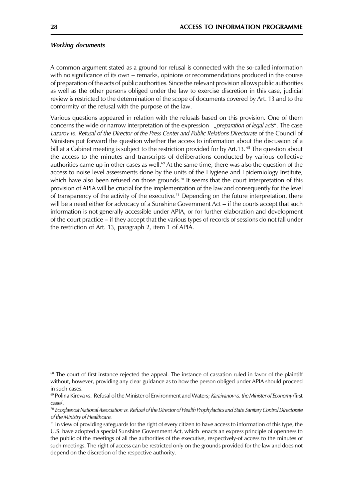#### **Working documents**

A common argument stated as a ground for refusal is connected with the so-called information with no significance of its own – remarks, opinions or recommendations produced in the course of preparation of the acts of public authorities. Since the relevant provision allows public authorities as well as the other persons obliged under the law to exercise discretion in this case, judicial review is restricted to the determination of the scope of documents covered by Art. 13 and to the conformity of the refusal with the purpose of the law.

Various questions appeared in relation with the refusals based on this provision. One of them concerns the wide or narrow interpretation of the expression "preparation of legal acts". The case Lazarov vs. Refusal of the Director of the Press Center and Public Relations Directorate of the Council of Ministers put forward the question whether the access to information about the discussion of a bill at a Cabinet meeting is subject to the restriction provided for by Art.13.<sup>68</sup> The question about the access to the minutes and transcripts of deliberations conducted by various collective authorities came up in other cases as well.<sup>69</sup> At the same time, there was also the question of the access to noise level assessments done by the units of the Hygiene and Epidemiology Institute, which have also been refused on those grounds.<sup>70</sup> It seems that the court interpretation of this provision of APIA will be crucial for the implementation of the law and consequently for the level of transparency of the activity of the executive.<sup>71</sup> Depending on the future interpretation, there will be a need either for advocacy of a Sunshine Government Act - if the courts accept that such information is not generally accessible under APIA, or for further elaboration and development of the court practice – if they accept that the various types of records of sessions do not fall under the restriction of Art. 13, paragraph 2, item 1 of APIA.

<sup>&</sup>lt;sup>68</sup> The court of first instance rejected the appeal. The instance of cassation ruled in favor of the plaintiff without, however, providing any clear guidance as to how the person obliged under APIA should proceed in such cases.

<sup>&</sup>lt;sup>69</sup> Polina Kireva vs. Refusal of the Minister of Environment and Waters; Karaivanov vs. the Minister of Economy/first case/.

<sup>70</sup> Ecoglasnost National Association vs. Refusal of the Director of Health Prophylactics and State Sanitary Control Directorate of the Ministry of Healthcare.

 $71$  In view of providing safeguards for the right of every citizen to have access to information of this type, the U.S. have adopted a special Sunshine Government Act, which enacts an express principle of openness to the public of the meetings of all the authorities of the executive, respectively-of access to the minutes of such meetings. The right of access can be restricted only on the grounds provided for the law and does not depend on the discretion of the respective authority.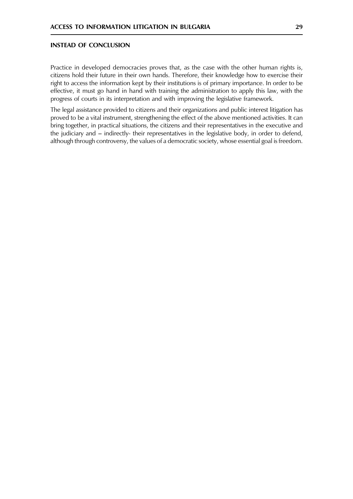#### **INSTEAD OF CONCLUSION**

Practice in developed democracies proves that, as the case with the other human rights is, citizens hold their future in their own hands. Therefore, their knowledge how to exercise their right to access the information kept by their institutions is of primary importance. In order to be effective, it must go hand in hand with training the administration to apply this law, with the progress of courts in its interpretation and with improving the legislative framework.

The legal assistance provided to citizens and their organizations and public interest litigation has proved to be a vital instrument, strengthening the effect of the above mentioned activities. It can bring together, in practical situations, the citizens and their representatives in the executive and the judiciary and – indirectly- their representatives in the legislative body, in order to defend, although through controversy, the values of a democratic society, whose essential goal is freedom.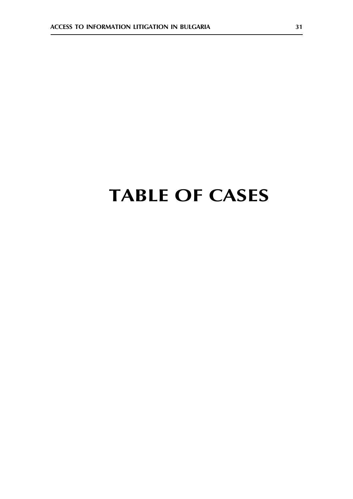## **TABLE OF CASES**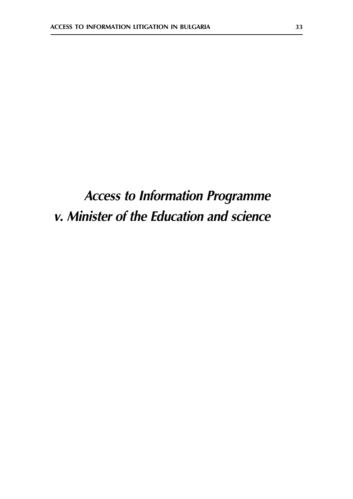## **Access to Information Programme** v. Minister of the Education and science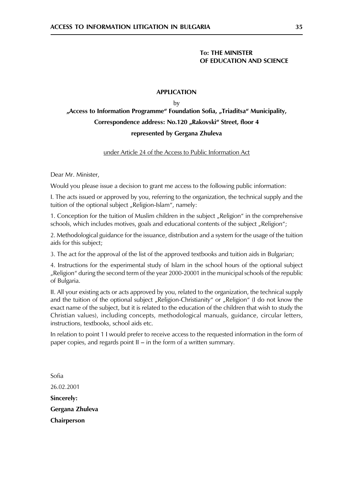#### **To: THE MINISTER** OF EDUCATION AND SCIENCE

#### **APPLICATION**

by

### "Access to Information Programme" Foundation Sofia, "Triaditsa" Municipality, Correspondence address: No.120 "Rakovski" Street, floor 4 represented by Gergana Zhuleva

#### under Article 24 of the Access to Public Information Act

Dear Mr. Minister,

Would you please issue a decision to grant me access to the following public information:

I. The acts issued or approved by you, referring to the organization, the technical supply and the tuition of the optional subject "Religion-Islam", namely:

1. Conception for the tuition of Muslim children in the subject "Religion" in the comprehensive schools, which includes motives, goals and educational contents of the subject "Religion";

2. Methodological guidance for the issuance, distribution and a system for the usage of the tuition aids for this subject;

3. The act for the approval of the list of the approved textbooks and tuition aids in Bulgarian;

4. Instructions for the experimental study of Islam in the school hours of the optional subject "Religion" during the second term of the year 2000-20001 in the municipal schools of the republic of Bulgaria.

II. All your existing acts or acts approved by you, related to the organization, the technical supply and the tuition of the optional subject "Religion-Christianity" or "Religion" (I do not know the exact name of the subject, but it is related to the education of the children that wish to study the Christian values), including concepts, methodological manuals, guidance, circular letters, instructions, textbooks, school aids etc.

In relation to point 1 I would prefer to receive access to the requested information in the form of paper copies, and regards point II - in the form of a written summary.

Sofia 26.02.2001 Sincerely: Gergana Zhuleva Chairperson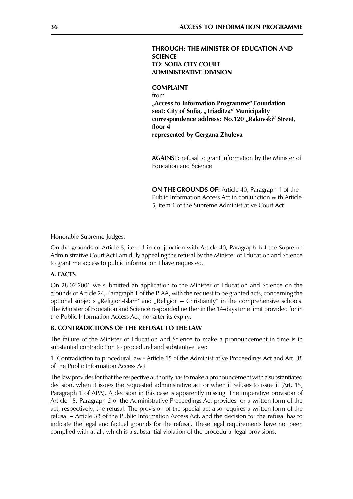#### THROUGH: THE MINISTER OF EDUCATION AND **SCIENCE TO: SOFIA CITY COURT ADMINISTRATIVE DIVISION**

**COMPLAINT**  $from$ "Access to Information Programme" Foundation seat: City of Sofia, "Triaditza" Municipality correspondence address: No.120 "Rakovski" Street, floor  $\overline{4}$ represented by Gergana Zhuleva

**AGAINST:** refusal to grant information by the Minister of **Education and Science** 

ON THE GROUNDS OF: Article 40, Paragraph 1 of the Public Information Access Act in conjunction with Article 5. item 1 of the Supreme Administrative Court Act

Honorable Supreme Judges,

On the grounds of Article 5, item 1 in conjunction with Article 40, Paragraph 1 of the Supreme Administrative Court Act I am duly appealing the refusal by the Minister of Education and Science to grant me access to public information I have requested.

#### A. FACTS

On 28.02.2001 we submitted an application to the Minister of Education and Science on the grounds of Article 24, Paragraph 1 of the PIAA, with the request to be granted acts, concerning the optional subjects "Religion-Islam' and "Religion – Christianity" in the comprehensive schools. The Minister of Education and Science responded neither in the 14-days time limit provided for in the Public Information Access Act, nor after its expiry.

#### **B. CONTRADICTIONS OF THE REFUSAL TO THE LAW**

The failure of the Minister of Education and Science to make a pronouncement in time is in substantial contradiction to procedural and substantive law:

1. Contradiction to procedural law - Article 15 of the Administrative Proceedings Act and Art. 38 of the Public Information Access Act

The law provides for that the respective authority has to make a pronouncement with a substantiated decision, when it issues the requested administrative act or when it refuses to issue it (Art. 15, Paragraph 1 of APA). A decision in this case is apparently missing. The imperative provision of Article 15, Paragraph 2 of the Administrative Proceedings Act provides for a written form of the act, respectively, the refusal. The provision of the special act also requires a written form of the refusal - Article 38 of the Public Information Access Act, and the decision for the refusal has to indicate the legal and factual grounds for the refusal. These legal requirements have not been complied with at all, which is a substantial violation of the procedural legal provisions.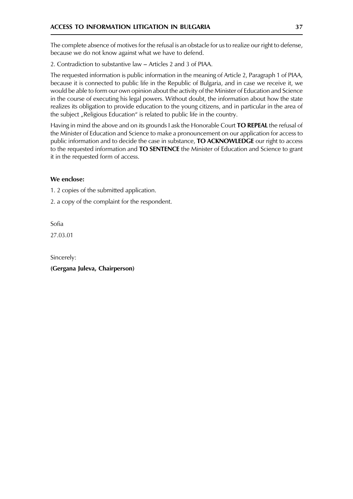The complete absence of motives for the refusal is an obstacle for us to realize our right to defense, because we do not know against what we have to defend.

2. Contradiction to substantive law - Articles 2 and 3 of PIAA.

The requested information is public information in the meaning of Article 2, Paragraph 1 of PIAA, because it is connected to public life in the Republic of Bulgaria, and in case we receive it, we would be able to form our own opinion about the activity of the Minister of Education and Science in the course of executing his legal powers. Without doubt, the information about how the state realizes its obligation to provide education to the young citizens, and in particular in the area of the subject "Religious Education" is related to public life in the country.

Having in mind the above and on its grounds I ask the Honorable Court TO REPEAL the refusal of the Minister of Education and Science to make a pronouncement on our application for access to public information and to decide the case in substance, **TO ACKNOWLEDGE** our right to access to the requested information and TO SENTENCE the Minister of Education and Science to grant it in the requested form of access.

## We enclose:

1. 2 copies of the submitted application.

2. a copy of the complaint for the respondent.

Sofia

27.03.01

Sincerely:

(Gergana Juleva, Chairperson)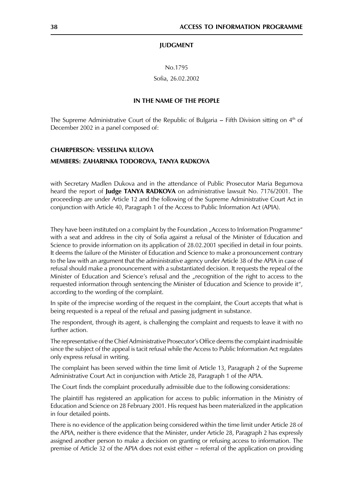#### **IUDGMENT**

No.1795

Sofia, 26.02.2002

#### IN THE NAME OF THE PEOPLE

The Supreme Administrative Court of the Republic of Bulgaria  $-$  Fifth Division sitting on  $4<sup>th</sup>$  of December 2002 in a panel composed of:

## **CHAIRPERSON: VESSELINA KULOVA**

#### MEMBERS: ZAHARINKA TODOROVA, TANYA RADKOVA

with Secretary Madlen Dukova and in the attendance of Public Prosecutor Maria Begumova heard the report of Judge TANYA RADKOVA on administrative lawsuit No. 7176/2001. The proceedings are under Article 12 and the following of the Supreme Administrative Court Act in conjunction with Article 40, Paragraph 1 of the Access to Public Information Act (APIA).

They have been instituted on a complaint by the Foundation "Access to Information Programme" with a seat and address in the city of Sofia against a refusal of the Minister of Education and Science to provide information on its application of 28.02.2001 specified in detail in four points. It deems the failure of the Minister of Education and Science to make a pronouncement contrary to the law with an argument that the administrative agency under Article 38 of the APIA in case of refusal should make a pronouncement with a substantiated decision. It requests the repeal of the Minister of Education and Science's refusal and the "recognition of the right to access to the requested information through sentencing the Minister of Education and Science to provide it", according to the wording of the complaint.

In spite of the imprecise wording of the request in the complaint, the Court accepts that what is being requested is a repeal of the refusal and passing judgment in substance.

The respondent, through its agent, is challenging the complaint and requests to leave it with no further action.

The representative of the Chief Administrative Prosecutor's Office deems the complaint inadmissible since the subject of the appeal is tacit refusal while the Access to Public Information Act regulates only express refusal in writing.

The complaint has been served within the time limit of Article 13, Paragraph 2 of the Supreme Administrative Court Act in conjunction with Article 28, Paragraph 1 of the APIA.

The Court finds the complaint procedurally admissible due to the following considerations:

The plaintiff has registered an application for access to public information in the Ministry of Education and Science on 28 February 2001. His request has been materialized in the application in four detailed points.

There is no evidence of the application being considered within the time limit under Article 28 of the APIA, neither is there evidence that the Minister, under Article 28, Paragraph 2 has expressly assigned another person to make a decision on granting or refusing access to information. The premise of Article 32 of the APIA does not exist either – referral of the application on providing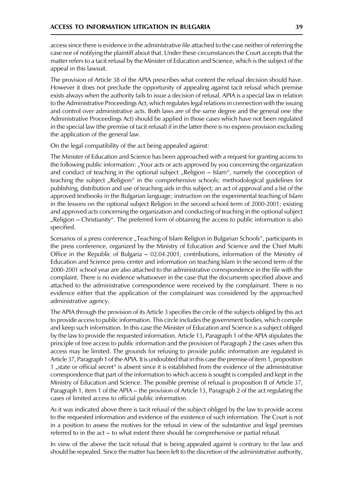access since there is evidence in the administrative file attached to the case neither of referring the case nor of notifying the plaintiff about that. Under these circumstances the Court accepts that the matter refers to a tacit refusal by the Minister of Education and Science, which is the subject of the appeal in this lawsuit.

The provision of Article 38 of the APIA prescribes what content the refusal decision should have. However it does not preclude the opportunity of appealing against tacit refusal which premise exists always when the authority fails to issue a decision of refusal. APIA is a special law in relation to the Administrative Proceedings Act, which regulates legal relations in connection with the issuing and control over administrative acts. Both laws are of the same degree and the general one (the Administrative Proceedings Act) should be applied in those cases which have not been regulated in the special law (the premise of tacit refusal) if in the latter there is no express provision excluding the application of the general law.

On the legal compatibility of the act being appealed against:

The Minister of Education and Science has been approached with a request for granting access to the following public information: "Your acts or acts approved by you concerning the organization and conduct of teaching in the optional subject "Religion – Islam", namely the conception of teaching the subject "Religion" in the comprehensive schools; methodological guidelines for publishing, distribution and use of teaching aids in this subject; an act of approval and a list of the approved textbooks in the Bulgarian language; instruction on the experimental teaching of Islam in the lessons on the optional subject Religion in the second school term of 2000-2001; existing and approved acts concerning the organization and conducting of teaching in the optional subject "Religion – Christianity". The preferred form of obtaining the access to public information is also specified.

Scenarios of a press conference "Teaching of Islam Religion in Bulgarian Schools", participants in the press conference, organized by the Ministry of Education and Science and the Chief Mufti Office in the Republic of Bulgaria – 02.04.2001, contributions, information of the Ministry of Education and Science press center and information on teaching Islam in the second term of the 2000-2001 school year are also attached to the administrative correspondence in the file with the complaint. There is no evidence whatsoever in the case that the documents specified above and attached to the administrative correspondence were received by the complainant. There is no evidence either that the application of the complainant was considered by the approached administrative agency.

The APIA through the provision of its Article 3 specifies the circle of the subjects obliged by this act to provide access to public information. This circle includes the government bodies, which compile and keep such information. In this case the Minister of Education and Science is a subject obliged by the law to provide the requested information. Article 13, Paragraph 1 of the APIA stipulates the principle of free access to public information and the provision of Paragraph 2 the cases when this access may be limited. The grounds for refusing to provide public information are regulated in Article 37, Paragraph 1 of the APIA. It is undoubted that in this case the premise of item 1, proposition 1 "state or official secret" is absent since it is established from the evidence of the administrative correspondence that part of the information to which access is sought is compiled and kept in the Ministry of Education and Science. The possible premise of refusal is proposition II of Article 37, Paragraph 1, item 1 of the APIA – the provision of Article 13, Paragraph 2 of the act regulating the cases of limited access to official public information.

As it was indicated above there is tacit refusal of the subject obliged by the law to provide access to the requested information and evidence of the existence of such information. The Court is not in a position to assess the motives for the refusal in view of the substantive and legal premises referred to in the act – to what extent there should be comprehensive or partial refusal.

In view of the above the tacit refusal that is being appealed against is contrary to the law and should be repealed. Since the matter has been left to the discretion of the administrative authority,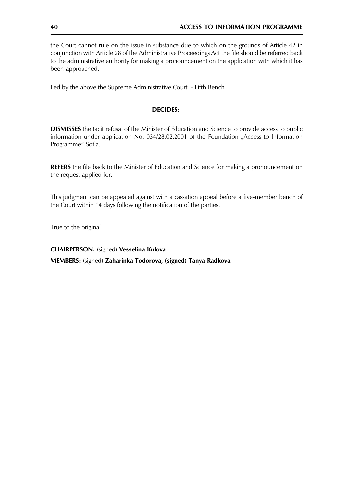the Court cannot rule on the issue in substance due to which on the grounds of Article 42 in conjunction with Article 28 of the Administrative Proceedings Act the file should be referred back to the administrative authority for making a pronouncement on the application with which it has been approached.

Led by the above the Supreme Administrative Court - Fifth Bench

#### **DECIDES:**

**DISMISSES** the tacit refusal of the Minister of Education and Science to provide access to public information under application No. 034/28.02.2001 of the Foundation "Access to Information Programme" Sofia.

**REFERS** the file back to the Minister of Education and Science for making a pronouncement on the request applied for.

This judgment can be appealed against with a cassation appeal before a five-member bench of the Court within 14 days following the notification of the parties.

True to the original

**CHAIRPERSON:** (signed) Vesselina Kulova MEMBERS: (signed) Zaharinka Todorova, (signed) Tanya Radkova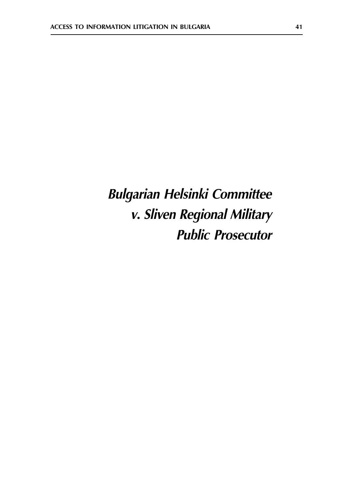# **Bulgarian Helsinki Committee** v. Sliven Regional Military **Public Prosecutor**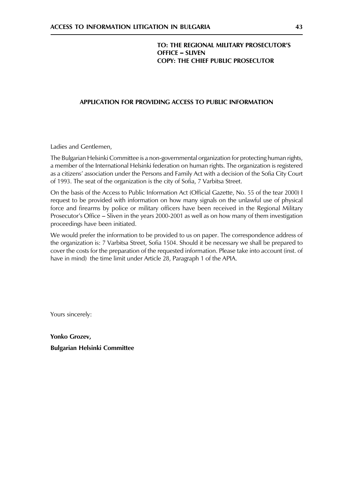## TO: THE REGIONAL MILITARY PROSECUTOR'S **OFFICE - SLIVEN COPY: THE CHIEF PUBLIC PROSECUTOR**

### APPLICATION FOR PROVIDING ACCESS TO PUBLIC INFORMATION

Ladies and Gentlemen,

The Bulgarian Helsinki Committee is a non-governmental organization for protecting human rights, a member of the International Helsinki federation on human rights. The organization is registered as a citizens' association under the Persons and Family Act with a decision of the Sofia City Court of 1993. The seat of the organization is the city of Sofia, 7 Varbitsa Street.

On the basis of the Access to Public Information Act (Official Gazette, No. 55 of the tear 2000) I request to be provided with information on how many signals on the unlawful use of physical force and firearms by police or military officers have been received in the Regional Military Prosecutor's Office – Sliven in the years 2000-2001 as well as on how many of them investigation proceedings have been initiated.

We would prefer the information to be provided to us on paper. The correspondence address of the organization is: 7 Varbitsa Street, Sofia 1504. Should it be necessary we shall be prepared to cover the costs for the preparation of the requested information. Please take into account (inst. of have in mind) the time limit under Article 28, Paragraph 1 of the APIA.

Yours sincerely:

Yonko Grozev, **Bulgarian Helsinki Committee**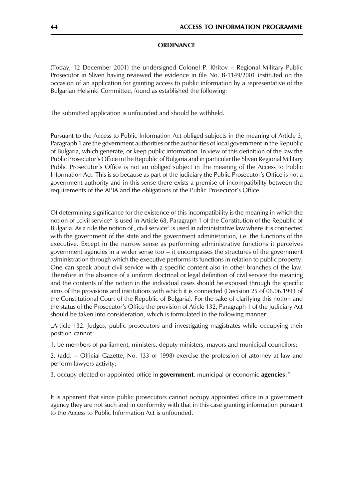#### **ORDINANCE**

(Today, 12 December 2001) the undersigned Colonel P. Khitov - Regional Military Public Prosecutor in Sliven having reviewed the evidence in file No. B-1149/2001 instituted on the occasion of an application for granting access to public information by a representative of the Bulgarian Helsinki Committee, found as established the following:

The submitted application is unfounded and should be withheld.

Pursuant to the Access to Public Information Act obliged subjects in the meaning of Article 3, Paragraph 1 are the government authorities or the authorities of local government in the Republic of Bulgaria, which generate, or keep public information. In view of this definition of the law the Public Prosecutor's Office in the Republic of Bulgaria and in particular the Sliven Regional Military Public Prosecutor's Office is not an obliged subject in the meaning of the Access to Public Information Act. This is so because as part of the judiciary the Public Prosecutor's Office is not a government authority and in this sense there exists a premise of incompatibility between the requirements of the APIA and the obligations of the Public Prosecutor's Office.

Of determining significance for the existence of this incompatibility is the meaning in which the notion of "civil service" is used in Article 68, Paragraph 1 of the Constitution of the Republic of Bulgaria. As a rule the notion of "civil service" is used in administrative law where it is connected with the government of the state and the government administration, i.e. the functions of the executive. Except in the narrow sense as performing administrative functions it perceives government agencies in a wider sense too  $-$  it encompasses the structures of the government administration through which the executive performs its functions in relation to public property. One can speak about civil service with a specific content also in other branches of the law. Therefore in the absence of a uniform doctrinal or legal definition of civil service the meaning and the contents of the notion in the individual cases should be exposed through the specific aims of the provisions and institutions with which it is connected (Decision 25 of 06.06.1993 of the Constitutional Court of the Republic of Bulgaria). For the sake of clarifying this notion and the status of the Prosecutor's Office the provision of Aticle 132, Paragraph 1 of the Judiciary Act should be taken into consideration, which is formulated in the following manner:

"Article 132. Judges, public prosecutors and investigating magistrates while occupying their position cannot:

1. be members of parliament, ministers, deputy ministers, mayors and municipal councilors;

2. (add. - Official Gazette, No. 133 of 1998) exercise the profession of attorney at law and perform lawyers activity;

3. occupy elected or appointed office in government, municipal or economic agencies;"

It is apparent that since public prosecutors cannot occupy appointed office in a government agency they are not such and in conformity with that in this case granting information pursuant to the Access to Public Information Act is unfounded.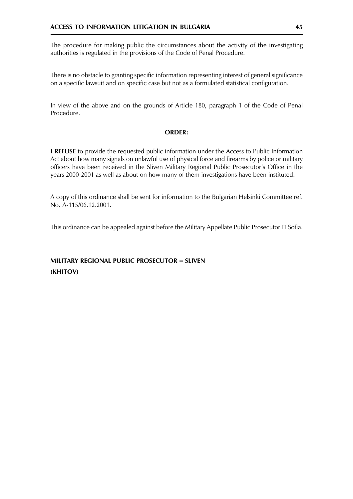The procedure for making public the circumstances about the activity of the investigating authorities is regulated in the provisions of the Code of Penal Procedure.

There is no obstacle to granting specific information representing interest of general significance on a specific lawsuit and on specific case but not as a formulated statistical configuration.

In view of the above and on the grounds of Article 180, paragraph 1 of the Code of Penal Procedure.

#### **ORDER:**

**I REFUSE** to provide the requested public information under the Access to Public Information Act about how many signals on unlawful use of physical force and firearms by police or military officers have been received in the Sliven Military Regional Public Prosecutor's Office in the years 2000-2001 as well as about on how many of them investigations have been instituted.

A copy of this ordinance shall be sent for information to the Bulgarian Helsinki Committee ref. No. A-115/06.12.2001.

This ordinance can be appealed against before the Military Appellate Public Prosecutor  $\Box$  Sofia.

## MILITARY REGIONAL PUBLIC PROSECUTOR - SLIVEN (KHITOV)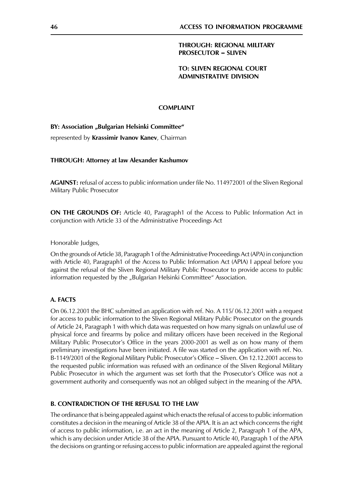#### **THROUGH: REGIONAL MILITARY PROSECUTOR - SLIVEN**

#### **TO: SLIVEN REGIONAL COURT ADMINISTRATIVE DIVISION**

#### **COMPLAINT**

#### BY: Association "Bulgarian Helsinki Committee"

represented by Krassimir Ivanov Kanev, Chairman

#### THROUGH: Attorney at law Alexander Kashumov

**AGAINST:** refusal of access to public information under file No. 114972001 of the Sliven Regional Military Public Prosecutor

**ON THE GROUNDS OF:** Article 40, Paragraph1 of the Access to Public Information Act in conjunction with Article 33 of the Administrative Proceedings Act

Honorable Judges,

On the grounds of Article 38, Paragraph 1 of the Administrative Proceedings Act (APA) in conjunction with Article 40, Paragraph1 of the Access to Public Information Act (APIA) I appeal before you against the refusal of the Sliven Regional Military Public Prosecutor to provide access to public information requested by the "Bulgarian Helsinki Committee" Association.

#### A. FACTS

On 06.12.2001 the BHC submitted an application with ref. No. A 115/06.12.2001 with a request for access to public information to the Sliven Regional Military Public Prosecutor on the grounds of Article 24, Paragraph 1 with which data was requested on how many signals on unlawful use of physical force and firearms by police and military officers have been received in the Regional Military Public Prosecutor's Office in the years 2000-2001 as well as on how many of them preliminary investigations have been initiated. A file was started on the application with ref. No. B-1149/2001 of the Regional Military Public Prosecutor's Office - Sliven. On 12.12.2001 access to the requested public information was refused with an ordinance of the Sliven Regional Military Public Prosecutor in which the argument was set forth that the Prosecutor's Office was not a government authority and consequently was not an obliged subject in the meaning of the APIA.

#### **B. CONTRADICTION OF THE REFUSAL TO THE LAW**

The ordinance that is being appealed against which enacts the refusal of access to public information constitutes a decision in the meaning of Article 38 of the APIA. It is an act which concerns the right of access to public information, i.e. an act in the meaning of Article 2, Paragraph 1 of the APA, which is any decision under Article 38 of the APIA. Pursuant to Article 40, Paragraph 1 of the APIA the decisions on granting or refusing access to public information are appealed against the regional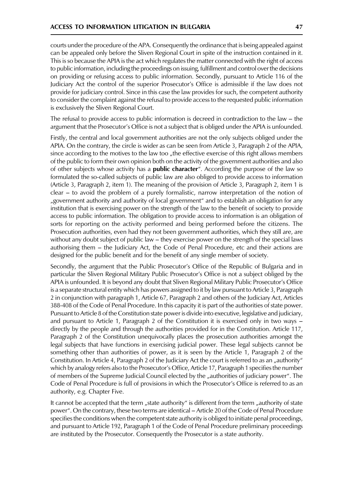courts under the procedure of the APA. Consequently the ordinance that is being appealed against can be appealed only before the Sliven Regional Court in spite of the instruction contained in it. This is so because the APIA is the act which regulates the matter connected with the right of access to public information, including the proceedings on issuing, fulfillment and control over the decisions on providing or refusing access to public information. Secondly, pursuant to Article 116 of the Judiciary Act the control of the superior Prosecutor's Office is admissible if the law does not provide for judiciary control. Since in this case the law provides for such, the competent authority to consider the complaint against the refusal to provide access to the requested public information is exclusively the Sliven Regional Court.

The refusal to provide access to public information is decreed in contradiction to the law  $-$  the argument that the Prosecutor's Office is not a subject that is obliged under the APIA is unfounded.

Firstly, the central and local government authorities are not the only subjects obliged under the APIA. On the contrary, the circle is wider as can be seen from Article 3, Paragraph 2 of the APIA, since according to the motives to the law too "the effective exercise of this right allows members of the public to form their own opinion both on the activity of the government authorities and also of other subjects whose activity has a **public character**". According the purpose of the law so formulated the so-called subjects of public law are also obliged to provide access to information (Article 3, Paragraph 2, item 1). The meaning of the provision of Article 3, Paragraph 2, item 1 is clear – to avoid the problem of a purely formalistic, narrow interpretation of the notion of "government authority and authority of local government" and to establish an obligation for any institution that is exercising power on the strength of the law to the benefit of society to provide access to public information. The obligation to provide access to information is an obligation of sorts for reporting on the activity performed and being performed before the citizens. The Prosecution authorities, even had they not been government authorities, which they still are, are without any doubt subject of public law – they exercise power on the strength of the special laws authorising them – the Judiciary Act, the Code of Penal Procedure, etc and their actions are designed for the public benefit and for the benefit of any single member of society.

Secondly, the argument that the Public Prosecutor's Office of the Republic of Bulgaria and in particular the Sliven Regional Military Public Prosecutor's Office is not a subject obliged by the APIA is unfounded. It is beyond any doubt that Sliven Regional Military Public Prosecutor's Office is a separate structural entity which has powers assigned to it by law pursuant to Article 3, Paragraph 2 in conjunction with paragraph 1, Article 67, Paragraph 2 and others of the Judiciary Act, Articles 388-408 of the Code of Penal Procedure. In this capacity it is part of the authorities of state power. Pursuant to Article 8 of the Constitution state power is divide into executive, legislative and judiciary, and pursuant to Article 1, Paragraph 2 of the Constitution it is exercised only in two ways – directly by the people and through the authorities provided for in the Constitution. Article 117, Paragraph 2 of the Constitution unequivocally places the prosecution authorities amongst the legal subjects that have functions in exercising judicial power. These legal subjects cannot be something other than authorities of power, as it is seen by the Article 1, Paragraph 2 of the Constitution. In Article 4, Paragraph 2 of the Judiciary Act the court is referred to as an "authority" which by analogy refers also to the Prosecutor's Office, Article 17, Paragraph 1 specifies the number of members of the Supreme Judicial Council elected by the "authorities of judiciary power". The Code of Penal Procedure is full of provisions in which the Prosecutor's Office is referred to as an authority, e.g. Chapter Five.

It cannot be accepted that the term "state authority" is different from the term "authority of state power". On the contrary, these two terms are identical – Article 20 of the Code of Penal Procedure specifies the conditions when the competent state authority is obliged to initiate penal proceedings, and pursuant to Article 192, Paragraph 1 of the Code of Penal Procedure preliminary proceedings are instituted by the Prosecutor. Consequently the Prosecutor is a state authority.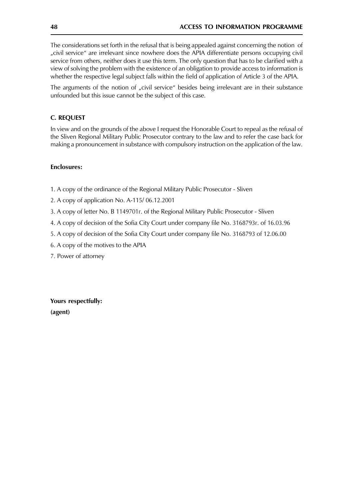The considerations set forth in the refusal that is being appealed against concerning the notion of "civil service" are irrelevant since nowhere does the APIA differentiate persons occupying civil service from others, neither does it use this term. The only question that has to be clarified with a view of solving the problem with the existence of an obligation to provide access to information is whether the respective legal subject falls within the field of application of Article 3 of the APIA.

The arguments of the notion of "civil service" besides being irrelevant are in their substance unfounded but this issue cannot be the subject of this case.

## **C. REQUEST**

In view and on the grounds of the above I request the Honorable Court to repeal as the refusal of the Sliven Regional Military Public Prosecutor contrary to the law and to refer the case back for making a pronouncement in substance with compulsory instruction on the application of the law.

#### **Fnclosures:**

- 1. A copy of the ordinance of the Regional Military Public Prosecutor Sliven
- 2. A copy of application No. A-115/06.12.2001
- 3. A copy of letter No. B 1149701r. of the Regional Military Public Prosecutor Sliven
- 4. A copy of decision of the Sofia City Court under company file No. 3168793r. of 16.03.96
- 5. A copy of decision of the Sofia City Court under company file No. 3168793 of 12.06.00
- 6. A copy of the motives to the APIA
- 7. Power of attorney

Yours respectfully: (agent)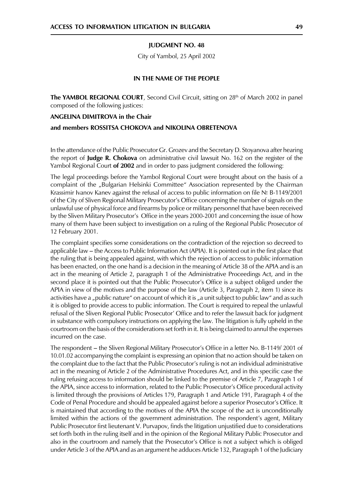#### **IUDGMENT NO. 48**

City of Yambol, 25 April 2002

#### IN THE NAME OF THE PEOPLE

The YAMBOL REGIONAL COURT, Second Civil Circuit, sitting on 28<sup>th</sup> of March 2002 in panel composed of the following justices:

#### **ANGELINA DIMITROVA in the Chair**

#### and members ROSSITSA CHOKOVA and NIKOLINA OBRETENOVA

In the attendance of the Public Prosecutor Gr. Grozev and the Secretary D. Stoyanova after hearing the report of **Judge R. Chokova** on administrative civil lawsuit No. 162 on the register of the Yambol Regional Court of 2002 and in order to pass judgment considered the following:

The legal proceedings before the Yambol Regional Court were brought about on the basis of a complaint of the "Bulgarian Helsinki Committee" Association represented by the Chairman Krassimir Ivanov Kanev against the refusal of access to public information on file № B-1149/2001 of the City of Sliven Regional Military Prosecutor's Office concerning the number of signals on the unlawful use of physical force and firearms by police or military personnel that have been received by the Sliven Military Prosecutor's Office in the years 2000-2001 and concerning the issue of how many of them have been subject to investigation on a ruling of the Regional Public Prosecutor of 12 February 2001.

The complaint specifies some considerations on the contradiction of the rejection so decreed to applicable law – the Access to Public Information Act (APIA). It is pointed out in the first place that the ruling that is being appealed against, with which the rejection of access to public information has been enacted, on the one hand is a decision in the meaning of Article 38 of the APIA and is an act in the meaning of Article 2, paragraph 1 of the Administrative Proceedings Act, and in the second place it is pointed out that the Public Prosecutor's Office is a subject obliged under the APIA in view of the motives and the purpose of the law (Article 3, Paragraph 2, item 1) since its activities have a "public nature" on account of which it is "a unit subject to public law" and as such it is obliged to provide access to public information. The Court is required to repeal the unlawful refusal of the Sliven Regional Public Prosecutor' Office and to refer the lawsuit back for judgment in substance with compulsory instructions on applying the law. The litigation is fully upheld in the courtroom on the basis of the considerations set forth in it. It is being claimed to annul the expenses incurred on the case.

The respondent – the Sliven Regional Military Prosecutor's Office in a letter No. B-1149/2001 of 10.01.02 accompanying the complaint is expressing an opinion that no action should be taken on the complaint due to the fact that the Public Prosecutor's ruling is not an individual administrative act in the meaning of Article 2 of the Administrative Procedures Act, and in this specific case the ruling refusing access to information should be linked to the premise of Article 7, Paragraph 1 of the APIA, since access to information, related to the Public Prosecutor's Office procedural activity is limited through the provisions of Articles 179, Paragraph 1 and Article 191, Paragraph 4 of the Code of Penal Procedure and should be appealed against before a superior Prosecutor's Office. It is maintained that according to the motives of the APIA the scope of the act is unconditionally limited within the actions of the government administration. The respondent's agent, Military Public Prosecutor first lieutenant V. Purvapov, finds the litigation unjustified due to considerations set forth both in the ruling itself and in the opinion of the Regional Military Public Prosecutor and also in the courtroom and namely that the Prosecutor's Office is not a subject which is obliged under Article 3 of the APIA and as an argument he adduces Article 132, Paragraph 1 of the Judiciary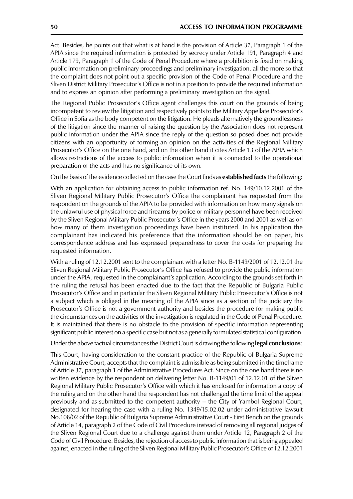Act. Besides, he points out that what is at hand is the provision of Article 37, Paragraph 1 of the APIA since the required information is protected by secrecy under Article 191, Paragraph 4 and Article 179, Paragraph 1 of the Code of Penal Procedure where a prohibition is fixed on making public information on preliminary proceedings and preliminary investigation, all the more so that the complaint does not point out a specific provision of the Code of Penal Procedure and the Sliven District Military Prosecutor's Office is not in a position to provide the required information and to express an opinion after performing a preliminary investigation on the signal.

The Regional Public Prosecutor's Office agent challenges this court on the grounds of being incompetent to review the litigation and respectively points to the Military Appellate Prosecutor's Office in Sofia as the body competent on the litigation. He pleads alternatively the groundlessness of the litigation since the manner of raising the question by the Association does not represent public information under the APIA since the reply of the question so posed does not provide citizens with an opportunity of forming an opinion on the activities of the Regional Military Prosecutor's Office on the one hand, and on the other hand it cites Article 13 of the APIA which allows restrictions of the access to public information when it is connected to the operational preparation of the acts and has no significance of its own.

On the basis of the evidence collected on the case the Court finds as **established facts** the following:

With an application for obtaining access to public information ref. No. 149/10.12.2001 of the Sliven Regional Military Public Prosecutor's Office the complainant has requested from the respondent on the grounds of the APIA to be provided with information on how many signals on the unlawful use of physical force and firearms by police or military personnel have been received by the Sliven Regional Military Public Prosecutor's Office in the years 2000 and 2001 as well as on how many of them investigation proceedings have been instituted. In his application the complainant has indicated his preference that the information should be on paper, his correspondence address and has expressed preparedness to cover the costs for preparing the requested information.

With a ruling of 12.12.2001 sent to the complainant with a letter No. B-1149/2001 of 12.12.01 the Sliven Regional Military Public Prosecutor's Office has refused to provide the public information under the APIA, requested in the complainant's application. According to the grounds set forth in the ruling the refusal has been enacted due to the fact that the Republic of Bulgaria Public Prosecutor's Office and in particular the Sliven Regional Military Public Prosecutor's Office is not a subject which is obliged in the meaning of the APIA since as a section of the judiciary the Prosecutor's Office is not a government authority and besides the procedure for making public the circumstances on the activities of the investigation is regulated in the Code of Penal Procedure. It is maintained that there is no obstacle to the provision of specific information representing significant public interest on a specific case but not as a generally formulated statistical configuration.

Under the above factual circumstances the District Court is drawing the following legal conclusions:

This Court, having consideration to the constant practice of the Republic of Bulgaria Supreme Administrative Court, accepts that the complaint is admissible as being submitted in the timeframe of Article 37, paragraph 1 of the Administrative Procedures Act. Since on the one hand there is no written evidence by the respondent on delivering letter No. B-1149/01 of 12.12.01 of the Sliven Regional Military Public Prosecutor's Office with which it has enclosed for information a copy of the ruling and on the other hand the respondent has not challenged the time limit of the appeal previously and as submitted to the competent authority – the City of Yambol Regional Court, designated for hearing the case with a ruling No. 1349/15.02.02 under administrative lawsuit No.108/02 of the Republic of Bulgaria Supreme Administrative Court - First Bench on the grounds of Article 14, paragraph 2 of the Code of Civil Procedure instead of removing all regional judges of the Sliven Regional Court due to a challenge against them under Article 12, Paragraph 2 of the Code of Civil Procedure. Besides, the rejection of access to public information that is being appealed against, enacted in the ruling of the Sliven Regional Military Public Prosecutor's Office of 12.12.2001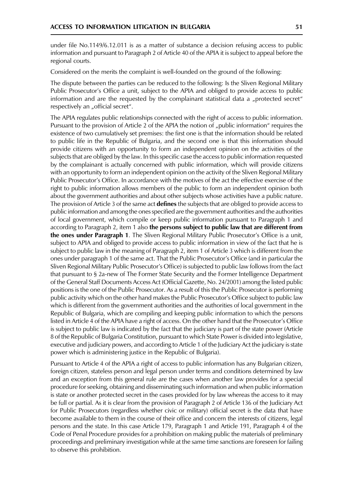under file No.1149/6.12.011 is as a matter of substance a decision refusing access to public information and pursuant to Paragraph 2 of Article 40 of the APIA it is subject to appeal before the regional courts.

Considered on the merits the complaint is well-founded on the ground of the following:

The dispute between the parties can be reduced to the following: Is the Sliven Regional Military Public Prosecutor's Office a unit, subject to the APIA and obliged to provide access to public information and are the requested by the complainant statistical data a "protected secret" respectively an "official secret".

The APIA regulates public relationships connected with the right of access to public information. Pursuant to the provision of Article 2 of the APIA the notion of "public information" requires the existence of two cumulatively set premises: the first one is that the information should be related to public life in the Republic of Bulgaria, and the second one is that this information should provide citizens with an opportunity to form an independent opinion on the activities of the subjects that are obliged by the law. In this specific case the access to public information requested by the complainant is actually concerned with public information, which will provide citizens with an opportunity to form an independent opinion on the activity of the Sliven Regional Military Public Prosecutor's Office. In accordance with the motives of the act the effective exercise of the right to public information allows members of the public to form an independent opinion both about the government authorities and about other subjects whose activities have a public nature. The provision of Article 3 of the same act defines the subjects that are obliged to provide access to public information and among the ones specified are the government authorities and the authorities of local government, which compile or keep public information pursuant to Paragraph 1 and according to Paragraph 2, item 1 also the persons subject to public law that are different from the ones under Paragraph 1. The Sliven Regional Military Public Prosecutor's Office is a unit, subject to APIA and obliged to provide access to public information in view of the fact that he is subject to public law in the meaning of Paragraph 2, item 1 of Article 3 which is different from the ones under paragraph 1 of the same act. That the Public Prosecutor's Office (and in particular the Sliven Regional Military Public Prosecutor's Office) is subjected to public law follows from the fact that pursuant to § 2a-new of The Former State Security and the Former Intelligence Department of the General Staff Documents Access Act (Official Gazette, No. 24/2001) among the listed public positions is the one of the Public Prosecutor. As a result of this the Public Prosecutor is performing public activity which on the other hand makes the Public Prosecutor's Office subject to public law which is different from the government authorities and the authorities of local government in the Republic of Bulgaria, which are compiling and keeping public information to which the persons listed in Article 4 of the APIA have a right of access. On the other hand that the Prosecutor's Office is subject to public law is indicated by the fact that the judiciary is part of the state power (Article 8 of the Republic of Bulgaria Constitution, pursuant to which State Power is divided into legislative, executive and judiciary powers, and according to Article 1 of the Judiciary Act the judiciary is state power which is administering justice in the Republic of Bulgaria).

Pursuant to Article 4 of the APIA a right of access to public information has any Bulgarian citizen, foreign citizen, stateless person and legal person under terms and conditions determined by law and an exception from this general rule are the cases when another law provides for a special procedure for seeking, obtaining and disseminating such information and when public information is state or another protected secret in the cases provided for by law whereas the access to it may be full or partial. As it is clear from the provision of Paragraph 2 of Article 136 of the Judiciary Act for Public Prosecutors (regardless whether civic or military) official secret is the data that have become available to them in the course of their office and concern the interests of citizens, legal persons and the state. In this case Article 179, Paragraph 1 and Article 191, Paragraph 4 of the Code of Penal Procedure provides for a prohibition on making public the materials of preliminary proceedings and preliminary investigation while at the same time sanctions are foreseen for failing to observe this prohibition.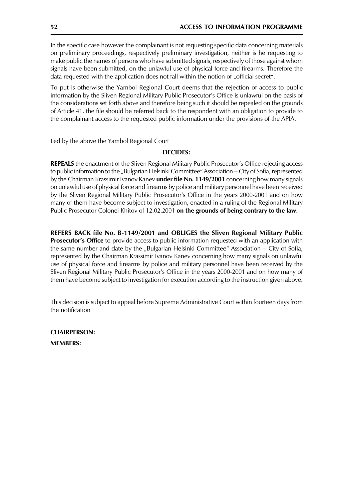In the specific case however the complainant is not requesting specific data concerning materials on preliminary proceedings, respectively preliminary investigation, neither is he requesting to make public the names of persons who have submitted signals, respectively of those against whom signals have been submitted, on the unlawful use of physical force and firearms. Therefore the data requested with the application does not fall within the notion of "official secret".

To put is otherwise the Yambol Regional Court deems that the rejection of access to public information by the Sliven Regional Military Public Prosecutor's Office is unlawful on the basis of the considerations set forth above and therefore being such it should be repealed on the grounds of Article 41, the file should be referred back to the respondent with an obligation to provide to the complainant access to the requested public information under the provisions of the APIA.

Led by the above the Yambol Regional Court

#### **DECIDES:**

**REPEALS** the enactment of the Sliven Regional Military Public Prosecutor's Office rejecting access to public information to the "Bulgarian Helsinki Committee" Association - City of Sofia, represented by the Chairman Krassimir Ivanov Kanev **under file No. 1149/2001** concerning how many signals on unlawful use of physical force and firearms by police and military personnel have been received by the Sliven Regional Military Public Prosecutor's Office in the years 2000-2001 and on how many of them have become subject to investigation, enacted in a ruling of the Regional Military Public Prosecutor Colonel Khitov of 12.02.2001 on the grounds of being contrary to the law.

REFERS BACK file No. B-1149/2001 and OBLIGES the Sliven Regional Military Public **Prosecutor's Office** to provide access to public information requested with an application with the same number and date by the "Bulgarian Helsinki Committee" Association - City of Sofia, represented by the Chairman Krassimir Ivanov Kanev concerning how many signals on unlawful use of physical force and firearms by police and military personnel have been received by the Sliven Regional Military Public Prosecutor's Office in the years 2000-2001 and on how many of them have become subject to investigation for execution according to the instruction given above.

This decision is subject to appeal before Supreme Administrative Court within fourteen days from the notification

**CHAIRPERSON: MEMBERS:**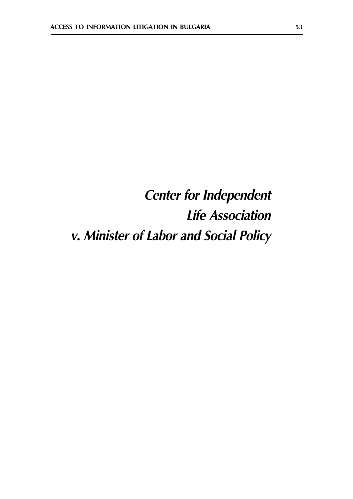# **Center for Independent Life Association** v. Minister of Labor and Social Policy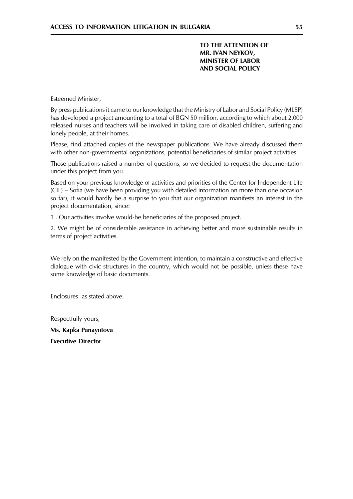TO THE ATTENTION OF MR. IVAN NEYKOV, **MINISTER OF LABOR AND SOCIAL POLICY** 

Esteemed Minister,

By press publications it came to our knowledge that the Ministry of Labor and Social Policy (MLSP) has developed a project amounting to a total of BGN 50 million, according to which about 2,000 released nurses and teachers will be involved in taking care of disabled children, suffering and lonely people, at their homes.

Please, find attached copies of the newspaper publications. We have already discussed them with other non-governmental organizations, potential beneficiaries of similar project activities.

Those publications raised a number of questions, so we decided to request the documentation under this project from you.

Based on your previous knowledge of activities and priorities of the Center for Independent Life (CIL) – Sofia (we have been providing you with detailed information on more than one occasion so far), it would hardly be a surprise to you that our organization manifests an interest in the project documentation, since:

1. Our activities involve would-be beneficiaries of the proposed project.

2. We might be of considerable assistance in achieving better and more sustainable results in terms of project activities.

We rely on the manifested by the Government intention, to maintain a constructive and effective dialogue with civic structures in the country, which would not be possible, unless these have some knowledge of basic documents.

Enclosures: as stated above

Respectfully yours,

Ms. Kapka Panayotova **Executive Director**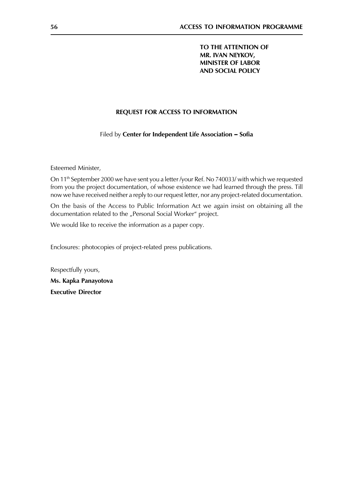TO THE ATTENTION OF MR. IVAN NEYKOV, **MINISTER OF LABOR AND SOCIAL POLICY** 

### REQUEST FOR ACCESS TO INFORMATION

Filed by Center for Independent Life Association - Sofia

Esteemed Minister,

On 11<sup>th</sup> September 2000 we have sent you a letter /your Ref. No 740033/ with which we requested from you the project documentation, of whose existence we had learned through the press. Till now we have received neither a reply to our request letter, nor any project-related documentation.

On the basis of the Access to Public Information Act we again insist on obtaining all the documentation related to the "Personal Social Worker" project.

We would like to receive the information as a paper copy.

Enclosures: photocopies of project-related press publications.

Respectfully yours, Ms. Kapka Panayotova **Executive Director**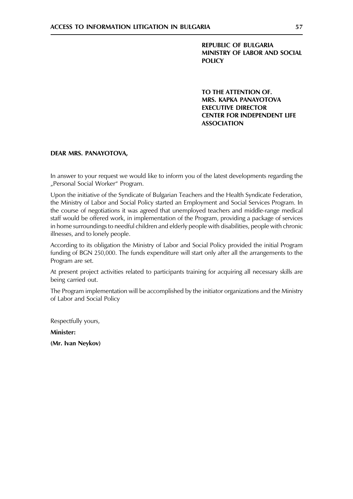**REPUBLIC OF BULGARIA** MINISTRY OF LABOR AND SOCIAL **POLICY** 

TO THE ATTENTION OF. MRS. KAPKA PANAYOTOVA **EXECUTIVE DIRECTOR CENTER FOR INDEPENDENT LIFE ASSOCIATION** 

#### DEAR MRS. PANAYOTOVA.

In answer to your request we would like to inform you of the latest developments regarding the "Personal Social Worker" Program.

Upon the initiative of the Syndicate of Bulgarian Teachers and the Health Syndicate Federation, the Ministry of Labor and Social Policy started an Employment and Social Services Program. In the course of negotiations it was agreed that unemployed teachers and middle-range medical staff would be offered work, in implementation of the Program, providing a package of services in home surroundings to needful children and elderly people with disabilities, people with chronic illnesses, and to lonely people.

According to its obligation the Ministry of Labor and Social Policy provided the initial Program funding of BGN 250,000. The funds expenditure will start only after all the arrangements to the Program are set.

At present project activities related to participants training for acquiring all necessary skills are being carried out.

The Program implementation will be accomplished by the initiator organizations and the Ministry of Labor and Social Policy

Respectfully yours,

Minister:

(Mr. Ivan Neykov)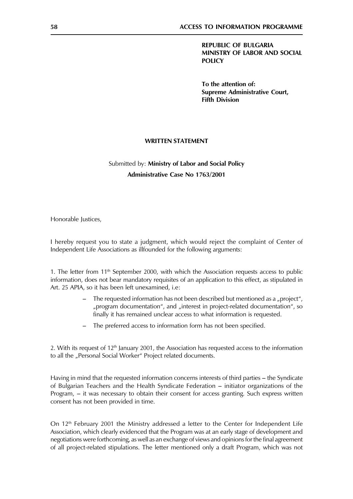**REPUBLIC OF BULGARIA** MINISTRY OF LABOR AND SOCIAL **POLICY** 

To the attention of: **Supreme Administrative Court, Fifth Division** 

#### **WRITTEN STATEMENT**

## Submitted by: Ministry of Labor and Social Policy **Administrative Case No 1763/2001**

Honorable Justices,

I hereby request you to state a judgment, which would reject the complaint of Center of Independent Life Associations as illfounded for the following arguments:

1. The letter from 11<sup>th</sup> September 2000, with which the Association requests access to public information, does not bear mandatory requisites of an application to this effect, as stipulated in Art. 25 APIA, so it has been left unexamined, i.e:

- The requested information has not been described but mentioned as a "project", "program documentation", and "interest in project-related documentation", so finally it has remained unclear access to what information is requested.
- The preferred access to information form has not been specified.

2. With its request of  $12<sup>th</sup>$  January 2001, the Association has requested access to the information to all the "Personal Social Worker" Project related documents.

Having in mind that the requested information concerns interests of third parties – the Syndicate of Bulgarian Teachers and the Health Syndicate Federation - initiator organizations of the Program, – it was necessary to obtain their consent for access granting. Such express written consent has not been provided in time.

On 12<sup>th</sup> February 2001 the Ministry addressed a letter to the Center for Independent Life Association, which clearly evidenced that the Program was at an early stage of development and negotiations were forthcoming, as well as an exchange of views and opinions for the final agreement of all project-related stipulations. The letter mentioned only a draft Program, which was not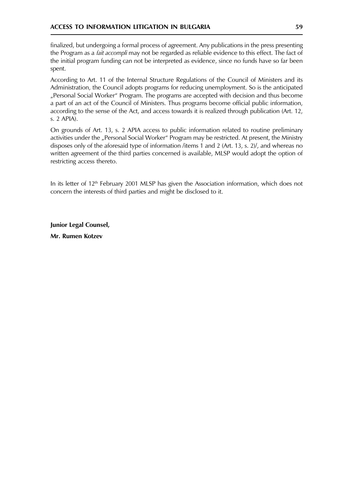finalized, but undergoing a formal process of agreement. Any publications in the press presenting the Program as a *fait accompli* may not be regarded as reliable evidence to this effect. The fact of the initial program funding can not be interpreted as evidence, since no funds have so far been spent.

According to Art. 11 of the Internal Structure Regulations of the Council of Ministers and its Administration, the Council adopts programs for reducing unemployment. So is the anticipated "Personal Social Worker" Program. The programs are accepted with decision and thus become a part of an act of the Council of Ministers. Thus programs become official public information, according to the sense of the Act, and access towards it is realized through publication (Art. 12, s. 2 APIA).

On grounds of Art. 13, s. 2 APIA access to public information related to routine preliminary activities under the "Personal Social Worker" Program may be restricted. At present, the Ministry disposes only of the aforesaid type of information /items 1 and 2 (Art. 13, s. 2)/, and whereas no written agreement of the third parties concerned is available, MLSP would adopt the option of restricting access thereto.

In its letter of 12<sup>th</sup> February 2001 MLSP has given the Association information, which does not concern the interests of third parties and might be disclosed to it.

Junior Legal Counsel, Mr. Rumen Kotzev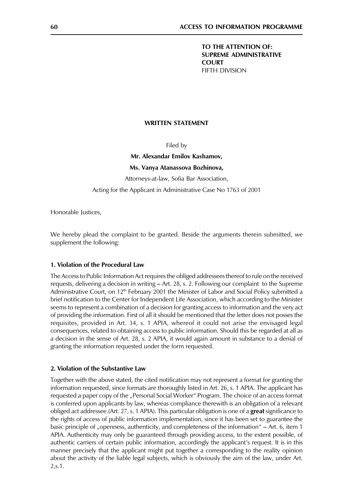TO THE ATTENTION OF: **SUPREME ADMINISTRATIVE COURT FIFTH DIVISION** 

#### **WRITTEN STATEMENT**

Filed by

#### Mr. Alexandar Emilov Kashamov,

Ms. Vanya Atanassova Bozhinova,

Attorneys-at-law, Sofia Bar Association,

Acting for the Applicant in Administrative Case No 1763 of 2001

Honorable Justices,

We hereby plead the complaint to be granted. Beside the arguments therein submitted, we supplement the following:

#### 1. Violation of the Procedural Law

The Access to Public Information Act requires the obliged addressees thereof to rule on the received requests, delivering a decision in writing – Art. 28, s. 2. Following our complaint to the Supreme Administrative Court, on 12<sup>th</sup> February 2001 the Minister of Labor and Social Policy submitted a brief notification to the Center for Independent Life Association, which according to the Minister seems to represent a combination of a decision for granting access to information and the very act of providing the information. First of all it should be mentioned that the letter does not posses the requisites, provided in Art. 34, s. 1 APIA, whereof it could not arise the envisaged legal consequences, related to obtaining access to public information. Should this be regarded at all as a decision in the sense of Art. 28, s. 2 APIA, it would again amount in substance to a denial of granting the information requested under the form requested.

#### 2. Violation of the Substantive Law

Together with the above stated, the cited notification may not represent a format for granting the information requested, since formats are thoroughly listed in Art. 26, s. 1 APIA. The applicant has requested a paper copy of the "Personal Social Worker" Program. The choice of an access format is conferred upon applicants by law, whereas compliance therewith is an obligation of a relevant obliged act addressee.(Art. 27, s. 1 APIA). This particular obligation is one of a great significance to the rights of access of public information implementation, since it has been set to guarantee the basic principle of "openness, authenticity, and completeness of the information" – Art. 6, item 1 APIA. Authenticity may only be guaranteed through providing access, to the extent possible, of authentic carriers of certain public information, accordingly the applicant's request. It is in this manner precisely that the applicant might put together a corresponding to the reality opinion about the activity of the liable legal subjects, which is obviously the aim of the law, under Art.  $2, s.1.$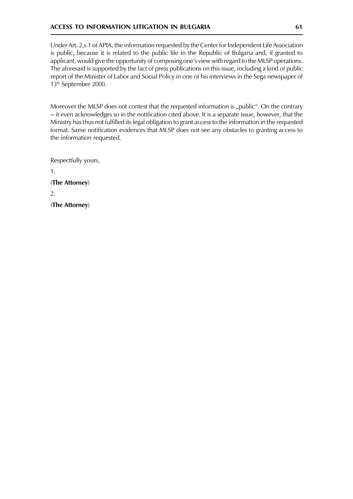#### **ACCESS TO INFORMATION LITIGATION IN BULGARIA**

Under Art. 2,s.1 of APIA, the information requested by the Center for Independent Life Association is public, because it is related to the public life in the Republic of Bulgaria and, if granted to applicant, would give the opportunity of composing one's view with regard to the MLSP operations. The aforesaid is supported by the fact of press publications on this issue, including a kind of public report of the Minister of Labor and Social Policy in one of his interviews in the Sega newspaper of 13<sup>th</sup> September 2000.

Moreover the MLSP does not contest that the requested information is "public". On the contrary - it even acknowledges so in the notification cited above. It is a separate issue, however, that the Ministry has thus not fulfilled its legal obligation to grant access to the information in the requested format. Same notification evidences that MLSP does not see any obstacles to granting access to the information requested.

Respectfully yours,

 $1.$ (The Attorney)  $2.$ (The Attorney)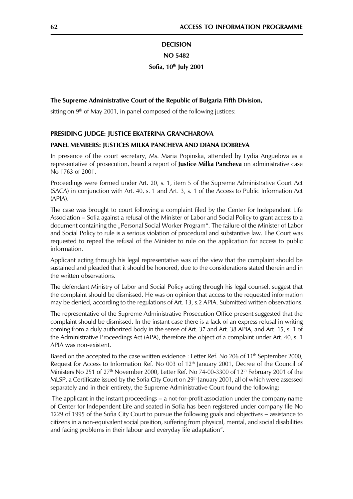## **DECISION NO 5482** Sofia, 10<sup>th</sup> July 2001

#### The Supreme Administrative Court of the Republic of Bulgaria Fifth Division,

sitting on  $9<sup>th</sup>$  of May 2001, in panel composed of the following justices:

#### PRESIDING JUDGE: JUSTICE EKATERINA GRANCHAROVA

#### PANEL MEMBERS: JUSTICES MILKA PANCHEVA AND DIANA DOBREVA

In presence of the court secretary, Ms. Maria Popinska, attended by Lydia Anguelova as a representative of prosecution, heard a report of Justice Milka Pancheva on administrative case No 1763 of 2001.

Proceedings were formed under Art. 20, s. 1, item 5 of the Supreme Administrative Court Act (SACA) in conjunction with Art. 40, s. 1 and Art. 3, s. 1 of the Access to Public Information Act  $(APIA)$ .

The case was brought to court following a complaint filed by the Center for Independent Life Association – Sofia against a refusal of the Minister of Labor and Social Policy to grant access to a document containing the "Personal Social Worker Program". The failure of the Minister of Labor and Social Policy to rule is a serious violation of procedural and substantive law. The Court was requested to repeal the refusal of the Minister to rule on the application for access to public information.

Applicant acting through his legal representative was of the view that the complaint should be sustained and pleaded that it should be honored, due to the considerations stated therein and in the written observations.

The defendant Ministry of Labor and Social Policy acting through his legal counsel, suggest that the complaint should be dismissed. He was on opinion that access to the requested information may be denied, according to the regulations of Art. 13, s.2 APIA. Submitted written observations.

The representative of the Supreme Administrative Prosecution Office present suggested that the complaint should be dismissed. In the instant case there is a lack of an express refusal in writing coming from a duly authorized body in the sense of Art. 37 and Art. 38 APIA, and Art. 15, s. 1 of the Administrative Proceedings Act (APA), therefore the object of a complaint under Art. 40, s. 1 APIA was non-existent.

Based on the accepted to the case written evidence : Letter Ref. No 206 of 11<sup>th</sup> September 2000, Request for Access to Information Ref. No 003 of 12<sup>th</sup> January 2001, Decree of the Council of Ministers No 251 of 27<sup>th</sup> November 2000, Letter Ref. No 74-00-3300 of 12<sup>th</sup> February 2001 of the MLSP, a Certificate issued by the Sofia City Court on 29<sup>th</sup> January 2001, all of which were assessed separately and in their entirety, the Supreme Administrative Court found the following:

The applicant in the instant proceedings – a not-for-profit association under the company name of Center for Independent Life and seated in Sofia has been registered under company file No 1229 of 1995 of the Sofia City Court to pursue the following goals and objectives - assistance to citizens in a non-equivalent social position, suffering from physical, mental, and social disabilities and facing problems in their labour and everyday life adaptation".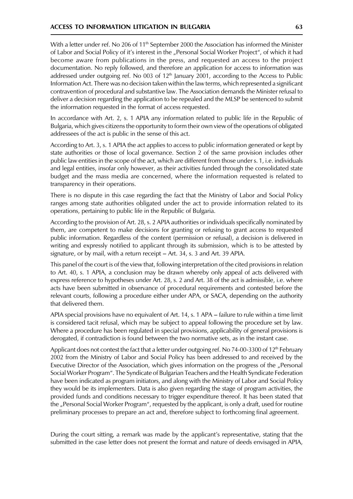With a letter under ref. No 206 of 11<sup>th</sup> September 2000 the Association has informed the Minister of Labor and Social Policy of it's interest in the "Personal Social Worker Project", of which it had become aware from publications in the press, and requested an access to the project documentation. No reply followed, and therefore an application for access to information was addressed under outgoing ref. No 003 of 12<sup>th</sup> January 2001, according to the Access to Public Information Act. There was no decision taken within the law terms, which represented a significant contravention of procedural and substantive law. The Association demands the Minister refusal to deliver a decision regarding the application to be repealed and the MLSP be sentenced to submit the information requested in the format of access requested.

In accordance with Art. 2, s. 1 APIA any information related to public life in the Republic of Bulgaria, which gives citizens the opportunity to form their own view of the operations of obligated addressees of the act is public in the sense of this act.

According to Art. 3, s. 1 APIA the act applies to access to public information generated or kept by state authorities or those of local governance. Section 2 of the same provision includes other public law entities in the scope of the act, which are different from those under s. 1, i.e. individuals and legal entities, insofar only however, as their activities funded through the consolidated state budget and the mass media are concerned, where the information requested is related to transparency in their operations.

There is no dispute in this case regarding the fact that the Ministry of Labor and Social Policy ranges among state authorities obligated under the act to provide information related to its operations, pertaining to public life in the Republic of Bulgaria.

According to the provision of Art. 28, s. 2 APIA authorities or individuals specifically nominated by them, are competent to make decisions for granting or refusing to grant access to requested public information. Regardless of the content (permission or refusal), a decision is delivered in writing and expressly notified to applicant through its submission, which is to be attested by signature, or by mail, with a return receipt - Art. 34, s. 3 and Art. 39 APIA.

This panel of the court is of the view that, following interpretation of the cited provisions in relation to Art. 40, s. 1 APIA, a conclusion may be drawn whereby only appeal of acts delivered with express reference to hypotheses under Art. 28, s. 2 and Art. 38 of the act is admissible, i.e. where acts have been submitted in observance of procedural requirements and contested before the relevant courts, following a procedure either under APA, or SACA, depending on the authority that delivered them.

APIA special provisions have no equivalent of Art. 14, s. 1 APA – failure to rule within a time limit is considered tacit refusal, which may be subject to appeal following the procedure set by law. Where a procedure has been regulated in special provisions, applicability of general provisions is derogated, if contradiction is found between the two normative sets, as in the instant case.

Applicant does not contest the fact that a letter under outgoing ref. No 74-00-3300 of 12<sup>th</sup> February 2002 from the Ministry of Labor and Social Policy has been addressed to and received by the Executive Director of the Association, which gives information on the progress of the "Personal Social Worker Program". The Syndicate of Bulgarian Teachers and the Health Syndicate Federation have been indicated as program initiators, and along with the Ministry of Labor and Social Policy they would be its implementers. Data is also given regarding the stage of program activities, the provided funds and conditions necessary to trigger expenditure thereof. It has been stated that the "Personal Social Worker Program", requested by the applicant, is only a draft, used for routine preliminary processes to prepare an act and, therefore subject to forthcoming final agreement.

During the court sitting, a remark was made by the applicant's representative, stating that the submitted in the case letter does not present the format and nature of deeds envisaged in APIA,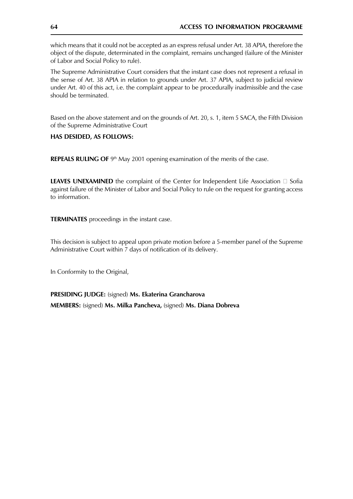which means that it could not be accepted as an express refusal under Art. 38 APIA, therefore the object of the dispute, determinated in the complaint, remains unchanged (failure of the Minister of Labor and Social Policy to rule).

The Supreme Administrative Court considers that the instant case does not represent a refusal in the sense of Art. 38 APIA in relation to grounds under Art. 37 APIA, subject to judicial review under Art. 40 of this act, i.e. the complaint appear to be procedurally inadmissible and the case should be terminated.

Based on the above statement and on the grounds of Art. 20, s. 1, item 5 SACA, the Fifth Division of the Supreme Administrative Court

#### HAS DESIDED, AS FOLLOWS:

REPEALS RULING OF 9th May 2001 opening examination of the merits of the case.

**LEAVES UNEXAMINED** the complaint of the Center for Independent Life Association □ Sofia against failure of the Minister of Labor and Social Policy to rule on the request for granting access to information.

**TERMINATES** proceedings in the instant case.

This decision is subject to appeal upon private motion before a 5-member panel of the Supreme Administrative Court within 7 days of notification of its delivery.

In Conformity to the Original,

PRESIDING JUDGE: (signed) Ms. Ekaterina Grancharova MEMBERS: (signed) Ms. Milka Pancheva, (signed) Ms. Diana Dobreva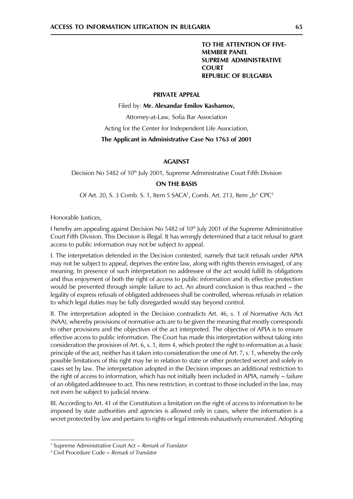#### TO THE ATTENTION OF FIVE-**MEMBER PANEL SUPREME ADMINISTRATIVE COURT REPUBLIC OF BULGARIA**

#### **PRIVATE APPEAL**

Filed by: Mr. Alexandar Emilov Kashamov,

Attorney-at-Law, Sofia Bar Association

Acting for the Center for Independent Life Association,

#### The Applicant in Administrative Case No 1763 of 2001

#### **AGAINST**

Decision No 5482 of 10<sup>th</sup> July 2001, Supreme Administrative Court Fifth Division

#### **ON THE BASIS**

Of Art. 20, S. 3 Comb. S. 1, Item 5 SACA<sup>1</sup>, Comb. Art. 213, Item "b" CPC<sup>2</sup>

Honorable Justices,

I hereby am appealing against Decision No 5482 of 10<sup>th</sup> July 2001 of the Supreme Administrative Court Fifth Division. This Decision is illegal. It has wrongly determined that a tacit refusal to grant access to public information may not be subject to appeal.

I. The interpretation defended in the Decision contested, namely that tacit refusals under APIA may not be subject to appeal, deprives the entire law, along with rights therein envisaged, of any meaning. In presence of such interpretation no addressee of the act would fulfill its obligations and thus enjoyment of both the right of access to public information and its effective protection would be prevented through simple failure to act. An absurd conclusion is thus reached – the legality of express refusals of obligated addressees shall be controlled, whereas refusals in relation to which legal duties may be fully disregarded would stay beyond control.

II. The interpretation adopted in the Decision contradicts Art. 46, s. 1 of Normative Acts Act (NAA), whereby provisions of normative acts are to be given the meaning that mostly corresponds to other provisions and the objectives of the act interpreted. The objective of APIA is to ensure effective access to public information. The Court has made this interpretation without taking into consideration the provision of Art. 6, s. 1, item 4, which protect the right to information as a basic principle of the act, neither has it taken into consideration the one of Art. 7, s. 1, whereby the only possible limitations of this right may be in relation to state or other protected secret and solely in cases set by law. The interpretation adopted in the Decision imposes an additional restriction to the right of access to information, which has not initially been included in APIA, namely – failure of an obligated addressee to act. This new restriction, in contrast to those included in the law, may not even be subject to judicial review.

III. According to Art. 41 of the Constitution a limitation on the right of access to information to be imposed by state authorities and agencies is allowed only in cases, where the information is a secret protected by law and pertains to rights or legal interests exhaustively enumerated. Adopting

<sup>&</sup>lt;sup>1</sup> Supreme Administrative Court Act – Remark of Translator

<sup>&</sup>lt;sup>2</sup> Civil Procedure Code – Remark of Translator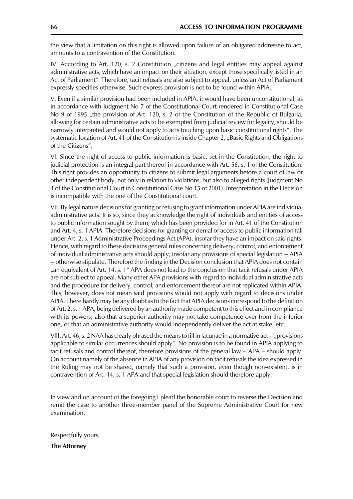the view that a limitation on this right is allowed upon failure of an obligated addressee to act, amounts to a contravention of the Constitution.

IV. According to Art. 120, s. 2 Constitution "citizens and legal entities may appeal against administrative acts, which have an impact on their situation, except those specifically listed in an Act of Parliament". Therefore, tacit refusals are also subject to appeal, unless an Act of Parliament expressly specifies otherwise. Such express provision is not to be found within APIA.

V. Even if a similar provision had been included in APIA, it would have been unconstitutional, as in accordance with Judgment No 7 of the Constitutional Court rendered in Constitutional Case No 9 of 1995 "the provision of Art. 120, s. 2 of the Constitution of the Republic of Bulgaria, allowing for certain administrative acts to be exempted from judicial review for legality, should be narrowly interpreted and would not apply to acts touching upon basic constitutional rights". The systematic location of Art. 41 of the Constitution is inside Chapter 2, "Basic Rights and Obligations of the Citizens".

VI. Since the right of access to public information is basic, set in the Constitution, the right to judicial protection is an integral part thereof in accordance with Art. 56, s. 1 of the Constitution. This right provides an opportunity to citizens to submit legal arguments before a court of law or other independent body, not only in relation to violations, but also to alleged rights (Judgment No 4 of the Constitutional Court in Constitutional Case No 15 of 2001). Interpretation in the Decision is incompatible with the one of the Constitutional court.

VII. By legal nature decisions for granting or refusing to grant information under APIA are individual administrative acts. It is so, since they acknowledge the right of individuals and entities of access to public information sought by them, which has been provided for in Art. 41 of the Constitution and Art. 4, s. 1 APIA. Therefore decisions for granting or denial of access to public information fall under Art. 2, s. 1 Administrative Proceedings Act (APA), insofar they have an impact on said rights. Hence, with regard to these decisions general rules concerning delivery, control, and enforcement of individual administrative acts should apply, insofar any provisions of special legislation - APIA - otherwise stipulate. Therefore the finding in the Decision conclusion that APIA does not contain "an equivalent of Art. 14, s. 1" APA does not lead to the conclusion that tacit refusals under APIA are not subject to appeal. Many other APA provisions with regard to individual administrative acts and the procedure for delivery, control, and enforcement thereof are not replicated within APIA. This, however, does not mean said provisions would not apply with regard to decisions under APIA. There hardly may be any doubt as to the fact that APIA decisions correspond to the definition of Art. 2, s. 1 APA, being delivered by an authority made competent to this effect and in compliance with its powers; also that a superior authority may not take competence over from the inferior one, or that an administrative authority would independently deliver the act at stake, etc.

VIII. Art. 46, s. 2 NAA has clearly phrased the means to fill in lacunae in a normative  $act -$ , provisions applicable to similar occurrences should apply". No provision is to be found in APIA applying to tacit refusals and control thereof, therefore provisions of the general law  $-$  APA  $-$  should apply. On account namely of the absence in APIA of any provision on tacit refusals the idea expressed in the Ruling may not be shared, namely that such a provision, even though non-existent, is in contravention of Art. 14, s. 1 APA and that special legislation should therefore apply.

In view and on account of the foregoing I plead the honorable court to reverse the Decision and remit the case to another three-member panel of the Supreme Administrative Court for new examination.

Respectfully yours,

**The Attorney**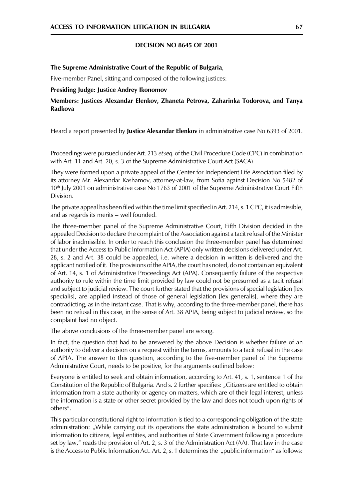#### **DECISION NO 8645 OF 2001**

#### The Supreme Administrative Court of the Republic of Bulgaria,

Five-member Panel, sitting and composed of the following justices:

#### **Presiding Judge: Justice Andrey Ikonomov**

Members: Justices Alexandar Elenkov, Zhaneta Petrova, Zaharinka Todorova, and Tanya Radkova

Heard a report presented by **Justice Alexandar Elenkov** in administrative case No 6393 of 2001.

Proceedings were pursued under Art. 213 et seq. of the Civil Procedure Code (CPC) in combination with Art. 11 and Art. 20, s. 3 of the Supreme Administrative Court Act (SACA).

They were formed upon a private appeal of the Center for Independent Life Association filed by its attorney Mr. Alexandar Kashamov, attorney-at-law, from Sofia against Decision No 5482 of 10<sup>th</sup> July 2001 on administrative case No 1763 of 2001 of the Supreme Administrative Court Fifth Division.

The private appeal has been filed within the time limit specified in Art. 214, s. 1 CPC, it is admissible, and as regards its merits - well founded.

The three-member panel of the Supreme Administrative Court, Fifth Division decided in the appealed Decision to declare the complaint of the Association against a tacit refusal of the Minister of labor inadmissible. In order to reach this conclusion the three-member panel has determined that under the Access to Public Information Act (APIA) only written decisions delivered under Art. 28, s. 2 and Art. 38 could be appealed, i.e. where a decision in written is delivered and the applicant notified of it. The provisions of the APIA, the court has noted, do not contain an equivalent of Art. 14, s. 1 of Administrative Proceedings Act (APA). Consequently failure of the respective authority to rule within the time limit provided by law could not be presumed as a tacit refusal and subject to judicial review. The court further stated that the provisions of special legislation [lex specialis], are applied instead of those of general legislation [lex generalis], where they are contradicting, as in the instant case. That is why, according to the three-member panel, there has been no refusal in this case, in the sense of Art. 38 APIA, being subject to judicial review, so the complaint had no object.

The above conclusions of the three-member panel are wrong.

In fact, the question that had to be answered by the above Decision is whether failure of an authority to deliver a decision on a request within the terms, amounts to a tacit refusal in the case of APIA. The answer to this question, according to the five-member panel of the Supreme Administrative Court, needs to be positive, for the arguments outlined below:

Everyone is entitled to seek and obtain information, according to Art. 41, s. 1, sentence 1 of the Constitution of the Republic of Bulgaria. And s. 2 further specifies: "Citizens are entitled to obtain information from a state authority or agency on matters, which are of their legal interest, unless the information is a state or other secret provided by the law and does not touch upon rights of others".

This particular constitutional right to information is tied to a corresponding obligation of the state administration: "While carrying out its operations the state administration is bound to submit information to citizens, legal entities, and authorities of State Government following a procedure set by law," reads the provision of Art. 2, s. 3 of the Administration Act (AA). That law in the case is the Access to Public Information Act. Art. 2, s. 1 determines the "public information" as follows: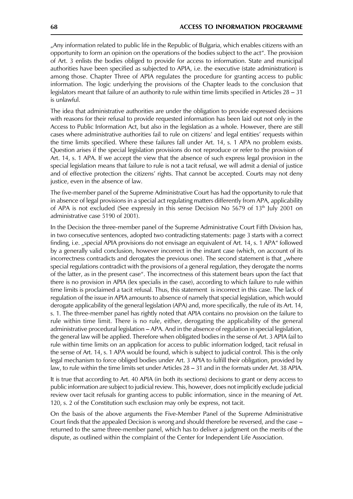"Any information related to public life in the Republic of Bulgaria, which enables citizens with an opportunity to form an opinion on the operations of the bodies subject to the act". The provision of Art. 3 enlists the bodies obliged to provide for access to information. State and municipal authorities have been specified as subjected to APIA, i.e. the executive (state administration) is among those. Chapter Three of APIA regulates the procedure for granting access to public information. The logic underlying the provisions of the Chapter leads to the conclusion that legislators meant that failure of an authority to rule within time limits specified in Articles  $28 - 31$ is unlawful.

The idea that administrative authorities are under the obligation to provide expressed decisions with reasons for their refusal to provide requested information has been laid out not only in the Access to Public Information Act, but also in the legislation as a whole. However, there are still cases where administrative authorities fail to rule on citizens' and legal entities' requests within the time limits specified. Where these failures fall under Art. 14, s. 1 APA no problem exists. Question arises if the special legislation provisions do not reproduce or refer to the provision of Art. 14, s. 1 APA. If we accept the view that the absence of such express legal provision in the special legislation means that failure to rule is not a tacit refusal, we will admit a denial of justice and of effective protection the citizens' rights. That cannot be accepted. Courts may not deny justice, even in the absence of law.

The five-member panel of the Supreme Administrative Court has had the opportunity to rule that in absence of legal provisions in a special act regulating matters differently from APA, applicability of APA is not excluded (See expressly in this sense Decision No 5679 of 13<sup>th</sup> July 2001 on administrative case 5190 of 2001).

In the Decision the three-member panel of the Supreme Administrative Court Fifth Division has, in two consecutive sentences, adopted two contradicting statements: page 3 starts with a correct finding, i.e. "special APIA provisions do not envisage an equivalent of Art. 14, s. 1 APA" followed by a generally valid conclusion, however incorrect in the instant case (which, on account of its incorrectness contradicts and derogates the previous one). The second statement is that "where special regulations contradict with the provisions of a general regulation, they derogate the norms of the latter, as in the present case". The incorrectness of this statement bears upon the fact that there is no provision in APIA (lex specialis in the case), according to which failure to rule within time limits is proclaimed a tacit refusal. Thus, this statement is incorrect in this case. The lack of regulation of the issue in APIA amounts to absence of namely that special legislation, which would derogate applicability of the general legislation (APA) and, more specifically, the rule of its Art. 14, s. 1. The three-member panel has rightly noted that APIA contains no provision on the failure to rule within time limit. There is no rule, either, derogating the applicability of the general administrative procedural legislation - APA. And in the absence of regulation in special legislation, the general law will be applied. Therefore when obligated bodies in the sense of Art. 3 APIA fail to rule within time limits on an application for access to public information lodged, tacit refusal in the sense of Art. 14, s. 1 APA would be found, which is subject to judicial control. This is the only legal mechanism to force obliged bodies under Art. 3 APIA to fulfill their obligation, provided by law, to rule within the time limits set under Articles 28 – 31 and in the formats under Art. 38 APIA.

It is true that according to Art. 40 APIA (in both its sections) decisions to grant or deny access to public information are subject to judicial review. This, however, does not implicitly exclude judicial review over tacit refusals for granting access to public information, since in the meaning of Art. 120, s. 2 of the Constitution such exclusion may only be express, not tacit.

On the basis of the above arguments the Five-Member Panel of the Supreme Administrative Court finds that the appealed Decision is wrong and should therefore be reversed, and the case – returned to the same three-member panel, which has to deliver a judgment on the merits of the dispute, as outlined within the complaint of the Center for Independent Life Association.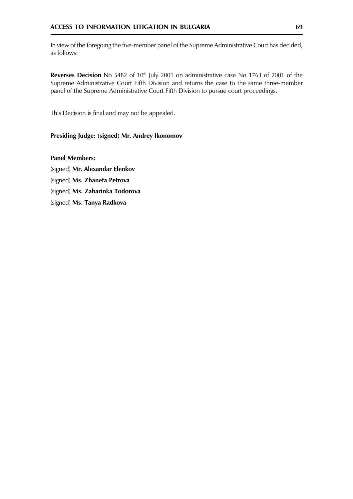In view of the foregoing the five-member panel of the Supreme Administrative Court has decided, as follows:

Reverses Decision No 5482 of 10<sup>th</sup> July 2001 on administrative case No 1763 of 2001 of the Supreme Administrative Court Fifth Division and returns the case to the same three-member panel of the Supreme Administrative Court Fifth Division to pursue court proceedings.

This Decision is final and may not be appealed.

#### Presiding Judge: (signed) Mr. Andrey Ikonomov

**Panel Members:** 

(signed) Mr. Alexandar Elenkov

(signed) Ms. Zhaneta Petrova

(signed) Ms. Zaharinka Todorova

(signed) Ms. Tanya Radkova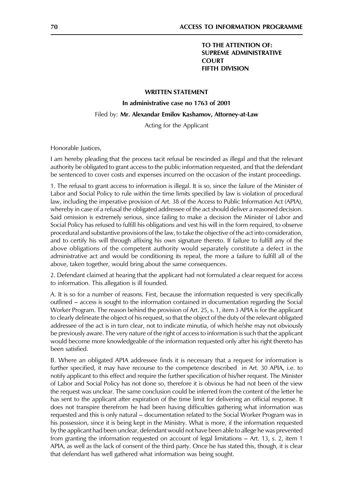#### TO THE ATTENTION OF: **SUPREME ADMINISTRATIVE COURT FIFTH DIVISION**

#### **WRITTEN STATEMENT**

In administrative case no 1763 of 2001

#### Filed by: Mr. Alexandar Emilov Kashamov, Attorney-at-Law

Acting for the Applicant

Honorable Justices,

I am hereby pleading that the process tacit refusal be rescinded as illegal and that the relevant authority be obligated to grant access to the public information requested, and that the defendant be sentenced to cover costs and expenses incurred on the occasion of the instant proceedings.

1. The refusal to grant access to information is illegal. It is so, since the failure of the Minister of Labor and Social Policy to rule within the time limits specified by law is violation of procedural law, including the imperative provision of Art. 38 of the Access to Public Information Act (APIA), whereby in case of a refusal the obligated addressee of the act should deliver a reasoned decision. Said omission is extremely serious, since failing to make a decision the Minister of Labor and Social Policy has refused to fulfill his obligations and vest his will in the form required, to observe procedural and substantive provisions of the law, to take the objective of the act into consideration, and to certify his will through affixing his own signature thereto. If failure to fulfill any of the above obligations of the competent authority would separately constitute a defect in the administrative act and would be conditioning its repeal, the more a failure to fulfill all of the above, taken together, would bring about the same consequences.

2. Defendant claimed at hearing that the applicant had not formulated a clear request for access to information. This allegation is ill founded.

A. It is so for a number of reasons. First, because the information requested is very specifically outlined – access is sought to the information contained in documentation regarding the Social Worker Program. The reason behind the provision of Art. 25, s. 1, item 3 APIA is for the applicant to clearly delineate the object of his request, so that the object of the duty of the relevant obligated addressee of the act is in turn clear, not to indicate minutia, of which he/she may not obviously be previously aware. The very nature of the right of access to information is such that the applicant would become more knowledgeable of the information requested only after his right thereto has been satisfied.

B. Where an obligated APIA addressee finds it is necessary that a request for information is further specified, it may have recourse to the competence described in Art. 30 APIA, i.e. to notify applicant to this effect and require the further specification of his/her request. The Minister of Labor and Social Policy has not done so, therefore it is obvious he had not been of the view the request was unclear. The same conclusion could be inferred from the content of the letter he has sent to the applicant after expiration of the time limit for delivering an official response. It does not transpire therefrom he had been having difficulties gathering what information was requested and this is only natural – documentation related to the Social Worker Program was in his possession, since it is being kept in the Ministry. What is more, if the information requested by the applicant had been unclear, defendant would not have been able to allege he was prevented from granting the information requested on account of legal limitations – Art. 13, s. 2, item 1 APIA, as well as the lack of consent of the third party. Once he has stated this, though, it is clear that defendant has well gathered what information was being sought.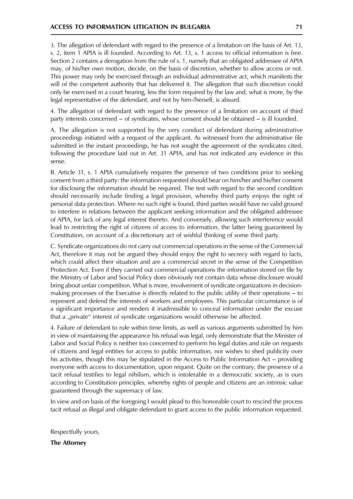3. The allegation of defendant with regard to the presence of a limitation on the basis of Art. 13, s. 2, item 1 APIA is ill founded. According to Art. 13, s. 1 access to official information is free. Section 2 contains a derogation from the rule of s. 1, namely that an obligated addressee of APIA may, of his/her own motion, decide, on the basis of discretion, whether to allow access or not. This power may only be exercised through an individual administrative act, which manifests the will of the competent authority that has delivered it. The allegation that such discretion could only be exercised in a court hearing, less the form required by the law and, what is more, by the legal representative of the defendant, and not by him-/herself, is absurd.

4. The allegation of defendant with regard to the presence of a limitation on account of third party interests concerned – of syndicates, whose consent should be obtained – is ill founded.

A. The allegation is not supported by the very conduct of defendant during administrative proceedings initiated with a request of the applicant. As witnessed from the administrative file submitted in the instant proceedings, he has not sought the agreement of the syndicates cited, following the procedure laid out in Art. 31 APIA, and has not indicated any evidence in this sense.

B. Article 31, s. 1 APIA cumulatively requires the presence of two conditions prior to seeking consent from a third party: the information requested should bear on him/her and his/her consent for disclosing the information should be required. The test with regard to the second condition should necessarily include finding a legal provision, whereby third party enjoys the right of personal data protection. Where no such right is found, third parties would have no valid ground to interfere in relations between the applicant seeking information and the obligated addressee of APIA, for lack of any legal interest thereto. And conversely, allowing such interference would lead to restricting the right of citizens of access to information, the latter being guaranteed by Constitution, on account of a discretionary act of wishful thinking of some third party.

C. Syndicate organizations do not carry out commercial operations in the sense of the Commercial Act, therefore it may not be argued they should enjoy the right to secrecy with regard to facts, which could affect their situation and are a commercial secret in the sense of the Competition Protection Act. Even if they carried out commercial operations the information stored on file by the Ministry of Labor and Social Policy does obviously not contain data whose disclosure would bring about unfair competition. What is more, involvement of syndicate organizations in decisionmaking processes of the Executive is directly related to the public utility of their operations – to represent and defend the interests of workers and employees. This particular circumstance is of a significant importance and renders it inadmissible to conceal information under the excuse that a "private" interest of syndicate organizations would otherwise be affected.

4. Failure of defendant to rule within time limits, as well as various arguments submitted by him in view of maintaining the appearance his refusal was legal, only demonstrate that the Minister of Labor and Social Policy is neither too concerned to perform his legal duties and rule on requests of citizens and legal entities for access to public information, nor wishes to shed publicity over his activities, though this may be stipulated in the Access to Public Information Act – providing everyone with access to documentation, upon request. Quite on the contrary, the presence of a tacit refusal testifies to legal nihilism, which is intolerable in a democratic society, as is ours according to Constitution principles, whereby rights of people and citizens are an intrinsic value guaranteed through the supremacy of law.

In view and on basis of the foregoing I would plead to this honorable court to rescind the process tacit refusal as illegal and obligate defendant to grant access to the public information requested.

Respectfully yours,

**The Attorney**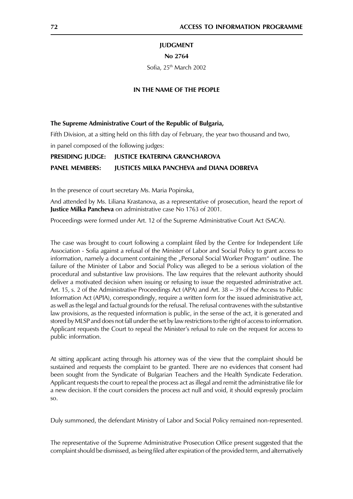#### **JUDGMENT**

#### No 2764

Sofia, 25th March 2002

#### IN THE NAME OF THE PEOPLE

#### The Supreme Administrative Court of the Republic of Bulgaria,

Fifth Division, at a sitting held on this fifth day of February, the year two thousand and two, in panel composed of the following judges:

#### **PRESIDING JUDGE: JUSTICE EKATERINA GRANCHAROVA**

#### **PANEL MEMBERS: JUSTICES MILKA PANCHEVA and DIANA DOBREVA**

In the presence of court secretary Ms. Maria Popinska,

And attended by Ms. Liliana Krastanova, as a representative of prosecution, heard the report of **Justice Milka Pancheva** on administrative case No 1763 of 2001.

Proceedings were formed under Art. 12 of the Supreme Administrative Court Act (SACA).

The case was brought to court following a complaint filed by the Centre for Independent Life Association - Sofia against a refusal of the Minister of Labor and Social Policy to grant access to information, namely a document containing the "Personal Social Worker Program" outline. The failure of the Minister of Labor and Social Policy was alleged to be a serious violation of the procedural and substantive law provisions. The law requires that the relevant authority should deliver a motivated decision when issuing or refusing to issue the requested administrative act. Art. 15, s. 2 of the Administrative Proceedings Act (APA) and Art. 38 - 39 of the Access to Public Information Act (APIA), correspondingly, require a written form for the issued administrative act, as well as the legal and factual grounds for the refusal. The refusal contravenes with the substantive law provisions, as the requested information is public, in the sense of the act, it is generated and stored by MLSP and does not fall under the set by law restrictions to the right of access to information. Applicant requests the Court to repeal the Minister's refusal to rule on the request for access to public information.

At sitting applicant acting through his attorney was of the view that the complaint should be sustained and requests the complaint to be granted. There are no evidences that consent had been sought from the Syndicate of Bulgarian Teachers and the Health Syndicate Federation. Applicant requests the court to repeal the process act as illegal and remit the administrative file for a new decision. If the court considers the process act null and void, it should expressly proclaim SO.

Duly summoned, the defendant Ministry of Labor and Social Policy remained non-represented.

The representative of the Supreme Administrative Prosecution Office present suggested that the complaint should be dismissed, as being filed after expiration of the provided term, and alternatively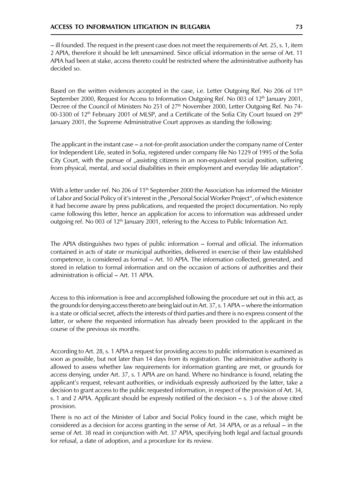- ill founded. The request in the present case does not meet the requirements of Art. 25, s. 1, item 2 APIA, therefore it should be left unexamined. Since official information in the sense of Art. 11 APIA had been at stake, access thereto could be restricted where the administrative authority has decided so.

Based on the written evidences accepted in the case, i.e. Letter Outgoing Ref. No 206 of 11<sup>th</sup> September 2000, Request for Access to Information Outgoing Ref. No 003 of 12<sup>th</sup> January 2001, Decree of the Council of Ministers No 251 of 27th November 2000, Letter Outgoing Ref. No 74-00-3300 of 12<sup>th</sup> February 2001 of MLSP, and a Certificate of the Sofia City Court Issued on 29<sup>th</sup> January 2001, the Supreme Administrative Court approves as standing the following:

The applicant in the instant case  $-$  a not-for-profit association under the company name of Center for Independent Life, seated in Sofia, registered under company file No 1229 of 1995 of the Sofia City Court, with the pursue of "assisting citizens in an non-equivalent social position, suffering from physical, mental, and social disabilities in their employment and everyday life adaptation".

With a letter under ref. No 206 of 11<sup>th</sup> September 2000 the Association has informed the Minister of Labor and Social Policy of it's interest in the "Personal Social Worker Project", of which existence it had become aware by press publications, and requested the project documentation. No reply came following this letter, hence an application for access to information was addressed under outgoing ref. No 003 of  $12<sup>th</sup>$  January 2001, refering to the Access to Public Information Act.

The APIA distinguishes two types of public information – formal and official. The information contained in acts of state or municipal authorities, delivered in exercise of their law established competence, is considered as formal - Art. 10 APIA. The information collected, generated, and stored in relation to formal information and on the occasion of actions of authorities and their administration is official - Art. 11 APIA.

Access to this information is free and accomplished following the procedure set out in this act, as the grounds for denying access thereto are being laid out in Art. 37, s. 1 APIA – where the information is a state or official secret, affects the interests of third parties and there is no express consent of the latter, or where the requested information has already been provided to the applicant in the course of the previous six months.

According to Art. 28, s. 1 APIA a request for providing access to public information is examined as soon as possible, but not later than 14 days from its registration. The administrative authority is allowed to assess whether law requirements for information granting are met, or grounds for access denying, under Art. 37, s. 1 APIA are on hand. Where no hindrance is found, relating the applicant's request, relevant authorities, or individuals expressly authorized by the latter, take a decision to grant access to the public requested information, in respect of the provision of Art. 34, s. 1 and 2 APIA. Applicant should be expressly notified of the decision  $-$  s. 3 of the above cited provision.

There is no act of the Minister of Labor and Social Policy found in the case, which might be considered as a decision for access granting in the sense of Art. 34 APIA, or as a refusal – in the sense of Art. 38 read in conjunction with Art. 37 APIA, specifying both legal and factual grounds for refusal, a date of adoption, and a procedure for its review.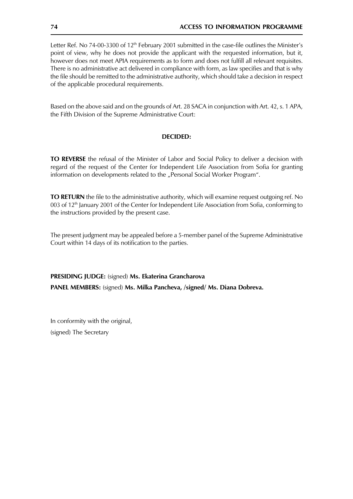Letter Ref. No 74-00-3300 of 12<sup>th</sup> February 2001 submitted in the case-file outlines the Minister's point of view, why he does not provide the applicant with the requested information, but it, however does not meet APIA requirements as to form and does not fulfill all relevant requisites. There is no administrative act delivered in compliance with form, as law specifies and that is why the file should be remitted to the administrative authority, which should take a decision in respect of the applicable procedural requirements.

Based on the above said and on the grounds of Art. 28 SACA in conjunction with Art. 42, s. 1 APA, the Fifth Division of the Supreme Administrative Court:

# **DECIDED:**

TO REVERSE the refusal of the Minister of Labor and Social Policy to deliver a decision with regard of the request of the Center for Independent Life Association from Sofia for granting information on developments related to the "Personal Social Worker Program".

TO RETURN the file to the administrative authority, which will examine request outgoing ref. No 003 of 12<sup>th</sup> January 2001 of the Center for Independent Life Association from Sofia, conforming to the instructions provided by the present case.

The present judgment may be appealed before a 5-member panel of the Supreme Administrative Court within 14 days of its notification to the parties.

PRESIDING JUDGE: (signed) Ms. Ekaterina Grancharova PANEL MEMBERS: (signed) Ms. Milka Pancheva, /signed/ Ms. Diana Dobreva.

In conformity with the original, (signed) The Secretary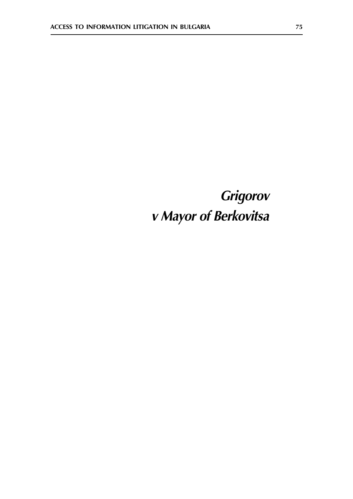# Grigorov v Mayor of Berkovitsa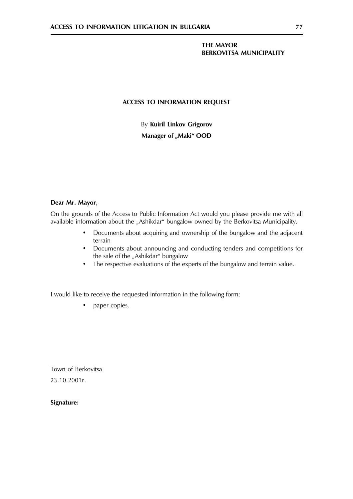# **THE MAYOR BERKOVITSA MUNICIPALITY**

# **ACCESS TO INFORMATION REQUEST**

By Kuiril Linkov Grigorov Manager of "Maki" OOD

#### Dear Mr. Mayor,

On the grounds of the Access to Public Information Act would you please provide me with all available information about the "Ashikdar" bungalow owned by the Berkovitsa Municipality.

- Documents about acquiring and ownership of the bungalow and the adjacent  $\bullet$ terrain
- Documents about announcing and conducting tenders and competitions for  $\bullet$ the sale of the "Ashikdar" bungalow
- The respective evaluations of the experts of the bungalow and terrain value.

I would like to receive the requested information in the following form:

paper copies.  $\bullet$ 

Town of Berkovitsa 23.10.2001г.

# Signature: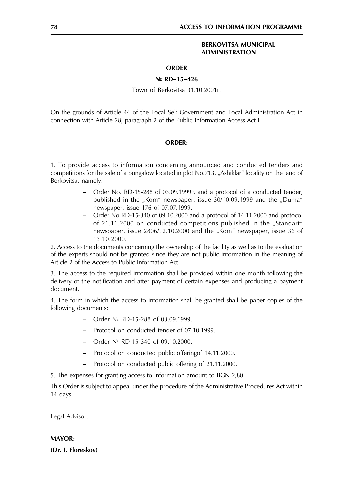### **BERKOVITSA MUNICIPAL ADMINISTRATION**

### **ORDER**

#### $N<sup>°</sup>$  RD-15-426

Town of Berkovitsa 31.10.2001r.

On the grounds of Article 44 of the Local Self Government and Local Administration Act in connection with Article 28, paragraph 2 of the Public Information Access Act I

#### **ORDER:**

1. To provide access to information concerning announced and conducted tenders and competitions for the sale of a bungalow located in plot No.713, "Ashiklar" locality on the land of Berkovitsa, namely:

- Order No. RD-15-288 of 03.09.1999r. and a protocol of a conducted tender, published in the "Kom" newspaper, issue 30/10.09.1999 and the "Duma" newspaper, issue 176 of 07.07.1999.
- $\equiv$  . Order No RD-15-340 of 09.10.2000 and a protocol of 14.11.2000 and protocol of 21.11.2000 on conducted competitions published in the "Standart" newspaper. issue 2806/12.10.2000 and the "Kom" newspaper, issue 36 of 13.10.2000.

2. Access to the documents concerning the ownership of the facility as well as to the evaluation of the experts should not be granted since they are not public information in the meaning of Article 2 of the Access to Public Information Act.

3. The access to the required information shall be provided within one month following the delivery of the notification and after payment of certain expenses and producing a payment document.

4. The form in which the access to information shall be granted shall be paper copies of the following documents:

- Order No RD-15-288 of 03.09.1999.
- Protocol on conducted tender of 07.10.1999.
- Order  $N$ <sup>2</sup> RD-15-340 of 09.10.2000.
- Protocol on conducted public offering of 14.11.2000.
- $\overline{\phantom{0}}$ Protocol on conducted public offering of 21.11.2000.

5. The expenses for granting access to information amount to BGN 2,80.

This Order is subject to appeal under the procedure of the Administrative Procedures Act within 14 days.

Legal Advisor:

#### **MAYOR:**

(Dr. I. Floreskov)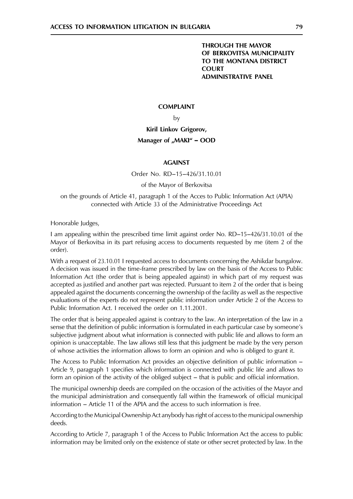# **THROUGH THE MAYOR** OF BERKOVITSA MUNICIPALITY TO THE MONTANA DISTRICT COURT **ADMINISTRATIVE PANEL**

## **COMPLAINT**

by

Kiril Linkov Grigorov,

# Manager of "MAKI" - OOD

#### **AGAINST**

Order No. RD-15-426/31.10.01

#### of the Mavor of Berkovitsa

#### on the grounds of Article 41, paragraph 1 of the Acces to Public Information Act (APIA) connected with Article 33 of the Administrative Proceedings Act

Honorable Judges,

1 am appealing within the prescribed time limit against order No. RD–15–426/31.10.01 of the Mayor of Berkovitsa in its part refusing access to documents requested by me (item 2 of the order).

With a request of 23.10.01 I requested access to documents concerning the Ashikdar bungalow. A decision was issued in the time-frame prescribed by law on the basis of the Access to Public Information Act (the order that is being appealed against) in which part of my request was accepted as justified and another part was rejected. Pursuant to item 2 of the order that is being appealed against the documents concerning the ownership of the facility as well as the respective evaluations of the experts do not represent public information under Article 2 of the Access to Public Information Act. I received the order on 1.11.2001.

The order that is being appealed against is contrary to the law. An interpretation of the law in a sense that the definition of public information is formulated in each particular case by someone's subjective judgment about what information is connected with public life and allows to form an opinion is unacceptable. The law allows still less that this judgment be made by the very person of whose activities the information allows to form an opinion and who is obliged to grant it.

The Access to Public Information Act provides an objective definition of public information – Article 9, paragraph 1 specifies which information is connected with public life and allows to form an opinion of the activity of the obliged subject – that is public and official information.

The municipal ownership deeds are compiled on the occasion of the activities of the Mayor and the municipal administration and consequently fall within the framework of official municipal information – Article 11 of the APIA and the access to such information is free.

According to the Municipal Ownership Act anybody has right of access to the municipal ownership deeds.

According to Article 7, paragraph 1 of the Access to Public Information Act the access to public information may be limited only on the existence of state or other secret protected by law. In the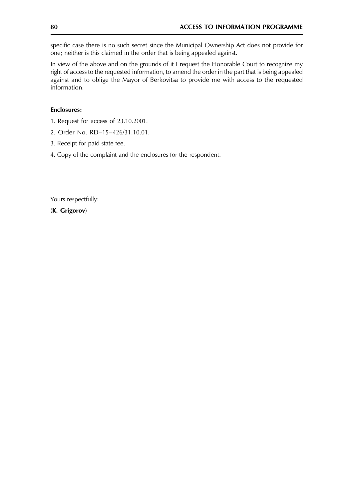specific case there is no such secret since the Municipal Ownership Act does not provide for one; neither is this claimed in the order that is being appealed against.

In view of the above and on the grounds of it I request the Honorable Court to recognize my right of access to the requested information, to amend the order in the part that is being appealed against and to oblige the Mayor of Berkovitsa to provide me with access to the requested information.

#### **Enclosures:**

- 1. Request for access of 23.10.2001.
- 2. Order No. RD-15-426/31.10.01.
- 3. Receipt for paid state fee.
- 4. Copy of the complaint and the enclosures for the respondent.

Yours respectfully:

(K. Grigorov)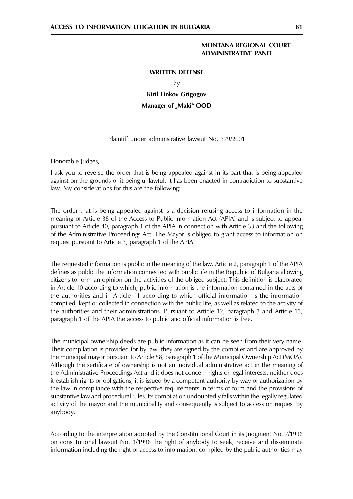#### **MONTANA REGIONAL COURT ADMINISTRATIVE PANEL**

#### **WRITTEN DEFENSE**

 $\mathsf{b}\mathsf{v}$ 

**Kiril Linkov Grigogov** Manager of "Maki" OOD

# Plaintiff under administrative lawsuit No. 379/2001

Honorable Judges,

I ask you to reverse the order that is being appealed against in its part that is being appealed against on the grounds of it being unlawful. It has been enacted in contradiction to substantive law. My considerations for this are the following:

The order that is being appealed against is a decision refusing access to information in the meaning of Article 38 of the Access to Public Information Act (APIA) and is subject to appeal pursuant to Article 40, paragraph 1 of the APIA in connection with Article 33 and the following of the Administrative Proceedings Act. The Mayor is obliged to grant access to information on request pursuant to Article 3, paragraph 1 of the APIA.

The requested information is public in the meaning of the law. Article 2, paragraph 1 of the APIA defines as public the information connected with public life in the Republic of Bulgaria allowing citizens to form an opinion on the activities of the obliged subject. This definition is elaborated in Article 10 according to which, public information is the information contained in the acts of the authorities and in Article 11 according to which official information is the information compiled, kept or collected in connection with the public life, as well as related to the activity of the authorities and their administrations. Pursuant to Article 12, paragraph 3 and Article 13, paragraph 1 of the APIA the access to public and official information is free.

The municipal ownership deeds are public information as it can be seen from their very name. Their compilation is provided for by law, they are signed by the compiler and are approved by the municipal mayor pursuant to Article 58, paragraph 1 of the Municipal Ownership Act (MOA). Although the sertificate of ownership is not an individual administrative act in the meaning of the Administrative Proceedings Act and it does not concern rights or legal interests, neither does it establish rights or obligations, it is issued by a competent authority by way of authorization by the law in compliance with the respective requirements in terms of form and the provisions of substantive law and procedural rules. Its compilation undoubtedly falls within the legally regulated activity of the mayor and the municipality and consequently is subject to access on request by anybody.

According to the interpretation adopted by the Constitutional Court in its Judgment No. 7/1996 on constitutional lawsuit No. 1/1996 the right of anybody to seek, receive and disseminate information including the right of access to information, compiled by the public authorities may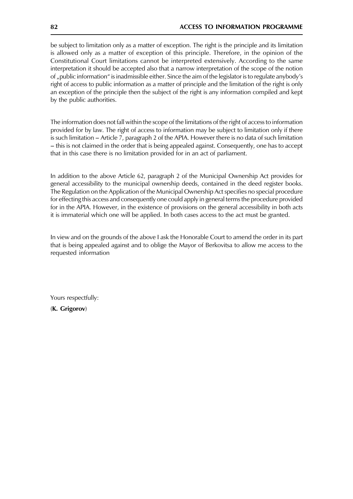be subject to limitation only as a matter of exception. The right is the principle and its limitation is allowed only as a matter of exception of this principle. Therefore, in the opinion of the Constitutional Court limitations cannot be interpreted extensively. According to the same interpretation it should be accepted also that a narrow interpretation of the scope of the notion of "public information" is inadmissible either. Since the aim of the legislator is to regulate anybody's right of access to public information as a matter of principle and the limitation of the right is only an exception of the principle then the subject of the right is any information compiled and kept by the public authorities.

The information does not fall within the scope of the limitations of the right of access to information provided for by law. The right of access to information may be subject to limitation only if there is such limitation – Article 7, paragraph 2 of the APIA. However there is no data of such limitation - this is not claimed in the order that is being appealed against. Consequently, one has to accept that in this case there is no limitation provided for in an act of parliament.

In addition to the above Article 62, paragraph 2 of the Municipal Ownership Act provides for general accessibility to the municipal ownership deeds, contained in the deed register books. The Regulation on the Application of the Municipal Ownership Act specifies no special procedure for effecting this access and consequently one could apply in general terms the procedure provided for in the APIA. However, in the existence of provisions on the general accessibility in both acts it is immaterial which one will be applied. In both cases access to the act must be granted.

In view and on the grounds of the above I ask the Honorable Court to amend the order in its part that is being appealed against and to oblige the Mayor of Berkovitsa to allow me access to the requested information

Yours respectfully:

(K. Grigorov)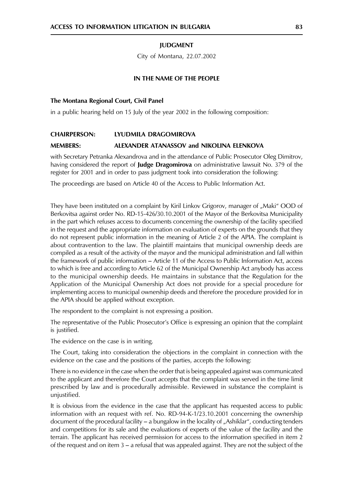# **IUDGMENT**

City of Montana, 22.07.2002

#### IN THE NAME OF THE PEOPLE

#### The Montana Regional Court, Civil Panel

in a public hearing held on 15 July of the year 2002 in the following composition:

#### **CHAIRPERSON:** LYUDMILA DRAGOMIROVA

#### **MEMBERS:** ALEXANDER ATANASSOV and NIKOLINA ELENKOVA

with Secretary Petranka Alexandrova and in the attendance of Public Prosecutor Oleg Dimitrov, having considered the report of Judge Dragomirova on administrative lawsuit No. 379 of the register for 2001 and in order to pass judgment took into consideration the following:

The proceedings are based on Article 40 of the Access to Public Information Act.

They have been instituted on a complaint by Kiril Linkov Grigorov, manager of "Maki" OOD of Berkovitsa against order No. RD-15-426/30.10.2001 of the Mayor of the Berkovitsa Municipality in the part which refuses access to documents concerning the ownership of the facility specified in the request and the appropriate information on evaluation of experts on the grounds that they do not represent public information in the meaning of Article 2 of the APIA. The complaint is about contravention to the law. The plaintiff maintains that municipal ownership deeds are compiled as a result of the activity of the mayor and the municipal administration and fall within the framework of public information – Article 11 of the Access to Public Information Act, access to which is free and according to Article 62 of the Municipal Ownership Act anybody has access to the municipal ownership deeds. He maintains in substance that the Regulation for the Application of the Municipal Ownership Act does not provide for a special procedure for implementing access to municipal ownership deeds and therefore the procedure provided for in the APIA should be applied without exception.

The respondent to the complaint is not expressing a position.

The representative of the Public Prosecutor's Office is expressing an opinion that the complaint is justified.

The evidence on the case is in writing.

The Court, taking into consideration the objections in the complaint in connection with the evidence on the case and the positions of the parties, accepts the following:

There is no evidence in the case when the order that is being appealed against was communicated to the applicant and therefore the Court accepts that the complaint was served in the time limit prescribed by law and is procedurally admissible. Reviewed in substance the complaint is unjustified.

It is obvious from the evidence in the case that the applicant has requested access to public information with an request with ref. No. RD-94-K-1/23.10.2001 concerning the ownership document of the procedural facility  $-$  a bungalow in the locality of "Ashiklar", conducting tenders and competitions for its sale and the evaluations of experts of the value of the facility and the terrain. The applicant has received permission for access to the information specified in item 2 of the request and on item  $3 - a$  refusal that was appealed against. They are not the subject of the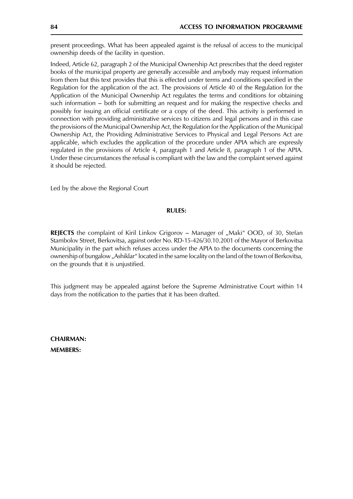present proceedings. What has been appealed against is the refusal of access to the municipal ownership deeds of the facility in question.

Indeed, Article 62, paragraph 2 of the Municipal Ownership Act prescribes that the deed register books of the municipal property are generally accessible and anybody may request information from them but this text provides that this is effected under terms and conditions specified in the Regulation for the application of the act. The provisions of Article 40 of the Regulation for the Application of the Municipal Ownership Act regulates the terms and conditions for obtaining such information – both for submitting an request and for making the respective checks and possibly for issuing an official certificate or a copy of the deed. This activity is performed in connection with providing administrative services to citizens and legal persons and in this case the provisions of the Municipal Ownership Act, the Regulation for the Application of the Municipal Ownership Act, the Providing Administrative Services to Physical and Legal Persons Act are applicable, which excludes the application of the procedure under APIA which are expressly regulated in the provisions of Article 4, paragraph 1 and Article 8, paragraph 1 of the APIA. Under these circumstances the refusal is compliant with the law and the complaint served against it should be rejected.

Led by the above the Regional Court

#### **RULES:**

REJECTS the complaint of Kiril Linkov Grigorov - Manager of "Maki" OOD, of 30, Stefan Stambolov Street, Berkovitsa, against order No. RD-15-426/30.10.2001 of the Mayor of Berkovitsa Municipality in the part which refuses access under the APIA to the documents concerning the ownership of bungalow, "Ashiklar" located in the same locality on the land of the town of Berkovitsa, on the grounds that it is unjustified.

This judgment may be appealed against before the Supreme Administrative Court within 14 days from the notification to the parties that it has been drafted.

**CHAIRMAN: MEMBERS:**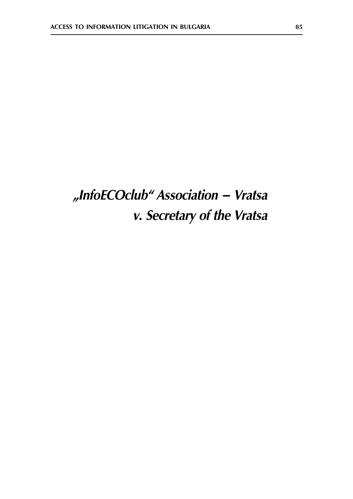# "InfoECOclub" Association - Vratsa v. Secretary of the Vratsa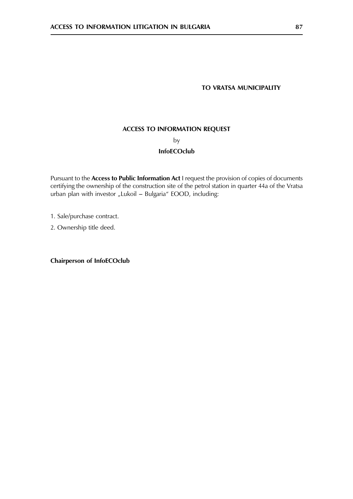# TO VRATSA MUNICIPALITY

# **ACCESS TO INFORMATION REQUEST**

by

### **InfoECOclub**

Pursuant to the Access to Public Information Act I request the provision of copies of documents certifying the ownership of the construction site of the petrol station in quarter 44a of the Vratsa urban plan with investor "Lukoil - Bulgaria" EOOD, including:

1. Sale/purchase contract.

2. Ownership title deed.

**Chairperson of InfoECOclub**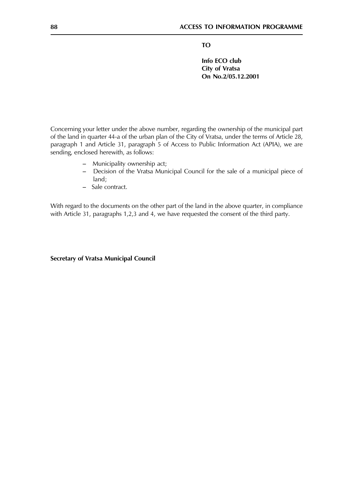**TO** 

Info ECO club City of Vratsa On No.2/05.12.2001

Concerning your letter under the above number, regarding the ownership of the municipal part of the land in quarter 44-a of the urban plan of the City of Vratsa, under the terms of Article 28, paragraph 1 and Article 31, paragraph 5 of Access to Public Information Act (APIA), we are sending, enclosed herewith, as follows:

- Municipality ownership act;
- Decision of the Vratsa Municipal Council for the sale of a municipal piece of  $land:$
- Sale contract.

With regard to the documents on the other part of the land in the above quarter, in compliance with Article 31, paragraphs 1,2,3 and 4, we have requested the consent of the third party.

**Secretary of Vratsa Municipal Council**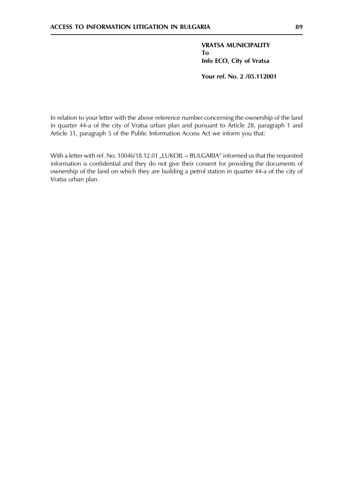**VRATSA MUNICIPALITY To** Info ECO, City of Vratsa

Your ref. No. 2 /05.112001

In relation to your letter with the above reference number concerning the ownership of the land in quarter 44-a of the city of Vratsa urban plan and pursuant to Article 28, paragraph 1 and Article 31, paragraph 5 of the Public Information Access Act we inform you that:

With a letter with ref. No. 10046/18.12.01 "LUKOIL - BULGARIA" informed us that the requested information is confidential and they do not give their consent for providing the documents of ownership of the land on which they are building a petrol station in quarter 44-a of the city of Vratsa urban plan.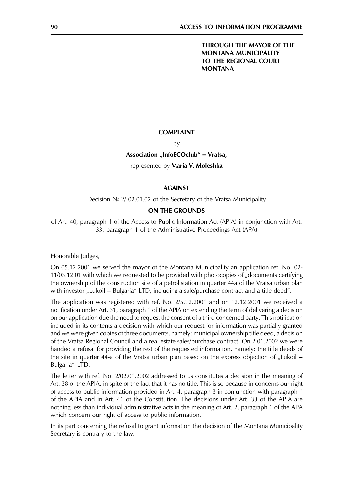# THROUGH THE MAYOR OF THE **MONTANA MUNICIPALITY** TO THE REGIONAL COURT **MONTANA**

#### **COMPLAINT**

#### by

#### Association "InfoECOclub" - Vratsa,

#### represented by Maria V. Moleshka

#### **AGAINST**

### Decision  $N<sup>2</sup>$  2/ 02.01.02 of the Secretary of the Vratsa Municipality

# **ON THE GROUNDS**

of Art. 40, paragraph 1 of the Access to Public Information Act (APIA) in conjunction with Art. 33, paragraph 1 of the Administrative Proceedings Act (APA)

Honorable Judges,

On 05.12.2001 we served the mayor of the Montana Municipality an application ref. No. 02-11/03.12.01 with which we requested to be provided with photocopies of "documents certifying the ownership of the construction site of a petrol station in quarter 44a of the Vratsa urban plan with investor "Lukoil – Bulgaria" LTD, including a sale/purchase contract and a title deed".

The application was registered with ref. No.  $2/5.12.2001$  and on  $12.12.2001$  we received a notification under Art. 31, paragraph 1 of the APIA on extending the term of delivering a decision on our application due the need to request the consent of a third concerned party. This notification included in its contents a decision with which our request for information was partially granted and we were given copies of three documents, namely: municipal ownership title deed, a decision of the Vratsa Regional Council and a real estate sales/purchase contract. On 2.01.2002 we were handed a refusal for providing the rest of the requested information, namely: the title deeds of the site in quarter 44-a of the Vratsa urban plan based on the express objection of "Lukoil  $-$ Bulgaria" LTD.

The letter with ref. No. 2/02.01.2002 addressed to us constitutes a decision in the meaning of Art. 38 of the APIA, in spite of the fact that it has no title. This is so because in concerns our right of access to public information provided in Art. 4, paragraph 3 in conjunction with paragraph 1 of the APIA and in Art. 41 of the Constitution. The decisions under Art. 33 of the APIA are nothing less than individual administrative acts in the meaning of Art. 2, paragraph 1 of the APA which concern our right of access to public information.

In its part concerning the refusal to grant information the decision of the Montana Municipality Secretary is contrary to the law.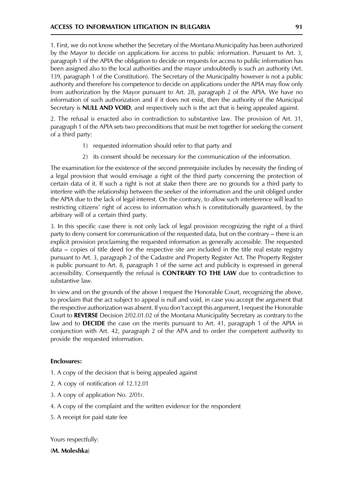1. First, we do not know whether the Secretary of the Montana Municipality has been authorized by the Mayor to decide on applications for access to public information. Pursuant to Art. 3, paragraph 1 of the APIA the obligation to decide on requests for access to public information has been assigned also to the local authorities and the mayor undoubtedly is such an authority (Art. 139, paragraph 1 of the Constitution). The Secretary of the Municipality however is not a public authority and therefore his competence to decide on applications under the APIA may flow only from authorization by the Mayor pursuant to Art. 28, paragraph 2 of the APIA. We have no information of such authorization and if it does not exist, then the authority of the Municipal Secretary is **NULL AND VOID**, and respectively such is the act that is being appealed against.

2. The refusal is enacted also in contradiction to substantive law. The provision of Art. 31, paragraph 1 of the APIA sets two preconditions that must be met together for seeking the consent of a third party:

- 1) requested information should refer to that party and
- 2) its consent should be necessary for the communication of the information.

The examination for the existence of the second prerequisite includes by necessity the finding of a legal provision that would envisage a right of the third party concerning the protection of certain data of it. If such a right is not at stake then there are no grounds for a third party to interfere with the relationship between the seeker of the information and the unit obliged under the APIA due to the lack of legal interest. On the contrary, to allow such interference will lead to restricting citizens' right of access to information which is constitutionally guaranteed, by the arbitrary will of a certain third party.

3. In this specific case there is not only lack of legal provision recognizing the right of a third party to deny consent for communication of the requested data, but on the contrary – there is an explicit provision proclaiming the requested information as generally accessible. The requested data – copies of title deed for the respective site are included in the title real estate registry pursuant to Art. 3, paragraph 2 of the Cadastre and Property Register Act. The Property Register is public pursuant to Art. 8, paragraph 1 of the same act and publicity is expressed in general accessibility. Consequently the refusal is CONTRARY TO THE LAW due to contradiction to substantive law.

In view and on the grounds of the above I request the Honorable Court, recognizing the above, to proclaim that the act subject to appeal is null and void, in case you accept the argument that the respective authorization was absent. If you don't accept this argument, I request the Honorable Court to REVERSE Decision 2/02.01.02 of the Montana Municipality Secretary as contrary to the law and to **DECIDE** the case on the merits pursuant to Art. 41, paragraph 1 of the APIA in conjunction with Art. 42, paragraph 2 of the APA and to order the competent authority to provide the requested information.

# **Enclosures:**

- 1. A copy of the decision that is being appealed against
- 2. A copy of notification of 12.12.01
- 3. A copy of application No. 2/01 r.
- 4. A copy of the complaint and the written evidence for the respondent
- 5. A receipt for paid state fee

Yours respectfully:

(M. Moleshka)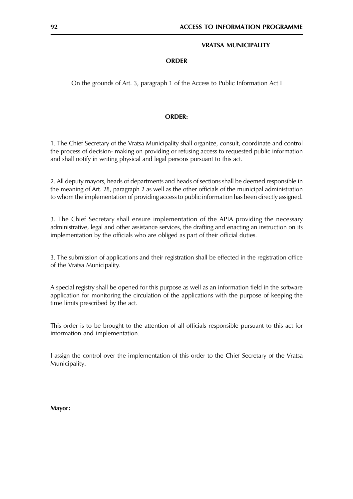#### **VRATSA MUNICIPALITY**

#### **ORDER**

On the grounds of Art. 3, paragraph 1 of the Access to Public Information Act I

#### **ORDER:**

1. The Chief Secretary of the Vratsa Municipality shall organize, consult, coordinate and control the process of decision- making on providing or refusing access to requested public information and shall notify in writing physical and legal persons pursuant to this act.

2. All deputy mayors, heads of departments and heads of sections shall be deemed responsible in the meaning of Art. 28, paragraph 2 as well as the other officials of the municipal administration to whom the implementation of providing access to public information has been directly assigned.

3. The Chief Secretary shall ensure implementation of the APIA providing the necessary administrative, legal and other assistance services, the drafting and enacting an instruction on its implementation by the officials who are obliged as part of their official duties.

3. The submission of applications and their registration shall be effected in the registration office of the Vratsa Municipality.

A special registry shall be opened for this purpose as well as an information field in the software application for monitoring the circulation of the applications with the purpose of keeping the time limits prescribed by the act.

This order is to be brought to the attention of all officials responsible pursuant to this act for information and implementation.

I assign the control over the implementation of this order to the Chief Secretary of the Vratsa Municipality.

Mayor: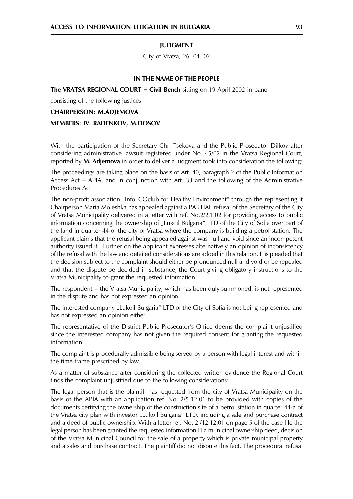#### **IUDGMENT**

City of Vratsa, 26. 04. 02

#### IN THE NAME OF THE PEOPLE

The VRATSA REGIONAL COURT – Civil Bench sitting on 19 April 2002 in panel

consisting of the following justices:

**CHAIRPERSON: M.ADJEMOVA** MEMBERS: IV. RADENKOV, M.DOSOV

With the participation of the Secretary Chr. Tsekova and the Public Prosecutor Dilkov after considering administrative lawsuit registered under No. 45/02 in the Vratsa Regional Court, reported by **M. Adjemova** in order to deliver a judgment took into consideration the following:

The proceedings are taking place on the basis of Art. 40, paragraph 2 of the Public Information Access Act - APIA, and in conjunction with Art. 33 and the following of the Administrative Procedures Act

The non-profit association "InfoECOclub for Healthy Environment" through the representing it Chairperson Maria Moleshka has appealed against a PARTIAL refusal of the Secretary of the City of Vratsa Municipality delivered in a letter with ref. No.2/2.1.02 for providing access to public information concerning the ownership of "Lukoil Bulgaria" LTD of the City of Sofia over part of the land in quarter 44 of the city of Vratsa where the company is building a petrol station. The applicant claims that the refusal being appealed against was null and void since an incompetent authority issued it. Further on the applicant expresses alternatively an opinion of inconsistency of the refusal with the law and detailed considerations are added in this relation. It is pleaded that the decision subject to the complaint should either be pronounced null and void or be repealed and that the dispute be decided in substance, the Court giving obligatory instructions to the Vratsa Municipality to grant the requested information.

The respondent – the Vratsa Municipality, which has been duly summoned, is not represented in the dispute and has not expressed an opinion.

The interested company "Lukoil Bulgaria" LTD of the City of Sofia is not being represented and has not expressed an opinion either.

The representative of the District Public Prosecutor's Office deems the complaint unjustified since the interested company has not given the required consent for granting the requested information.

The complaint is procedurally admissible being served by a person with legal interest and within the time frame prescribed by law.

As a matter of substance after considering the collected written evidence the Regional Court finds the complaint unjustified due to the following considerations:

The legal person that is the plaintiff has requested from the city of Vratsa Municipality on the basis of the APIA with an application ref. No. 2/5.12.01 to be provided with copies of the documents certifying the ownership of the construction site of a petrol station in quarter 44-a of the Vratsa city plan with investor "Lukoil Bulgaria" LTD, including a sale and purchase contract and a deed of public ownership. With a letter ref. No. 2 /12.12.01 on page 5 of the case file the legal person has been granted the requested information  $\Box$  a municipal ownership deed, decision of the Vratsa Municipal Council for the sale of a property which is private municipal property and a sales and purchase contract. The plaintiff did not dispute this fact. The procedural refusal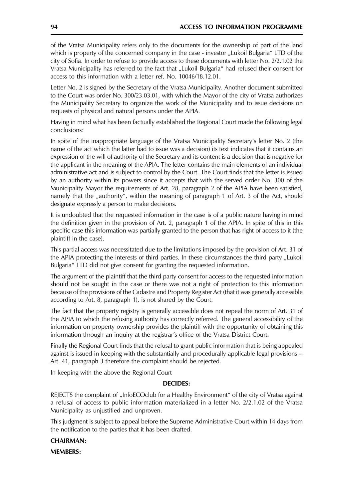of the Vratsa Municipality refers only to the documents for the ownership of part of the land which is property of the concerned company in the case - investor "Lukoil Bulgaria" LTD of the city of Sofia. In order to refuse to provide access to these documents with letter No. 2/2.1.02 the Vratsa Municipality has referred to the fact that "Lukoil Bulgaria" had refused their consent for access to this information with a letter ref. No. 10046/18.12.01.

Letter No. 2 is signed by the Secretary of the Vratsa Municipality. Another document submitted to the Court was order No. 300/23.03.01, with which the Mayor of the city of Vratsa authorizes the Municipality Secretary to organize the work of the Municipality and to issue decisions on requests of physical and natural persons under the APIA.

Having in mind what has been factually established the Regional Court made the following legal conclusions:

In spite of the inappropriate language of the Vratsa Municipality Secretary's letter No. 2 (the name of the act which the latter had to issue was a decision) its text indicates that it contains an expression of the will of authority of the Secretary and its content is a decision that is negative for the applicant in the meaning of the APIA. The letter contains the main elements of an individual administrative act and is subject to control by the Court. The Court finds that the letter is issued by an authority within its powers since it accepts that with the served order No. 300 of the Municipality Mayor the requirements of Art. 28, paragraph 2 of the APIA have been satisfied, namely that the "authority", within the meaning of paragraph 1 of Art. 3 of the Act, should designate expressly a person to make decisions.

It is undoubted that the requested information in the case is of a public nature having in mind the definition given in the provision of Art. 2, paragraph 1 of the APIA. In spite of this in this specific case this information was partially granted to the person that has right of access to it (the plaintiff in the case).

This partial access was necessitated due to the limitations imposed by the provision of Art. 31 of the APIA protecting the interests of third parties. In these circumstances the third party "Lukoil Bulgaria" LTD did not give consent for granting the requested information.

The argument of the plaintiff that the third party consent for access to the requested information should not be sought in the case or there was not a right of protection to this information because of the provisions of the Cadastre and Property Register Act (that it was generally accessible according to Art. 8, paragraph 1), is not shared by the Court.

The fact that the property registry is generally accessible does not repeal the norm of Art. 31 of the APIA to which the refusing authority has correctly referred. The general accessibility of the information on property ownership provides the plaintiff with the opportunity of obtaining this information through an inquiry at the registrar's office of the Vratsa District Court.

Finally the Regional Court finds that the refusal to grant public information that is being appealed against is issued in keeping with the substantially and procedurally applicable legal provisions – Art. 41, paragraph 3 therefore the complaint should be rejected.

In keeping with the above the Regional Court

#### **DECIDES:**

REJECTS the complaint of "InfoECOclub for a Healthy Environment" of the city of Vratsa against a refusal of access to public information materialized in a letter No. 2/2.1.02 of the Vratsa Municipality as unjustified and unproven.

This judgment is subject to appeal before the Supreme Administrative Court within 14 days from the notification to the parties that it has been drafted.

#### **CHAIRMAN:**

**MEMBERS:**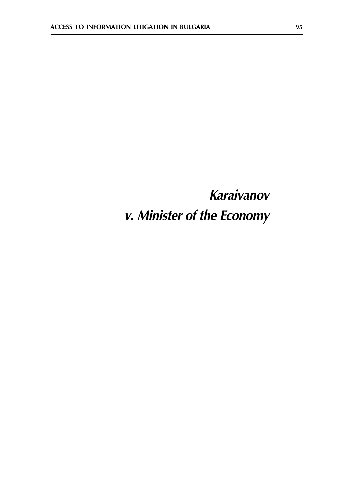# Karaivanov v. Minister of the Economy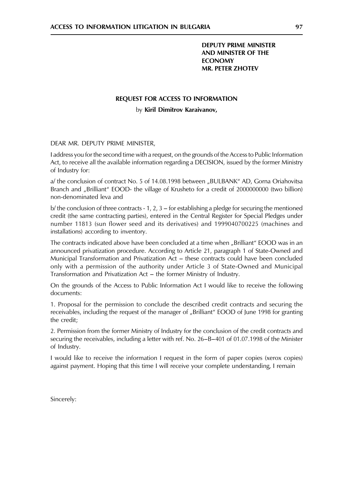# **DEPUTY PRIME MINISTER AND MINISTER OF THE ECONOMY MR. PETER ZHOTEV**

#### **REQUEST FOR ACCESS TO INFORMATION**

by Kiril Dimitrov Karaivanov,

DEAR MR. DEPUTY PRIME MINISTER,

I address you for the second time with a request, on the grounds of the Access to Public Information Act, to receive all the available information regarding a DECISION, issued by the former Ministry of Industry for:

a/ the conclusion of contract No. 5 of 14.08.1998 between "BULBANK" AD, Gorna Oriahovitsa Branch and "Brilliant" EOOD- the village of Krusheto for a credit of 2000000000 (two billion) non-denominated leva and

b/ the conclusion of three contracts - 1, 2, 3 – for establishing a pledge for securing the mentioned credit (the same contracting parties), entered in the Central Register for Special Pledges under number 11813 (sun flower seed and its derivatives) and 1999040700225 (machines and installations) according to inventory.

The contracts indicated above have been concluded at a time when "Brilliant" EOOD was in an announced privatization procedure. According to Article 21, paragraph 1 of State-Owned and Municipal Transformation and Privatization Act – these contracts could have been concluded only with a permission of the authority under Article 3 of State-Owned and Municipal Transformation and Privatization Act - the former Ministry of Industry.

On the grounds of the Access to Public Information Act I would like to receive the following documents:

1. Proposal for the permission to conclude the described credit contracts and securing the receivables, including the request of the manager of "Brilliant" EOOD of June 1998 for granting the credit;

2. Permission from the former Ministry of Industry for the conclusion of the credit contracts and securing the receivables, including a letter with ref. No. 26-B-401 of 01.07.1998 of the Minister of Industry.

I would like to receive the information I request in the form of paper copies (xerox copies) against payment. Hoping that this time I will receive your complete understanding, I remain

Sincerely: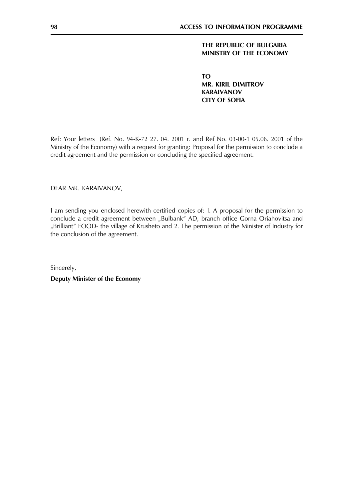# THE REPUBLIC OF BULGARIA MINISTRY OF THE ECONOMY

**TO MR. KIRIL DIMITROV KARAIVANOV CITY OF SOFIA** 

Ref: Your letters (Ref. No. 94-K-72 27. 04. 2001 r. and Ref No. 03-00-1 05.06. 2001 of the Ministry of the Economy) with a request for granting: Proposal for the permission to conclude a credit agreement and the permission or concluding the specified agreement.

DEAR MR. KARAIVANOV,

I am sending you enclosed herewith certified copies of: I. A proposal for the permission to conclude a credit agreement between "Bulbank" AD, branch office Gorna Oriahovitsa and "Brilliant" EOOD- the village of Krusheto and 2. The permission of the Minister of Industry for the conclusion of the agreement.

Sincerely,

**Deputy Minister of the Economy**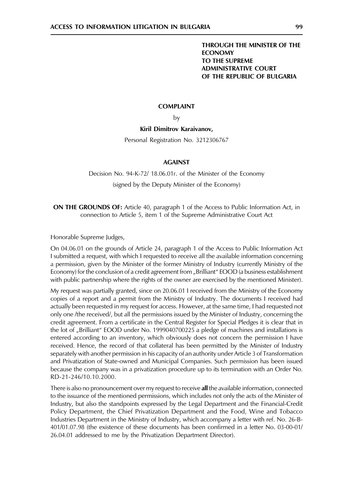# THROUGH THE MINISTER OF THE **ECONOMY** TO THE SUPREME **ADMINISTRATIVE COURT** OF THE REPUBLIC OF BULGARIA

# **COMPLAINT**

by

### Kiril Dimitrov Karaivanov,

Personal Registration No. 3212306767

# **AGAINST**

Decision No. 94-K-72/ 18.06.01r. of the Minister of the Economy

(signed by the Deputy Minister of the Economy)

**ON THE GROUNDS OF:** Article 40, paragraph 1 of the Access to Public Information Act, in connection to Article 5, item 1 of the Supreme Administrative Court Act

Honorable Supreme Judges,

On 04.06.01 on the grounds of Article 24, paragraph 1 of the Access to Public Information Act I submitted a request, with which I requested to receive all the available information concerning a permission, given by the Minister of the former Ministry of Industry (currently Ministry of the Economy) for the conclusion of a credit agreement from "Brilliant" EOOD (a business establishment with public partnership where the rights of the owner are exercised by the mentioned Minister).

My request was partially granted, since on 20.06.01 I received from the Ministry of the Economy copies of a report and a permit from the Ministry of Industry. The documents I received had actually been requested in my request for access. However, at the same time, I had requested not only one /the received/, but all the permissions issued by the Minister of Industry, concerning the credit agreement. From a certificate in the Central Register for Special Pledges it is clear that in the lot of "Brilliant" EOOD under No. 1999040700225 a pledge of machines and installations is entered according to an inventory, which obviously does not concern the permission I have received. Hence, the record of that collateral has been permitted by the Minister of Industry separately with another permission in his capacity of an authority under Article 3 of Transformation and Privatization of State-owned and Municipal Companies. Such permission has been issued because the company was in a privatization procedure up to its termination with an Order No. RD-21-246/10.10.2000.

There is also no pronouncement over my request to receive all the available information, connected to the issuance of the mentioned permissions, which includes not only the acts of the Minister of Industry, but also the standpoints expressed by the Legal Department and the Financial-Credit Policy Department, the Chief Privatization Department and the Food, Wine and Tobacco Industries Department in the Ministry of Industry, which accompany a letter with ref. No. 26-B-401/01.07.98 (the existence of these documents has been confirmed in a letter No. 03-00-01/ 26.04.01 addressed to me by the Privatization Department Director).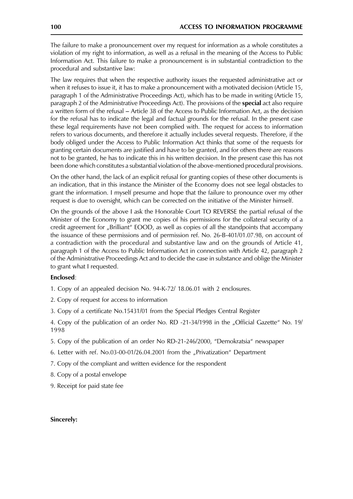The failure to make a pronouncement over my request for information as a whole constitutes a violation of my right to information, as well as a refusal in the meaning of the Access to Public Information Act. This failure to make a pronouncement is in substantial contradiction to the procedural and substantive law:

The law requires that when the respective authority issues the requested administrative act or when it refuses to issue it, it has to make a pronouncement with a motivated decision (Article 15, paragraph 1 of the Administrative Proceedings Act), which has to be made in writing (Article 15, paragraph 2 of the Administrative Proceedings Act). The provisions of the **special** act also require a written form of the refusal – Article 38 of the Access to Public Information Act, as the decision for the refusal has to indicate the legal and factual grounds for the refusal. In the present case these legal requirements have not been complied with. The request for access to information refers to various documents, and therefore it actually includes several requests. Therefore, if the body obliged under the Access to Public Information Act thinks that some of the requests for granting certain documents are justified and have to be granted, and for others there are reasons not to be granted, he has to indicate this in his written decision. In the present case this has not been done which constitutes a substantial violation of the above-mentioned procedural provisions.

On the other hand, the lack of an explicit refusal for granting copies of these other documents is an indication, that in this instance the Minister of the Economy does not see legal obstacles to grant the information. I myself presume and hope that the failure to pronounce over my other request is due to oversight, which can be corrected on the initiative of the Minister himself.

On the grounds of the above I ask the Honorable Court TO REVERSE the partial refusal of the Minister of the Economy to grant me copies of his permissions for the collateral security of a credit agreement for "Brilliant" EOOD, as well as copies of all the standpoints that accompany the issuance of these permissions and of permission ref. No. 26-B-401/01.07.98, on account of a contradiction with the procedural and substantive law and on the grounds of Article 41, paragraph 1 of the Access to Public Information Act in connection with Article 42, paragraph 2 of the Administrative Proceedings Act and to decide the case in substance and oblige the Minister to grant what I requested.

#### Enclosed:

- 1. Copy of an appealed decision No. 94-K-72/ 18.06.01 with 2 enclosures.
- 2. Copy of request for access to information
- 3. Copy of a certificate No.15431/01 from the Special Pledges Central Register

4. Copy of the publication of an order No. RD -21-34/1998 in the "Official Gazette" No. 19/ 1998

- 5. Copy of the publication of an order No RD-21-246/2000, "Demokratsia" newspaper
- 6. Letter with ref. No.03-00-01/26.04.2001 from the "Privatization" Department
- 7. Copy of the compliant and written evidence for the respondent
- 8. Copy of a postal envelope
- 9. Receipt for paid state fee

#### Sincerely: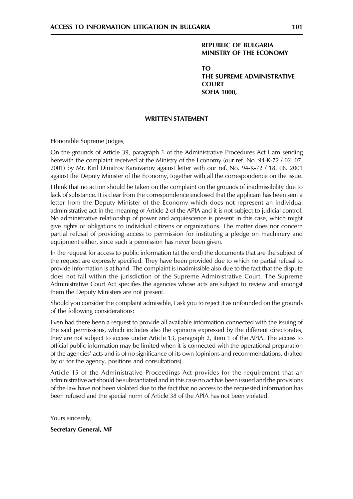# **REPUBLIC OF BULGARIA** MINISTRY OF THE ECONOMY

 $T<sub>O</sub>$ THE SUPREME ADMINISTRATIVE **COURT SOFIA 1000,** 

#### **WRITTEN STATEMENT**

Honorable Supreme Judges,

On the grounds of Article 39, paragraph 1 of the Administrative Procedures Act I am sending herewith the complaint received at the Ministry of the Economy (our ref. No. 94-K-72 / 02. 07. 2001) by Mr. Kiril Dimitrov Karaivanov against letter with our ref. No. 94-K-72 / 18. 06. 2001 against the Deputy Minister of the Economy, together with all the correspondence on the issue.

I think that no action should be taken on the complaint on the grounds of inadmissibility due to lack of substance. It is clear from the correspondence enclosed that the applicant has been sent a letter from the Deputy Minister of the Economy which does not represent an individual administrative act in the meaning of Article 2 of the APIA and it is not subject to judicial control. No administrative relationship of power and acquiescence is present in this case, which might give rights or obligations to individual citizens or organizations. The matter does nor concern partial refusal of providing access to permission for instituting a pledge on machinery and equipment either, since such a permission has never been given.

In the request for access to public information (at the end) the documents that are the subject of the request are expressly specified. They have been provided due to which no partial refusal to provide information is at hand. The complaint is inadmissible also due to the fact that the dispute does not fall within the jurisdiction of the Supreme Administrative Court. The Supreme Administrative Court Act specifies the agencies whose acts are subject to review and amongst them the Deputy Ministers are not present.

Should you consider the complaint admissible, I ask you to reject it as unfounded on the grounds of the following considerations:

Even had there been a request to provide all available information connected with the issuing of the said permissions, which includes also the opinions expressed by the different directorates, they are not subject to access under Article 13, paragraph 2, item 1 of the APIA. The access to official public information may be limited when it is connected with the operational preparation of the agencies' acts and is of no significance of its own (opinions and recommendations, drafted by or for the agency, positions and consultations).

Article 15 of the Administrative Proceedings Act provides for the requirement that an administrative act should be substantiated and in this case no act has been issued and the provisions of the law have not been violated due to the fact that no access to the requested information has been refused and the special norm of Article 38 of the APIA has not been violated.

Yours sincerely,

**Secretary General, MF**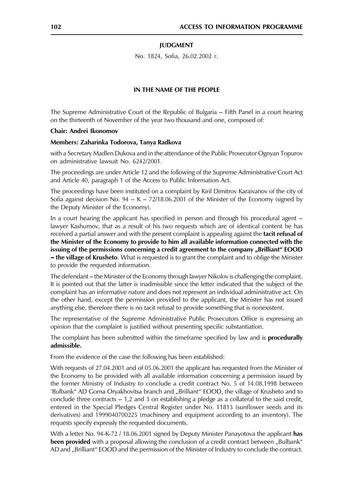#### **IUDGMENT**

No. 1824, Sofia, 26.02.2002 r.

#### IN THE NAME OF THE PEOPLE

The Supreme Administrative Court of the Republic of Bulgaria - Fifth Panel in a court hearing on the thirteenth of November of the year two thousand and one, composed of:

#### Chair: Andrei Ikonomov

#### Members: Zaharinka Todorova, Tanya Radkova

with a Secretary Madlen Dukova and in the attendance of the Public Prosecutor Ognyan Topurov on administrative lawsuit No. 6242/2001.

The proceedings are under Article 12 and the following of the Supreme Administrative Court Act and Article 40, paragraph 1 of the Access to Public Information Act.

The proceedings have been instituted on a complaint by Kiril Dimitrov Karaivanov of the city of Sofia against decision No. 94 –  $K - 72/18.06.2001$  of the Minister of the Economy (signed by the Deputy Minister of the Economy).

In a court hearing the applicant has specified in person and through his procedural agent – lawyer Kashumov, that as a result of his two requests which are of identical content he has received a partial answer and with the present complaint is appealing against the **tacit refusal of** the Minister of the Economy to provide to him all available information connected with the issuing of the permissions concerning a credit agreement to the company "Brilliant" EOOD **- the village of Krusheto**. What is requested is to grant the complaint and to oblige the Minister to provide the requested information.

The defendant – the Minister of the Economy through lawyer Nikolov is challenging the complaint. It is pointed out that the latter is inadmissible since the letter indicated that the subject of the complaint has an informative nature and does not represent an individual administrative act. On the other hand, except the permission provided to the applicant, the Minister has not issued anything else, therefore there is no tacit refusal to provide something that is nonexistent.

The representative of the Supreme Administrative Public Prosecutors Office is expressing an opinion that the complaint is justified without presenting specific substantiation.

The complaint has been submitted within the timeframe specified by law and is **procedurally** admissible.

From the evidence of the case the following has been established:

With requests of 27.04.2001 and of 05.06.2001 the applicant has requested from the Minister of the Economy to be provided with all available information concerning a permission issued by the former Ministry of Industry to conclude a credit contract No. 5 of 14.08.1998 between 'Bulbank" AD Gorna Oryakhovitsa branch and "Brilliant" EOOD, the village of Krusheto and to conclude three contracts  $-1$ , 2 and 3 on establishing a pledge as a collateral to the said credit, entered in the Special Pledges Central Register under No. 11813 (sunflower seeds and its derivatives) and 1999040700225 (machinery and equipment according to an inventory). The requests specify expressly the requested documents.

With a letter No. 94-K-72 / 18.06.2001 signed by Deputy Minister Panayotova the applicant has **been provided** with a proposal allowing the conclusion of a credit contract between "Bulbank" AD and "Brilliant" EOOD and the permission of the Minister of Industry to conclude the contract.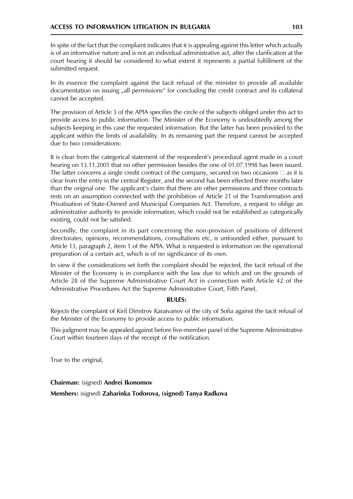In spite of the fact that the complaint indicates that it is appealing against this letter which actually is of an informative nature and is not an individual administrative act, after the clarification at the court hearing it should be considered to what extent it represents a partial fulfillment of the submitted request.

In its essence the complaint against the tacit refusal of the minister to provide all available documentation on issuing "all permissions" for concluding the credit contract and its collateral cannot be accepted.

The provision of Article 3 of the APIA specifies the circle of the subjects obliged under this act to provide access to public information. The Minister of the Economy is undoubtedly among the subjects keeping in this case the requested information. But the latter has been provided to the applicant within the limits of availability. In its remaining part the request cannot be accepted due to two considerations:

It is clear from the categorical statement of the respondent's procedural agent made in a court hearing on 13.11.2001 that no other permission besides the one of 01.07.1998 has been issued. The latter concerns a single credit contract of the company, secured on two occasions  $\square$  as it is clear from the entry in the central Register, and the second has been effected three months later than the original one. The applicant's claim that there are other permissions and three contracts rests on an assumption connected with the prohibition of Article 21 of the Transformation and Privatisation of State-Owned and Municipal Companies Act. Therefore, a request to oblige an administrative authority to provide information, which could not be established as categorically existing, could not be satisfied.

Secondly, the complaint in its part concerning the non-provision of positions of different directorates, opinions, recommendations, consultations etc, is unfounded either, pursuant to Article 13, paragraph 2, item 1 of the APIA. What is requested is information on the operational preparation of a certain act, which is of no significance of its own.

In view if the considerations set forth the complaint should be rejected, the tacit refusal of the Minister of the Economy is in compliance with the law due to which and on the grounds of Article 28 of the Supreme Administrative Court Act in connection with Article 42 of the Administrative Procedures Act the Supreme Administrative Court, Fifth Panel,

# **RULES:**

Rejects the complaint of Kiril Dimitrov Karaivanov of the city of Sofia against the tacit refusal of the Minister of the Economy to provide access to public information.

This judgment may be appealed against before five-member panel of the Supreme Administrative Court within fourteen days of the receipt of the notification.

True to the original,

Chairman: (signed) Andrei Ikonomov

Members: (signed) Zaharinka Todorova, (signed) Tanya Radkova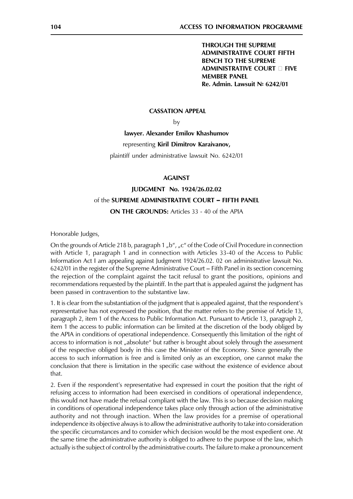**THROUGH THE SUPREME ADMINISTRATIVE COURT FIFTH BENCH TO THE SUPREME ADMINISTRATIVE COURT II FIVE MEMBER PANEL** Re. Admin. Lawsuit Nº 6242/01

#### **CASSATION APPEAL**

by

# lawyer. Alexander Emilov Khashumov

#### representing Kiril Dimitrov Karaivanov,

plaintiff under administrative lawsuit No. 6242/01

#### **AGAINST**

# JUDGMENT No. 1924/26.02.02 of the SUPREME ADMINISTRATIVE COURT - FIFTH PANEL **ON THE GROUNDS:** Articles 33 - 40 of the APIA

Honorable Judges,

On the grounds of Article 218 b, paragraph 1, b", "c" of the Code of Civil Procedure in connection with Article 1, paragraph 1 and in connection with Articles 33-40 of the Access to Public Information Act I am appealing against Judgment 1924/26.02. 02 on administrative lawsuit No. 6242/01 in the register of the Supreme Administrative Court - Fifth Panel in its section concerning the rejection of the complaint against the tacit refusal to grant the positions, opinions and recommendations requested by the plaintiff. In the part that is appealed against the judgment has been passed in contravention to the substantive law.

1. It is clear from the substantiation of the judgment that is appealed against, that the respondent's representative has not expressed the position, that the matter refers to the premise of Article 13, paragraph 2, item 1 of the Access to Public Information Act. Pursuant to Article 13, paragraph 2, item 1 the access to public information can be limited at the discretion of the body obliged by the APIA in conditions of operational independence. Consequently this limitation of the right of access to information is not "absolute" but rather is brought about solely through the assessment of the respective obliged body in this case the Minister of the Economy. Since generally the access to such information is free and is limited only as an exception, one cannot make the conclusion that there is limitation in the specific case without the existence of evidence about that.

2. Even if the respondent's representative had expressed in court the position that the right of refusing access to information had been exercised in conditions of operational independence, this would not have made the refusal compliant with the law. This is so because decision making in conditions of operational independence takes place only through action of the administrative authority and not through inaction. When the law provides for a premise of operational independence its objective always is to allow the administrative authority to take into consideration the specific circumstances and to consider which decision would be the most expedient one. At the same time the administrative authority is obliged to adhere to the purpose of the law, which actually is the subject of control by the administrative courts. The failure to make a pronouncement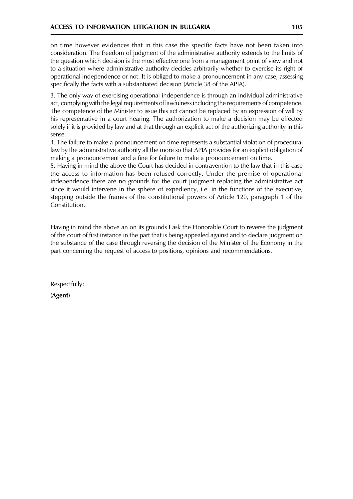on time however evidences that in this case the specific facts have not been taken into consideration. The freedom of judgment of the administrative authority extends to the limits of the question which decision is the most effective one from a management point of view and not to a situation where administrative authority decides arbitrarily whether to exercise its right of operational independence or not. It is obliged to make a pronouncement in any case, assessing specifically the facts with a substantiated decision (Article 38 of the APIA).

3. The only way of exercising operational independence is through an individual administrative act, complying with the legal requirements of lawfulness including the requirements of competence. The competence of the Minister to issue this act cannot be replaced by an expression of will by his representative in a court hearing. The authorization to make a decision may be effected solely if it is provided by law and at that through an explicit act of the authorizing authority in this sense.

4. The failure to make a pronouncement on time represents a substantial violation of procedural law by the administrative authority all the more so that APIA provides for an explicit obligation of making a pronouncement and a fine for failure to make a pronouncement on time.

5. Having in mind the above the Court has decided in contravention to the law that in this case the access to information has been refused correctly. Under the premise of operational independence there are no grounds for the court judgment replacing the administrative act since it would intervene in the sphere of expediency, i.e. in the functions of the executive, stepping outside the frames of the constitutional powers of Article 120, paragraph 1 of the Constitution.

Having in mind the above an on its grounds I ask the Honorable Court to reverse the judgment of the court of first instance in the part that is being appealed against and to declare judgment on the substance of the case through reversing the decision of the Minister of the Economy in the part concerning the request of access to positions, opinions and recommendations.

Respectfully:

(Agent)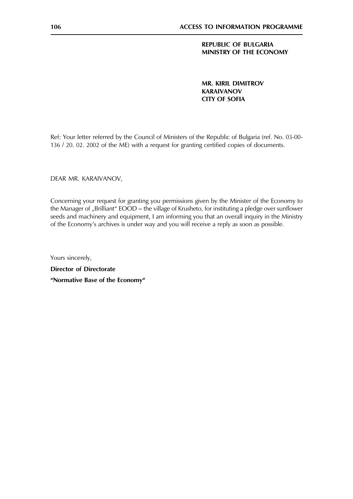# **REPUBLIC OF BULGARIA** MINISTRY OF THE ECONOMY

**MR. KIRIL DIMITROV KARAIVANOV CITY OF SOFIA** 

Ref: Your letter referred by the Council of Ministers of the Republic of Bulgaria (ref. No. 03-00-136 / 20. 02. 2002 of the ME) with a request for granting certified copies of documents.

DEAR MR. KARAIVANOV,

Concerning your request for granting you permissions given by the Minister of the Economy to the Manager of "Brilliant" EOOD – the village of Krusheto, for instituting a pledge over sunflower seeds and machinery and equipment, I am informing you that an overall inquiry in the Ministry of the Economy's archives is under way and you will receive a reply as soon as possible.

Yours sincerely, **Director of Directorate** "Normative Base of the Economy"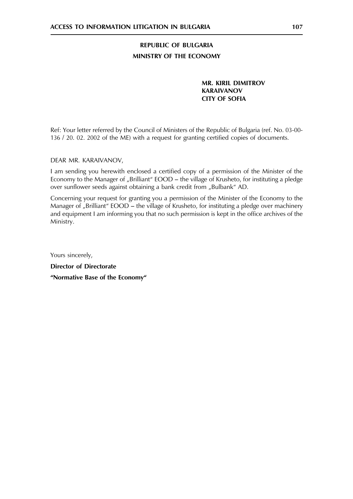# REPUBLIC OF BULGARIA MINISTRY OF THE ECONOMY

**MR. KIRIL DIMITROV KARAIVANOV CITY OF SOFIA** 

Ref: Your letter referred by the Council of Ministers of the Republic of Bulgaria (ref. No. 03-00-136 / 20. 02. 2002 of the ME) with a request for granting certified copies of documents.

DEAR MR. KARAIVANOV.

I am sending you herewith enclosed a certified copy of a permission of the Minister of the Economy to the Manager of "Brilliant" EOOD - the village of Krusheto, for instituting a pledge over sunflower seeds against obtaining a bank credit from "Bulbank" AD.

Concerning your request for granting you a permission of the Minister of the Economy to the Manager of "Brilliant" EOOD – the village of Krusheto, for instituting a pledge over machinery and equipment I am informing you that no such permission is kept in the office archives of the Ministry.

Yours sincerely, **Director of Directorate** "Normative Base of the Economy"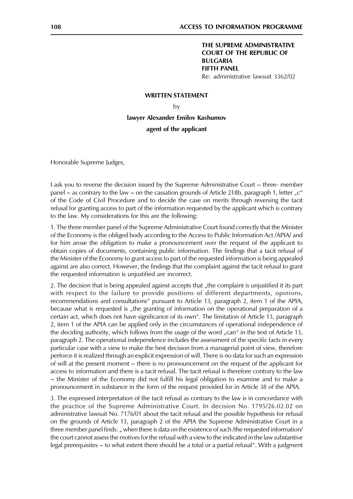# THE SUPREME ADMINISTRATIVE **COURT OF THE REPUBLIC OF BULGARIA FIFTH PANEL** Re: administrative lawsuit 3362/02

#### **WRITTEN STATEMENT**

# by

lawyer Alexander Emilov Kashumov agent of the applicant

Honorable Supreme Judges,

I ask you to reverse the decision issued by the Supreme Administrative Court – three- member panel – as contrary to the law – on the cassation grounds of Article 218b, paragraph 1, letter "c" of the Code of Civil Procedure and to decide the case on merits through reversing the tacit refusal for granting access to part of the information requested by the applicant which is contrary to the law. My considerations for this are the following:

1. The three member panel of the Supreme Administrative Court found correctly that the Minister of the Economy is the obliged body according to the Access to Public Information Act /APIA/ and for him arose the obligation to make a pronouncement over the request of the applicant to obtain copies of documents, containing public information. The findings that a tacit refusal of the Minister of the Economy to grant access to part of the requested information is being appealed against are also correct. However, the findings that the complaint against the tacit refusal to grant the requested information is unjustified are incorrect.

2. The decision that is being appealed against accepts that "the complaint is unjustified it its part with respect to the failure to provide positions of different departments, opinions, recommendations and consultations" pursuant to Article 13, paragraph 2, item 1 of the APIA, because what is requested is "the granting of information on the operational preparation of a certain act, which does not have significance of its own". The limitation of Article 13, paragraph 2, item 1 of the APIA can be applied only in the circumstances of operational independence of the deciding authority, which follows from the usage of the word "can" in the text of Article 13, paragraph 2. The operational independence includes the assessment of the specific facts in every particular case with a view to make the best decision from a managerial point of view, therefore perforce it is realized through an explicit expression of will. There is no data for such an expression of will at the present moment – there is no pronouncement on the request of the applicant for access to information and there is a tacit refusal. The tacit refusal is therefore contrary to the law - the Minister of the Economy did not fulfill his legal obligation to examine and to make a pronouncement in substance in the form of the request provided for in Article 38 of the APIA.

3. The expressed interpretation of the tacit refusal as contrary to the law is in concordance with the practice of the Supreme Administrative Court. In decision No. 1795/26.02.02 on administrative lawsuit No. 7176/01 about the tacit refusal and the possible hypothesis for refusal on the grounds of Article 13, paragraph 2 of the APIA the Supreme Administrative Court in a three member panel finds: " when there is data on the existence of such/the requested information/ the court cannot assess the motives for the refusal with a view to the indicated in the law substantive legal prerequisites – to what extent there should be a total or a partial refusal". With a judgment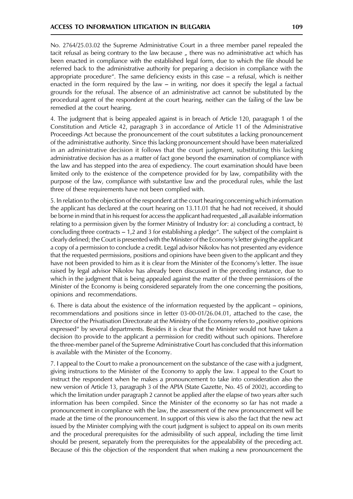No. 2764/25.03.02 the Supreme Administrative Court in a three member panel repealed the tacit refusal as being contrary to the law because, there was no administrative act which has been enacted in compliance with the established legal form, due to which the file should be referred back to the administrative authority for preparing a decision in compliance with the appropriate procedure". The same deficiency exists in this case  $-$  a refusal, which is neither enacted in the form required by the law  $-$  in writing, nor does it specify the legal a factual grounds for the refusal. The absence of an administrative act cannot be substituted by the procedural agent of the respondent at the court hearing, neither can the failing of the law be remedied at the court hearing.

4. The judgment that is being appealed against is in breach of Article 120, paragraph 1 of the Constitution and Article 42, paragraph 3 in accordance of Article 11 of the Administrative Proceedings Act because the pronouncement of the court substitutes a lacking pronouncement of the administrative authority. Since this lacking pronouncement should have been materialized in an administrative decision it follows that the court judgment, substituting this lacking administrative decision has as a matter of fact gone beyond the examination of compliance with the law and has stepped into the area of expediency. The court examination should have been limited only to the existence of the competence provided for by law, compatibility with the purpose of the law, compliance with substantive law and the procedural rules, while the last three of these requirements have not been complied with.

5. In relation to the objection of the respondent at the court hearing concerning which information the applicant has declared at the court hearing on 13.11.01 that he had not received, it should be borne in mind that in his request for access the applicant had requested "all available information relating to a permission given by the former Ministry of Industry for: a) concluding a contract, b) concluding three contracts  $-1$ , 2 and 3 for establishing a pledge". The subject of the complaint is clearly defined; the Court is presented with the Minister of the Economy's letter giving the applicant a copy of a permission to conclude a credit. Legal advisor Nikolov has not presented any evidence that the requested permissions, positions and opinions have been given to the applicant and they have not been provided to him as it is clear from the Minister of the Economy's letter. The issue raised by legal advisor Nikolov has already been discussed in the preceding instance, due to which in the judgment that is being appealed against the matter of the three permissions of the Minister of the Economy is being considered separately from the one concerning the positions, opinions and recommendations.

6. There is data about the existence of the information requested by the applicant – opinions, recommendations and positions since in letter 03-00-01/26.04.01, attached to the case, the Director of the Privatisation Directorate at the Ministry of the Economy refers to "positive opinions expressed" by several departments. Besides it is clear that the Minister would not have taken a decision (to provide to the applicant a permission for credit) without such opinions. Therefore the three-member panel of the Supreme Administrative Court has concluded that this information is available with the Minister of the Economy.

7. I appeal to the Court to make a pronouncement on the substance of the case with a judgment, giving instructions to the Minister of the Economy to apply the law. I appeal to the Court to instruct the respondent when he makes a pronouncement to take into consideration also the new version of Article 13, paragraph 3 of the APIA (State Gazette, No. 45 of 2002), according to which the limitation under paragraph 2 cannot be applied after the elapse of two years after such information has been compiled. Since the Minister of the economy so far has not made a pronouncement in compliance with the law, the assessment of the new pronouncement will be made at the time of the pronouncement. In support of this view is also the fact that the new act issued by the Minister complying with the court judgment is subject to appeal on its own merits and the procedural prerequisites for the admissibility of such appeal, including the time limit should be present, separately from the prerequisites for the appealability of the preceding act. Because of this the objection of the respondent that when making a new pronouncement the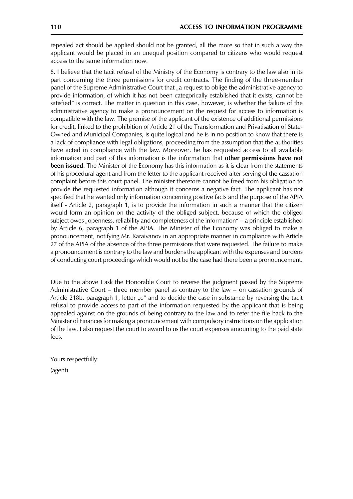repealed act should be applied should not be granted, all the more so that in such a way the applicant would be placed in an unequal position compared to citizens who would request access to the same information now.

8. I believe that the tacit refusal of the Ministry of the Economy is contrary to the law also in its part concerning the three permissions for credit contracts. The finding of the three-member panel of the Supreme Administrative Court that "a request to oblige the administrative agency to provide information, of which it has not been categorically established that it exists, cannot be satisfied" is correct. The matter in question in this case, however, is whether the failure of the administrative agency to make a pronouncement on the request for access to information is compatible with the law. The premise of the applicant of the existence of additional permissions for credit, linked to the prohibition of Article 21 of the Transformation and Privatisation of State-Owned and Municipal Companies, is quite logical and he is in no position to know that there is a lack of compliance with legal obligations, proceeding from the assumption that the authorities have acted in compliance with the law. Moreover, he has requested access to all available information and part of this information is the information that **other permissions have not** been issued. The Minister of the Economy has this information as it is clear from the statements of his procedural agent and from the letter to the applicant received after serving of the cassation complaint before this court panel. The minister therefore cannot be freed from his obligation to provide the requested information although it concerns a negative fact. The applicant has not specified that he wanted only information concerning positive facts and the purpose of the APIA itself - Article 2, paragraph 1, is to provide the information in such a manner that the citizen would form an opinion on the activity of the obliged subject, because of which the obliged subject owes "openness, reliability and completeness of the information" – a principle established by Article 6, paragraph 1 of the APIA. The Minister of the Economy was obliged to make a pronouncement, notifying Mr. Karaivanov in an appropriate manner in compliance with Article 27 of the APIA of the absence of the three permissions that were requested. The failure to make a pronouncement is contrary to the law and burdens the applicant with the expenses and burdens of conducting court proceedings which would not be the case had there been a pronouncement.

Due to the above I ask the Honorable Court to reverse the judgment passed by the Supreme Administrative Court – three member panel as contrary to the law – on cassation grounds of Article 218b, paragraph 1, letter " $c$ " and to decide the case in substance by reversing the tacit refusal to provide access to part of the information requested by the applicant that is being appealed against on the grounds of being contrary to the law and to refer the file back to the Minister of Finances for making a pronouncement with compulsory instructions on the application of the law. I also request the court to award to us the court expenses amounting to the paid state fees.

Yours respectfully: (agent)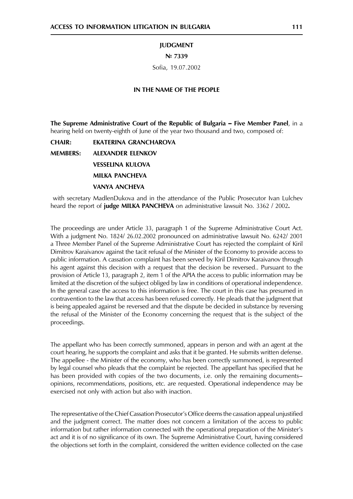#### **JUDGMENT**

#### Nº 7339

Sofia, 19.07.2002

#### IN THE NAME OF THE PEOPLE

The Supreme Administrative Court of the Republic of Bulgaria - Five Member Panel, in a hearing held on twenty-eighth of June of the year two thousand and two, composed of:

**CHAIR: EKATERINA GRANCHAROVA MEMBERS: ALEXANDER ELENKOV VESSELINA KULOVA MILKA PANCHEVA VANYA ANCHEVA** 

with secretary MadlenDukova and in the attendance of the Public Prosecutor Ivan Lulchev heard the report of judge MILKA PANCHEVA on administrative lawsuit No. 3362 / 2002.

The proceedings are under Article 33, paragraph 1 of the Supreme Administrative Court Act. With a judgment No. 1824/ 26.02.2002 pronounced on administrative lawsuit No. 6242/ 2001 a Three Member Panel of the Supreme Administrative Court has rejected the complaint of Kiril Dimitrov Karaivanov against the tacit refusal of the Minister of the Economy to provide access to public information. A cassation complaint has been served by Kiril Dimitrov Karaivanov through his agent against this decision with a request that the decision be reversed.. Pursuant to the provision of Article 13, paragraph 2, item 1 of the APIA the access to public information may be limited at the discretion of the subject obliged by law in conditions of operational independence. In the general case the access to this information is free. The court in this case has presumed in contravention to the law that access has been refused correctly. He pleads that the judgment that is being appealed against be reversed and that the dispute be decided in substance by reversing the refusal of the Minister of the Economy concerning the request that is the subject of the proceedings.

The appellant who has been correctly summoned, appears in person and with an agent at the court hearing, he supports the complaint and asks that it be granted. He submits written defense. The appellee - the Minister of the economy, who has been correctly summoned, is represented by legal counsel who pleads that the complaint be rejected. The appellant has specified that he has been provided with copies of the two documents, i.e. only the remaining documents– opinions, recommendations, positions, etc. are requested. Operational independence may be exercised not only with action but also with inaction.

The representative of the Chief Cassation Prosecutor's Office deems the cassation appeal unjustified and the judgment correct. The matter does not concern a limitation of the access to public information but rather information connected with the operational preparation of the Minister's act and it is of no significance of its own. The Supreme Administrative Court, having considered the objections set forth in the complaint, considered the written evidence collected on the case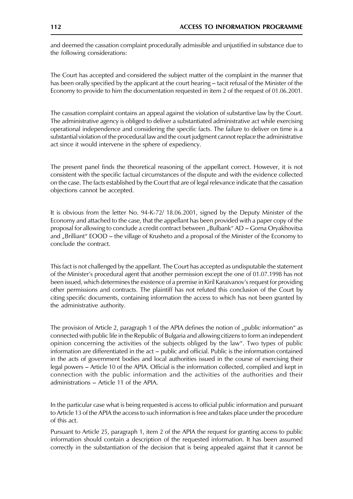and deemed the cassation complaint procedurally admissible and unjustified in substance due to the following considerations:

The Court has accepted and considered the subject matter of the complaint in the manner that has been orally specified by the applicant at the court hearing – tacit refusal of the Minister of the Economy to provide to him the documentation requested in item 2 of the request of 01.06.2001.

The cassation complaint contains an appeal against the violation of substantive law by the Court. The administrative agency is obliged to deliver a substantiated administrative act while exercising operational independence and considering the specific facts. The failure to deliver on time is a substantial violation of the procedural law and the court judgment cannot replace the administrative act since it would intervene in the sphere of expediency.

The present panel finds the theoretical reasoning of the appellant correct. However, it is not consistent with the specific factual circumstances of the dispute and with the evidence collected on the case. The facts established by the Court that are of legal relevance indicate that the cassation objections cannot be accepted.

It is obvious from the letter No. 94-K-72/ 18.06.2001, signed by the Deputy Minister of the Economy and attached to the case, that the appellant has been provided with a paper copy of the proposal for allowing to conclude a credit contract between "Bulbank" AD – Gorna Oryakhovitsa and "Brilliant" EOOD – the village of Krusheto and a proposal of the Minister of the Economy to conclude the contract.

This fact is not challenged by the appellant. The Court has accepted as undisputable the statement of the Minister's procedural agent that another permission except the one of 01.07.1998 has not been issued, which determines the existence of a premise in Kiril Karaivanov's request for providing other permissions and contracts. The plaintiff has not refuted this conclusion of the Court by citing specific documents, containing information the access to which has not been granted by the administrative authority.

The provision of Article 2, paragraph 1 of the APIA defines the notion of "public information" as connected with public life in the Republic of Bulgaria and allowing citizens to form an independent opinion concerning the activities of the subjects obliged by the law". Two types of public information are differentiated in the act - public and official. Public is the information contained in the acts of government bodies and local authorities issued in the course of exercising their legal powers – Article 10 of the APIA. Official is the information collected, complied and kept in connection with the public information and the activities of the authorities and their administrations - Article 11 of the APIA.

In the particular case what is being requested is access to official public information and pursuant to Article 13 of the APIA the access to such information is free and takes place under the procedure of this act.

Pursuant to Article 25, paragraph 1, item 2 of the APIA the request for granting access to public information should contain a description of the requested information. It has been assumed correctly in the substantiation of the decision that is being appealed against that it cannot be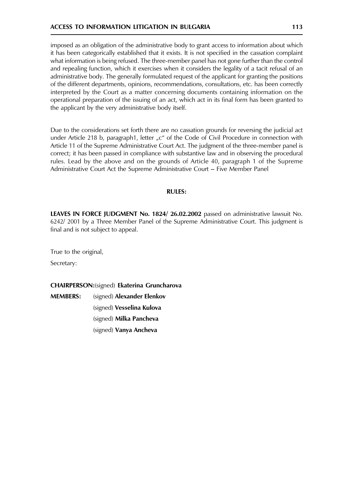# **ACCESS TO INFORMATION LITIGATION IN BULGARIA**

imposed as an obligation of the administrative body to grant access to information about which it has been categorically established that it exists. It is not specified in the cassation complaint what information is being refused. The three-member panel has not gone further than the control and repealing function, which it exercises when it considers the legality of a tacit refusal of an administrative body. The generally formulated request of the applicant for granting the positions of the different departments, opinions, recommendations, consultations, etc. has been correctly interpreted by the Court as a matter concerning documents containing information on the operational preparation of the issuing of an act, which act in its final form has been granted to the applicant by the very administrative body itself.

Due to the considerations set forth there are no cassation grounds for reversing the judicial act under Article 218 b, paragraph1, letter "c" of the Code of Civil Procedure in connection with Article 11 of the Supreme Administrative Court Act. The judgment of the three-member panel is correct; it has been passed in compliance with substantive law and in observing the procedural rules. Lead by the above and on the grounds of Article 40, paragraph 1 of the Supreme Administrative Court Act the Supreme Administrative Court – Five Member Panel

# **RULES:**

LEAVES IN FORCE JUDGMENT No. 1824/26.02.2002 passed on administrative lawsuit No. 6242/2001 by a Three Member Panel of the Supreme Administrative Court. This judgment is final and is not subject to appeal.

True to the original,

Secretary:

**CHAIRPERSON:**(signed) Ekaterina Gruncharova

**MFMRFRS:** (signed) Alexander Elenkov

(signed) Vesselina Kulova

(signed) Milka Pancheva

(signed) Vanya Ancheva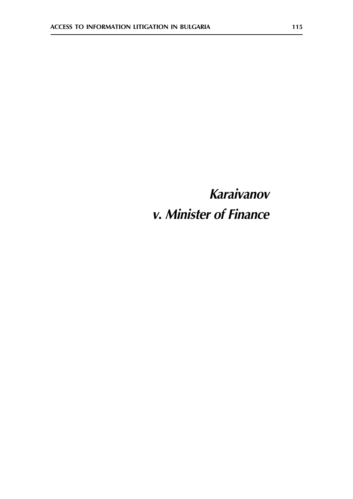# **Karaivanov** v. Minister of Finance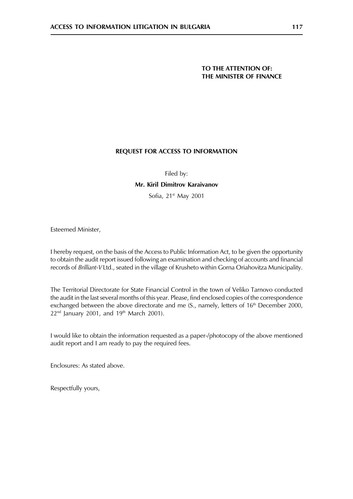# TO THE ATTENTION OF: THE MINISTER OF FINANCE

# **REQUEST FOR ACCESS TO INFORMATION**

Filed by:

# Mr. Kiril Dimitrov Karaivanov

Sofia, 21st May 2001

Esteemed Minister,

I hereby request, on the basis of the Access to Public Information Act, to be given the opportunity to obtain the audit report issued following an examination and checking of accounts and financial records of Brilliant-VLtd., seated in the village of Krusheto within Gorna Oriahovitza Municipality.

The Territorial Directorate for State Financial Control in the town of Veliko Tarnovo conducted the audit in the last several months of this year. Please, find enclosed copies of the correspondence exchanged between the above directorate and me (S., namely, letters of 16<sup>th</sup> December 2000, 22<sup>nd</sup> January 2001, and 19<sup>th</sup> March 2001).

I would like to obtain the information requested as a paper-/photocopy of the above mentioned audit report and I am ready to pay the required fees.

Enclosures: As stated above.

Respectfully yours,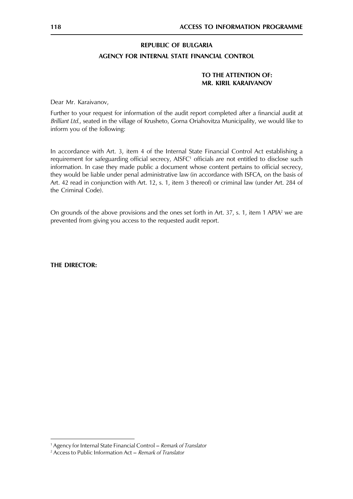# **REPUBLIC OF BULGARIA**

# AGENCY FOR INTERNAL STATE FINANCIAL CONTROL

# TO THE ATTENTION OF: **MR. KIRIL KARAIVANOV**

Dear Mr. Karaivanov,

Further to your request for information of the audit report completed after a financial audit at Brilliant Ltd., seated in the village of Krusheto, Gorna Oriahovitza Municipality, we would like to inform you of the following:

In accordance with Art. 3, item 4 of the Internal State Financial Control Act establishing a requirement for safeguarding official secrecy, AISFC<sup>1</sup> officials are not entitled to disclose such information. In case they made public a document whose content pertains to official secrecy, they would be liable under penal administrative law (in accordance with ISFCA, on the basis of Art. 42 read in conjunction with Art. 12, s. 1, item 3 thereof) or criminal law (under Art. 284 of the Criminal Code).

On grounds of the above provisions and the ones set forth in Art. 37, s. 1, item 1 APIA<sup>2</sup> we are prevented from giving you access to the requested audit report.

**THE DIRECTOR:** 

<sup>&</sup>lt;sup>1</sup> Agency for Internal State Financial Control – Remark of Translator

<sup>&</sup>lt;sup>2</sup> Access to Public Information Act – Remark of Translator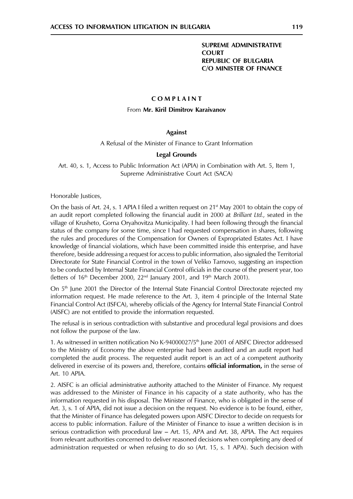# **SUPREME ADMINISTRATIVE COURT REPUBLIC OF BULGARIA C/O MINISTER OF FINANCE**

#### COMPLAINT

#### From Mr. Kiril Dimitrov Karaivanov

### **Against**

A Refusal of the Minister of Finance to Grant Information

#### **Legal Grounds**

Art. 40, s. 1, Access to Public Information Act (APIA) in Combination with Art. 5, Item 1, Supreme Administrative Court Act (SACA)

Honorable Justices,

On the basis of Art. 24, s. 1 APIA I filed a written request on  $21<sup>st</sup>$  May 2001 to obtain the copy of an audit report completed following the financial audit in 2000 at *Brilliant Ltd.*, seated in the village of Krusheto, Gorna Oryahovitza Municipality. I had been following through the financial status of the company for some time, since I had requested compensation in shares, following the rules and procedures of the Compensation for Owners of Expropriated Estates Act. I have knowledge of financial violations, which have been committed inside this enterprise, and have therefore, beside addressing a request for access to public information, also signaled the Territorial Directorate for State Financial Control in the town of Veliko Tarnovo, suggesting an inspection to be conducted by Internal State Financial Control officials in the course of the present year, too (letters of 16<sup>th</sup> December 2000, 22<sup>nd</sup> January 2001, and 19<sup>th</sup> March 2001).

On 5<sup>th</sup> June 2001 the Director of the Internal State Financial Control Directorate rejected my information request. He made reference to the Art. 3, item 4 principle of the Internal State Financial Control Act (ISFCA), whereby officials of the Agency for Internal State Financial Control (AISFC) are not entitled to provide the information requested.

The refusal is in serious contradiction with substantive and procedural legal provisions and does not follow the purpose of the law.

1. As witnessed in written notification No K-94000027/5<sup>th</sup> June 2001 of AISFC Director addressed to the Ministry of Economy the above enterprise had been audited and an audit report had completed the audit process. The requested audit report is an act of a competent authority delivered in exercise of its powers and, therefore, contains official information, in the sense of Art. 10 APIA.

2. AISFC is an official administrative authority attached to the Minister of Finance. My request was addressed to the Minister of Finance in his capacity of a state authority, who has the information requested in his disposal. The Minister of Finance, who is obligated in the sense of Art. 3, s. 1 of APIA, did not issue a decision on the request. No evidence is to be found, either, that the Minister of Finance has delegated powers upon AISFC Director to decide on requests for access to public information. Failure of the Minister of Finance to issue a written decision is in serious contradiction with procedural law - Art. 15, APA and Art. 38, APIA. The Act requires from relevant authorities concerned to deliver reasoned decisions when completing any deed of administration requested or when refusing to do so (Art. 15, s. 1 APA). Such decision with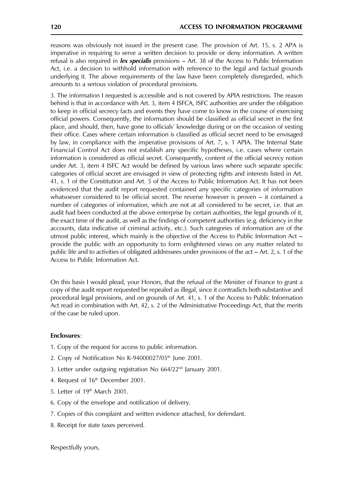reasons was obviously not issued in the present case. The provision of Art. 15, s. 2 APA is imperative in requiring to serve a written decision to provide or deny information. A written refusal is also required in *lex specialis* provisions  $-$  Art. 38 of the Access to Public Information Act, i.e. a decision to withhold information with reference to the legal and factual grounds underlying it. The above requirements of the law have been completely disregarded, which amounts to a serious violation of procedural provisions.

3. The information I requested is accessible and is not covered by APIA restrictions. The reason behind is that in accordance with Art. 3, item 4 ISFCA, ISFC authorities are under the obligation to keep in official secrecy facts and events they have come to know in the course of exercising official powers. Consequently, the information should be classified as official secret in the first place, and should, then, have gone to officials' knowledge during or on the occasion of vesting their office. Cases where certain information is classified as official secret need to be envisaged by law, in compliance with the imperative provisions of Art. 7, s. 1 APIA. The Internal State Financial Control Act does not establish any specific hypotheses, i.e. cases where certain information is considered as official secret. Consequently, content of the official secrecy notion under Art. 3, item 4 ISFC Act would be defined by various laws where such separate specific categories of official secret are envisaged in view of protecting rights and interests listed in Art. 41, s. 1 of the Constitution and Art. 5 of the Access to Public Information Act. It has not been evidenced that the audit report requested contained any specific categories of information whatsoever considered to be official secret. The reverse however is proven – it contained a number of categories of information, which are not at all considered to be secret, i.e. that an audit had been conducted at the above enterprise by certain authorities, the legal grounds of it, the exact time of the audit, as well as the findings of competent authorities (e.g. deficiency in the accounts, data indicative of criminal activity, etc.). Such categories of information are of the utmost public interest, which mainly is the objective of the Access to Public Information Act provide the public with an opportunity to form enlightened views on any matter related to public life and to activities of obligated addressees under provisions of the act - Art. 2, s. 1 of the Access to Public Information Act.

On this basis I would plead, your Honors, that the refusal of the Minister of Finance to grant a copy of the audit report requested be repealed as illegal, since it contradicts both substantive and procedural legal provisions, and on grounds of Art. 41, s. 1 of the Access to Public Information Act read in combination with Art. 42, s. 2 of the Administrative Proceedings Act, that the merits of the case be ruled upon.

# **Enclosures:**

- 1. Copy of the request for access to public information.
- 2. Copy of Notification No K-94000027/05<sup>th</sup> June 2001.
- 3. Letter under outgoing registration No 664/22<sup>nd</sup> January 2001.
- 4. Request of 16<sup>th</sup> December 2001.
- 5. Letter of 19th March 2001.
- 6. Copy of the envelope and notification of delivery.
- 7. Copies of this complaint and written evidence attached, for defendant.
- 8. Receipt for state taxes perceived.

Respectfully yours,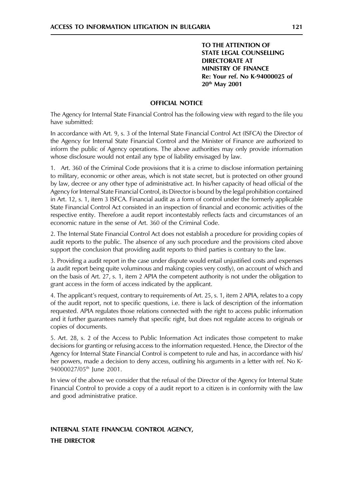TO THE ATTENTION OF **STATE LEGAL COUNSELLING DIRECTORATE AT MINISTRY OF FINANCE** Re: Your ref. No K-94000025 of 20<sup>th</sup> May 2001

#### **OFFICIAL NOTICE**

The Agency for Internal State Financial Control has the following view with regard to the file you have submitted:

In accordance with Art. 9, s. 3 of the Internal State Financial Control Act (ISFCA) the Director of the Agency for Internal State Financial Control and the Minister of Finance are authorized to inform the public of Agency operations. The above authorities may only provide information whose disclosure would not entail any type of liability envisaged by law.

1. Art. 360 of the Criminal Code provisions that it is a crime to disclose information pertaining to military, economic or other areas, which is not state secret, but is protected on other ground by law, decree or any other type of administrative act. In his/her capacity of head official of the Agency for Internal State Financial Control, its Director is bound by the legal prohibition contained in Art. 12, s. 1, item 3 ISFCA. Financial audit as a form of control under the formerly applicable State Financial Control Act consisted in an inspection of financial and economic activities of the respective entity. Therefore a audit report incontestably reflects facts and circumstances of an economic nature in the sense of Art. 360 of the Criminal Code.

2. The Internal State Financial Control Act does not establish a procedure for providing copies of audit reports to the public. The absence of any such procedure and the provisions cited above support the conclusion that providing audit reports to third parties is contrary to the law.

3. Providing a audit report in the case under dispute would entail unjustified costs and expenses (a audit report being quite voluminous and making copies very costly), on account of which and on the basis of Art. 27, s. 1, item 2 APIA the competent authority is not under the obligation to grant access in the form of access indicated by the applicant.

4. The applicant's request, contrary to requirements of Art. 25, s. 1, item 2 APIA, relates to a copy of the audit report, not to specific questions, i.e. there is lack of description of the information requested. APIA regulates those relations connected with the right to access public information and it further guarantees namely that specific right, but does not regulate access to originals or copies of documents.

5. Art. 28, s. 2 of the Access to Public Information Act indicates those competent to make decisions for granting or refusing access to the information requested. Hence, the Director of the Agency for Internal State Financial Control is competent to rule and has, in accordance with his/ her powers, made a decision to deny access, outlining his arguments in a letter with ref. No K-94000027/05<sup>th</sup> lune 2001.

In view of the above we consider that the refusal of the Director of the Agency for Internal State Financial Control to provide a copy of a audit report to a citizen is in conformity with the law and good administrative pratice.

# INTERNAL STATE FINANCIAL CONTROL AGENCY,

**THE DIRECTOR**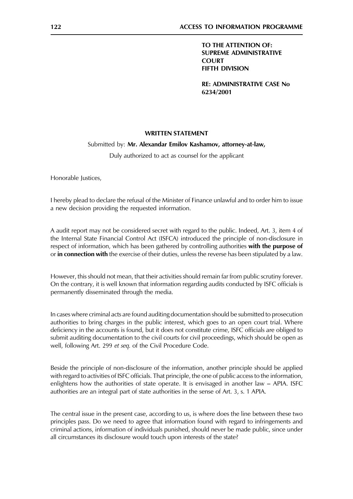TO THE ATTENTION OF: **SUPREME ADMINISTRATIVE COURT FIFTH DIVISION** 

**RE: ADMINISTRATIVE CASE No** 6234/2001

### **WRITTEN STATEMENT**

#### Submitted by: Mr. Alexandar Emilov Kashamov, attorney-at-law,

Duly authorized to act as counsel for the applicant

Honorable Justices,

I hereby plead to declare the refusal of the Minister of Finance unlawful and to order him to issue a new decision providing the requested information.

A audit report may not be considered secret with regard to the public. Indeed, Art. 3, item 4 of the Internal State Financial Control Act (ISFCA) introduced the principle of non-disclosure in respect of information, which has been gathered by controlling authorities with the purpose of or in connection with the exercise of their duties, unless the reverse has been stipulated by a law.

However, this should not mean, that their activities should remain far from public scrutiny forever. On the contrary, it is well known that information regarding audits conducted by ISFC officials is permanently disseminated through the media.

In cases where criminal acts are found auditing documentation should be submitted to prosecution authorities to bring charges in the public interest, which goes to an open court trial. Where deficiency in the accounts is found, but it does not constitute crime, ISFC officials are obliged to submit auditing documentation to the civil courts for civil proceedings, which should be open as well, following Art. 299 et seq. of the Civil Procedure Code.

Beside the principle of non-disclosure of the information, another principle should be applied with regard to activities of ISFC officials. That principle, the one of public access to the information, enlightens how the authorities of state operate. It is envisaged in another law – APIA. ISFC authorities are an integral part of state authorities in the sense of Art. 3, s. 1 APIA.

The central issue in the present case, according to us, is where does the line between these two principles pass. Do we need to agree that information found with regard to infringements and criminal actions, information of individuals punished, should never be made public, since under all circumstances its disclosure would touch upon interests of the state?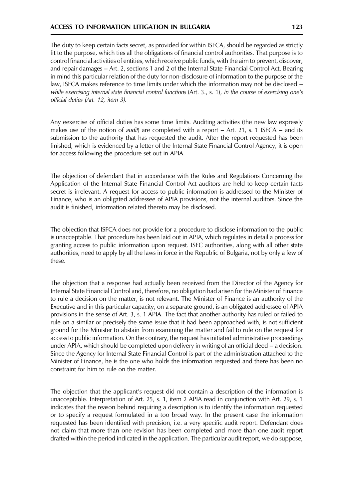The duty to keep certain facts secret, as provided for within ISFCA, should be regarded as strictly fit to the purpose, which ties all the obligations of financial control authorities. That purpose is to control financial activities of entities, which receive public funds, with the aim to prevent, discover, and repair damages – Art. 2, sections 1 and 2 of the Internal State Financial Control Act. Bearing in mind this particular relation of the duty for non-disclosure of information to the purpose of the law, ISFCA makes reference to time limits under which the information may not be disclosed while exercising internal state financial control functions (Art. 3., s. 1), in the course of exercising one's official duties (Art. 12, item 3).

Any eexercise of official duties has some time limits. Auditing activities (the new law expressly makes use of the notion of *audit*) are completed with a report – Art. 21, s. 1 ISFCA – and its submission to the authority that has requested the audit. After the report requested has been finished, which is evidenced by a letter of the Internal State Financial Control Agency, it is open for access following the procedure set out in APIA.

The objection of defendant that in accordance with the Rules and Regulations Concerning the Application of the Internal State Financial Control Act auditors are held to keep certain facts secret is irrelevant. A request for access to public information is addressed to the Minister of Finance, who is an obligated addressee of APIA provisions, not the internal auditors. Since the audit is finished, information related thereto may be disclosed.

The objection that ISFCA does not provide for a procedure to disclose information to the public is unacceptable. That procedure has been laid out in APIA, which regulates in detail a process for granting access to public information upon request. ISFC authorities, along with all other state authorities, need to apply by all the laws in force in the Republic of Bulgaria, not by only a few of these.

The objection that a response had actually been received from the Director of the Agency for Internal State Financial Control and, therefore, no obligation had arisen for the Minister of Finance to rule a decision on the matter, is not relevant. The Minister of Finance is an authority of the Executive and in this particular capacity, on a separate ground, is an obligated addressee of APIA provisions in the sense of Art. 3, s. 1 APIA. The fact that another authority has ruled or failed to rule on a similar or precisely the same issue that it had been approached with, is not sufficient ground for the Minister to abstain from examining the matter and fail to rule on the request for access to public information. On the contrary, the request has initiated administrative proceedings under APIA, which should be completed upon delivery in writing of an official deed – a decision. Since the Agency for Internal State Financial Control is part of the administration attached to the Minister of Finance, he is the one who holds the information requested and there has been no constraint for him to rule on the matter.

The objection that the applicant's request did not contain a description of the information is unacceptable. Interpretation of Art. 25, s. 1, item 2 APIA read in conjunction with Art. 29, s. 1 indicates that the reason behind requiring a description is to identify the information requested or to specify a request formulated in a too broad way. In the present case the information requested has been identified with precision, i.e. a very specific audit report. Defendant does not claim that more than one revision has been completed and more than one audit report drafted within the period indicated in the application. The particular audit report, we do suppose,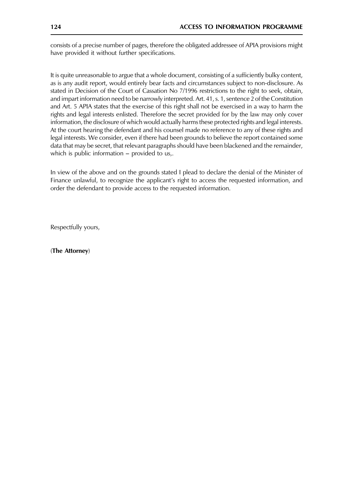consists of a precise number of pages, therefore the obligated addressee of APIA provisions might have provided it without further specifications.

It is quite unreasonable to argue that a whole document, consisting of a sufficiently bulky content, as is any audit report, would entirely bear facts and circumstances subject to non-disclosure. As stated in Decision of the Court of Cassation No 7/1996 restrictions to the right to seek, obtain, and impart information need to be narrowly interpreted. Art. 41, s. 1, sentence 2 of the Constitution and Art. 5 APIA states that the exercise of this right shall not be exercised in a way to harm the rights and legal interests enlisted. Therefore the secret provided for by the law may only cover information, the disclosure of which would actually harms these protected rights and legal interests. At the court hearing the defendant and his counsel made no reference to any of these rights and legal interests. We consider, even if there had been grounds to believe the report contained some data that may be secret, that relevant paragraphs should have been blackened and the remainder, which is public information – provided to us,.

In view of the above and on the grounds stated I plead to declare the denial of the Minister of Finance unlawful, to recognize the applicant's right to access the requested information, and order the defendant to provide access to the requested information.

Respectfully yours,

(The Attorney)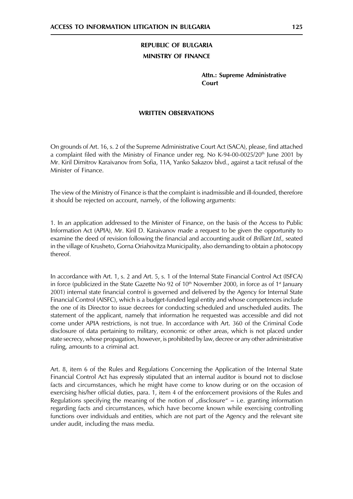**Attn.: Supreme Administrative** Court

# **WRITTEN OBSERVATIONS**

On grounds of Art. 16, s. 2 of the Supreme Administrative Court Act (SACA), please, find attached a complaint filed with the Ministry of Finance under reg. No K-94-00-0025/20<sup>th</sup> lune 2001 by Mr. Kiril Dimitrov Karaivanov from Sofia, 11A, Yanko Sakazov blvd., against a tacit refusal of the Minister of Finance

The view of the Ministry of Finance is that the complaint is inadmissible and ill-founded, therefore it should be rejected on account, namely, of the following arguments:

1. In an application addressed to the Minister of Finance, on the basis of the Access to Public Information Act (APIA), Mr. Kiril D. Karaivanov made a request to be given the opportunity to examine the deed of revision following the financial and accounting audit of Brilliant Ltd., seated in the village of Krusheto, Gorna Oriahovitza Municipality, also demanding to obtain a photocopy thereof.

In accordance with Art. 1, s. 2 and Art. 5, s. 1 of the Internal State Financial Control Act (ISFCA) in force (publicized in the State Gazette No 92 of  $10<sup>th</sup>$  November 2000, in force as of 1<sup>st</sup> lanuary 2001) internal state financial control is governed and delivered by the Agency for Internal State Financial Control (AISFC), which is a budget-funded legal entity and whose competences include the one of its Director to issue decrees for conducting scheduled and unscheduled audits. The statement of the applicant, namely that information he requested was accessible and did not come under APIA restrictions, is not true. In accordance with Art. 360 of the Criminal Code disclosure of data pertaining to military, economic or other areas, which is not placed under state secrecy, whose propagation, however, is prohibited by law, decree or any other administrative ruling, amounts to a criminal act.

Art. 8, item 6 of the Rules and Regulations Concerning the Application of the Internal State Financial Control Act has expressly stipulated that an internal auditor is bound not to disclose facts and circumstances, which he might have come to know during or on the occasion of exercising his/her official duties, para. 1, item 4 of the enforcement provisions of the Rules and Regulations specifying the meaning of the notion of "disclosure"  $-$  i.e. granting information regarding facts and circumstances, which have become known while exercising controlling functions over individuals and entities, which are not part of the Agency and the relevant site under audit, including the mass media.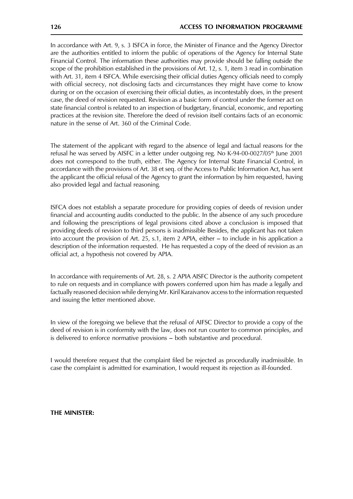In accordance with Art. 9, s. 3 ISFCA in force, the Minister of Finance and the Agency Director are the authorities entitled to inform the public of operations of the Agency for Internal State Financial Control. The information these authorities may provide should be falling outside the scope of the prohibition established in the provisions of Art. 12, s. 1, item 3 read in combination with Art. 31, item 4 ISFCA. While exercising their official duties Agency officials need to comply with official secrecy, not disclosing facts and circumstances they might have come to know during or on the occasion of exercising their official duties, as incontestably does, in the present case, the deed of revision requested. Revision as a basic form of control under the former act on state financial control is related to an inspection of budgetary, financial, economic, and reporting practices at the revision site. Therefore the deed of revision itself contains facts of an economic nature in the sense of Art. 360 of the Criminal Code.

The statement of the applicant with regard to the absence of legal and factual reasons for the refusal he was served by AISFC in a letter under outgoing reg. No K-94-00-0027/05<sup>th</sup> June 2001 does not correspond to the truth, either. The Agency for Internal State Financial Control, in accordance with the provisions of Art. 38 et seq. of the Access to Public Information Act, has sent the applicant the official refusal of the Agency to grant the information by him requested, having also provided legal and factual reasoning.

ISFCA does not establish a separate procedure for providing copies of deeds of revision under financial and accounting audits conducted to the public. In the absence of any such procedure and following the prescriptions of legal provisions cited above a conclusion is imposed that providing deeds of revision to third persons is inadmissible Besides, the applicant has not taken into account the provision of Art. 25, s.1, item 2 APIA, either  $-$  to include in his application a description of the information requested. He has requested a copy of the deed of revision as an official act, a hypothesis not covered by APIA.

In accordance with requirements of Art. 28, s. 2 APIA AISFC Director is the authority competent to rule on requests and in compliance with powers conferred upon him has made a legally and factually reasoned decision while denying Mr. Kiril Karaivanov access to the information requested and issuing the letter mentioned above.

In view of the foregoing we believe that the refusal of AIFSC Director to provide a copy of the deed of revision is in conformity with the law, does not run counter to common principles, and is delivered to enforce normative provisions - both substantive and procedural.

I would therefore request that the complaint filed be rejected as procedurally inadmissible. In case the complaint is admitted for examination, I would request its rejection as ill-founded.

THE MINISTER: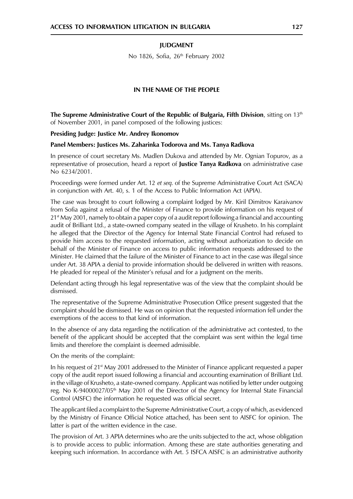#### **IUDGMENT**

No 1826, Sofia, 26th February 2002

#### IN THE NAME OF THE PEOPLE

The Supreme Administrative Court of the Republic of Bulgaria, Fifth Division, sitting on 13<sup>th</sup> of November 2001, in panel composed of the following justices:

Presiding Judge: Justice Mr. Andrey Ikonomov

#### Panel Members: Justices Ms. Zaharinka Todorova and Ms. Tanya Radkova

In presence of court secretary Ms. Madlen Dukova and attended by Mr. Ognian Topurov, as a representative of prosecution, heard a report of Justice Tanya Radkova on administrative case No 6234/2001.

Proceedings were formed under Art. 12 et seq. of the Supreme Administrative Court Act (SACA) in conjunction with Art. 40, s. 1 of the Access to Public Information Act (APIA).

The case was brought to court following a complaint lodged by Mr. Kiril Dimitrov Karaivanov from Sofia against a refusal of the Minister of Finance to provide information on his request of  $21<sup>st</sup>$  May 2001, namely to obtain a paper copy of a audit report following a financial and accounting audit of Brilliant Ltd., a state-owned company seated in the village of Krusheto. In his complaint he alleged that the Director of the Agency for Internal State Financial Control had refused to provide him access to the requested information, acting without authorization to decide on behalf of the Minister of Finance on access to public information requests addressed to the Minister. He claimed that the failure of the Minister of Finance to act in the case was illegal since under Art. 38 APIA a denial to provide information should be delivered in written with reasons. He pleaded for repeal of the Minister's refusal and for a judgment on the merits.

Defendant acting through his legal representative was of the view that the complaint should be dismissed.

The representative of the Supreme Administrative Prosecution Office present suggested that the complaint should be dismissed. He was on opinion that the requested information fell under the exemptions of the access to that kind of information.

In the absence of any data regarding the notification of the administrative act contested, to the benefit of the applicant should be accepted that the complaint was sent within the legal time limits and therefore the complaint is deemed admissible.

On the merits of the complaint:

In his request of  $21<sup>st</sup>$  May 2001 addressed to the Minister of Finance applicant requested a paper copy of the audit report issued following a financial and accounting examination of Brilliant Ltd. in the village of Krusheto, a state-owned company. Applicant was notified by letter under outgoing reg. No K-94000027/05<sup>th</sup> May 2001 of the Director of the Agency for Internal State Financial Control (AISFC) the information he requested was official secret.

The applicant filed a complaint to the Supreme Administrative Court, a copy of which, as evidenced by the Ministry of Finance Official Notice attached, has been sent to AISFC for opinion. The latter is part of the written evidence in the case.

The provision of Art. 3 APIA determines who are the units subjected to the act, whose obligation is to provide access to public information. Among these are state authorities generating and keeping such information. In accordance with Art. 5 ISFCA AISFC is an administrative authority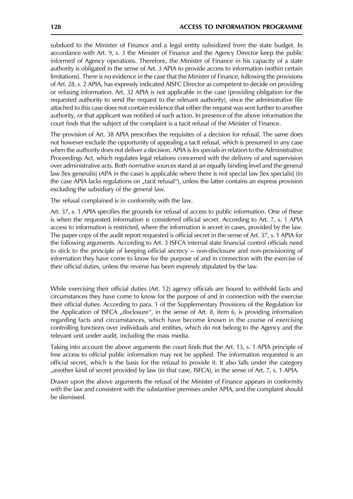subdued to the Minister of Finance and a legal entity subsidized from the state budget. In accordance with Art. 9, s. 3 the Minister of Finance and the Agency Director keep the public informed of Agency operations. Therefore, the Minister of Finance in his capacity of a state authority is obligated in the sense of Art. 3 APIA to provide access to information (within certain limitations). There is no evidence in the case that the Minister of Finance, following the provisions of Art. 28, s. 2 APIA, has expressly indicated AISFC Director as competent to decide on providing or refusing information. Art. 32 APIA is not applicable in the case (providing obligation for the requested authority to send the request to the relevant authority), since the administrative file attached to this case does not contain evidence that either the request was sent further to another authority, or that applicant was notified of such action. In presence of the above information the court finds that the subject of the complaint is a tacit refusal of the Minister of Finance.

The provision of Art. 38 APIA prescribes the requisites of a decision for refusal. The same does not however exclude the opportunity of appealing a tacit refusal, which is presumed in any case when the authority does not deliver a decision. APIA is lex specialis in relation to the Administrative Proceedings Act, which regulates legal relations concerned with the delivery of and supervision over administrative acts. Both normative sources stand at an equally binding level and the general law [lex generalis] (APA in the case) is applicable where there is not special law [lex specialis] (in the case APIA lacks regulations on "tacit refusal"), unless the latter contains an express provision excluding the subsidiary of the general law.

The refusal complained is in conformity with the law.

Art. 37, s. 1 APIA specifies the grounds for refusal of access to public information. One of these is when the requested information is considered official secret. According to Art. 7, s. 1 APIA access to information is restricted, where the information is secret in cases, provided by the law. The paper copy of the audit report requested is official secret in the sense of Art. 37, s. 1 APIA for the following arguments. According to Art. 3 ISFCA internal state financial control officials need to stick to the principle of keeping official secrecy – non-disclosure and non-provisioning of information they have come to know for the purpose of and in connection with the exercise of their official duties, unless the reverse has been expressly stipulated by the law.

While exercising their official duties (Art. 12) agency officials are bound to withhold facts and circumstances they have come to know for the purpose of and in connection with the exercise their official duties. According to para. 1 of the Supplementary Provisions of the Regulation for the Application of ISFCA "disclosure", in the sense of Art. 8, item 6, is providing information regarding facts and circumstances, which have become known in the course of exercising controlling functions over individuals and entities, which do not belong to the Agency and the relevant unit under audit, including the mass media.

Taking into account the above arguments the court finds that the Art. 13, s. 1 APIA principle of free access to official public information may not be applied. The information requested is an official secret, which is the basis for the refusal to provide it. It also falls under the category "another kind of secret provided by law (in that case, ISFCA), in the sense of Art. 7, s. 1 APIA.

Drawn upon the above arguments the refusal of the Minister of Finance appears in conformity with the law and consistent with the substantive premises under APIA, and the complaint should be dismissed.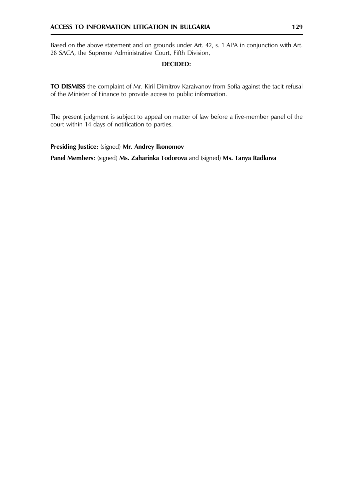Based on the above statement and on grounds under Art. 42, s. 1 APA in conjunction with Art. 28 SACA, the Supreme Administrative Court, Fifth Division,

# **DECIDED:**

TO DISMISS the complaint of Mr. Kiril Dimitrov Karaivanov from Sofia against the tacit refusal of the Minister of Finance to provide access to public information.

The present judgment is subject to appeal on matter of law before a five-member panel of the court within 14 days of notification to parties.

# Presiding Justice: (signed) Mr. Andrey Ikonomov

Panel Members: (signed) Ms. Zaharinka Todorova and (signed) Ms. Tanya Radkova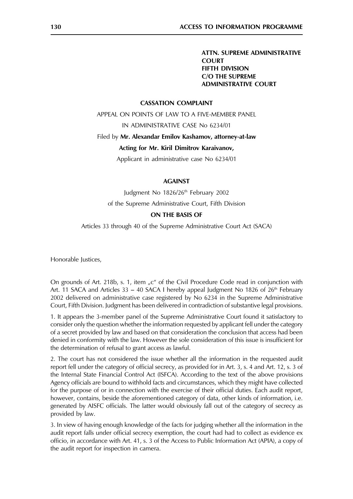**ATTN. SUPREME ADMINISTRATIVE COURT FIFTH DIVISION C/O THE SUPREME ADMINISTRATIVE COURT** 

#### **CASSATION COMPLAINT**

APPEAL ON POINTS OF LAW TO A FIVE-MEMBER PANEL

IN ADMINISTRATIVE CASE No 6234/01

#### Filed by Mr. Alexandar Emilov Kashamov, attorney-at-law

#### Acting for Mr. Kiril Dimitrov Karaivanov,

Applicant in administrative case No 6234/01

#### **AGAINST**

Judgment No 1826/26<sup>th</sup> February 2002 of the Supreme Administrative Court, Fifth Division

#### **ON THE BASIS OF**

Articles 33 through 40 of the Supreme Administrative Court Act (SACA)

Honorable Justices,

On grounds of Art. 218b, s. 1, item "c" of the Civil Procedure Code read in conjunction with Art. 11 SACA and Articles 33 - 40 SACA I hereby appeal Judgment No 1826 of  $26<sup>th</sup>$  February 2002 delivered on administrative case registered by No 6234 in the Supreme Administrative Court, Fifth Division. Judgment has been delivered in contradiction of substantive legal provisions.

1. It appears the 3-member panel of the Supreme Administrative Court found it satisfactory to consider only the question whether the information requested by applicant fell under the category of a secret provided by law and based on that consideration the conclusion that access had been denied in conformity with the law. However the sole consideration of this issue is insufficient for the determination of refusal to grant access as lawful.

2. The court has not considered the issue whether all the information in the requested audit report fell under the category of official secrecy, as provided for in Art. 3, s. 4 and Art. 12, s. 3 of the Internal State Financial Control Act (ISFCA). According to the text of the above provisions Agency officials are bound to withhold facts and circumstances, which they might have collected for the purpose of or in connection with the exercise of their official duties. Each audit report, however, contains, beside the aforementioned category of data, other kinds of information, i.e. generated by AISFC officials. The latter would obviously fall out of the category of secrecy as provided by law.

3. In view of having enough knowledge of the facts for judging whether all the information in the audit report falls under official secrecy exemption, the court had had to collect as evidence ex officio, in accordance with Art. 41, s. 3 of the Access to Public Information Act (APIA), a copy of the audit report for inspection in camera.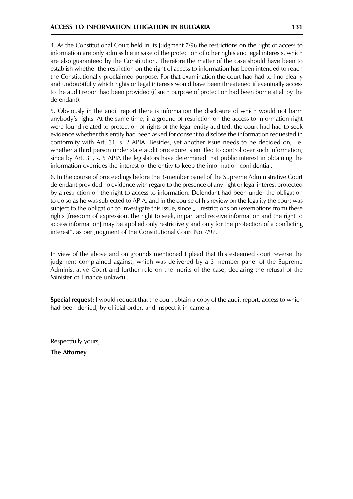4. As the Constitutional Court held in its Judgment 7/96 the restrictions on the right of access to information are only admissible in sake of the protection of other rights and legal interests, which are also guaranteed by the Constitution. Therefore the matter of the case should have been to establish whether the restriction on the right of access to information has been intended to reach the Constitutionally proclaimed purpose. For that examination the court had had to find clearly and undoubtfully which rights or legal interests would have been threatened if eventually access to the audit report had been provided (if such purpose of protection had been borne at all by the defendant).

5. Obviously in the audit report there is information the disclosure of which would not harm anybody's rights. At the same time, if a ground of restriction on the access to information right were found related to protection of rights of the legal entity audited, the court had had to seek evidence whether this entity had been asked for consent to disclose the information requested in conformity with Art. 31, s. 2 APIA. Besides, yet another issue needs to be decided on, i.e. whether a third person under state audit procedure is entitled to control over such information, since by Art. 31, s. 5 APIA the legislators have determined that public interest in obtaining the information overrides the interest of the entity to keep the information confidential.

6. In the course of proceedings before the 3-member panel of the Supreme Administrative Court defendant provided no evidence with regard to the presence of any right or legal interest protected by a restriction on the right to access to information. Defendant had been under the obligation to do so as he was subjected to APIA, and in the course of his review on the legality the court was subject to the obligation to investigate this issue, since "... restrictions on (exemptions from) these rights [freedom of expression, the right to seek, impart and receive information and the right to access information] may be applied only restrictively and only for the protection of a conflicting interest", as per Judgment of the Constitutional Court No 7/97.

In view of the above and on grounds mentioned I plead that this esteemed court reverse the judgment complained against, which was delivered by a 3-member panel of the Supreme Administrative Court and further rule on the merits of the case, declaring the refusal of the Minister of Finance unlawful.

**Special request:** I would request that the court obtain a copy of the audit report, access to which had been denied, by official order, and inspect it in camera.

Respectfully yours,

**The Attorney**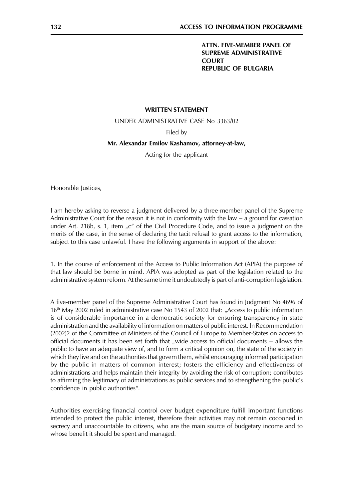**ATTN. FIVE-MEMBER PANEL OF SUPREME ADMINISTRATIVE COURT REPUBLIC OF BULGARIA** 

#### **WRITTEN STATEMENT**

UNDER ADMINISTRATIVE CASE No 3363/02

Filed by

#### Mr. Alexandar Emilov Kashamov, attorney-at-law,

Acting for the applicant

Honorable Justices,

I am hereby asking to reverse a judgment delivered by a three-member panel of the Supreme Administrative Court for the reason it is not in conformity with the law  $-$  a ground for cassation under Art. 218b, s. 1, item "c" of the Civil Procedure Code, and to issue a judgment on the merits of the case, in the sense of declaring the tacit refusal to grant access to the information, subject to this case unlawful. I have the following arguments in support of the above:

1. In the course of enforcement of the Access to Public Information Act (APIA) the purpose of that law should be borne in mind. APIA was adopted as part of the legislation related to the administrative system reform. At the same time it undoubtedly is part of anti-corruption legislation.

A five-member panel of the Supreme Administrative Court has found in Judgment No 4696 of 16<sup>th</sup> May 2002 ruled in administrative case No 1543 of 2002 that: "Access to public information is of considerable importance in a democratic society for ensuring transparency in state administration and the availability of information on matters of public interest. In Recommendation (2002)2 of the Committee of Ministers of the Council of Europe to Member-States on access to official documents it has been set forth that "wide access to official documents – allows the public to have an adequate view of, and to form a critical opinion on, the state of the society in which they live and on the authorities that govern them, whilst encouraging informed participation by the public in matters of common interest; fosters the efficiency and effectiveness of administrations and helps maintain their integrity by avoiding the risk of corruption; contributes to affirming the legitimacy of administrations as public services and to strengthening the public's confidence in public authorities".

Authorities exercising financial control over budget expenditure fulfill important functions intended to protect the public interest, therefore their activities may not remain cocooned in secrecy and unaccountable to citizens, who are the main source of budgetary income and to whose benefit it should be spent and managed.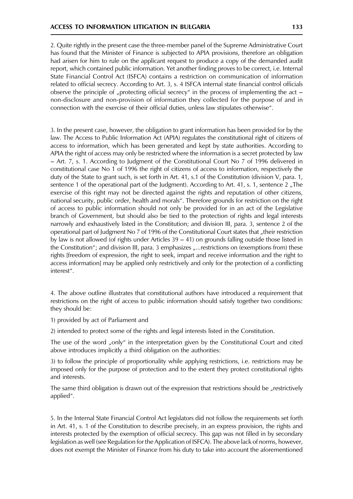2. Quite rightly in the present case the three-member panel of the Supreme Administrative Court has found that the Minister of Finance is subjected to APIA provisions, therefore an obligation had arisen for him to rule on the applicant request to produce a copy of the demanded audit report, which contained public information. Yet another finding proves to be correct, i.e. Internal State Financial Control Act (ISFCA) contains a restriction on communication of information related to official secrecy. According to Art. 3, s. 4 ISFCA internal state financial control officials observe the principle of "protecting official secrecy" in the process of implementing the act  $$ non-disclosure and non-provision of information they collected for the purpose of and in connection with the exercise of their official duties, unless law stipulates otherwise".

3. In the present case, however, the obligation to grant information has been provided for by the law. The Access to Public Information Act (APIA) regulates the constitutional right of citizens of access to information, which has been generated and kept by state authorities. According to APIA the right of access may only be restricted where the information is a secret protected by law - Art. 7, s. 1. According to Judgment of the Constitutional Court No 7 of 1996 delivered in constitutional case No 1 of 1996 the right of citizens of access to information, respectively the duty of the State to grant such, is set forth in Art. 41, s.1 of the Constitution (division V, para. 1, sentence 1 of the operational part of the Judgment). According to Art. 41, s. 1, sentence 2, The exercise of this right may not be directed against the rights and reputation of other citizens, national security, public order, health and morals". Therefore grounds for restriction on the right of access to public information should not only be provided for in an act of the Legislative branch of Government, but should also be tied to the protection of rights and legal interests narrowly and exhaustively listed in the Constitution; and division III, para. 3, sentence 2 of the operational part of Judgment No 7 of 1996 of the Constitutional Court states that "their restriction by law is not allowed (of rights under Articles 39 – 41) on grounds falling outside those listed in the Constitution"; and division III, para. 3 emphasizes "...restrictions on (exemptions from) these rights [freedom of expression, the right to seek, impart and receive information and the right to access information] may be applied only restrictively and only for the protection of a conflicting interest".

4. The above outline illustrates that constitutional authors have introduced a requirement that restrictions on the right of access to public information should satisfy together two conditions: they should be:

1) provided by act of Parliament and

2) intended to protect some of the rights and legal interests listed in the Constitution.

The use of the word "only" in the interpretation given by the Constitutional Court and cited above introduces implicitly a third obligation on the authorities:

3) to follow the principle of proportionality while applying restrictions, i.e. restrictions may be imposed only for the purpose of protection and to the extent they protect constitutional rights and interests.

The same third obligation is drawn out of the expression that restrictions should be "restrictively applied".

5. In the Internal State Financial Control Act legislators did not follow the requirements set forth in Art. 41, s. 1 of the Constitution to describe precisely, in an express provision, the rights and interests protected by the exemption of official secrecy. This gap was not filled in by secondary legislation as well (see Regulation for the Application of ISFCA). The above lack of norms, however, does not exempt the Minister of Finance from his duty to take into account the aforementioned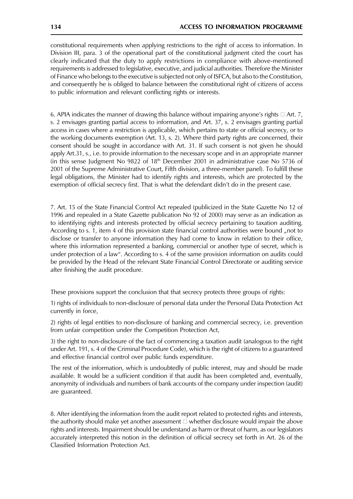constitutional requirements when applying restrictions to the right of access to information. In Division III, para. 3 of the operational part of the constitutional judgment cited the court has clearly indicated that the duty to apply restrictions in compliance with above-mentioned requirements is addressed to legislative, executive, and judicial authorities. Therefore the Minister of Finance who belongs to the executive is subjected not only of ISFCA, but also to the Constitution, and consequently he is obliged to balance between the constitutional right of citizens of access to public information and relevant conflicting rights or interests.

6. APIA indicates the manner of drawing this balance without impairing anyone's rights  $\Box$  Art. 7, s. 2 envisages granting partial access to information, and Art. 37, s. 2 envisages granting partial access in cases where a restriction is applicable, which pertains to state or official secrecy, or to the working documents exemption (Art. 13, s. 2). Where third party rights are concerned, their consent should be sought in accordance with Art. 31. If such consent is not given he should apply Art.31, s., i.e. to provide information to the necessary scope and in an appropriate manner (in this sense Judgment No  $9822$  of  $18<sup>th</sup>$  December 2001 in administrative case No 5736 of 2001 of the Supreme Administrative Court, Fifth division, a three-member panel). To fulfill these legal obligations, the Minister had to identify rights and interests, which are protected by the exemption of official secrecy first. That is what the defendant didn't do in the present case.

7. Art. 15 of the State Financial Control Act repealed (publicized in the State Gazette No 12 of 1996 and repealed in a State Gazette publication No 92 of 2000) may serve as an indication as to identifying rights and interests protected by official secrecy pertaining to taxation auditing. According to s. 1, item 4 of this provision state financial control authorities were bound "not to disclose or transfer to anyone information they had come to know in relation to their office, where this information represented a banking, commercial or another type of secret, which is under protection of a law". According to s. 4 of the same provision information on audits could be provided by the Head of the relevant State Financial Control Directorate or auditing service after finishing the audit procedure.

These provisions support the conclusion that that secrecy protects three groups of rights:

1) rights of individuals to non-disclosure of personal data under the Personal Data Protection Act currently in force,

2) rights of legal entities to non-disclosure of banking and commercial secrecy, i.e. prevention from unfair competition under the Competition Protection Act,

3) the right to non-disclosure of the fact of commencing a taxation audit (analogous to the right under Art. 191, s. 4 of the Criminal Procedure Code), which is the right of citizens to a guaranteed and effective financial control over public funds expenditure.

The rest of the information, which is undoubtedly of public interest, may and should be made available. It would be a sufficient condition if that audit has been completed and, eventually, anonymity of individuals and numbers of bank accounts of the company under inspection (audit) are guaranteed.

8. After identifying the information from the audit report related to protected rights and interests, the authority should make yet another assessment  $\Box$  whether disclosure would impair the above rights and interests. Impairment should be understand as harm or threat of harm, as our legislators accurately interpreted this notion in the definition of official secrecy set forth in Art. 26 of the Classified Information Protection Act.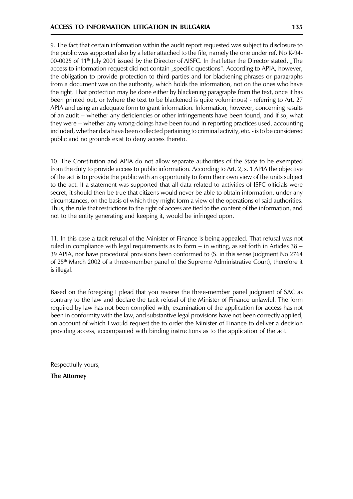9. The fact that certain information within the audit report requested was subject to disclosure to the public was supported also by a letter attached to the file, namely the one under ref. No K-94-00-0025 of 11<sup>th</sup> July 2001 issued by the Director of AISFC. In that letter the Director stated, "The access to information request did not contain "specific questions". According to APIA, however, the obligation to provide protection to third parties and for blackening phrases or paragraphs from a document was on the authority, which holds the information, not on the ones who have the right. That protection may be done either by blackening paragraphs from the text, once it has been printed out, or (where the text to be blackened is quite voluminous) - referring to Art. 27 APIA and using an adequate form to grant information. Information, however, concerning results of an audit – whether any deficiencies or other infringements have been found, and if so, what they were – whether any wrong-doings have been found in reporting practices used, accounting included, whether data have been collected pertaining to criminal activity, etc. - is to be considered public and no grounds exist to deny access thereto.

10. The Constitution and APIA do not allow separate authorities of the State to be exempted from the duty to provide access to public information. According to Art. 2, s. 1 APIA the objective of the act is to provide the public with an opportunity to form their own view of the units subject to the act. If a statement was supported that all data related to activities of ISFC officials were secret, it should then be true that citizens would never be able to obtain information, under any circumstances, on the basis of which they might form a view of the operations of said authorities. Thus, the rule that restrictions to the right of access are tied to the content of the information, and not to the entity generating and keeping it, would be infringed upon.

11. In this case a tacit refusal of the Minister of Finance is being appealed. That refusal was not ruled in compliance with legal requirements as to form  $-$  in writing, as set forth in Articles 38  $-$ 39 APIA, nor have procedural provisions been conformed to (S. in this sense Judgment No 2764 of 25<sup>th</sup> March 2002 of a three-member panel of the Supreme Administrative Court), therefore it is illegal.

Based on the foregoing I plead that you reverse the three-member panel judgment of SAC as contrary to the law and declare the tacit refusal of the Minister of Finance unlawful. The form required by law has not been complied with, examination of the application for access has not been in conformity with the law, and substantive legal provisions have not been correctly applied, on account of which I would request the to order the Minister of Finance to deliver a decision providing access, accompanied with binding instructions as to the application of the act.

Respectfully yours, **The Attorney** 

135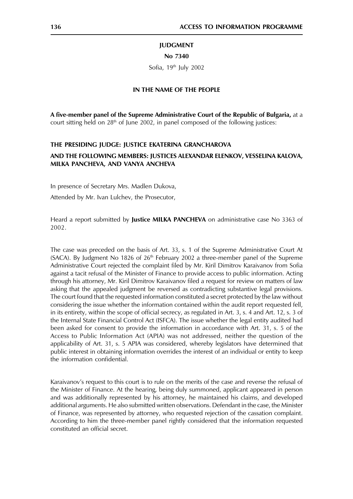# **JUDGMENT**

#### No 7340

Sofia, 19th July 2002

#### IN THE NAME OF THE PEOPLE

A five-member panel of the Supreme Administrative Court of the Republic of Bulgaria, at a court sitting held on 28<sup>th</sup> of June 2002, in panel composed of the following justices:

# THE PRESIDING JUDGE: JUSTICE EKATERINA GRANCHAROVA

# AND THE FOLLOWING MEMBERS: JUSTICES ALEXANDAR ELENKOV, VESSELINA KALOVA, MILKA PANCHEVA, AND VANYA ANCHEVA

In presence of Secretary Mrs. Madlen Dukova,

Attended by Mr. Ivan Lulchev, the Prosecutor,

Heard a report submitted by Justice MILKA PANCHEVA on administrative case No 3363 of 2002.

The case was preceded on the basis of Art. 33, s. 1 of the Supreme Administrative Court At (SACA). By Judgment No 1826 of  $26<sup>th</sup>$  February 2002 a three-member panel of the Supreme Administrative Court rejected the complaint filed by Mr. Kiril Dimitrov Karaivanov from Sofia against a tacit refusal of the Minister of Finance to provide access to public information. Acting through his attorney, Mr. Kiril Dimitrov Karaivanov filed a request for review on matters of law asking that the appealed judgment be reversed as contradicting substantive legal provisions. The court found that the requested information constituted a secret protected by the law without considering the issue whether the information contained within the audit report requested fell, in its entirety, within the scope of official secrecy, as regulated in Art. 3, s. 4 and Art. 12, s. 3 of the Internal State Financial Control Act (ISFCA). The issue whether the legal entity audited had been asked for consent to provide the information in accordance with Art. 31, s. 5 of the Access to Public Information Act (APIA) was not addressed, neither the question of the applicability of Art. 31, s. 5 APIA was considered, whereby legislators have determined that public interest in obtaining information overrides the interest of an individual or entity to keep the information confidential.

Karaivanov's request to this court is to rule on the merits of the case and reverse the refusal of the Minister of Finance. At the hearing, being duly summoned, applicant appeared in person and was additionally represented by his attorney, he maintained his claims, and developed additional arguments. He also submitted written observations. Defendant in the case, the Minister of Finance, was represented by attorney, who requested rejection of the cassation complaint. According to him the three-member panel rightly considered that the information requested constituted an official secret.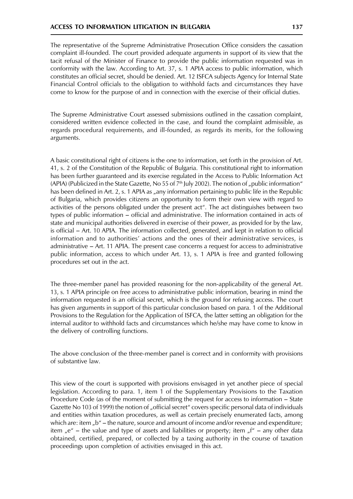The representative of the Supreme Administrative Prosecution Office considers the cassation complaint ill-founded. The court provided adequate arguments in support of its view that the tacit refusal of the Minister of Finance to provide the public information requested was in conformity with the law. According to Art. 37, s. 1 APIA access to public information, which constitutes an official secret, should be denied. Art. 12 ISFCA subjects Agency for Internal State Financial Control officials to the obligation to withhold facts and circumstances they have come to know for the purpose of and in connection with the exercise of their official duties.

The Supreme Administrative Court assessed submissions outlined in the cassation complaint, considered written evidence collected in the case, and found the complaint admissible, as regards procedural requirements, and ill-founded, as regards its merits, for the following arguments.

A basic constitutional right of citizens is the one to information, set forth in the provision of Art. 41, s. 2 of the Constitution of the Republic of Bulgaria. This constitutional right to information has been further guaranteed and its exercise regulated in the Access to Public Information Act (APIA) (Publicized in the State Gazette, No 55 of 7th July 2002). The notion of "public information" has been defined in Art. 2, s. 1 APIA as "any information pertaining to public life in the Republic of Bulgaria, which provides citizens an opportunity to form their own view with regard to activities of the persons obligated under the present act". The act distinguishes between two types of public information – official and administrative. The information contained in acts of state and municipal authorities delivered in exercise of their power, as provided for by the law, is official – Art. 10 APIA. The information collected, generated, and kept in relation to official information and to authorities' actions and the ones of their administrative services, is administrative – Art. 11 APIA. The present case concerns a request for access to administrative public information, access to which under Art. 13, s. 1 APIA is free and granted following procedures set out in the act.

The three-member panel has provided reasoning for the non-applicability of the general Art. 13, s. 1 APIA principle on free access to administrative public information, bearing in mind the information requested is an official secret, which is the ground for refusing access. The court has given arguments in support of this particular conclusion based on para. 1 of the Additional Provisions to the Regulation for the Application of ISFCA, the latter setting an obligation for the internal auditor to withhold facts and circumstances which he/she may have come to know in the delivery of controlling functions.

The above conclusion of the three-member panel is correct and in conformity with provisions of substantive law.

This view of the court is supported with provisions envisaged in yet another piece of special legislation. According to para. 1, item 1 of the Supplementary Provisions to the Taxation Procedure Code (as of the moment of submitting the request for access to information - State Gazette No 103 of 1999) the notion of "official secret" covers specific personal data of individuals and entities within taxation procedures, as well as certain precisely enumerated facts, among which are: item "b" – the nature, source and amount of income and/or revenue and expenditure; item "e" – the value and type of assets and liabilities or property; item "f" – any other data obtained, certified, prepared, or collected by a taxing authority in the course of taxation proceedings upon completion of activities envisaged in this act.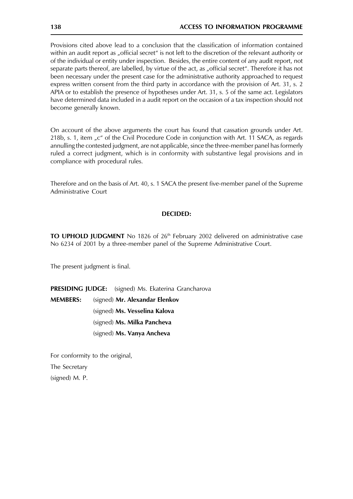Provisions cited above lead to a conclusion that the classification of information contained within an audit report as "official secret" is not left to the discretion of the relevant authority or of the individual or entity under inspection. Besides, the entire content of any audit report, not separate parts thereof, are labelled, by virtue of the act, as "official secret". Therefore it has not been necessary under the present case for the administrative authority approached to request express written consent from the third party in accordance with the provision of Art. 31, s. 2 APIA or to establish the presence of hypotheses under Art. 31, s. 5 of the same act. Legislators have determined data included in a audit report on the occasion of a tax inspection should not become generally known.

On account of the above arguments the court has found that cassation grounds under Art. 218b, s. 1, item "c" of the Civil Procedure Code in conjunction with Art. 11 SACA, as regards annulling the contested judgment, are not applicable, since the three-member panel has formerly ruled a correct judgment, which is in conformity with substantive legal provisions and in compliance with procedural rules.

Therefore and on the basis of Art. 40, s. 1 SACA the present five-member panel of the Supreme Administrative Court

# **DECIDED:**

TO UPHOLD JUDGMENT No 1826 of 26<sup>th</sup> February 2002 delivered on administrative case No 6234 of 2001 by a three-member panel of the Supreme Administrative Court.

The present judgment is final.

**PRESIDING JUDGE:** (signed) Ms. Ekaterina Grancharova

**MEMBERS:** (signed) Mr. Alexandar Elenkov (signed) Ms. Vesselina Kalova (signed) Ms. Milka Pancheva (signed) Ms. Vanya Ancheva

For conformity to the original, The Secretary (signed) M. P.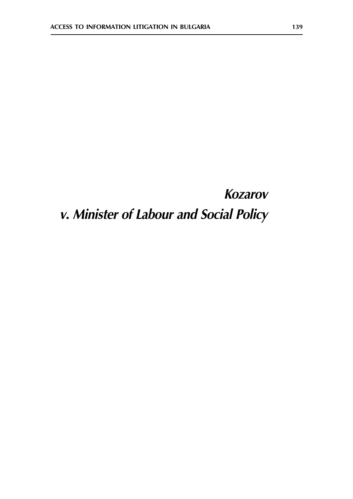# **Kozarov** v. Minister of Labour and Social Policy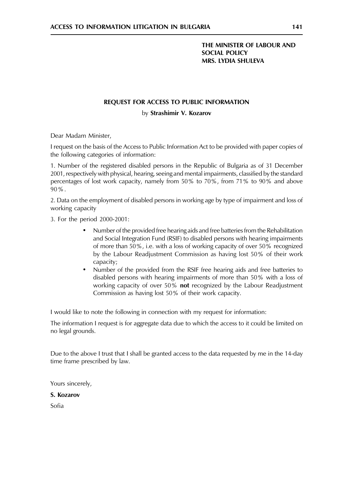# THE MINISTER OF LABOUR AND **SOCIAL POLICY MRS. LYDIA SHULEVA**

# REQUEST FOR ACCESS TO PUBLIC INFORMATION

by Strashimir V. Kozarov

Dear Madam Minister,

I request on the basis of the Access to Public Information Act to be provided with paper copies of the following categories of information:

1. Number of the registered disabled persons in the Republic of Bulgaria as of 31 December 2001, respectively with physical, hearing, seeing and mental impairments, classified by the standard percentages of lost work capacity, namely from 50% to 70%, from 71% to 90% and above 90%.

2. Data on the employment of disabled persons in working age by type of impairment and loss of working capacity

3. For the period 2000-2001:

- $\bullet$ Number of the provided free hearing aids and free batteries from the Rehabilitation and Social Integration Fund (RSIF) to disabled persons with hearing impairments of more than 50%, i.e. with a loss of working capacity of over 50% recognized by the Labour Readjustment Commission as having lost 50% of their work capacity;
- Number of the provided from the RSIF free hearing aids and free batteries to  $\bullet$ disabled persons with hearing impairments of more than 50% with a loss of working capacity of over 50% not recognized by the Labour Readjustment Commission as having lost 50% of their work capacity.

I would like to note the following in connection with my request for information:

The information I request is for aggregate data due to which the access to it could be limited on no legal grounds.

Due to the above I trust that I shall be granted access to the data requested by me in the 14-day time frame prescribed by law.

Yours sincerely,

#### S. Kozarov

Sofia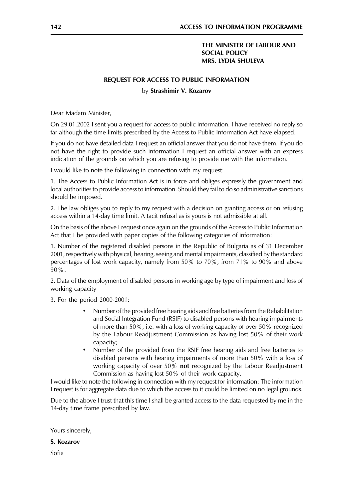# THE MINISTER OF LABOUR AND **SOCIAL POLICY MRS. LYDIA SHULEVA**

#### **REQUEST FOR ACCESS TO PUBLIC INFORMATION**

#### by Strashimir V. Kozarov

Dear Madam Minister,

On 29.01.2002 I sent you a request for access to public information. I have received no reply so far although the time limits prescribed by the Access to Public Information Act have elapsed.

If you do not have detailed data I request an official answer that you do not have them. If you do not have the right to provide such information I request an official answer with an express indication of the grounds on which you are refusing to provide me with the information.

I would like to note the following in connection with my request:

1. The Access to Public Information Act is in force and obliges expressly the government and local authorities to provide access to information. Should they fail to do so administrative sanctions should be imposed.

2. The law obliges you to reply to my request with a decision on granting access or on refusing access within a 14-day time limit. A tacit refusal as is yours is not admissible at all.

On the basis of the above I request once again on the grounds of the Access to Public Information Act that I be provided with paper copies of the following categories of information:

1. Number of the registered disabled persons in the Republic of Bulgaria as of 31 December 2001, respectively with physical, hearing, seeing and mental impairments, classified by the standard percentages of lost work capacity, namely from 50% to 70%, from 71% to 90% and above  $90\%$ .

2. Data of the employment of disabled persons in working age by type of impairment and loss of working capacity

3. For the period 2000-2001:

- Number of the provided free hearing aids and free batteries from the Rehabilitation and Social Integration Fund (RSIF) to disabled persons with hearing impairments of more than 50%, i.e. with a loss of working capacity of over 50% recognized by the Labour Readjustment Commission as having lost 50% of their work capacity;
- Number of the provided from the RSIF free hearing aids and free batteries to  $\bullet$ disabled persons with hearing impairments of more than 50% with a loss of working capacity of over 50% not recognized by the Labour Readjustment Commission as having lost 50% of their work capacity.

I would like to note the following in connection with my request for information: The information I request is for aggregate data due to which the access to it could be limited on no legal grounds.

Due to the above I trust that this time I shall be granted access to the data requested by me in the 14-day time frame prescribed by law.

Yours sincerely,

S. Kozarov

Sofia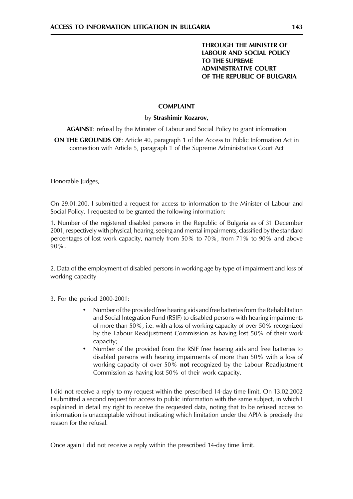# **THROUGH THE MINISTER OF LABOUR AND SOCIAL POLICY** TO THE SUPREME **ADMINISTRATIVE COURT** OF THE REPUBLIC OF BULGARIA

# **COMPLAINT**

# by Strashimir Kozarov,

**AGAINST:** refusal by the Minister of Labour and Social Policy to grant information

ON THE GROUNDS OF: Article 40, paragraph 1 of the Access to Public Information Act in connection with Article 5, paragraph 1 of the Supreme Administrative Court Act

Honorable Judges,

On 29.01.200. I submitted a request for access to information to the Minister of Labour and Social Policy. I requested to be granted the following information:

1. Number of the registered disabled persons in the Republic of Bulgaria as of 31 December 2001, respectively with physical, hearing, seeing and mental impairments, classified by the standard percentages of lost work capacity, namely from 50% to 70%, from 71% to 90% and above  $90\%$ .

2. Data of the employment of disabled persons in working age by type of impairment and loss of working capacity

3. For the period 2000-2001:

- Number of the provided free hearing aids and free batteries from the Rehabilitation  $\bullet$ and Social Integration Fund (RSIF) to disabled persons with hearing impairments of more than 50%, i.e. with a loss of working capacity of over 50% recognized by the Labour Readjustment Commission as having lost 50% of their work capacity:
- $\bullet$ Number of the provided from the RSIF free hearing aids and free batteries to disabled persons with hearing impairments of more than 50% with a loss of working capacity of over 50% not recognized by the Labour Readjustment Commission as having lost 50% of their work capacity.

I did not receive a reply to my request within the prescribed 14-day time limit. On 13.02.2002 I submitted a second request for access to public information with the same subject, in which I explained in detail my right to receive the requested data, noting that to be refused access to information is unacceptable without indicating which limitation under the APIA is precisely the reason for the refusal.

Once again I did not receive a reply within the prescribed 14-day time limit.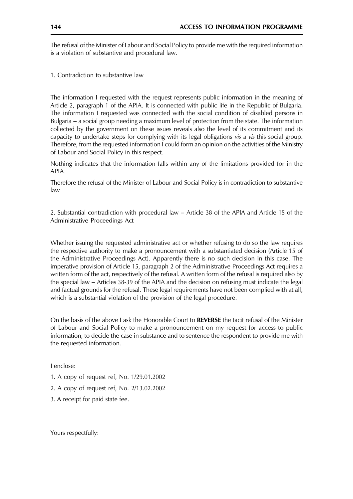The refusal of the Minister of Labour and Social Policy to provide me with the required information is a violation of substantive and procedural law.

1. Contradiction to substantive law

The information I requested with the request represents public information in the meaning of Article 2, paragraph 1 of the APIA. It is connected with public life in the Republic of Bulgaria. The information I requested was connected with the social condition of disabled persons in Bulgaria  $-$  a social group needing a maximum level of protection from the state. The information collected by the government on these issues reveals also the level of its commitment and its capacity to undertake steps for complying with its legal obligations vis a vis this social group. Therefore, from the requested information I could form an opinion on the activities of the Ministry of Labour and Social Policy in this respect.

Nothing indicates that the information falls within any of the limitations provided for in the APIA.

Therefore the refusal of the Minister of Labour and Social Policy is in contradiction to substantive  $law$ 

2. Substantial contradiction with procedural law - Article 38 of the APIA and Article 15 of the Administrative Proceedings Act

Whether issuing the requested administrative act or whether refusing to do so the law requires the respective authority to make a pronouncement with a substantiated decision (Article 15 of the Administrative Proceedings Act). Apparently there is no such decision in this case. The imperative provision of Article 15, paragraph 2 of the Administrative Proceedings Act requires a written form of the act, respectively of the refusal. A written form of the refusal is required also by the special law – Articles 38-39 of the APIA and the decision on refusing must indicate the legal and factual grounds for the refusal. These legal requirements have not been complied with at all, which is a substantial violation of the provision of the legal procedure.

On the basis of the above I ask the Honorable Court to REVERSE the tacit refusal of the Minister of Labour and Social Policy to make a pronouncement on my request for access to public information, to decide the case in substance and to sentence the respondent to provide me with the requested information.

Lenclose:

- 1. A copy of request ref, No. 1/29.01.2002
- 2. A copy of request ref, No. 2/13.02.2002
- 3. A receipt for paid state fee.

Yours respectfully: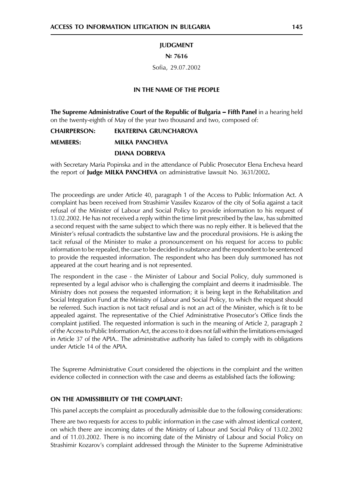#### **IUDGMENT**

#### $N = 7616$

Sofia, 29.07.2002

# IN THE NAME OF THE PEOPLE

The Supreme Administrative Court of the Republic of Bulgaria - Fifth Panel in a hearing held on the twenty-eighth of May of the year two thousand and two, composed of:

**CHAIRPERSON: EKATERINA GRUNCHAROVA** 

**MFMRFRS: MILKA PANCHEVA** 

#### **DIANA DOBREVA**

with Secretary Maria Popinska and in the attendance of Public Prosecutor Elena Encheva heard the report of Judge MILKA PANCHEVA on administrative lawsuit No. 3631/2002.

The proceedings are under Article 40, paragraph 1 of the Access to Public Information Act. A complaint has been received from Strashimir Vassilev Kozarov of the city of Sofia against a tacit refusal of the Minister of Labour and Social Policy to provide information to his request of 13.02.2002. He has not received a reply within the time limit prescribed by the law, has submitted a second request with the same subject to which there was no reply either. It is believed that the Minister's refusal contradicts the substantive law and the procedural provisions. He is asking the tacit refusal of the Minister to make a pronouncement on his request for access to public information to be repealed, the case to be decided in substance and the respondent to be sentenced to provide the requested information. The respondent who has been duly summoned has not appeared at the court hearing and is not represented.

The respondent in the case - the Minister of Labour and Social Policy, duly summoned is represented by a legal advisor who is challenging the complaint and deems it inadmissible. The Ministry does not possess the requested information; it is being kept in the Rehabilitation and Social Integration Fund at the Ministry of Labour and Social Policy, to which the request should be referred. Such inaction is not tacit refusal and is not an act of the Minister, which is fit to be appealed against. The representative of the Chief Administrative Prosecutor's Office finds the complaint justified. The requested information is such in the meaning of Article 2, paragraph 2 of the Access to Public Information Act, the access to it does not fall within the limitations envisaged in Article 37 of the APIA.. The administrative authority has failed to comply with its obligations under Article 14 of the APIA.

The Supreme Administrative Court considered the objections in the complaint and the written evidence collected in connection with the case and deems as established facts the following:

# ON THE ADMISSIBILITY OF THE COMPLAINT:

This panel accepts the complaint as procedurally admissible due to the following considerations:

There are two requests for access to public information in the case with almost identical content, on which there are incoming dates of the Ministry of Labour and Social Policy of 13.02.2002 and of 11.03.2002. There is no incoming date of the Ministry of Labour and Social Policy on Strashimir Kozarov's complaint addressed through the Minister to the Supreme Administrative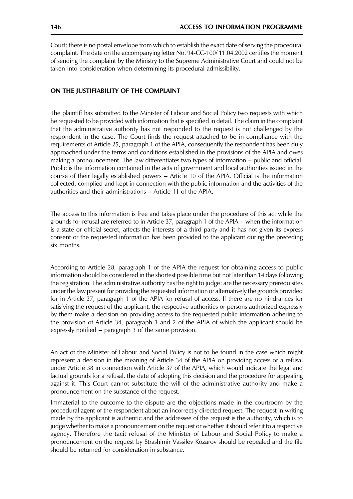Court; there is no postal envelope from which to establish the exact date of serving the procedural complaint. The date on the accompanying letter No. 94-CC-100/11.04.2002 certifies the moment of sending the complaint by the Ministry to the Supreme Administrative Court and could not be taken into consideration when determining its procedural admissibility.

# ON THE JUSTIFIABILITY OF THE COMPLAINT

The plaintiff has submitted to the Minister of Labour and Social Policy two requests with which he requested to be provided with information that is specified in detail. The claim in the complaint that the administrative authority has not responded to the request is not challenged by the respondent in the case. The Court finds the request attached to be in compliance with the requirements of Article 25, paragraph 1 of the APIA, consequently the respondent has been duly approached under the terms and conditions established in the provisions of the APIA and owes making a pronouncement. The law differentiates two types of information – public and official. Public is the information contained in the acts of government and local authorities issued in the course of their legally established powers - Article 10 of the APIA. Official is the information collected, complied and kept in connection with the public information and the activities of the authorities and their administrations - Article 11 of the APIA.

The access to this information is free and takes place under the procedure of this act while the grounds for refusal are referred to in Article 37, paragraph 1 of the APIA – when the information is a state or official secret, affects the interests of a third party and it has not given its express consent or the requested information has been provided to the applicant during the preceding six months.

According to Article 28, paragraph 1 of the APIA the request for obtaining access to public information should be considered in the shortest possible time but not later than 14 days following the registration. The administrative authority has the right to judge: are the necessary prerequisites under the law present for providing the requested information or alternatively the grounds provided for in Article 37, paragraph 1 of the APIA for refusal of access. If there are no hindrances for satisfying the request of the applicant, the respective authorities or persons authorized expressly by them make a decision on providing access to the requested public information adhering to the provision of Article 34, paragraph 1 and 2 of the APIA of which the applicant should be expressly notified – paragraph 3 of the same provision.

An act of the Minister of Labour and Social Policy is not to be found in the case which might represent a decision in the meaning of Article 34 of the APIA on providing access or a refusal under Article 38 in connection with Article 37 of the APIA, which would indicate the legal and factual grounds for a refusal, the date of adopting this decision and the procedure for appealing against it. This Court cannot substitute the will of the administrative authority and make a pronouncement on the substance of the request.

Immaterial to the outcome to the dispute are the objections made in the courtroom by the procedural agent of the respondent about an incorrectly directed request. The request in writing made by the applicant is authentic and the addressee of the request is the authority, which is to judge whether to make a pronouncement on the request or whether it should refer it to a respective agency. Therefore the tacit refusal of the Minister of Labour and Social Policy to make a pronouncement on the request by Strashimir Vassilev Kozarov should be repealed and the file should be returned for consideration in substance.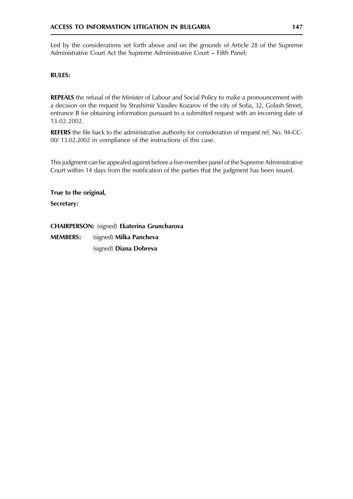Led by the considerations set forth above and on the grounds of Article 28 of the Supreme Administrative Court Act the Supreme Administrative Court - Fifth Panel:

# **RULES:**

**REPEALS** the refusal of the Minister of Labour and Social Policy to make a pronouncement with a decision on the request by Strashimir Vassilev Kozarov of the city of Sofia, 32, Golash Street, entrance B for obtaining information pursuant to a submitted request with an incoming date of 13.02.2002.

REFERS the file back to the administrative authority for consideration of request ref. No. 94-CC-00/13.02.2002 in compliance of the instructions of this case.

This judgment can be appealed against before a five-member panel of the Supreme Administrative Court within 14 days from the notification of the parties that the judgment has been issued.

True to the original,

Secretary:

CHAIRPERSON: (signed) Ekaterina Gruncharova **MEMBERS:** (signed) Milka Pancheva (signed) Diana Dobreva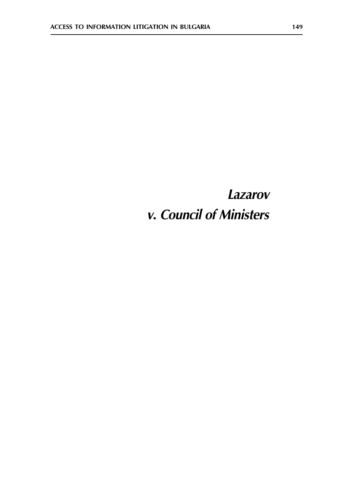# **Lazarov** v. Council of Ministers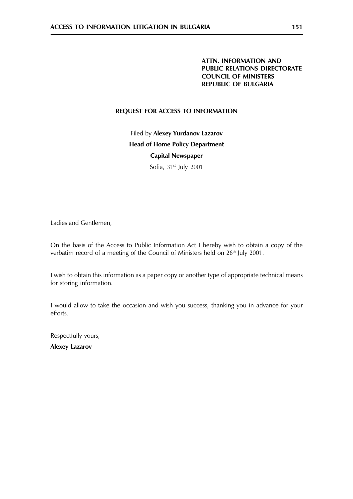# REQUEST FOR ACCESS TO INFORMATION

Filed by Alexey Yurdanov Lazarov **Head of Home Policy Department Capital Newspaper** Sofia, 31<sup>st</sup> July 2001

Ladies and Gentlemen,

On the basis of the Access to Public Information Act I hereby wish to obtain a copy of the verbatim record of a meeting of the Council of Ministers held on 26<sup>th</sup> July 2001.

I wish to obtain this information as a paper copy or another type of appropriate technical means for storing information.

I would allow to take the occasion and wish you success, thanking you in advance for your efforts.

Respectfully yours,

**Alexey Lazarov**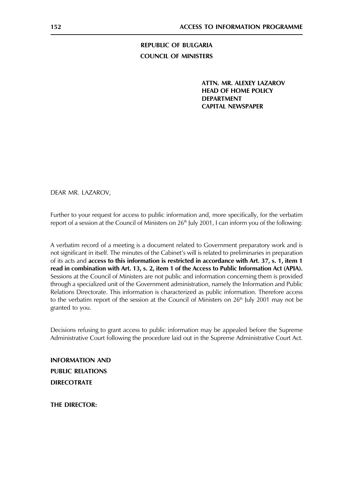**REPUBLIC OF BULGARIA COUNCIL OF MINISTERS** 

> ATTN. MR. ALEXEY LAZAROV **HEAD OF HOME POLICY DEPARTMENT CAPITAL NEWSPAPER**

DEAR MR. LAZAROV.

Further to your request for access to public information and, more specifically, for the verbatim report of a session at the Council of Ministers on  $26<sup>th</sup>$  July 2001, I can inform you of the following:

A verbatim record of a meeting is a document related to Government preparatory work and is not significant in itself. The minutes of the Cabinet's will is related to preliminaries in preparation of its acts and access to this information is restricted in accordance with Art. 37, s. 1, item 1 read in combination with Art. 13, s. 2, item 1 of the Access to Public Information Act (APIA). Sessions at the Council of Ministers are not public and information concerning them is provided through a specialized unit of the Government administration, namely the Information and Public Relations Directorate. This information is characterized as public information. Therefore access to the verbatim report of the session at the Council of Ministers on 26<sup>th</sup> July 2001 may not be granted to you.

Decisions refusing to grant access to public information may be appealed before the Supreme Administrative Court following the procedure laid out in the Supreme Administrative Court Act.

**INFORMATION AND PUBLIC RELATIONS DIRECOTRATE** 

**THE DIRECTOR:**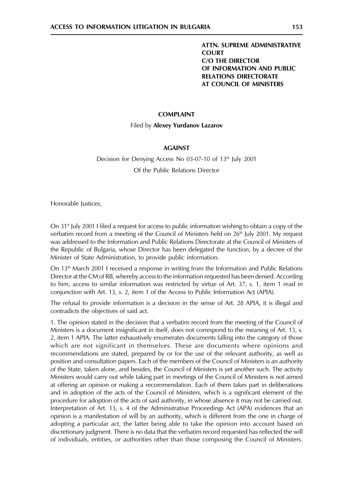# **ATTN. SUPREME ADMINISTRATIVE COURT C/O THE DIRECTOR** OF INFORMATION AND PUBLIC **RELATIONS DIRECTORATE AT COUNCIL OF MINISTERS**

#### **COMPLAINT**

#### Filed by Alexey Yurdanov Lazarov

#### **AGAINST**

# Decision for Denying Access No 03-07-10 of 13<sup>th</sup> July 2001 Of the Public Relations Director

Honorable Justices,

On  $31<sup>st</sup>$  July 2001 I filed a request for access to public information wishing to obtain a copy of the verbatim record from a meeting of the Council of Ministers held on 26<sup>th</sup> July 2001. My request was addressed to the Information and Public Relations Directorate at the Council of Ministers of the Republic of Bulgaria, whose Director has been delegated the function, by a decree of the Minister of State Administration, to provide public information.

On 13<sup>th</sup> March 2001 I received a response in writing from the Information and Public Relations Director at the CM of RB, whereby access to the information requested has been denied. According to him, access to similar information was restricted by virtue of Art. 37, s. 1, item 1 read in conjunction with Art. 13, s. 2, item 1 of the Access to Public Information Act (APIA).

The refusal to provide information is a decision in the sense of Art. 28 APIA, it is illegal and contradicts the objectives of said act.

1. The opinion stated in the decision that a verbatim record from the meeting of the Council of Ministers is a document insignificant in itself, does not correspond to the meaning of Art. 13, s. 2, item 1 APIA. The latter exhaustively enumerates documents falling into the category of those which are not significant in themselves. These are documents where opinions and recommendations are stated, prepared by or for the use of the relevant authority, as well as position and consultation papers. Each of the members of the Council of Ministers is an authority of the State, taken alone, and besides, the Council of Ministers is yet another such. The activity Ministers would carry out while taking part in meetings of the Council of Ministers is not aimed at offering an opinion or making a recommendation. Each of them takes part in deliberations and in adoption of the acts of the Council of Ministers, which is a significant element of the procedure for adoption of the acts of said authority, in whose absence it may not be carried out. Interpretation of Art. 13, s. 4 of the Administrative Proceedings Act (APA) evidences that an opinion is a manifestation of will by an authority, which is different from the one in charge of adopting a particular act, the latter being able to take the opinion into account based on discretionary judgment. There is no data that the verbatim record requested has reflected the will of individuals, entities, or authorities other than those composing the Council of Ministers.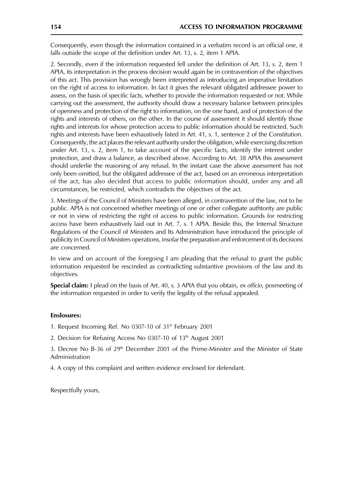Consequently, even though the information contained in a verbatim record is an official one, it falls outside the scope of the definition under Art. 13, s. 2, item 1 APIA.

2. Secondly, even if the information requested fell under the definition of Art. 13, s. 2, item 1 APIA, its interpretation in the process decision would again be in contravention of the objectives of this act. This provision has wrongly been interpreted as introducing an imperative limitation on the right of access to information. In fact it gives the relevant obligated addressee power to assess, on the basis of specific facts, whether to provide the information requested or not. While carrying out the assessment, the authority should draw a necessary balance between principles of openness and protection of the right to information, on the one hand, and of protection of the rights and interests of others, on the other. In the course of assessment it should identify those rights and interests for whose protection access to public information should be restricted. Such rights and interests have been exhaustively listed in Art. 41, s. 1, sentence 2 of the Constitution. Consequently, the act places the relevant authority under the obligation, while exercising discretion under Art. 13, s. 2, item 1, to take account of the specific facts, identify the interest under protection, and draw a balance, as described above. According to Art. 38 APIA this assessment should underlie the reasoning of any refusal. In the instant case the above assessment has not only been omitted, but the obligated addressee of the act, based on an erroneous interpretation of the act, has also decided that access to public information should, under any and all circumstances, be restricted, which contradicts the objectives of the act.

3. Meetings of the Council of Ministers have been alleged, in contravention of the law, not to be public. APIA is not concerned whether meetings of one or other collegiate authtority are public or not in view of restricting the right of access to public information. Grounds for restricting access have been exhaustively laid out in Art. 7, s. 1 APIA. Beside this, the Internal Structure Regulations of the Council of Ministers and Its Administration have introduced the principle of publicity in Council of Ministers operations, insofar the preparation and enforcement of its decisions are concerned.

In view and on account of the foregoing I am pleading that the refusal to grant the public information requested be rescinded as contradicting substantive provisions of the law and its objectives.

Special claim: I plead on the basis of Art. 40, s. 3 APIA that you obtain, ex officio, posmeeting of the information requested in order to verify the legality of the refusal appealed.

# **Enslosures:**

- 1. Request Incoming Ref. No 0307-10 of 31<sup>st</sup> February 2001
- 2. Decision for Refusing Access No 0307-10 of 13th August 2001

3. Decree No B-36 of 29<sup>th</sup> December 2001 of the Prime-Minister and the Minister of State Administration

4. A copy of this complaint and written evidence enclosed for defendant.

Respectfully yours,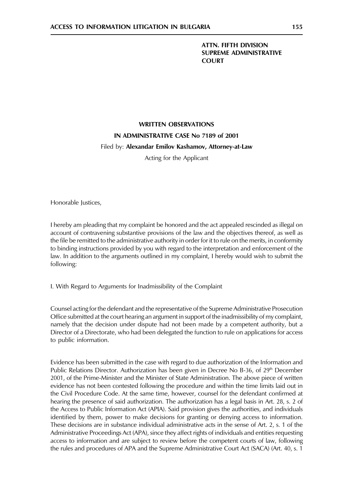# **ATTN, FIFTH DIVISION SUPREME ADMINISTRATIVE COURT**

# **WRITTEN OBSERVATIONS** IN ADMINISTRATIVE CASE No 7189 of 2001 Filed by: Alexandar Emilov Kashamov, Attorney-at-Law

Acting for the Applicant

Honorable Justices,

I hereby am pleading that my complaint be honored and the act appealed rescinded as illegal on account of contravening substantive provisions of the law and the objectives thereof, as well as the file be remitted to the administrative authority in order for it to rule on the merits, in conformity to binding instructions provided by you with regard to the interpretation and enforcement of the law. In addition to the arguments outlined in my complaint, I hereby would wish to submit the following:

I. With Regard to Arguments for Inadmissibility of the Complaint

Counsel acting for the defendant and the representative of the Supreme Administrative Prosecution Office submitted at the court hearing an argument in support of the inadmissibility of my complaint, namely that the decision under dispute had not been made by a competent authority, but a Director of a Directorate, who had been delegated the function to rule on applications for access to public information.

Evidence has been submitted in the case with regard to due authorization of the Information and Public Relations Director. Authorization has been given in Decree No B-36, of 29<sup>th</sup> December 2001, of the Prime-Minister and the Minister of State Administration. The above piece of written evidence has not been contested following the procedure and within the time limits laid out in the Civil Procedure Code. At the same time, however, counsel for the defendant confirmed at hearing the presence of said authorization. The authorization has a legal basis in Art. 28, s. 2 of the Access to Public Information Act (APIA). Said provision gives the authorities, and individuals identified by them, power to make decisions for granting or denying access to information. These decisions are in substance individual administrative acts in the sense of Art. 2, s. 1 of the Administrative Proceedings Act (APA), since they affect rights of individuals and entities requesting access to information and are subject to review before the competent courts of law, following the rules and procedures of APA and the Supreme Administrative Court Act (SACA) (Art. 40, s. 1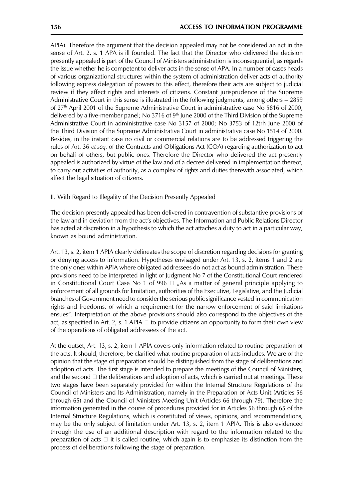APIA). Therefore the argument that the decision appealed may not be considered an act in the sense of Art. 2, s. 1 APA is ill founded. The fact that the Director who delivered the decision presently appealed is part of the Council of Ministers administration is inconsequential, as regards the issue whether he is competent to deliver acts in the sense of APA. In a number of cases heads of various organizational structures within the system of administration deliver acts of authority following express delegation of powers to this effect, therefore their acts are subject to judicial review if they affect rights and interests of citizens. Constant jurisprudence of the Supreme Administrative Court in this sense is illustrated in the following judgments, among others - 2859 of 27<sup>th</sup> April 2001 of the Supreme Administrative Court in administrative case No 5816 of 2000, delivered by a five-member panel; No 3716 of 9<sup>th</sup> June 2000 of the Third Division of the Supreme Administrative Court in administrative case No 3157 of 2000; No 3753 of 12trh June 2000 of the Third Division of the Supreme Administrative Court in administrative case No 1514 of 2000. Besides, in the instant case no civil or commercial relations are to be addressed triggering the rules of Art. 36 et seq. of the Contracts and Obligations Act (COA) regarding authorization to act on behalf of others, but public ones. Therefore the Director who delivered the act presently appealed is authorized by virtue of the law and of a decree delivered in implementation thereof, to carry out activities of authority, as a complex of rights and duties therewith associated, which affect the legal situation of citizens.

II. With Regard to Illegality of the Decision Presently Appealed

The decision presently appealed has been delivered in contravention of substantive provisions of the law and in deviation from the act's objectives. The Information and Public Relations Director has acted at discretion in a hypothesis to which the act attaches a duty to act in a particular way, known as bound administration.

Art. 13, s. 2, item 1 APIA clearly delineates the scope of discretion regarding decisions for granting or denying access to information. Hypotheses envisaged under Art. 13, s. 2, items 1 and 2 are the only ones within APIA where obligated addressees do not act as bound administration. These provisions need to be interpreted in light of Judgment No 7 of the Constitutional Court rendered in Constitutional Court Case No 1 of 996  $\Box$  "As a matter of general principle applying to enforcement of all grounds for limitation, authorities of the Executive, Legislative, and the Judicial branches of Government need to consider the serious public significance vested in communication rights and freedoms, of which a requirement for the narrow enforcement of said limitations ensues". Interpretation of the above provisions should also correspond to the objectives of the act, as specified in Art. 2, s. 1 APIA  $\Box$  to provide citizens an opportunity to form their own view of the operations of obligated addressees of the act.

At the outset, Art. 13, s. 2, item 1 APIA covers only information related to routine preparation of the acts. It should, therefore, be clarified what routine preparation of acts includes. We are of the opinion that the stage of preparation should be distinguished from the stage of deliberations and adoption of acts. The first stage is intended to prepare the meetings of the Council of Ministers, and the second  $\Box$  the deliberations and adoption of acts, which is carried out at meetings. These two stages have been separately provided for within the Internal Structure Regulations of the Council of Ministers and Its Administration, namely in the Preparation of Acts Unit (Articles 56 through 65) and the Council of Ministers Meeting Unit (Articles 66 through 79). Therefore the information generated in the course of procedures provided for in Articles 56 through 65 of the Internal Structure Regulations, which is constituted of views, opinions, and recommendations, may be the only subject of limitation under Art. 13, s. 2, item 1 APIA. This is also evidenced through the use of an additional description with regard to the information related to the preparation of acts  $\Box$  it is called routine, which again is to emphasize its distinction from the process of deliberations following the stage of preparation.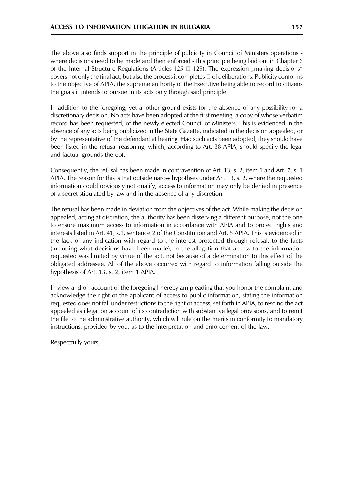The above also finds support in the principle of publicity in Council of Ministers operations where decisions need to be made and then enforced - this principle being laid out in Chapter 6 of the Internal Structure Regulations (Articles 125  $\Box$  129). The expression "making decisions" covers not only the final act, but also the process it completes  $\Box$  of deliberations. Publicity conforms to the objective of APIA, the supreme authority of the Executive being able to record to citizens the goals it intends to pursue in its acts only through said principle.

In addition to the foregoing, yet another ground exists for the absence of any possibility for a discretionary decision. No acts have been adopted at the first meeting, a copy of whose verbatim record has been requested, of the newly elected Council of Ministers. This is evidenced in the absence of any acts being publicized in the State Gazette, indicated in the decision appealed, or by the representative of the defendant at hearing. Had such acts been adopted, they should have been listed in the refusal reasoning, which, according to Art. 38 APIA, should specify the legal and factual grounds thereof.

Consequently, the refusal has been made in contravention of Art. 13, s. 2, item 1 and Art. 7, s. 1 APIA. The reason for this is that outside narow hypothses under Art. 13, s. 2, where the requested information could obviously not qualify, access to information may only be denied in presence of a secret stipulated by law and in the absence of any discretion.

The refusal has been made in deviation from the objectives of the act. While making the decision appealed, acting at discretion, the authority has been disserving a different purpose, not the one to ensure maximum access to information in accordance with APIA and to protect rights and interests listed in Art. 41, s.1, sentence 2 of the Constitution and Art. 5 APIA. This is evidenced in the lack of any indication with regard to the interest protected through refusal, to the facts (including what decisions have been made), in the allegation that access to the information requested was limited by virtue of the act, not because of a determination to this effect of the obligated addressee. All of the above occurred with regard to information falling outside the hypothesis of Art. 13, s. 2, item 1 APIA.

In view and on account of the foregoing I hereby am pleading that you honor the complaint and acknowledge the right of the applicant of access to public information, stating the information requested does not fall under restrictions to the right of access, set forth in APIA, to rescind the act appealed as illegal on account of its contradiction with substantive legal provisions, and to remit the file to the administrative authority, which will rule on the merits in conformity to mandatory instructions, provided by you, as to the interpretation and enforcement of the law.

Respectfully yours,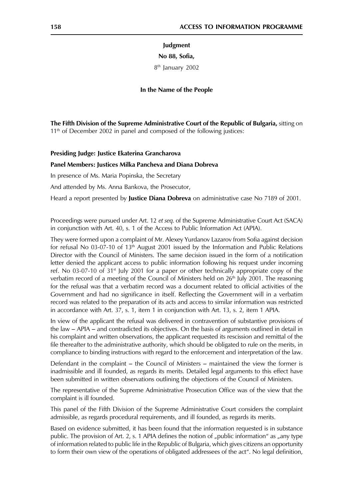#### Judgment

#### No 88, Sofia,

8<sup>th</sup> January 2002

#### In the Name of the People

The Fifth Division of the Supreme Administrative Court of the Republic of Bulgaria, sitting on  $11<sup>th</sup>$  of December 2002 in panel and composed of the following justices:

#### Presiding Judge: Justice Ekaterina Grancharova

#### Panel Members: Justices Milka Pancheva and Diana Dobreva

In presence of Ms. Maria Popinska, the Secretary

And attended by Ms. Anna Bankova, the Prosecutor,

Heard a report presented by **Justice Diana Dobreva** on administrative case No 7189 of 2001.

Proceedings were pursued under Art. 12 et seq. of the Supreme Administrative Court Act (SACA) in conjunction with Art. 40, s. 1 of the Access to Public Information Act (APIA).

They were formed upon a complaint of Mr. Alexey Yurdanov Lazarov from Sofia against decision for refusal No 03-07-10 of 13<sup>th</sup> August 2001 issued by the Information and Public Relations Director with the Council of Ministers. The same decision issued in the form of a notification letter denied the applicant access to public information following his request under incoming ref. No 03-07-10 of  $31<sup>st</sup>$  July 2001 for a paper or other technically appropriate copy of the verbatim record of a meeting of the Council of Ministers held on 26<sup>th</sup> July 2001. The reasoning for the refusal was that a verbatim record was a document related to official activities of the Government and had no significance in itself. Reflecting the Government will in a verbatim record was related to the preparation of its acts and access to similar information was restricted in accordance with Art. 37, s. 1, item 1 in conjunction with Art. 13, s. 2, item 1 APIA.

In view of the applicant the refusal was delivered in contravention of substantive provisions of the law – APIA – and contradicted its objectives. On the basis of arguments outlined in detail in his complaint and written observations, the applicant requested its rescission and remittal of the file thereafter to the administrative authority, which should be obligated to rule on the merits, in compliance to binding instructions with regard to the enforcement and interpretation of the law.

Defendant in the complaint – the Council of Ministers – maintained the view the former is inadmissible and ill founded, as regards its merits. Detailed legal arguments to this effect have been submitted in written observations outlining the objections of the Council of Ministers.

The representative of the Supreme Administrative Prosecution Office was of the view that the complaint is ill founded.

This panel of the Fifth Division of the Supreme Administrative Court considers the complaint admissible, as regards procedural requirements, and ill founded, as regards its merits.

Based on evidence submitted, it has been found that the information requested is in substance public. The provision of Art. 2, s. 1 APIA defines the notion of "public information" as "any type of information related to public life in the Republic of Bulgaria, which gives citizens an opportunity to form their own view of the operations of obligated addressees of the act". No legal definition,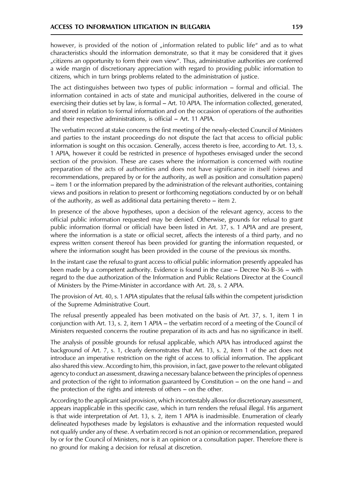however, is provided of the notion of "information related to public life" and as to what characteristics should the information demonstrate, so that it may be considered that it gives "citizens an opportunity to form their own view". Thus, administrative authorities are conferred a wide margin of discretionary appreciation with regard to providing public information to citizens, which in turn brings problems related to the administration of justice.

The act distinguishes between two types of public information – formal and official. The information contained in acts of state and municipal authorities, delivered in the course of exercising their duties set by law, is formal - Art. 10 APIA. The information collected, generated, and stored in relation to formal information and on the occasion of operations of the authorities and their respective administrations, is official – Art. 11 APIA.

The verbatim record at stake concerns the first meeting of the newly-elected Council of Ministers and parties to the instant proceedings do not dispute the fact that access to official public information is sought on this occasion. Generally, access thereto is free, according to Art. 13, s. 1 APIA, however it could be restricted in presence of hypotheses envisaged under the second section of the provision. These are cases where the information is concerned with routine preparation of the acts of authorities and does not have significance in itself (views and recommendations, prepared by or for the authority, as well as position and consultation papers) - item 1 or the information prepared by the administration of the relevant authorities, containing views and positions in relation to present or forthcoming negotiations conducted by or on behalf of the authority, as well as additional data pertaining thereto  $-$  item 2.

In presence of the above hypotheses, upon a decision of the relevant agency, access to the official public information requested may be denied. Otherwise, grounds for refusal to grant public information (formal or official) have been listed in Art. 37, s. 1 APIA and are present, where the information is a state or official secret, affects the interests of a third party, and no express written consent thereof has been provided for granting the information requested, or where the information sought has been provided in the course of the previous six months.

In the instant case the refusal to grant access to official public information presently appealed has been made by a competent authority. Evidence is found in the case  $-$  Decree No B-36  $-$  with regard to the due authorization of the Information and Public Relations Director at the Council of Ministers by the Prime-Minister in accordance with Art. 28, s. 2 APIA.

The provision of Art. 40, s. 1 APIA stipulates that the refusal falls within the competent jurisdiction of the Supreme Administrative Court.

The refusal presently appealed has been motivated on the basis of Art. 37, s. 1, item 1 in conjunction with Art. 13, s. 2, item 1 APIA  $-$  the verbatim record of a meeting of the Council of Ministers requested concerns the routine preparation of its acts and has no significance in itself.

The analysis of possible grounds for refusal applicable, which APIA has introduced against the background of Art. 7, s. 1, clearly demonstrates that Art. 13, s. 2, item 1 of the act does not introduce an imperative restriction on the right of access to official information. The applicant also shared this view. According to him, this provision, in fact, gave power to the relevant obligated agency to conduct an assessment, drawing a necessary balance between the principles of openness and protection of the right to information guaranteed by Constitution  $-$  on the one hand  $-$  and the protection of the rights and interests of others – on the other.

According to the applicant said provision, which incontestably allows for discretionary assessment, appears inapplicable in this specific case, which in turn renders the refusal illegal. His argument is that wide interpretation of Art. 13, s. 2, item 1 APIA is inadmissible. Enumeration of clearly delineated hypotheses made by legislators is exhaustive and the information requested would not qualify under any of these. A verbatim record is not an opinion or recommendation, prepared by or for the Council of Ministers, nor is it an opinion or a consultation paper. Therefore there is no ground for making a decision for refusal at discretion.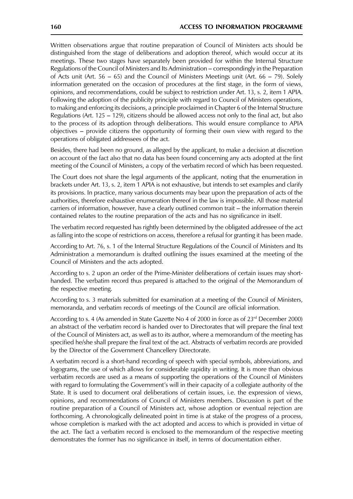Written observations argue that routine preparation of Council of Ministers acts should be distinguished from the stage of deliberations and adoption thereof, which would occur at its meetings. These two stages have separately been provided for within the Internal Structure Regulations of the Council of Ministers and Its Administration – correspondingly in the Preparation of Acts unit (Art. 56 – 65) and the Council of Ministers Meetings unit (Art. 66 – 79). Solely information generated on the occasion of procedures at the first stage, in the form of views, opinions, and recommendations, could be subject to restriction under Art. 13, s. 2, item 1 APIA. Following the adoption of the publicity principle with regard to Council of Ministers operations, to making and enforcing its decisions, a principle proclaimed in Chapter 6 of the Internal Structure Regulations (Art. 125 – 129), citizens should be allowed access not only to the final act, but also to the process of its adoption through deliberations. This would ensure compliance to APIA objectives – provide citizens the opportunity of forming their own view with regard to the operations of obligated addressees of the act.

Besides, there had been no ground, as alleged by the applicant, to make a decision at discretion on account of the fact also that no data has been found concerning any acts adopted at the first meeting of the Council of Ministers, a copy of the verbatim record of which has been requested.

The Court does not share the legal arguments of the applicant, noting that the enumeration in brackets under Art. 13, s. 2, item 1 APIA is not exhaustive, but intends to set examples and clarify its provisions. In practice, many various documents may bear upon the preparation of acts of the authorities, therefore exhaustive enumeration thereof in the law is impossible. All those material carriers of information, however, have a clearly outlined common trait – the information therein contained relates to the routine preparation of the acts and has no significance in itself.

The verbatim record requested has rightly been determined by the obligated addressee of the act as falling into the scope of restrictions on access, therefore a refusal for granting it has been made.

According to Art. 76, s. 1 of the Internal Structure Regulations of the Council of Ministers and Its Administration a memorandum is drafted outlining the issues examined at the meeting of the Council of Ministers and the acts adopted.

According to s. 2 upon an order of the Prime-Minister deliberations of certain issues may shorthanded. The verbatim record thus prepared is attached to the original of the Memorandum of the respective meeting.

According to s. 3 materials submitted for examination at a meeting of the Council of Ministers, memoranda, and verbatim records of meetings of the Council are official information.

According to s. 4 (As amended in State Gazette No 4 of 2000 in force as of 23<sup>rd</sup> December 2000) an abstract of the verbatim record is handed over to Directorates that will prepare the final text of the Council of Ministers act, as well as to its author, where a memorandum of the meeting has specified he/she shall prepare the final text of the act. Abstracts of verbatim records are provided by the Director of the Government Chancellery Directorate.

A verbatim record is a short-hand recording of speech with special symbols, abbreviations, and logograms, the use of which allows for considerable rapidity in writing. It is more than obvious verbatim records are used as a means of supporting the operations of the Council of Ministers with regard to formulating the Government's will in their capacity of a collegiate authority of the State. It is used to document oral deliberations of certain issues, i.e. the expression of views, opinions, and recommendations of Council of Ministers members. Discussion is part of the routine preparation of a Council of Ministers act, whose adoption or eventual rejection are forthcoming. A chronologically delineated point in time is at stake of the progress of a process, whose completion is marked with the act adopted and access to which is provided in virtue of the act. The fact a verbatim record is enclosed to the memorandum of the respective meeting demonstrates the former has no significance in itself, in terms of documentation either.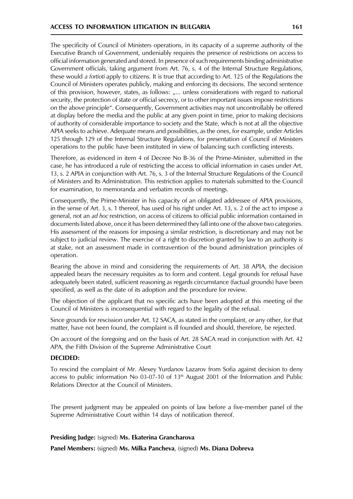The specificity of Council of Ministers operations, in its capacity of a supreme authority of the Executive Branch of Government, undeniably requires the presence of restrictions on access to official information generated and stored. In presence of such requirements binding administrative Government officials, taking argument from Art. 76, s. 4 of the Internal Structure Regulations, these would a fortioti apply to citizens. It is true that according to Art. 125 of the Regulations the Council of Ministers operates publicly, making and enforcing its decisions. The second sentence of this provision, however, states, as follows: "... unless considerations with regard to national security, the protection of state or official secrecy, or to other important issues impose restrictions on the above principle". Consequently, Government activities may not uncontrollably be offered at display before the media and the public at any given point in time, prior to making decisions of authority of considerable importance to society and the State, which is not at all the objective APIA seeks to achieve. Adequate means and possibilities, as the ones, for example, under Articles 125 through 129 of the Internal Structure Regulations, for presentation of Council of Ministers operations to the public have been instituted in view of balancing such conflicting interests.

Therefore, as evidenced in item 4 of Decree No B-36 of the Prime-Minister, submitted in the case, he has introduced a rule of restricting the access to official information in cases under Art. 13, s. 2 APIA in conjunction with Art. 76, s. 3 of the Internal Structure Regulations of the Council of Ministers and Its Administration. This restriction applies to materials submitted to the Council for examination, to memoranda and verbatim records of meetings.

Consequently, the Prime-Minister in his capacity of an obligated addressee of APIA provisions, in the sense of Art. 3, s. 1 thereof, has used of his right under Art. 13, s. 2 of the act to impose a general, not an ad hoc restriction, on access of citizens to official public information contained in documents listed above, once it has been determined they fall into one of the above two categories. His assessment of the reasons for imposing a similar restriction, is discretionary and may not be subject to judicial review. The exercise of a right to discretion granted by law to an authority is at stake, not an assessment made in contravention of the bound administration principles of operation.

Bearing the above in mind and considering the requirements of Art. 38 APIA, the decision appealed bears the necessary requisites as to form and content. Legal grounds for refusal have adequately been stated, sufficient reasoning as regards circumstance (factual grounds) have been specified, as well as the date of its adoption and the procedure for review.

The objection of the applicant that no specific acts have been adopted at this meeting of the Council of Ministers is inconsequential with regard to the legality of the refusal.

Since grounds for rescission under Art. 12 SACA, as stated in the complaint, or any other, for that matter, have not been found, the complaint is ill founded and should, therefore, be rejected.

On account of the foregoing and on the basis of Art. 28 SACA read in conjunction with Art. 42 APA, the Fifth Division of the Supreme Administrative Court

# **DECIDED:**

To rescind the complaint of Mr. Alexey Yurdanov Lazarov from Sofia against decision to deny access to public information No 03-07-10 of  $13<sup>th</sup>$  August 2001 of the Information and Public Relations Director at the Council of Ministers.

The present judgment may be appealed on points of law before a five-member panel of the Supreme Administrative Court within 14 days of notification thereof.

# Presiding Judge: (signed) Ms. Ekaterina Grancharova

Panel Members: (signed) Ms. Milka Pancheva, (signed) Ms. Diana Dobreva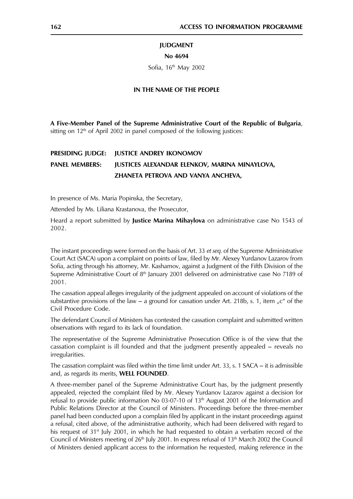#### **JUDGMENT**

#### No 4694

Sofia, 16th May 2002

#### IN THE NAME OF THE PEOPLE

A Five-Member Panel of the Supreme Administrative Court of the Republic of Bulgaria, sitting on  $12<sup>th</sup>$  of April 2002 in panel composed of the following justices:

#### PRESIDING JUDGE: **JUSTICE ANDREY IKONOMOV PANEL MEMBERS:** JUSTICES ALEXANDAR ELENKOV, MARINA MINAYLOVA, ZHANETA PETROVA AND VANYA ANCHEVA,

In presence of Ms. Maria Popinska, the Secretary,

Attended by Ms. Liliana Krastanova, the Prosecutor,

Heard a report submitted by Justice Marina Mihaylova on administrative case No 1543 of 2002.

The instant proceedings were formed on the basis of Art. 33 et seq. of the Supreme Administrative Court Act (SACA) upon a complaint on points of law, filed by Mr. Alexey Yurdanov Lazarov from Sofia, acting through his attorney, Mr. Kashamov, against a Judgment of the Fifth Division of the Supreme Administrative Court of 8<sup>th</sup> January 2001 delivered on administrative case No 7189 of  $2001.$ 

The cassation appeal alleges irregularity of the judgment appealed on account of violations of the substantive provisions of the law – a ground for cassation under Art. 218b, s. 1, item "c" of the Civil Procedure Code.

The defendant Council of Ministers has contested the cassation complaint and submitted written observations with regard to its lack of foundation.

The representative of the Supreme Administrative Prosecution Office is of the view that the cassation complaint is ill founded and that the judgment presently appealed – reveals no irregularities.

The cassation complaint was filed within the time limit under Art. 33, s. 1 SACA – it is admissible and, as regards its merits, WELL FOUNDED.

A three-member panel of the Supreme Administrative Court has, by the judgment presently appealed, rejected the complaint filed by Mr. Alexey Yurdanov Lazarov against a decision for refusal to provide public information No 03-07-10 of 13<sup>th</sup> August 2001 of the Information and Public Relations Director at the Council of Ministers. Proceedings before the three-member panel had been conducted upon a complain filed by applicant in the instant proceedings against a refusal, cited above, of the administrative authority, which had been delivered with regard to his request of 31<sup>st</sup> July 2001, in which he had requested to obtain a verbatim record of the Council of Ministers meeting of 26<sup>th</sup> July 2001. In express refusal of 13<sup>th</sup> March 2002 the Council of Ministers denied applicant access to the information he requested, making reference in the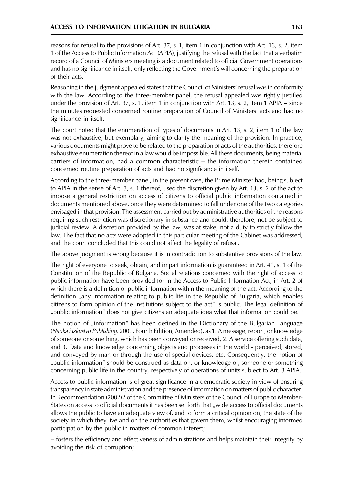reasons for refusal to the provisions of Art. 37, s. 1, item 1 in conjunction with Art. 13, s. 2, item 1 of the Access to Public Information Act (APIA), justifying the refusal with the fact that a verbatim record of a Council of Ministers meeting is a document related to official Government operations and has no significance in itself, only reflecting the Government's will concerning the preparation of their acts.

Reasoning in the judgment appealed states that the Council of Ministers' refusal was in conformity with the law. According to the three-member panel, the refusal appealed was rightly justified under the provision of Art. 37, s. 1, item 1 in conjunction with Art. 13, s. 2, item 1 APIA – since the minutes requested concerned routine preparation of Council of Ministers' acts and had no significance in itself.

The court noted that the enumeration of types of documents in Art. 13, s. 2, item 1 of the law was not exhaustive, but exemplary, aiming to clarify the meaning of the provision. In practice, various documents might prove to be related to the preparation of acts of the authorities, therefore exhaustive enumeration thereof in a law would be impossible. All these documents, being material carriers of information, had a common characteristic – the information therein contained concerned routine preparation of acts and had no significance in itself.

According to the three-member panel, in the present case, the Prime Minister had, being subject to APIA in the sense of Art. 3, s. 1 thereof, used the discretion given by Art. 13, s. 2 of the act to impose a general restriction on access of citizens to official public information contained in documents mentioned above, once they were determined to fall under one of the two categories envisaged in that provision. The assessment carried out by administrative authorities of the reasons requiring such restriction was discretionary in substance and could, therefore, not be subject to judicial review. A discretion provided by the law, was at stake, not a duty to strictly follow the law. The fact that no acts were adopted in this particular meeting of the Cabinet was addressed, and the court concluded that this could not affect the legality of refusal.

The above judgment is wrong because it is in contradiction to substantive provisions of the law.

The right of everyone to seek, obtain, and impart information is guaranteed in Art. 41, s. 1 of the Constitution of the Republic of Bulgaria. Social relations concerned with the right of access to public information have been provided for in the Access to Public Information Act, in Art. 2 of which there is a definition of public information within the meaning of the act. According to the definition "any information relating to public life in the Republic of Bulgaria, which enables citizens to form opinion of the institutions subject to the act" is public. The legal definition of "public information" does not give citizens an adequate idea what that information could be.

The notion of "information" has been defined in the Dictionary of the Bulgarian Language (Nauka i Izkustvo Publishing, 2001, Fourth Edition, Amended), as 1. A message, report, or knowledge of someone or something, which has been conveyed or received, 2. A service offering such data, and 3. Data and knowledge concerning objects and processes in the world - perceived, stored, and conveyed by man or through the use of special devices, etc. Consequently, the notion of "public information" should be construed as data on, or knowledge of, someone or something concerning public life in the country, respectively of operations of units subject to Art. 3 APIA.

Access to public information is of great significance in a democratic society in view of ensuring transparency in state administration and the presence of information on matters of public character. In Recommendation (2002)2 of the Committee of Ministers of the Council of Europe to Member-States on access to official documents it has been set forth that "wide access to official documents allows the public to have an adequate view of, and to form a critical opinion on, the state of the society in which they live and on the authorities that govern them, whilst encouraging informed participation by the public in matters of common interest;

- fosters the efficiency and effectiveness of administrations and helps maintain their integrity by avoiding the risk of corruption;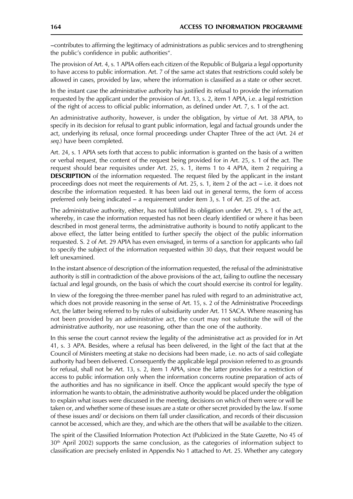-contributes to affirming the legitimacy of administrations as public services and to strengthening the public's confidence in public authorities".

The provision of Art. 4, s. 1 APIA offers each citizen of the Republic of Bulgaria a legal opportunity to have access to public information. Art. 7 of the same act states that restrictions could solely be allowed in cases, provided by law, where the information is classified as a state or other secret.

In the instant case the administrative authority has justified its refusal to provide the information requested by the applicant under the provision of Art. 13, s. 2, item 1 APIA, i.e. a legal restriction of the right of access to official public information, as defined under Art. 7, s. 1 of the act.

An administrative authority, however, is under the obligation, by virtue of Art. 38 APIA, to specify in its decision for refusal to grant public information, legal and factual grounds under the act, underlying its refusal, once formal proceedings under Chapter Three of the act (Art. 24 et seg.) have been completed.

Art. 24, s. 1 APIA sets forth that access to public information is granted on the basis of a written or verbal request, the content of the request being provided for in Art. 25, s. 1 of the act. The request should bear requisites under Art. 25, s. 1, items 1 to 4 APIA, item 2 requiring a **DESCRIPTION** of the information requested. The request filed by the applicant in the instant proceedings does not meet the requirements of Art. 25, s. 1, item 2 of the act - i.e. it does not describe the information requested. It has been laid out in general terms, the form of access preferred only being indicated - a requirement under item 3, s. 1 of Art. 25 of the act.

The administrative authority, either, has not fulfilled its obligation under Art. 29, s. 1 of the act, whereby, in case the information requested has not been clearly identified or where it has been described in most general terms, the administrative authority is bound to notify applicant to the above effect, the latter being entitled to further specify the object of the public information requested. S. 2 of Art. 29 APIA has even envisaged, in terms of a sanction for applicants who fail to specify the subject of the information requested within 30 days, that their request would be left unexamined.

In the instant absence of description of the information requested, the refusal of the administrative authority is still in contradiction of the above provisions of the act, failing to outline the necessary factual and legal grounds, on the basis of which the court should exercise its control for legality.

In view of the foregoing the three-member panel has ruled with regard to an administrative act, which does not provide reasoning in the sense of Art. 15, s. 2 of the Administrative Proceedings Act, the latter being referred to by rules of subsidiarity under Art. 11 SACA. Where reasoning has not been provided by an administrative act, the court may not substitute the will of the administrative authority, nor use reasoning, other than the one of the authority.

In this sense the court cannot review the legality of the administrative act as provided for in Art 41, s. 3 APA. Besides, where a refusal has been delivered, in the light of the fact that at the Council of Ministers meeting at stake no decisions had been made, *i.e.* no acts of said collegiate authority had been delivered. Consequently the applicable legal provision referred to as grounds for refusal, shall not be Art. 13, s. 2, item 1 APIA, since the latter provides for a restriction of access to public information only when the information concerns routine preparation of acts of the authorities and has no significance in itself. Once the applicant would specify the type of information he wants to obtain, the administrative authority would be placed under the obligation to explain what issues were discussed in the meeting, decisions on which of them were or will be taken or, and whether some of these issues are a state or other secret provided by the law. If some of these issues and/ or decisions on them fall under classification, and records of their discussion cannot be accessed, which are they, and which are the others that will be available to the citizen.

The spirit of the Classified Information Protection Act (Publicized in the State Gazette, No 45 of 30<sup>th</sup> April 2002) supports the same conclusion, as the categories of information subject to classification are precisely enlisted in Appendix No 1 attached to Art. 25. Whether any category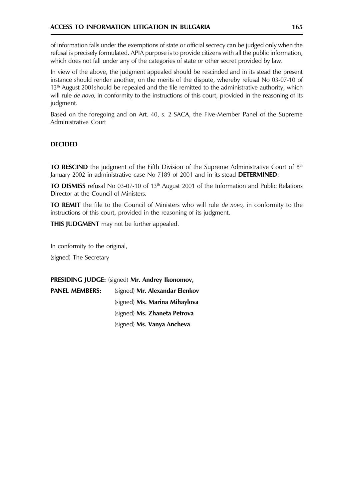of information falls under the exemptions of state or official secrecy can be judged only when the refusal is precisely formulated. APIA purpose is to provide citizens with all the public information, which does not fall under any of the categories of state or other secret provided by law.

In view of the above, the judgment appealed should be rescinded and in its stead the present instance should render another, on the merits of the dispute, whereby refusal No 03-07-10 of 13<sup>th</sup> August 2001 should be repealed and the file remitted to the administrative authority, which will rule de novo, in conformity to the instructions of this court, provided in the reasoning of its judgment.

Based on the foregoing and on Art. 40, s. 2 SACA, the Five-Member Panel of the Supreme Administrative Court

# **DECIDED**

**TO RESCIND** the judgment of the Fifth Division of the Supreme Administrative Court of  $8<sup>th</sup>$ January 2002 in administrative case No 7189 of 2001 and in its stead DETERMINED:

TO DISMISS refusal No 03-07-10 of 13<sup>th</sup> August 2001 of the Information and Public Relations Director at the Council of Ministers.

TO REMIT the file to the Council of Ministers who will rule de novo, in conformity to the instructions of this court, provided in the reasoning of its judgment.

**THIS JUDGMENT** may not be further appealed.

In conformity to the original,

(signed) The Secretary

PRESIDING JUDGE: (signed) Mr. Andrey Ikonomov,

| <b>PANEL MEMBERS:</b> | (signed) Mr. Alexandar Elenkov |
|-----------------------|--------------------------------|
|                       | (signed) Ms. Marina Mihaylova  |
|                       | (signed) Ms. Zhaneta Petrova   |
|                       | (signed) Ms. Vanya Ancheva     |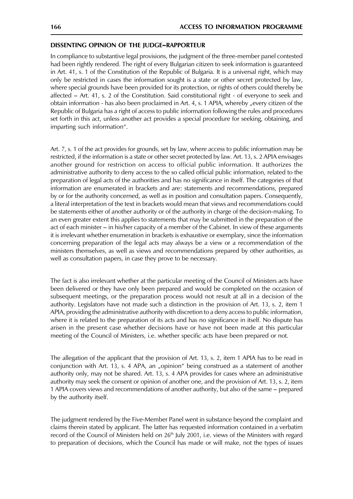#### DISSENTING OPINION OF THE JUDGE-RAPPORTEUR

In compliance to substantive legal provisions, the judgment of the three-member panel contested had been rightly rendered. The right of every Bulgarian citizen to seek information is guaranteed in Art. 41, s. 1 of the Constitution of the Republic of Bulgaria. It is a universal right, which may only be restricted in cases the information sought is a state or other secret protected by law, where special grounds have been provided for its protection, or rights of others could thereby be affected - Art. 41, s. 2 of the Constitution. Said constitutional right - of everyone to seek and obtain information - has also been proclaimed in Art. 4, s. 1 APIA, whereby "every citizen of the Republic of Bulgaria has a right of access to public information following the rules and procedures set forth in this act, unless another act provides a special procedure for seeking, obtaining, and imparting such information".

Art. 7, s. 1 of the act provides for grounds, set by law, where access to public information may be restricted, if the information is a state or other secret protected by law. Art. 13, s. 2 APIA envisages another ground for restriction on access to official public information. It authorizes the administrative authority to deny access to the so called official public information, related to the preparation of legal acts of the authorities and has no significance in itself. The categories of that information are enumerated in brackets and are: statements and recommendations, prepared by or for the authority concerned, as well as in position and consultation papers. Consequently, a literal interpretation of the text in brackets would mean that views and recommendations could be statements either of another authority or of the authority in charge of the decision-making. To an even greater extent this applies to statements that may be submitted in the preparation of the act of each minister – in his/her capacity of a member of the Cabinet. In view of these arguments it is irrelevant whether enumeration in brackets is exhaustive or exemplary, since the information concerning preparation of the legal acts may always be a view or a recommendation of the ministers themselves, as well as views and recommendations prepared by other authorities, as well as consultation papers, in case they prove to be necessary.

The fact is also irrelevant whether at the particular meeting of the Council of Ministers acts have been delivered or they have only been prepared and would be completed on the occasion of subsequent meetings, or the preparation process would not result at all in a decision of the authority. Legislators have not made such a distinction in the provision of Art. 13, s. 2, item 1 APIA, providing the administrative authority with discretion to a deny access to public information, where it is related to the preparation of its acts and has no significance in itself. No dispute has arisen in the present case whether decisions have or have not been made at this particular meeting of the Council of Ministers, i.e. whether specific acts have been prepared or not.

The allegation of the applicant that the provision of Art. 13, s. 2, item 1 APIA has to be read in conjunction with Art. 13, s. 4 APA, an "opinion" being construed as a statement of another authority only, may not be shared. Art. 13, s. 4 APA provides for cases where an administrative authority may seek the consent or opinion of another one, and the provision of Art. 13, s. 2, item 1 APIA covers views and recommendations of another authority, but also of the same – prepared by the authority itself.

The judgment rendered by the Five-Member Panel went in substance beyond the complaint and claims therein stated by applicant. The latter has requested information contained in a verbatim record of the Council of Ministers held on 26<sup>th</sup> July 2001, i.e. views of the Ministers with regard to preparation of decisions, which the Council has made or will make, not the types of issues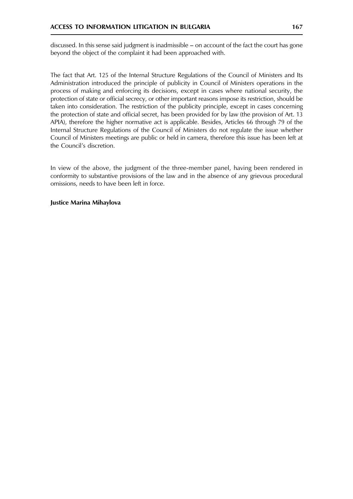discussed. In this sense said judgment is inadmissible – on account of the fact the court has gone beyond the object of the complaint it had been approached with.

The fact that Art. 125 of the Internal Structure Regulations of the Council of Ministers and Its Administration introduced the principle of publicity in Council of Ministers operations in the process of making and enforcing its decisions, except in cases where national security, the protection of state or official secrecy, or other important reasons impose its restriction, should be taken into consideration. The restriction of the publicity principle, except in cases concerning the protection of state and official secret, has been provided for by law (the provision of Art. 13 APIA), therefore the higher normative act is applicable. Besides, Articles 66 through 79 of the Internal Structure Regulations of the Council of Ministers do not regulate the issue whether Council of Ministers meetings are public or held in camera, therefore this issue has been left at the Council's discretion.

In view of the above, the judgment of the three-member panel, having been rendered in conformity to substantive provisions of the law and in the absence of any grievous procedural omissions, needs to have been left in force.

#### **Justice Marina Mihaylova**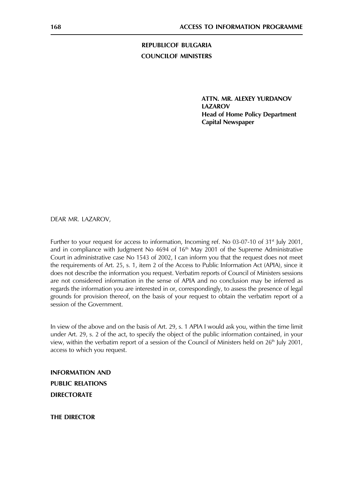**REPUBLICOF BULGARIA COUNCILOF MINISTERS** 

> ATTN. MR. ALEXEY YURDANOV **LAZAROV Head of Home Policy Department Capital Newspaper**

DEAR MR. LAZAROV,

Further to your request for access to information, Incoming ref. No 03-07-10 of 31<sup>st</sup> July 2001, and in compliance with Judgment No 4694 of 16<sup>th</sup> May 2001 of the Supreme Administrative Court in administrative case No 1543 of 2002, I can inform you that the request does not meet the requirements of Art. 25, s. 1, item 2 of the Access to Public Information Act (APIA), since it does not describe the information you request. Verbatim reports of Council of Ministers sessions are not considered information in the sense of APIA and no conclusion may be inferred as regards the information you are interested in or, correspondingly, to assess the presence of legal grounds for provision thereof, on the basis of your request to obtain the verbatim report of a session of the Government.

In view of the above and on the basis of Art. 29, s. 1 APIA I would ask you, within the time limit under Art. 29, s. 2 of the act, to specify the object of the public information contained, in your view, within the verbatim report of a session of the Council of Ministers held on 26<sup>th</sup> July 2001, access to which you request.

**INFORMATION AND PUBLIC RELATIONS DIRECTORATE** 

**THE DIRECTOR**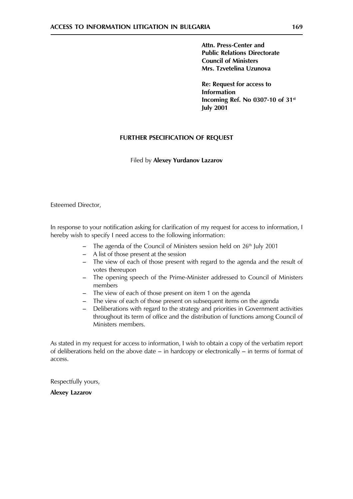Attn. Press-Center and **Public Relations Directorate Council of Ministers** Mrs. Tzvetelina Uzunova

**Re: Request for access to Information** Incoming Ref. No 0307-10 of 31st **July 2001** 

# **FURTHER PSECIFICATION OF REQUEST**

# Filed by Alexey Yurdanov Lazarov

Esteemed Director,

In response to your notification asking for clarification of my request for access to information, I hereby wish to specify I need access to the following information:

- $-$  The agenda of the Council of Ministers session held on 26<sup>th</sup> July 2001
- A list of those present at the session
- The view of each of those present with regard to the agenda and the result of votes thereupon
- The opening speech of the Prime-Minister addressed to Council of Ministers members
- The view of each of those present on item 1 on the agenda
- The view of each of those present on subsequent items on the agenda
- Deliberations with regard to the strategy and priorities in Government activities  $\equiv$ throughout its term of office and the distribution of functions among Council of Ministers members.

As stated in my request for access to information, I wish to obtain a copy of the verbatim report of deliberations held on the above date  $-$  in hardcopy or electronically  $-$  in terms of format of access.

Respectfully yours,

**Alexey Lazarov**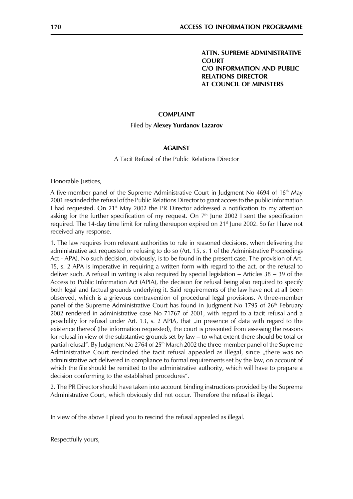**ATTN. SUPREME ADMINISTRATIVE COURT** C/O INFORMATION AND PUBLIC **RELATIONS DIRECTOR AT COUNCIL OF MINISTERS** 

#### **COMPLAINT**

#### Filed by Alexey Yurdanov Lazarov

#### **AGAINST**

A Tacit Refusal of the Public Relations Director

Honorable Justices,

A five-member panel of the Supreme Administrative Court in Judgment No 4694 of 16<sup>th</sup> Mav 2001 rescinded the refusal of the Public Relations Director to grant access to the public information I had requested. On  $21<sup>st</sup>$  May 2002 the PR Director addressed a notification to my attention asking for the further specification of my request. On  $7<sup>th</sup>$  June 2002 I sent the specification required. The 14-day time limit for ruling thereupon expired on 21<sup>st</sup> June 2002. So far I have not received any response.

1. The law requires from relevant authorities to rule in reasoned decisions, when delivering the administrative act requested or refusing to do so (Art. 15, s. 1 of the Administrative Proceedings Act - APA). No such decision, obviously, is to be found in the present case. The provision of Art. 15, s. 2 APA is imperative in requiring a written form with regard to the act, or the refusal to deliver such. A refusal in writing is also required by special legislation  $-$  Articles 38  $-$  39 of the Access to Public Information Act (APIA), the decision for refusal being also required to specify both legal and factual grounds underlying it. Said requirements of the law have not at all been observed, which is a grievous contravention of procedural legal provisions. A three-member panel of the Supreme Administrative Court has found in Judgment No 1795 of 26<sup>th</sup> February 2002 rendered in administrative case No 71767 of 2001, with regard to a tacit refusal and a possibility for refusal under Art. 13, s. 2 APIA, that "in presence of data with regard to the existence thereof (the information requested), the court is prevented from assessing the reasons for refusal in view of the substantive grounds set by law - to what extent there should be total or partial refusal". By Judgment No 2764 of 25<sup>th</sup> March 2002 the three-member panel of the Supreme Administrative Court rescinded the tacit refusal appealed as illegal, since "there was no administrative act delivered in compliance to formal requirements set by the law, on account of which the file should be remitted to the administrative authority, which will have to prepare a decision conforming to the established procedures".

2. The PR Director should have taken into account binding instructions provided by the Supreme Administrative Court, which obviously did not occur. Therefore the refusal is illegal.

In view of the above I plead you to rescind the refusal appealed as illegal.

Respectfully yours,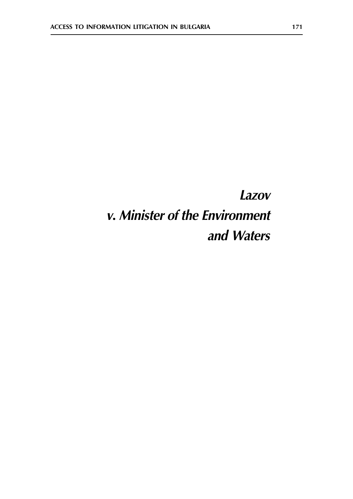# Lazov v. Minister of the Environment and Waters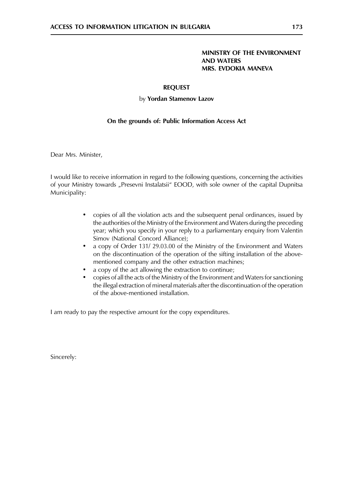# MINISTRY OF THE ENVIRONMENT **AND WATERS MRS. EVDOKIA MANEVA**

# **REQUEST**

# by Yordan Stamenov Lazov

# On the grounds of: Public Information Access Act

Dear Mrs. Minister,

I would like to receive information in regard to the following questions, concerning the activities of your Ministry towards "Presevni Instalatsii" EOOD, with sole owner of the capital Dupnitsa Municipality:

- copies of all the violation acts and the subsequent penal ordinances, issued by  $\bullet$ the authorities of the Ministry of the Environment and Waters during the preceding year; which you specify in your reply to a parliamentary enguiry from Valentin Simov (National Concord Alliance);
- a copy of Order 131/29.03.00 of the Ministry of the Environment and Waters  $\bullet$ on the discontinuation of the operation of the sifting installation of the abovementioned company and the other extraction machines;
- a copy of the act allowing the extraction to continue;  $\bullet$
- copies of all the acts of the Ministry of the Environment and Waters for sanctioning the illegal extraction of mineral materials after the discontinuation of the operation of the above-mentioned installation.

I am ready to pay the respective amount for the copy expenditures.

Sincerely: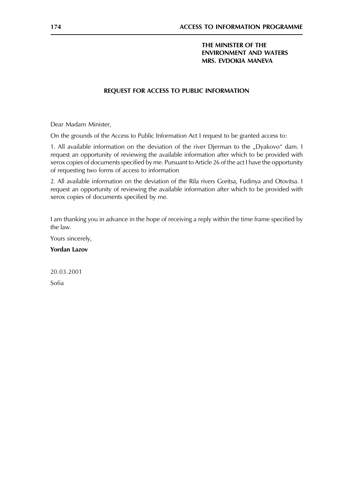# THE MINISTER OF THE **ENVIRONMENT AND WATERS** MRS. EVDOKIA MANEVA

# REQUEST FOR ACCESS TO PUBLIC INFORMATION

Dear Madam Minister,

On the grounds of the Access to Public Information Act I request to be granted access to:

1. All available information on the deviation of the river Djerman to the "Dyakovo" dam. I request an opportunity of reviewing the available information after which to be provided with xerox copies of documents specified by me. Pursuant to Article 26 of the act I have the opportunity of requesting two forms of access to information

2. All available information on the deviation of the Rila rivers Goritsa, Fudinya and Otovitsa. I request an opportunity of reviewing the available information after which to be provided with xerox copies of documents specified by me.

I am thanking you in advance in the hope of receiving a reply within the time frame specified by the law.

Yours sincerely,

**Yordan Lazov** 

20.03.2001

Sofia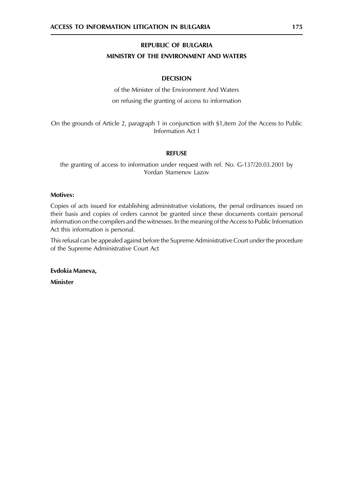# REPUBLIC OF BULGARIA

# MINISTRY OF THE ENVIRONMENT AND WATERS

# **DECISION**

of the Minister of the Environment And Waters on refusing the granting of access to information

On the grounds of Article 2, paragraph 1 in conjunction with §1, item 2of the Access to Public Information Act I

# **REFUSE**

the granting of access to information under request with ref. No. G-137/20.03.2001 by Yordan Stamenov Lazov

#### **Motives:**

Copies of acts issued for establishing administrative violations, the penal ordinances issued on their basis and copies of orders cannot be granted since these documents contain personal information on the compilers and the witnesses. In the meaning of the Access to Public Information Act this information is personal.

This refusal can be appealed against before the Supreme Administrative Court under the procedure of the Supreme Administrative Court Act

Evdokia Maneva.

Minister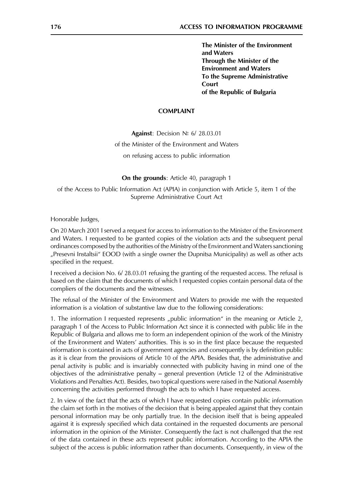The Minister of the Environment and Waters Through the Minister of the **Environment and Waters** To the Supreme Administrative Court of the Republic of Bulgaria

#### **COMPLAINT**

Against: Decision Nº 6/ 28.03.01

of the Minister of the Environment and Waters

on refusing access to public information

**On the grounds:** Article 40, paragraph 1

of the Access to Public Information Act (APIA) in conjunction with Article 5, item 1 of the Supreme Administrative Court Act

Honorable Judges,

On 20 March 2001 I served a request for access to information to the Minister of the Environment and Waters. I requested to be granted copies of the violation acts and the subsequent penal ordinances composed by the authorities of the Ministry of the Environment and Waters sanctioning "Presevni Instaltsii" EOOD (with a single owner the Dupnitsa Municipality) as well as other acts specified in the request.

I received a decision No. 6/28.03.01 refusing the granting of the requested access. The refusal is based on the claim that the documents of which I requested copies contain personal data of the compliers of the documents and the witnesses.

The refusal of the Minister of the Environment and Waters to provide me with the requested information is a violation of substantive law due to the following considerations:

1. The information I requested represents "public information" in the meaning or Article 2, paragraph 1 of the Access to Public Information Act since it is connected with public life in the Republic of Bulgaria and allows me to form an independent opinion of the work of the Ministry of the Environment and Waters' authorities. This is so in the first place because the requested information is contained in acts of government agencies and consequently is by definition public as it is clear from the provisions of Article 10 of the APIA. Besides that, the administrative and penal activity is public and is invariably connected with publicity having in mind one of the objectives of the administrative penalty  $-$  general prevention (Article 12 of the Administrative Violations and Penalties Act). Besides, two topical questions were raised in the National Assembly concerning the activities performed through the acts to which I have requested access.

2. In view of the fact that the acts of which I have requested copies contain public information the claim set forth in the motives of the decision that is being appealed against that they contain personal information may be only partially true. In the decision itself that is being appealed against it is expressly specified which data contained in the requested documents are personal information in the opinion of the Minister. Consequently the fact is not challenged that the rest of the data contained in these acts represent public information. According to the APIA the subject of the access is public information rather than documents. Consequently, in view of the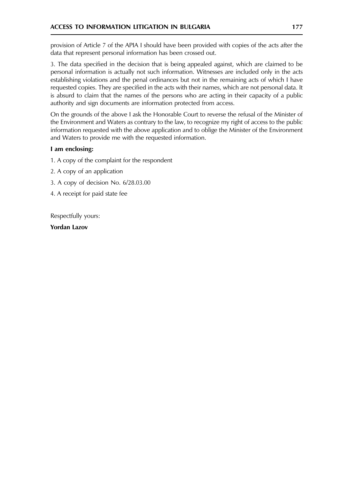provision of Article 7 of the APIA I should have been provided with copies of the acts after the data that represent personal information has been crossed out.

3. The data specified in the decision that is being appealed against, which are claimed to be personal information is actually not such information. Witnesses are included only in the acts establishing violations and the penal ordinances but not in the remaining acts of which I have requested copies. They are specified in the acts with their names, which are not personal data. It is absurd to claim that the names of the persons who are acting in their capacity of a public authority and sign documents are information protected from access.

On the grounds of the above I ask the Honorable Court to reverse the refusal of the Minister of the Environment and Waters as contrary to the law, to recognize my right of access to the public information requested with the above application and to oblige the Minister of the Environment and Waters to provide me with the requested information.

# I am enclosing:

- 1. A copy of the complaint for the respondent
- 2. A copy of an application
- 3. A copy of decision No. 6/28.03.00
- 4. A receipt for paid state fee

Respectfully yours:

**Yordan Lazov**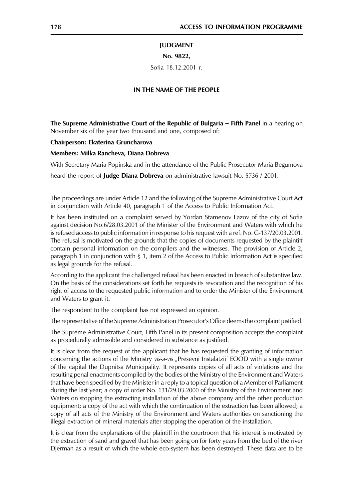#### **JUDGMENT**

#### No. 9822,

Sofia 18.12.2001 г.

#### IN THE NAME OF THE PEOPLE

The Supreme Administrative Court of the Republic of Bulgaria - Fifth Panel in a hearing on November six of the year two thousand and one, composed of:

Chairperson: Ekaterina Gruncharova

#### Members: Milka Rancheva, Diana Dobreva

With Secretary Maria Popinska and in the attendance of the Public Prosecutor Maria Begumova

heard the report of **Judge Diana Dobreva** on administrative lawsuit No. 5736 / 2001.

The proceedings are under Article 12 and the following of the Supreme Administrative Court Act in conjunction with Article 40, paragraph 1 of the Access to Public Information Act.

It has been instituted on a complaint served by Yordan Stamenov Lazov of the city of Sofia against decision No.6/28.03.2001 of the Minister of the Environment and Waters with which he is refused access to public information in response to his request with a ref. No. G-137/20.03.2001. The refusal is motivated on the grounds that the copies of documents requested by the plaintiff contain personal information on the compilers and the witnesses. The provision of Article 2, paragraph 1 in conjunction with § 1, item 2 of the Access to Public Information Act is specified as legal grounds for the refusal.

According to the applicant the challenged refusal has been enacted in breach of substantive law. On the basis of the considerations set forth he requests its revocation and the recognition of his right of access to the requested public information and to order the Minister of the Environment and Waters to grant it.

The respondent to the complaint has not expressed an opinion.

The representative of the Supreme Administration Prosecutor's Office deems the complaint justified.

The Supreme Administrative Court, Fifth Panel in its present composition accepts the complaint as procedurally admissible and considered in substance as justified.

It is clear from the request of the applicant that he has requested the granting of information concerning the actions of the Ministry vis-a-vis "Presevni Instalatzii' EOOD with a single owner of the capital the Dupnitsa Municipality. It represents copies of all acts of violations and the resulting penal enactments compiled by the bodies of the Ministry of the Environment and Waters that have been specified by the Minister in a reply to a topical question of a Member of Parliament during the last year; a copy of order No. 131/29.03.2000 of the Ministry of the Environment and Waters on stopping the extracting installation of the above company and the other production equipment; a copy of the act with which the continuation of the extraction has been allowed; a copy of all acts of the Ministry of the Environment and Waters authorities on sanctioning the illegal extraction of mineral materials after stopping the operation of the installation.

It is clear from the explanations of the plaintiff in the courtroom that his interest is motivated by the extraction of sand and gravel that has been going on for forty years from the bed of the river Djerman as a result of which the whole eco-system has been destroyed. These data are to be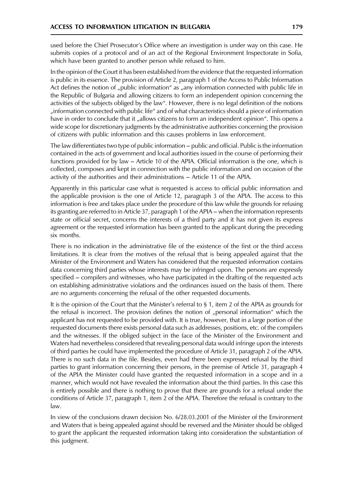used before the Chief Prosecutor's Office where an investigation is under way on this case. He submits copies of a protocol and of an act of the Regional Environment Inspectorate in Sofia, which have been granted to another person while refused to him.

In the opinion of the Court it has been established from the evidence that the requested information is public in its essence. The provision of Article 2, paragraph 1 of the Access to Public Information Act defines the notion of "public information" as "any information connected with public life in the Republic of Bulgaria and allowing citizens to form an independent opinion concerning the activities of the subjects obliged by the law". However, there is no legal definition of the notions "information connected with public life" and of what characteristics should a piece of information have in order to conclude that it "allows citizens to form an independent opinion". This opens a wide scope for discretionary judgments by the administrative authorities concerning the provision of citizens with public information and this causes problems in law enforcement.

The law differentiates two type of public information - public and official. Public is the information contained in the acts of government and local authorities issued in the course of performing their functions provided for by law – Article 10 of the APIA. Official information is the one, which is collected, composes and kept in connection with the public information and on occasion of the activity of the authorities and their administrations - Article 11 of the APIA.

Apparently in this particular case what is requested is access to official public information and the applicable provision is the one of Article 12, paragraph 3 of the APIA. The access to this information is free and takes place under the procedure of this law while the grounds for refusing its granting are referred to in Article 37, paragraph 1 of the APIA – when the information represents state or official secret, concerns the interests of a third party and it has not given its express agreement or the requested information has been granted to the applicant during the preceding six months.

There is no indication in the administrative file of the existence of the first or the third access limitations. It is clear from the motives of the refusal that is being appealed against that the Minister of the Environment and Waters has considered that the requested information contains data concerning third parties whose interests may be infringed upon. The persons are expressly specified – compilers and witnesses, who have participated in the drafting of the requested acts on establishing administrative violations and the ordinances issued on the basis of them. There are no arguments concerning the refusal of the other requested documents.

It is the opinion of the Court that the Minister's referral to  $\S$  1, item 2 of the APIA as grounds for the refusal is incorrect. The provision defines the notion of "personal information" which the applicant has not requested to be provided with. It is true, however, that in a large portion of the requested documents there exists personal data such as addresses, positions, etc. of the compilers and the witnesses. If the obliged subject in the face of the Minister of the Environment and Waters had nevertheless considered that revealing personal data would infringe upon the interests of third parties he could have implemented the procedure of Article 31, paragraph 2 of the APIA. There is no such data in the file. Besides, even had there been expressed refusal by the third parties to grant information concerning their persons, in the premise of Article 31, paragraph 4 of the APIA the Minister could have granted the requested information in a scope and in a manner, which would not have revealed the information about the third parties. In this case this is entirely possible and there is nothing to prove that there are grounds for a refusal under the conditions of Article 37, paragraph 1, item 2 of the APIA. Therefore the refusal is contrary to the law.

In view of the conclusions drawn decision No. 6/28.03.2001 of the Minister of the Environment and Waters that is being appealed against should be reversed and the Minister should be obliged to grant the applicant the requested information taking into consideration the substantiation of this judgment.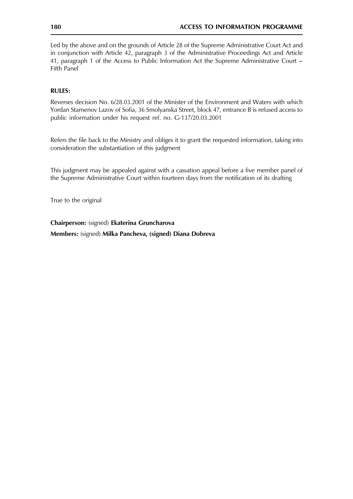Led by the above and on the grounds of Article 28 of the Supreme Administrative Court Act and in conjunction with Article 42, paragraph 3 of the Administrative Proceedings Act and Article 41, paragraph 1 of the Access to Public Information Act the Supreme Administrative Court -Fifth Panel

# **RULES:**

Reverses decision No. 6/28.03.2001 of the Minister of the Environment and Waters with which Yordan Stamenov Lazov of Sofia, 36 Smolyanska Street, block 47, entrance B is refused access to public information under his request ref. no. G-137/20.03.2001

Refers the file back to the Ministry and obliges it to grant the requested information, taking into consideration the substantiation of this judgment

This judgment may be appealed against with a cassation appeal before a five member panel of the Supreme Administrative Court within fourteen days from the notification of its drafting

True to the original

Chairperson: (signed) Ekaterina Gruncharova

Members: (signed) Milka Pancheva, (signed) Diana Dobreva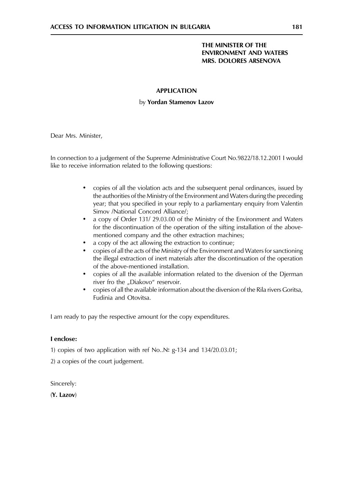## THE MINISTER OF THE **ENVIRONMENT AND WATERS** MRS. DOLORES ARSENOVA

## **APPLICATION**

## by Yordan Stamenov Lazov

Dear Mrs. Minister,

In connection to a judgement of the Supreme Administrative Court No.9822/18.12.2001 I would like to receive information related to the following questions:

- copies of all the violation acts and the subsequent penal ordinances, issued by  $\bullet$ the authorities of the Ministry of the Environment and Waters during the preceding year; that you specified in your reply to a parliamentary enquiry from Valentin Simov /National Concord Alliance/;
- a copy of Order 131/29.03.00 of the Ministry of the Environment and Waters  $\bullet$ for the discontinuation of the operation of the sifting installation of the abovementioned company and the other extraction machines;
- a copy of the act allowing the extraction to continue;
- copies of all the acts of the Ministry of the Environment and Waters for sanctioning the illegal extraction of inert materials after the discontinuation of the operation of the above-mentioned installation.
- copies of all the available information related to the diversion of the Djerman river fro the "Diakovo" reservoir.
- copies of all the available information about the diversion of the Rila rivers Goritsa, Fudinia and Otovitsa.

I am ready to pay the respective amount for the copy expenditures.

## I enclose:

1) copies of two application with ref No.  $N_e$  g-134 and 134/20.03.01;

2) a copies of the court judgement.

Sincerely:

(Y. Lazov)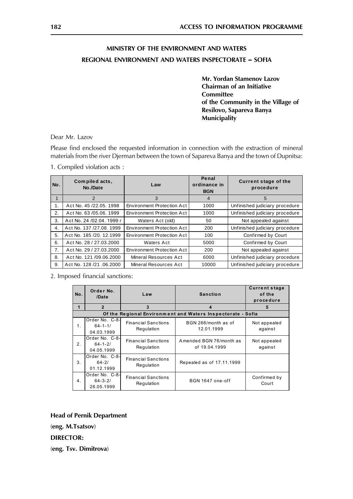# MINISTRY OF THE ENVIRONMENT AND WATERS **REGIONAL ENVIRONMENT AND WATERS INSPECTORATE - SOFIA**

Mr. Yordan Stamenov Lazov **Chairman of an Initiative Committee** of the Community in the Village of Resilovo, Sapareva Banya **Municipality** 

Dear Mr. Lazov

Please find enclosed the requested information in connection with the extraction of mineral materials from the river Djerman between the town of Sapareva Banya and the town of Dupnitsa:

Penal Compiled acts, **Current stage of the** No. Law ordinance in No./Date procedure **BGN**  $\overline{3}$  $\overline{4}$  $\overline{1}$  $\mathcal{P}$  $\overline{5}$ Act No. 45 /22.05. 1998 1000  $\mathbf 1$ **Environment Protection Act** Unfinished judiciary procedure  $\overline{2}$ . Act No. 63 /05.06. 1999 **Environment Protection Act** 1000 Unfinished judiciary procedure Act No. 24 /02.04. 1999 r Waters Act (old) 50 3. Not appealed against Unfinished judiciary procedure Act No. 137 /27.08. 1999 **Environment Protection Act** 200  $\overline{4}$ . 5. Act No. 185 /20. 12.1999 **Environment Protection Act** 100 Confirmed by Court Act No. 28 / 27.03.2000 Waters Act 5000 Confirmed by Court 6.  $\overline{7}$ . Act No. 29 / 27.03.2000 **Environment Protection Act** 200 Not appealed against 8. Act No. 121 /09.06.2000 Mineral Resources Act 6000 Unfinished judiciary procedure Act No. 128 /21 .06.2000 Mineral Resources Act 10000 Unfinished judiciary procedure  $\mathsf q$ 

1. Compiled violation acts:

2. Imposed financial sanctions:

| No.                                                         | Order No.<br>/Date                            | Law                                      | <b>Sanction</b>                          | <b>Current stage</b><br>of the<br>procedure |  |  |  |  |
|-------------------------------------------------------------|-----------------------------------------------|------------------------------------------|------------------------------------------|---------------------------------------------|--|--|--|--|
| 1                                                           | $\overline{2}$                                | 3                                        | 4                                        | 5                                           |  |  |  |  |
| Of the Regional Environment and Waters Inspectorate - Sofia |                                               |                                          |                                          |                                             |  |  |  |  |
| 1.                                                          | Order No. C-8-<br>$64 - 1 - 1/$<br>04.03.1999 | <b>Financial Sanctions</b><br>Regulation | BGN 266/month as of<br>12.01.1999        | Not appealed<br>against                     |  |  |  |  |
| 2.                                                          | Order No. C-8-<br>$64 - 1 - 2/$<br>04.05.1999 | <b>Financial Sanctions</b><br>Regulation | Amended BGN 76/month as<br>of 19.04.1999 | Not appealed<br>against                     |  |  |  |  |
| 3.                                                          | Order No. C-8-<br>$64 - 2/$<br>01.12.1999     | <b>Financial Sanctions</b><br>Regulation | Repealed as of 17.11.1999                |                                             |  |  |  |  |
| 4.                                                          | Order No. C-8-<br>$64 - 3 - 2/$<br>26.05.1999 | <b>Financial Sanctions</b><br>Regulation | BGN 1647 one-off                         | Confirmed by<br>Court                       |  |  |  |  |

**Head of Pernik Department** (eng. M.Tsatsov) **DIRECTOR:** (eng. Tsv. Dimitrova)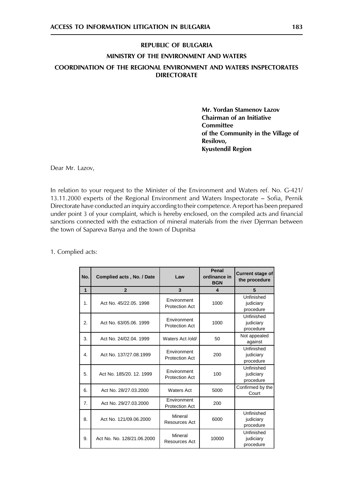# REPUBLIC OF BULGARIA MINISTRY OF THE ENVIRONMENT AND WATERS COORDINATION OF THE REGIONAL ENVIRONMENT AND WATERS INSPECTORATES **DIRECTORATE**

Mr. Yordan Stamenov Lazov **Chairman of an Initiative Committee** of the Community in the Village of Resilovo. **Kyustendil Region** 

Dear Mr. Lazov,

In relation to your request to the Minister of the Environment and Waters ref. No. G-421/ 13.11.2000 experts of the Regional Environment and Waters Inspectorate – Sofia, Pernik Directorate have conducted an inquiry according to their competence. A report has been prepared under point 3 of your complaint, which is hereby enclosed, on the compiled acts and financial sanctions connected with the extraction of mineral materials from the river Djerman between the town of Sapareva Banya and the town of Dupnitsa

1. Complied acts:

| No.          | Complied acts, No. / Date  | Law                                         | Penal<br>ordinance in<br><b>BGN</b> | <b>Current stage of</b><br>the procedure |
|--------------|----------------------------|---------------------------------------------|-------------------------------------|------------------------------------------|
| 1            | $\overline{2}$             | 3                                           | 4                                   | 5                                        |
| 1.           | Act No. 45/22.05. 1998     | Environment<br><b>Protection Act</b>        | 1000                                | Unfinished<br>judiciary<br>procedure     |
| 2.           | Act No. 63/05.06, 1999     | Environment<br><b>Protection Act</b>        | 1000                                | Unfinished<br>judiciary<br>procedure     |
| 3.           | Act No. 24/02.04, 1999     | Waters Act /old/                            | 50                                  | Not appealed<br>against                  |
| $\mathbf{4}$ | Act No. 137/27.08.1999     | <b>Fnvironment</b><br><b>Protection Act</b> | 200                                 | Unfinished<br>judiciary<br>procedure     |
| 5.           | Act No. 185/20, 12, 1999   | Environment<br><b>Protection Act</b>        | 100                                 | Unfinished<br>judiciary<br>procedure     |
| 6.           | Act No. 28/27.03.2000      | <b>Waters Act</b>                           | 5000                                | Confirmed by the<br>Court                |
| 7.           | Act No. 29/27.03.2000      | Environment<br><b>Protection Act</b>        | 200                                 |                                          |
| 8.           | Act No. 121/09.06.2000     | Mineral<br>Resources Act                    | 6000                                | Unfinished<br>judiciary<br>procedure     |
| 9.           | Act No. No. 128/21.06.2000 | Mineral<br>10000<br>Resources Act           |                                     | Unfinished<br>judiciary<br>procedure     |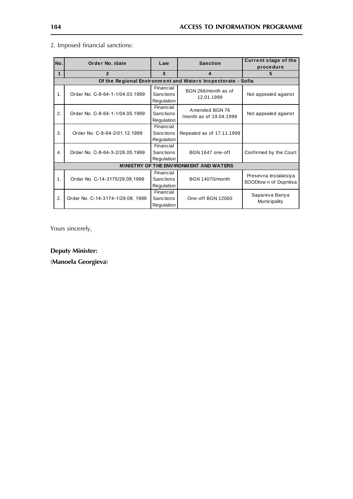| No.                                                         | Order No. /date                   | Law                                         | <b>Sanction</b>                           | <b>Current stage of the</b><br>procedure      |  |  |  |  |
|-------------------------------------------------------------|-----------------------------------|---------------------------------------------|-------------------------------------------|-----------------------------------------------|--|--|--|--|
| 1                                                           | $\overline{2}$                    | 3                                           | 4                                         | 5                                             |  |  |  |  |
| Of the Regional Environment and Waters Inspectorate - Sofia |                                   |                                             |                                           |                                               |  |  |  |  |
| $\mathbf 1$ .                                               | Order No. C-8-64-1-1/04.03.1999   | Financial<br><b>Sanctions</b><br>Regulation | BGN 266/month as of<br>12.01.1999         | Not appealed against                          |  |  |  |  |
| 2.                                                          | Order No. C-8-64-1-1/04.05.1999   | Financial<br><b>Sanctions</b><br>Regulation | Amended BGN 76<br>/month as of 19.04.1999 | Not appealed against                          |  |  |  |  |
| 3.                                                          | Order No. C-8-64-2/01.12.1999     | Financial<br><b>Sanctions</b><br>Regulation | Repealed as of 17.11.1999                 |                                               |  |  |  |  |
| 4.                                                          | Order No. C-8-64-3-2/26.05.1999   | Financial<br><b>Sanctions</b><br>Regulation | BGN 1647 one-off                          | Confirmed by the Court                        |  |  |  |  |
| MINISTRY OF THE ENVIRONMENT AND WATERS                      |                                   |                                             |                                           |                                               |  |  |  |  |
| 1.                                                          | Order No. C-14-3175/29.08.1999    | Financial<br><b>Sanctions</b><br>Regulation | <b>BGN 14070/month</b>                    | Presevna Instalatsiya<br>EOODtown of Dupnitsa |  |  |  |  |
| 2.                                                          | Order No. C-14-3174-1/29.08. 1999 | Financial<br>Sanctions<br>Regulation        | One-off BGN 12060                         | Sapareva Banya<br>Municipality                |  |  |  |  |

# 2. Imposed financial sanctions:

Yours sincerely,

**Deputy Minister:** 

(Manoela Georgieva)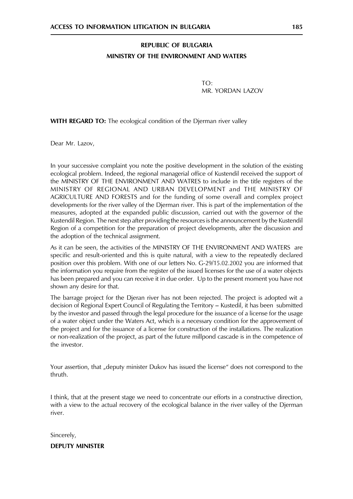# **REPUBLIC OF BULGARIA** MINISTRY OF THE ENVIRONMENT AND WATERS

 $TO<sup>1</sup>$ MR. YORDAN LAZOV

**WITH REGARD TO:** The ecological condition of the Djerman river valley

Dear Mr. Lazov,

In your successive complaint you note the positive development in the solution of the existing ecological problem. Indeed, the regional managerial office of Kustendil received the support of the MINISTRY OF THE ENVIRONMENT AND WATRES to include in the title registers of the MINISTRY OF REGIONAL AND URBAN DEVELOPMENT and THE MINISTRY OF AGRICULTURE AND FORESTS and for the funding of some overall and complex project developments for the river valley of the Djerman river. This is part of the implementation of the measures, adopted at the expanded public discussion, carried out with the governor of the Kustendil Region. The next step after providing the resources is the announcement by the Kustendil Region of a competition for the preparation of project developments, after the discussion and the adoption of the technical assignment.

As it can be seen, the activities of the MINISTRY OF THE ENVIRONMENT AND WATERS are specific and result-oriented and this is quite natural, with a view to the repeatedly declared position over this problem. With one of our letters No. G-29/15.02.2002 you are informed that the information you require from the register of the issued licenses for the use of a water objects has been prepared and you can receive it in due order. Up to the present moment you have not shown any desire for that.

The barrage project for the Djeran river has not been rejected. The project is adopted wit a decision of Regional Expert Council of Regulating the Territory - Kustedil, it has been submitted by the investor and passed through the legal procedure for the issuance of a license for the usage of a water object under the Waters Act, which is a necessary condition for the approvement of the project and for the issuance of a license for construction of the installations. The realization or non-realization of the project, as part of the future millpond cascade is in the competence of the investor.

Your assertion, that "deputy minister Dukov has issued the license" does not correspond to the thruth.

I think, that at the present stage we need to concentrate our efforts in a constructive direction, with a view to the actual recovery of the ecological balance in the river valley of the Djerman river.

Sincerely,

**DEPUTY MINISTER**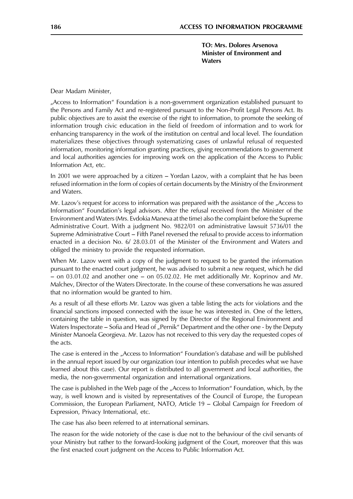**TO: Mrs. Dolores Arsenova** Minister of Environment and **Waters** 

Dear Madam Minister,

"Access to Information" Foundation is a non-government organization established pursuant to the Persons and Family Act and re-registered pursuant to the Non-Profit Legal Persons Act. Its public objectives are to assist the exercise of the right to information, to promote the seeking of information trough civic education in the field of freedom of information and to work for enhancing transparency in the work of the institution on central and local level. The foundation materializes these objectives through systematizing cases of unlawful refusal of requested information, monitoring information granting practices, giving recommendations to government and local authorities agencies for improving work on the application of the Access to Public Information Act, etc.

In 2001 we were approached by a citizen – Yordan Lazov, with a complaint that he has been refused information in the form of copies of certain documents by the Ministry of the Environment and Waters.

Mr. Lazov's request for access to information was prepared with the assistance of the "Access to Information" Foundation's legal advisors. After the refusal received from the Minister of the Environment and Waters (Mrs. Evdokia Maneva at the time) also the complaint before the Supreme Administrative Court. With a judgment No. 9822/01 on administrative lawsuit 5736/01 the Supreme Administrative Court – Fifth Panel reversed the refusal to provide access to information enacted in a decision No. 6/ 28.03.01 of the Minister of the Environment and Waters and obliged the ministry to provide the requested information.

When Mr. Lazov went with a copy of the judgment to request to be granted the information pursuant to the enacted court judgment, he was advised to submit a new request, which he did  $-$  on 03.01.02 and another one  $-$  on 05.02.02. He met additionally Mr. Koprinov and Mr. Malchev, Director of the Waters Directorate. In the course of these conversations he was assured that no information would be granted to him.

As a result of all these efforts Mr. Lazov was given a table listing the acts for violations and the financial sanctions imposed connected with the issue he was interested in. One of the letters, containing the table in question, was signed by the Director of the Regional Environment and Waters Inspectorate – Sofia and Head of "Pernik" Department and the other one - by the Deputy Minister Manoela Georgieva. Mr. Lazov has not received to this very day the requested copes of the acts.

The case is entered in the "Access to Information" Foundation's database and will be published in the annual report issued by our organization (our intention to publish precedes what we have learned about this case). Our report is distributed to all government and local authorities, the media, the non-governmental organization and international organizations.

The case is published in the Web page of the "Access to Information" Foundation, which, by the way, is well known and is visited by representatives of the Council of Europe, the European Commission, the European Parliament, NATO, Article 19 – Global Campaign for Freedom of Expression, Privacy International, etc.

The case has also been referred to at international seminars.

The reason for the wide notoriety of the case is due not to the behaviour of the civil servants of your Ministry but rather to the forward-looking judgment of the Court, moreover that this was the first enacted court judgment on the Access to Public Information Act.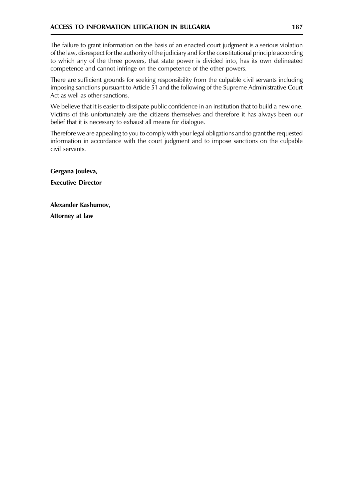The failure to grant information on the basis of an enacted court judgment is a serious violation of the law, disrespect for the authority of the judiciary and for the constitutional principle according to which any of the three powers, that state power is divided into, has its own delineated competence and cannot infringe on the competence of the other powers.

There are sufficient grounds for seeking responsibility from the culpable civil servants including imposing sanctions pursuant to Article 51 and the following of the Supreme Administrative Court Act as well as other sanctions.

We believe that it is easier to dissipate public confidence in an institution that to build a new one. Victims of this unfortunately are the citizens themselves and therefore it has always been our belief that it is necessary to exhaust all means for dialogue.

Therefore we are appealing to you to comply with your legal obligations and to grant the requested information in accordance with the court judgment and to impose sanctions on the culpable civil servants.

Gergana Jouleva, **Executive Director** 

Alexander Kashumov, Attorney at law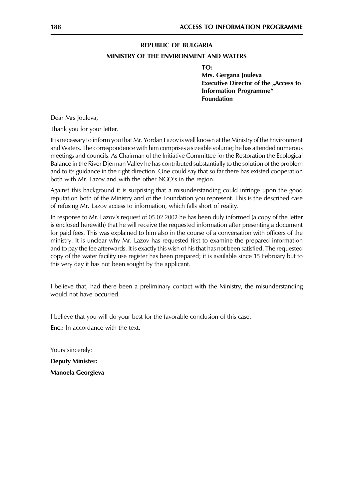#### **REPUBLIC OF BULGARIA**

#### MINISTRY OF THE ENVIRONMENT AND WATERS

TO:

Mrs. Gergana Jouleva **Executive Director of the "Access to Information Programme**" **Foundation** 

Dear Mrs Jouleva,

Thank you for your letter.

It is necessary to inform you that Mr. Yordan Lazov is well known at the Ministry of the Environment and Waters. The correspondence with him comprises a sizeable volume; he has attended numerous meetings and councils. As Chairman of the Initiative Committee for the Restoration the Ecological Balance in the River Djerman Valley he has contributed substantially to the solution of the problem and to its guidance in the right direction. One could say that so far there has existed cooperation both with Mr. Lazov and with the other NGO's in the region.

Against this background it is surprising that a misunderstanding could infringe upon the good reputation both of the Ministry and of the Foundation you represent. This is the described case of refusing Mr. Lazov access to information, which falls short of reality.

In response to Mr. Lazov's request of 05.02.2002 he has been duly informed (a copy of the letter is enclosed herewith) that he will receive the requested information after presenting a document for paid fees. This was explained to him also in the course of a conversation with officers of the ministry. It is unclear why Mr. Lazov has requested first to examine the prepared information and to pay the fee afterwards. It is exactly this wish of his that has not been satisfied. The requested copy of the water facility use register has been prepared; it is available since 15 February but to this very day it has not been sought by the applicant.

I believe that, had there been a preliminary contact with the Ministry, the misunderstanding would not have occurred.

I believe that you will do your best for the favorable conclusion of this case.

**Enc.:** In accordance with the text.

Yours sincerely: **Deputy Minister:** 

Manoela Georgieva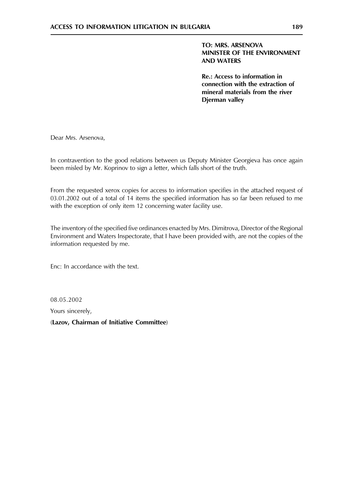**Re.: Access to information in** connection with the extraction of mineral materials from the river Djerman valley

Dear Mrs. Arsenova,

In contravention to the good relations between us Deputy Minister Georgieva has once again been misled by Mr. Koprinov to sign a letter, which falls short of the truth.

From the requested xerox copies for access to information specifies in the attached request of 03.01.2002 out of a total of 14 items the specified information has so far been refused to me with the exception of only item 12 concerning water facility use.

The inventory of the specified five ordinances enacted by Mrs. Dimitrova, Director of the Regional Environment and Waters Inspectorate, that I have been provided with, are not the copies of the information requested by me.

Enc: In accordance with the text.

08.05.2002 Yours sincerely,

(Lazov, Chairman of Initiative Committee)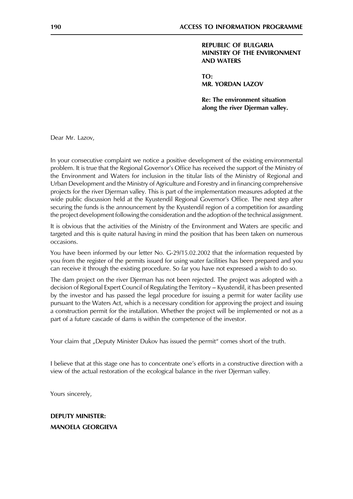**REPUBLIC OF BULGARIA** MINISTRY OF THE ENVIRONMENT **AND WATERS** 

TO: **MR. YORDAN LAZOV** 

**Re: The environment situation** along the river Dierman valley.

Dear Mr. Lazov,

In your consecutive complaint we notice a positive development of the existing environmental problem. It is true that the Regional Governor's Office has received the support of the Ministry of the Environment and Waters for inclusion in the titular lists of the Ministry of Regional and Urban Development and the Ministry of Agriculture and Forestry and in financing comprehensive projects for the river Djerman valley. This is part of the implementation measures adopted at the wide public discussion held at the Kyustendil Regional Governor's Office. The next step after securing the funds is the announcement by the Kyustendil region of a competition for awarding the project development following the consideration and the adoption of the technical assignment.

It is obvious that the activities of the Ministry of the Environment and Waters are specific and targeted and this is quite natural having in mind the position that has been taken on numerous occasions.

You have been informed by our letter No. G-29/15.02.2002 that the information requested by you from the register of the permits issued for using water facilities has been prepared and you can receive it through the existing procedure. So far you have not expressed a wish to do so.

The dam project on the river Djerman has not been rejected. The project was adopted with a decision of Regional Expert Council of Regulating the Territory – Kyustendil, it has been presented by the investor and has passed the legal procedure for issuing a permit for water facility use pursuant to the Waters Act, which is a necessary condition for approving the project and issuing a construction permit for the installation. Whether the project will be implemented or not as a part of a future cascade of dams is within the competence of the investor.

Your claim that "Deputy Minister Dukov has issued the permit" comes short of the truth.

I believe that at this stage one has to concentrate one's efforts in a constructive direction with a view of the actual restoration of the ecological balance in the river Djerman valley.

Yours sincerely,

# **DEPUTY MINISTER: MANOELA GEORGIEVA**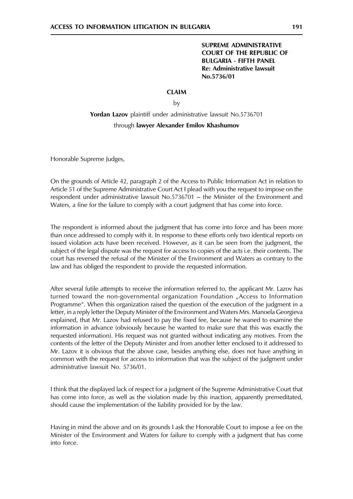#### **CLAIM**

 $b\mathsf{v}$ 

# Yordan Lazov plaintiff under administrative lawsuit No.5736701 through lawyer Alexander Emilov Khashumov

Honorable Supreme Judges,

On the grounds of Article 42, paragraph 2 of the Access to Public Information Act in relation to Article 51 of the Supreme Administrative Court Act I plead with you the request to impose on the respondent under administrative lawsuit No.5736701 - the Minister of the Environment and Waters, a fine for the failure to comply with a court judgment that has come into force.

The respondent is informed about the judgment that has come into force and has been more than once addressed to comply with it. In response to these efforts only two identical reports on issued violation acts have been received. However, as it can be seen from the judgment, the subject of the legal dispute was the request for access to copies of the acts i.e. their contents. The court has reversed the refusal of the Minister of the Environment and Waters as contrary to the law and has obliged the respondent to provide the requested information.

After several futile attempts to receive the information referred to, the applicant Mr. Lazov has turned toward the non-governmental organization Foundation "Access to Information Programme". When this organization raised the question of the execution of the judgment in a letter, in a reply letter the Deputy Minister of the Environment and Waters Mrs. Manoela Georgieva explained, that Mr. Lazov had refused to pay the fixed fee, because he waned to examine the information in advance (obviously because he wanted to make sure that this was exactly the requested information). His request was not granted without indicating any motives. From the contents of the letter of the Deputy Minister and from another letter enclosed to it addressed to Mr. Lazov it is obvious that the above case, besides anything else, does not have anything in common with the request for access to information that was the subject of the judgment under administrative lawsuit No. 5736/01.

I think that the displayed lack of respect for a judgment of the Supreme Administrative Court that has come into force, as well as the violation made by this inaction, apparently premeditated, should cause the implementation of the liability provided for by the law.

Having in mind the above and on its grounds I ask the Honorable Court to impose a fee on the Minister of the Environment and Waters for failure to comply with a judgment that has come into force.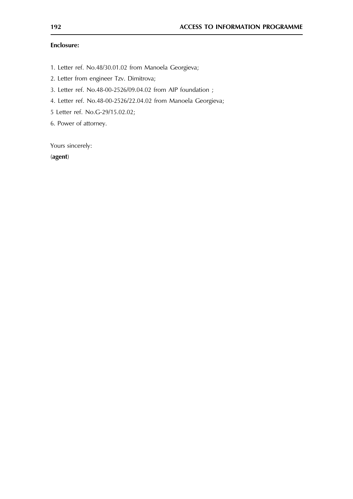## **Enclosure:**

- 1. Letter ref. No.48/30.01.02 from Manoela Georgieva;
- 2. Letter from engineer Tzv. Dimitrova;
- 3. Letter ref. No.48-00-2526/09.04.02 from AIP foundation ;
- 4. Letter ref. No.48-00-2526/22.04.02 from Manoela Georgieva;
- 5 Letter ref. No.G-29/15.02.02;
- 6. Power of attorney.

Yours sincerely:

(agent)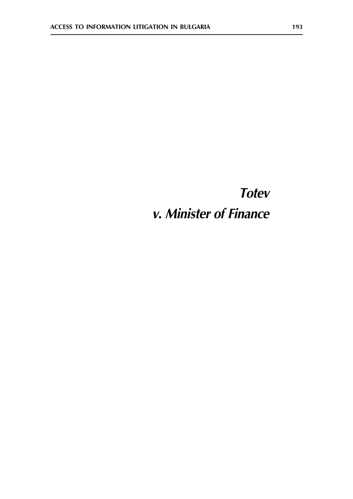# **Totev** v. Minister of Finance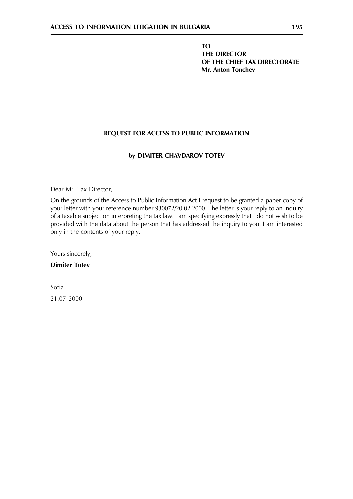**TO** THE DIRECTOR OF THE CHIEF TAX DIRECTORATE **Mr. Anton Tonchev** 

## REQUEST FOR ACCESS TO PUBLIC INFORMATION

## by DIMITER CHAVDAROV TOTEV

Dear Mr. Tax Director,

On the grounds of the Access to Public Information Act I request to be granted a paper copy of your letter with your reference number 930072/20.02.2000. The letter is your reply to an inquiry of a taxable subject on interpreting the tax law. I am specifying expressly that I do not wish to be provided with the data about the person that has addressed the inquiry to you. I am interested only in the contents of your reply.

Yours sincerely,

**Dimiter Totev** 

Sofia 21.07 2000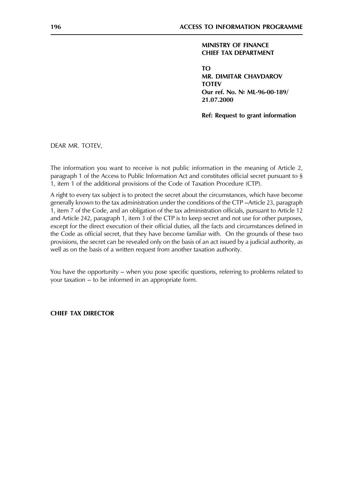## **MINISTRY OF FINANCE CHIEF TAX DEPARTMENT**

**TO MR. DIMITAR CHAVDAROV TOTEV** Our ref. No. Nº ML-96-00-189/ 21.07.2000

Ref: Request to grant information

DEAR MR. TOTEV,

The information you want to receive is not public information in the meaning of Article 2, paragraph 1 of the Access to Public Information Act and constitutes official secret pursuant to § 1, item 1 of the additional provisions of the Code of Taxation Procedure (CTP).

A right to every tax subject is to protect the secret about the circumstances, which have become generally known to the tax administration under the conditions of the CTP-Article 23, paragraph 1, item 7 of the Code, and an obligation of the tax administration officials, pursuant to Article 12 and Article 242, paragraph 1, item 3 of the CTP is to keep secret and not use for other purposes, except for the direct execution of their official duties, all the facts and circumstances defined in the Code as official secret, that they have become familiar with. On the grounds of these two provisions, the secret can be revealed only on the basis of an act issued by a judicial authority, as well as on the basis of a written request from another taxation authority.

You have the opportunity – when you pose specific questions, referring to problems related to your taxation – to be informed in an appropriate form.

**CHIEF TAX DIRECTOR**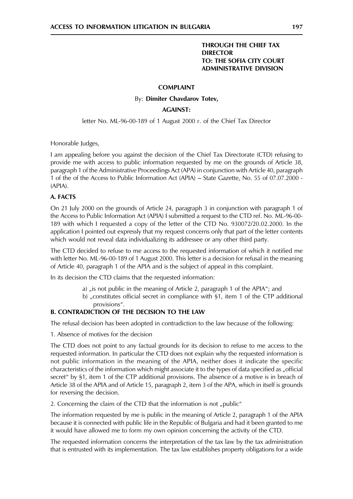## **THROUGH THE CHIEF TAX DIRECTOR** TO: THE SOFIA CITY COURT **ADMINISTRATIVE DIVISION**

#### **COMPLAINT**

#### By: Dimiter Chavdarov Totev,

#### **AGAINST:**

letter No. ML-96-00-189 of 1 August 2000 r. of the Chief Tax Director

Honorable Judges,

I am appealing before you against the decision of the Chief Tax Directorate (CTD) refusing to provide me with access to public information requested by me on the grounds of Article 38, paragraph 1 of the Administrative Proceedings Act (APA) in conjunction with Article 40, paragraph 1 of the of the Access to Public Information Act (APIA) - State Gazette, No. 55 of 07.07.2000 - $(APIA)$ .

#### A. FACTS

On 21 July 2000 on the grounds of Article 24, paragraph 3 in conjunction with paragraph 1 of the Access to Public Information Act (APIA) I submitted a request to the CTD ref. No. ML-96-00-189 with which I requested a copy of the letter of the CTD No. 930072/20.02.2000. In the application I pointed out expressly that my request concerns only that part of the letter contents which would not reveal data individualizing its addressee or any other third party.

The CTD decided to refuse to me access to the requested information of which it notified me with letter No. ML-96-00-189 of 1 August 2000. This letter is a decision for refusal in the meaning of Article 40, paragraph 1 of the APIA and is the subject of appeal in this complaint.

In its decision the CTD claims that the requested information:

- a) "is not public in the meaning of Article 2, paragraph 1 of the APIA"; and
- b) "constitutes official secret in compliance with §1, item 1 of the CTP additional provisions".

## **B. CONTRADICTION OF THE DECISION TO THE LAW**

The refusal decision has been adopted in contradiction to the law because of the following:

1. Absence of motives for the decision

The CTD does not point to any factual grounds for its decision to refuse to me access to the requested information. In particular the CTD does not explain why the requested information is not public information in the meaning of the APIA, neither does it indicate the specific characteristics of the information which might associate it to the types of data specified as "official secret" by §1, item 1 of the CTP additional provisions. The absence of a motive is in breach of Article 38 of the APIA and of Article 15, paragraph 2, item 3 of the APA, which in itself is grounds for reversing the decision.

2. Concerning the claim of the CTD that the information is not "public"

The information requested by me is public in the meaning of Article 2, paragraph 1 of the APIA because it is connected with public life in the Republic of Bulgaria and had it been granted to me it would have allowed me to form my own opinion concerning the activity of the CTD.

The requested information concerns the interpretation of the tax law by the tax administration that is entrusted with its implementation. The tax law establishes property obligations for a wide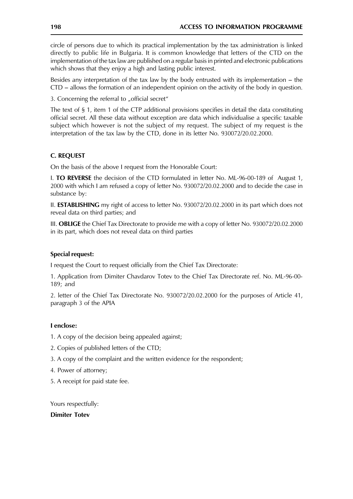circle of persons due to which its practical implementation by the tax administration is linked directly to public life in Bulgaria. It is common knowledge that letters of the CTD on the implementation of the tax law are published on a regular basis in printed and electronic publications which shows that they enjoy a high and lasting public interest.

Besides any interpretation of the tax law by the body entrusted with its implementation  $-$  the  $CTD$  – allows the formation of an independent opinion on the activity of the body in question.

3. Concerning the referral to "official secret"

The text of  $\S$  1, item 1 of the CTP additional provisions specifies in detail the data constituting official secret. All these data without exception are data which individualise a specific taxable subject which however is not the subject of my request. The subject of my request is the interpretation of the tax law by the CTD, done in its letter No. 930072/20.02.2000.

## **C. REQUEST**

On the basis of the above I request from the Honorable Court:

**I. TO REVERSE** the decision of the CTD formulated in letter No. ML-96-00-189 of August 1, 2000 with which I am refused a copy of letter No. 930072/20.02.2000 and to decide the case in substance by:

II. **ESTABLISHING** my right of access to letter No. 930072/20.02.2000 in its part which does not reveal data on third parties; and

III. **OBLIGE** the Chief Tax Directorate to provide me with a copy of letter No. 930072/20.02.2000 in its part, which does not reveal data on third parties

## **Special request:**

I request the Court to request officially from the Chief Tax Directorate:

1. Application from Dimiter Chavdarov Totev to the Chief Tax Directorate ref. No. ML-96-00-189; and

2. letter of the Chief Tax Directorate No. 930072/20.02.2000 for the purposes of Article 41, paragraph 3 of the APIA

## Lenclose:

1. A copy of the decision being appealed against;

- 2. Copies of published letters of the CTD;
- 3. A copy of the complaint and the written evidence for the respondent;
- 4. Power of attorney;
- 5. A receipt for paid state fee.

Yours respectfully:

## **Dimiter Totev**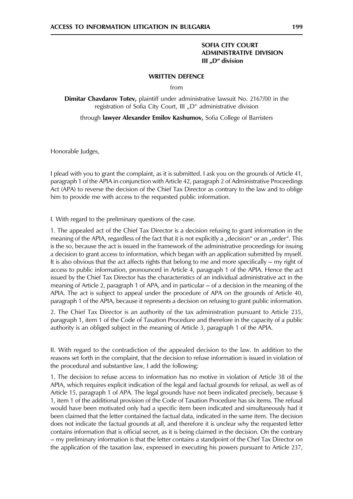## **SOFIA CITY COURT ADMINISTRATIVE DIVISION** III "D" division

#### **WRITTEN DEFENCE**

 $from$ 

Dimitar Chavdarov Totev, plaintiff under administrative lawsuit No. 2167/00 in the registration of Sofia City Court, III "D" administrative division

through lawyer Alexander Emilov Kashumov, Sofia College of Barristers

Honorable Judges,

I plead with you to grant the complaint, as it is submitted. I ask you on the grounds of Article 41, paragraph 1 of the APIA in conjunction with Article 42, paragraph 2 of Administrative Proceedings Act (APA) to reverse the decision of the Chief Tax Director as contrary to the law and to oblige him to provide me with access to the requested public information.

I. With regard to the preliminary questions of the case.

1. The appealed act of the Chief Tax Director is a decision refusing to grant information in the meaning of the APIA, regardless of the fact that it is not explicitly a "decision" or an "order". This is the so, because the act is issued in the framework of the administrative proceedings for issuing a decision to grant access to information, which began with an application submitted by myself. It is also obvious that the act affects rights that belong to me and more specifically  $-$  my right of access to public information, pronounced in Article 4, paragraph 1 of the APIA. Hence the act issued by the Chief Tax Director has the characteristics of an individual administrative act in the meaning of Article 2, paragraph 1 of APA, and in particular – of a decision in the meaning of the APIA. The act is subject to appeal under the procedure of APA on the grounds of Article 40, paragraph 1 of the APIA, because it represents a decision on refusing to grant public information.

2. The Chief Tax Director is an authority of the tax administration pursuant to Article 235, paragraph 1, item 1 of the Code of Taxation Procedure and therefore in the capacity of a public authority is an obliged subject in the meaning of Article 3, paragraph 1 of the APIA.

II. With regard to the contradiction of the appealed decision to the law. In addition to the reasons set forth in the complaint, that the decision to refuse information is issued in violation of the procedural and substantive law, I add the following:

1. The decision to refuse access to information has no motive in violation of Article 38 of the APIA, which requires explicit indication of the legal and factual grounds for refusal, as well as of Article 15, paragraph 1 of APA. The legal grounds have not been indicated precisely, because § 1, item 1 of the additional provision of the Code of Taxation Procedure has six items. The refusal would have been motivated only had a specific item been indicated and simultaneously had it been claimed that the letter contained the factual data, indicated in the same item. The decision does not indicate the factual grounds at all, and therefore it is unclear why the requested letter contains information that is official secret, as it is being claimed in the decision. On the contrary - my preliminary information is that the letter contains a standpoint of the Chef Tax Director on the application of the taxation law, expressed in executing his powers pursuant to Article 237,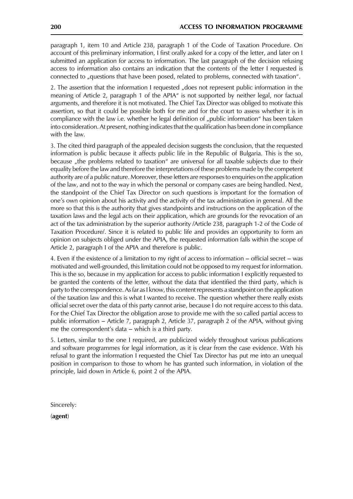paragraph 1, item 10 and Article 238, paragraph 1 of the Code of Taxation Procedure. On account of this preliminary information, I first orally asked for a copy of the letter, and later on I submitted an application for access to information. The last paragraph of the decision refusing access to information also contains an indication that the contents of the letter I requested is connected to "questions that have been posed, related to problems, connected with taxation".

2. The assertion that the information I requested "does not represent public information in the meaning of Article 2, paragraph 1 of the APIA" is not supported by neither legal, nor factual arguments, and therefore it is not motivated. The Chief Tax Director was obliged to motivate this assertion, so that it could be possible both for me and for the court to assess whether it is in compliance with the law i.e. whether he legal definition of "public information" has been taken into consideration. At present, nothing indicates that the qualification has been done in compliance with the law.

3. The cited third paragraph of the appealed decision suggests the conclusion, that the requested information is public because it affects public life in the Republic of Bulgaria. This is the so, because "the problems related to taxation" are universal for all taxable subjects due to their equality before the law and therefore the interpretations of these problems made by the competent authority are of a public nature. Moreover, these letters are responses to enquiries on the application of the law, and not to the way in which the personal or company cases are being handled. Next, the standpoint of the Chief Tax Director on such questions is important for the formation of one's own opinion about his activity and the activity of the tax administration in general. All the more so that this is the authority that gives standpoints and instructions on the application of the taxation laws and the legal acts on their application, which are grounds for the revocation of an act of the tax administration by the superior authority /Article 238, paragraph 1-2 of the Code of Taxation Procedure/. Since it is related to public life and provides an opportunity to form an opinion on subjects obliged under the APIA, the requested information falls within the scope of Article 2, paragraph I of the APIA and therefore is public.

4. Even if the existence of a limitation to my right of access to information – official secret – was motivated and well-grounded, this limitation could not be opposed to my request for information. This is the so, because in my application for access to public information I explicitly requested to be granted the contents of the letter, without the data that identified the third party, which is party to the correspondence. As far as I know, this content represents a standpoint on the application of the taxation law and this is what I wanted to receive. The question whether there really exists official secret over the data of this party cannot arise, because I do not require access to this data. For the Chief Tax Director the obligation arose to provide me with the so called partial access to public information – Article 7, paragraph 2, Article 37, paragraph 2 of the APIA, without giving me the correspondent's data – which is a third party.

5. Letters, similar to the one I required, are publicized widely throughout various publications and software programmes for legal information, as it is clear from the case evidence. With his refusal to grant the information I requested the Chief Tax Director has put me into an unequal position in comparison to those to whom he has granted such information, in violation of the principle, laid down in Article 6, point 2 of the APIA.

Sincerely:

(agent)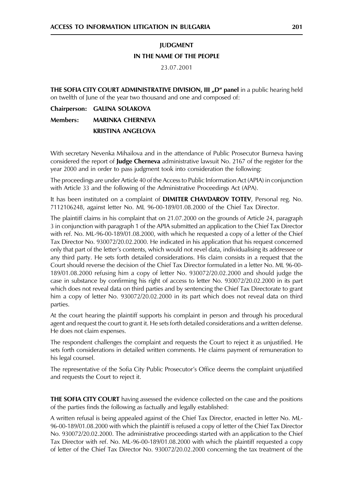## **IUDGMENT** IN THE NAME OF THE PEOPLE

#### 23.07.2001

THE SOFIA CITY COURT ADMINISTRATIVE DIVISION, III "D" panel in a public hearing held on twelfth of June of the year two thousand and one and composed of:

Chairperson: GALINA SOLAKOVA **Members: MARINKA CHERNEVA KRISTINA ANGELOVA** 

With secretary Nevenka Mihailova and in the attendance of Public Prosecutor Burneva having considered the report of **Judge Cherneva** administrative lawsuit No. 2167 of the register for the year 2000 and in order to pass judgment took into consideration the following:

The proceedings are under Article 40 of the Access to Public Information Act (APIA) in conjunction with Article 33 and the following of the Administrative Proceedings Act (APA).

It has been instituted on a complaint of **DIMITER CHAVDAROV TOTEV**. Personal reg. No. 7112106248, against letter No. ML 96-00-189/01.08.2000 of the Chief Tax Director.

The plaintiff claims in his complaint that on 21.07.2000 on the grounds of Article 24, paragraph 3 in conjunction with paragraph 1 of the APIA submitted an application to the Chief Tax Director with ref. No. ML-96-00-189/01.08.2000, with which he requested a copy of a letter of the Chief Tax Director No. 930072/20.02.2000. He indicated in his application that his request concerned only that part of the letter's contents, which would not revel data, individualising its addressee or any third party. He sets forth detailed considerations. His claim consists in a request that the Court should reverse the decision of the Chief Tax Director formulated in a letter No. ML 96-00-189/01.08.2000 refusing him a copy of letter No. 930072/20.02.2000 and should judge the case in substance by confirming his right of access to letter No. 930072/20.02.2000 in its part which does not reveal data on third parties and by sentencing the Chief Tax Directorate to grant him a copy of letter No. 930072/20.02.2000 in its part which does not reveal data on third parties.

At the court hearing the plaintiff supports his complaint in person and through his procedural agent and request the court to grant it. He sets forth detailed considerations and a written defense. He does not claim expenses.

The respondent challenges the complaint and requests the Court to reject it as unjustified. He sets forth considerations in detailed written comments. He claims payment of remuneration to his legal counsel.

The representative of the Sofia City Public Prosecutor's Office deems the complaint unjustified and requests the Court to reject it.

THE SOFIA CITY COURT having assessed the evidence collected on the case and the positions of the parties finds the following as factually and legally established:

A written refusal is being appealed against of the Chief Tax Director, enacted in letter No. ML-96-00-189/01.08.2000 with which the plaintiff is refused a copy of letter of the Chief Tax Director No. 930072/20.02.2000. The administrative proceedings started with an application to the Chief Tax Director with ref. No. ML-96-00-189/01.08.2000 with which the plaintiff requested a copy of letter of the Chief Tax Director No. 930072/20.02.2000 concerning the tax treatment of the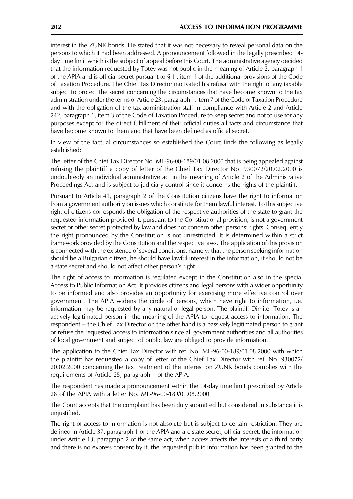interest in the ZUNK bonds. He stated that it was not necessary to reveal personal data on the persons to which it had been addressed. A pronouncement followed in the legally prescribed 14day time limit which is the subject of appeal before this Court. The administrative agency decided that the information requested by Totev was not public in the meaning of Article 2, paragraph 1 of the APIA and is official secret pursuant to  $\S 1$ ., item 1 of the additional provisions of the Code of Taxation Procedure. The Chief Tax Director motivated his refusal with the right of any taxable subject to protect the secret concerning the circumstances that have become known to the tax administration under the terms of Article 23, paragraph 1, item 7 of the Code of Taxation Procedure and with the obligation of the tax administration staff in compliance with Article 2 and Article 242, paragraph 1, item 3 of the Code of Taxation Procedure to keep secret and not to use for any purposes except for the direct fulfillment of their official duties all facts and circumstance that have become known to them and that have been defined as official secret.

In view of the factual circumstances so established the Court finds the following as legally established:

The letter of the Chief Tax Director No. ML-96-00-189/01.08.2000 that is being appealed against refusing the plaintiff a copy of letter of the Chief Tax Director No. 930072/20.02.2000 is undoubtedly an individual administrative act in the meaning of Article 2 of the Administrative Proceedings Act and is subject to judiciary control since it concerns the rights of the plaintiff.

Pursuant to Article 41, paragraph 2 of the Constitution citizens have the right to information from a government authority on issues which constitute for them lawful interest. To this subjective right of citizens corresponds the obligation of the respective authorities of the state to grant the requested information provided it, pursuant to the Constitutional provision, is not a government secret or other secret protected by law and does not concern other persons' rights. Consequently the right pronounced by the Constitution is not unrestricted. It is determined within a strict framework provided by the Constitution and the respective laws. The application of this provision is connected with the existence of several conditions, namely: that the person seeking information should be a Bulgarian citizen, he should have lawful interest in the information, it should not be a state secret and should not affect other person's right

The right of access to information is regulated except in the Constitution also in the special Access to Public Information Act. It provides citizens and legal persons with a wider opportunity to be informed and also provides an opportunity for exercising more effective control over government. The APIA widens the circle of persons, which have right to information, i.e. information may be requested by any natural or legal person. The plaintiff Dimiter Totev is an actively legitimated person in the meaning of the APIA to request access to information. The respondent - the Chief Tax Director on the other hand is a passively legitimated person to grant or refuse the requested access to information since all government authorities and all authorities of local government and subject of public law are obliged to provide information.

The application to the Chief Tax Director with ref. No. ML-96-00-189/01.08.2000 with which the plaintiff has requested a copy of letter of the Chief Tax Director with ref. No. 930072/ 20.02.2000 concerning the tax treatment of the interest on ZUNK bonds complies with the requirements of Article 25, paragraph 1 of the APIA.

The respondent has made a pronouncement within the 14-day time limit prescribed by Article 28 of the APIA with a letter No. ML-96-00-189/01.08.2000.

The Court accepts that the complaint has been duly submitted but considered in substance it is unjustified.

The right of access to information is not absolute but is subject to certain restriction. They are defined in Article 37, paragraph 1 of the APIA and are state secret, official secret, the information under Article 13, paragraph 2 of the same act, when access affects the interests of a third party and there is no express consent by it, the requested public information has been granted to the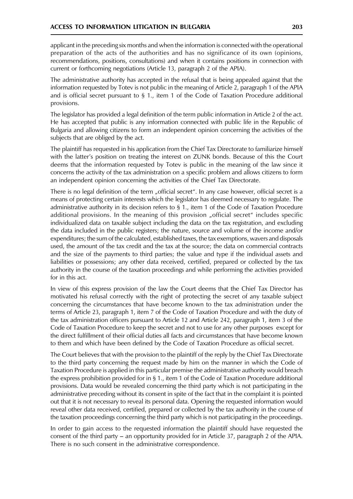applicant in the preceding six months and when the information is connected with the operational preparation of the acts of the authorities and has no significance of its own (opinions, recommendations, positions, consultations) and when it contains positions in connection with current or forthcoming negotiations (Article 13, paragraph 2 of the APIA).

The administrative authority has accepted in the refusal that is being appealed against that the information requested by Totev is not public in the meaning of Article 2, paragraph 1 of the APIA and is official secret pursuant to  $\S$  1., item 1 of the Code of Taxation Procedure additional provisions.

The legislator has provided a legal definition of the term public information in Article 2 of the act. He has accepted that public is any information connected with public life in the Republic of Bulgaria and allowing citizens to form an independent opinion concerning the activities of the subjects that are obliged by the act.

The plaintiff has requested in his application from the Chief Tax Directorate to familiarize himself with the latter's position on treating the interest on ZUNK bonds. Because of this the Court deems that the information requested by Totev is public in the meaning of the law since it concerns the activity of the tax administration on a specific problem and allows citizens to form an independent opinion concerning the activities of the Chief Tax Directorate.

There is no legal definition of the term "official secret". In any case however, official secret is a means of protecting certain interests which the legislator has deemed necessary to regulate. The administrative authority in its decision refers to  $\S$  1., item 1 of the Code of Taxation Procedure additional provisions. In the meaning of this provision "official secret" includes specific individualized data on taxable subject including the data on the tax registration, and excluding the data included in the public registers; the nature, source and volume of the income and/or expenditures; the sum of the calculated, established taxes, the tax exemptions, wavers and disposals used, the amount of the tax credit and the tax at the source; the data on commercial contracts and the size of the payments to third parties; the value and type if the individual assets and liabilities or possessions; any other data received, certified, prepared or collected by the tax authority in the course of the taxation proceedings and while performing the activities provided for in this act.

In view of this express provision of the law the Court deems that the Chief Tax Director has motivated his refusal correctly with the right of protecting the secret of any taxable subject concerning the circumstances that have become known to the tax administration under the terms of Article 23, paragraph 1, item 7 of the Code of Taxation Procedure and with the duty of the tax administration officers pursuant to Article 12 and Article 242, paragraph 1, item 3 of the Code of Taxation Procedure to keep the secret and not to use for any other purposes except for the direct fulfillment of their official duties all facts and circumstances that have become known to them and which have been defined by the Code of Taxation Procedure as official secret.

The Court believes that with the provision to the plaintiff of the reply by the Chief Tax Directorate to the third party concerning the request made by him on the manner in which the Code of Taxation Procedure is applied in this particular premise the administrative authority would breach the express prohibition provided for in § 1., item 1 of the Code of Taxation Procedure additional provisions. Data would be revealed concerning the third party which is not participating in the administrative preceding without its consent in spite of the fact that in the complaint it is pointed out that it is not necessary to reveal its personal data. Opening the requested information would reveal other data received, certified, prepared or collected by the tax authority in the course of the taxation proceedings concerning the third party which is not participating in the proceedings.

In order to gain access to the requested information the plaintiff should have requested the consent of the third party  $-$  an opportunity provided for in Article 37, paragraph 2 of the APIA. There is no such consent in the administrative correspondence.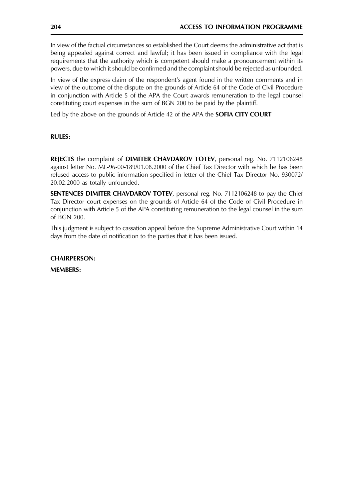In view of the factual circumstances so established the Court deems the administrative act that is being appealed against correct and lawful; it has been issued in compliance with the legal requirements that the authority which is competent should make a pronouncement within its powers, due to which it should be confirmed and the complaint should be rejected as unfounded.

In view of the express claim of the respondent's agent found in the written comments and in view of the outcome of the dispute on the grounds of Article 64 of the Code of Civil Procedure in conjunction with Article 5 of the APA the Court awards remuneration to the legal counsel constituting court expenses in the sum of BGN 200 to be paid by the plaintiff.

Led by the above on the grounds of Article 42 of the APA the **SOFIA CITY COURT** 

## **RULES:**

**REJECTS** the complaint of **DIMITER CHAVDAROV TOTEV**, personal reg. No. 7112106248 against letter No. ML-96-00-189/01.08.2000 of the Chief Tax Director with which he has been refused access to public information specified in letter of the Chief Tax Director No. 930072/ 20.02.2000 as totally unfounded.

SENTENCES DIMITER CHAVDAROV TOTEV, personal reg. No. 7112106248 to pay the Chief Tax Director court expenses on the grounds of Article 64 of the Code of Civil Procedure in conjunction with Article 5 of the APA constituting remuneration to the legal counsel in the sum of BGN 200.

This judgment is subject to cassation appeal before the Supreme Administrative Court within 14 days from the date of notification to the parties that it has been issued.

**CHAIRPERSON:** 

**MEMBERS:**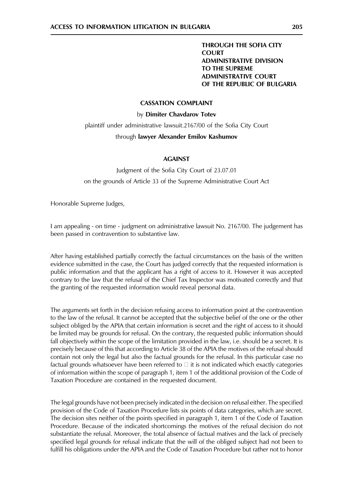#### **CASSATION COMPLAINT**

#### by Dimiter Chavdarov Totev

plaintiff under administrative lawsuit.2167/00 of the Sofia City Court

#### through lawyer Alexander Emilov Kashumov

#### **AGAINST**

Judgment of the Sofia City Court of 23.07.01 on the grounds of Article 33 of the Supreme Administrative Court Act

Honorable Supreme Judges,

1 am appealing - on time - judgment on administrative lawsuit No. 2167/00. The judgement has been passed in contravention to substantive law.

After having established partially correctly the factual circumstances on the basis of the written evidence submitted in the case, the Court has judged correctly that the requested information is public information and that the applicant has a right of access to it. However it was accepted contrary to the law that the refusal of the Chief Tax Inspector was motivated correctly and that the granting of the requested information would reveal personal data.

The arguments set forth in the decision refusing access to information point at the contravention to the law of the refusal. It cannot be accepted that the subjective belief of the one or the other subject obliged by the APIA that certain information is secret and the right of access to it should be limited may be grounds for refusal. On the contrary, the requested public information should fall objectively within the scope of the limitation provided in the law, i.e. should be a secret. It is precisely because of this that according to Article 38 of the APIA the motives of the refusal should contain not only the legal but also the factual grounds for the refusal. In this particular case no factual grounds whatsoever have been referred to  $\Box$  it is not indicated which exactly categories of information within the scope of paragraph 1, item 1 of the additional provision of the Code of Taxation Procedure are contained in the requested document.

The legal grounds have not been precisely indicated in the decision on refusal either. The specified provision of the Code of Taxation Procedure lists six points of data categories, which are secret. The decision sites neither of the points specified in paragraph 1, item 1 of the Code of Taxation Procedure. Because of the indicated shortcomings the motives of the refusal decision do not substantiate the refusal. Moreover, the total absence of factual matives and the lack of precisely specified legal grounds for refusal indicate that the will of the obliged subject had not been to fulfill his obligations under the APIA and the Code of Taxation Procedure but rather not to honor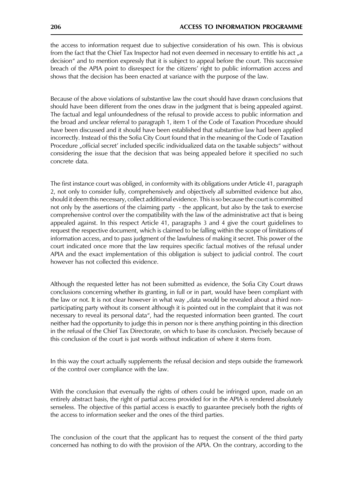the access to information request due to subjective consideration of his own. This is obvious from the fact that the Chief Tax Inspector had not even deemed in necessary to entitle his act "a decision" and to mention expressly that it is subject to appeal before the court. This successive breach of the APIA point to disrespect for the citizens' right to public information access and shows that the decision has been enacted at variance with the purpose of the law.

Because of the above violations of substantive law the court should have drawn conclusions that should have been different from the ones draw in the judgment that is being appealed against. The factual and legal unfoundedness of the refusal to provide access to public information and the broad and unclear referral to paragraph 1, item 1 of the Code of Taxation Procedure should have been discussed and it should have been established that substantive law had been applied incorrectly. Instead of this the Sofia City Court found that in the meaning of the Code of Taxation Procedure "official secret' included specific individualized data on the taxable subjects" without considering the issue that the decision that was being appealed before it specified no such concrete data.

The first instance court was obliged, in conformity with its obligations under Article 41, paragraph 2, not only to consider fully, comprehensively and objectively all submitted evidence but also, should it deem this necessary, collect additional evidence. This is so because the court is committed not only by the assertions of the claiming party - the applicant, but also by the task to exercise comprehensive control over the compatibility with the law of the administrative act that is being appealed against. In this respect Article 41, paragraphs 3 and 4 give the court guidelines to request the respective document, which is claimed to be falling within the scope of limitations of information access, and to pass judgment of the lawfulness of making it secret. This power of the court indicated once more that the law requires specific factual motives of the refusal under APIA and the exact implementation of this obligation is subject to judicial control. The court however has not collected this evidence.

Although the requested letter has not been submitted as evidence, the Sofia City Court draws conclusions concerning whether its granting, in full or in part, would have been compliant with the law or not. It is not clear however in what way "data would be revealed about a third nonparticipating party without its consent although it is pointed out in the complaint that it was not necessary to reveal its personal data", had the requested information been granted. The court neither had the opportunity to judge this in person nor is there anything pointing in this direction in the refusal of the Chief Tax Directorate, on which to base its conclusion. Precisely because of this conclusion of the court is just words without indication of where it stems from.

In this way the court actually supplements the refusal decision and steps outside the framework of the control over compliance with the law.

With the conclusion that evenually the rights of others could be infringed upon, made on an entirely abstract basis, the right of partial access provided for in the APIA is rendered absolutely senseless. The objective of this partial access is exactly to guarantee precisely both the rights of the access to information seeker and the ones of the third parties.

The conclusion of the court that the applicant has to request the consent of the third party concerned has nothing to do with the provision of the APIA. On the contrary, according to the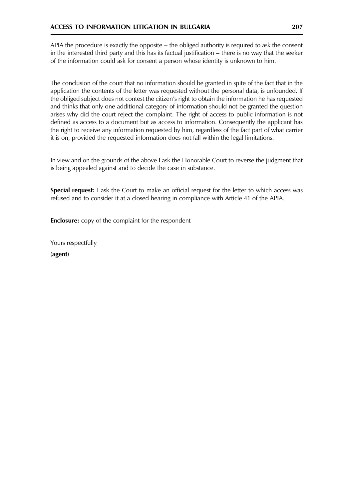APIA the procedure is exactly the opposite – the obliged authority is required to ask the consent in the interested third party and this has its factual justification – there is no way that the seeker of the information could ask for consent a person whose identity is unknown to him.

The conclusion of the court that no information should be granted in spite of the fact that in the application the contents of the letter was requested without the personal data, is unfounded. If the obliged subject does not contest the citizen's right to obtain the information he has requested and thinks that only one additional category of information should not be granted the question arises why did the court reject the complaint. The right of access to public information is not defined as access to a document but as access to information. Consequently the applicant has the right to receive any information requested by him, regardless of the fact part of what carrier it is on, provided the requested information does not fall within the legal limitations.

In view and on the grounds of the above I ask the Honorable Court to reverse the judgment that is being appealed against and to decide the case in substance.

Special request: I ask the Court to make an official request for the letter to which access was refused and to consider it at a closed hearing in compliance with Article 41 of the APIA.

**Enclosure:** copy of the complaint for the respondent

Yours respectfully (agent)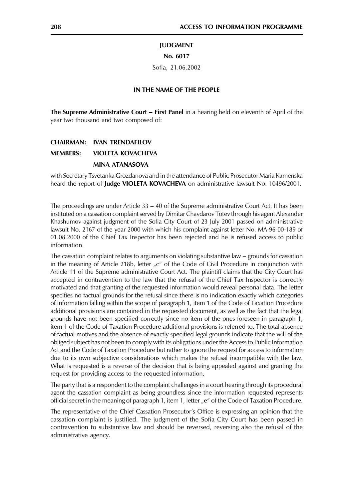#### **JUDGMENT**

#### No. 6017

Sofia, 21.06.2002

#### IN THE NAME OF THE PEOPLE

The Supreme Administrative Court - First Panel in a hearing held on eleventh of April of the year two thousand and two composed of:

#### **CHAIRMAN: IVAN TRENDAFILOV**

#### **MEMBERS: VIOLETA KOVACHEVA**

#### **MINA ATANASOVA**

with Secretary Tsvetanka Grozdanova and in the attendance of Public Prosecutor Maria Kamenska heard the report of Judge VIOLETA KOVACHEVA on administrative lawsuit No. 10496/2001.

The proceedings are under Article  $33 - 40$  of the Supreme administrative Court Act. It has been instituted on a cassation complaint served by Dimitar Chavdarov Totev through his agent Alexander Khashumov against judgment of the Sofia City Court of 23 July 2001 passed on administrative lawsuit No. 2167 of the year 2000 with which his complaint against letter No. MA-96-00-189 of 01.08.2000 of the Chief Tax Inspector has been rejected and he is refused access to public information.

The cassation complaint relates to arguments on violating substantive law  $-$  grounds for cassation in the meaning of Article 218b, letter  $C^*$  of the Code of Civil Procedure in conjunction with Article 11 of the Supreme administrative Court Act. The plaintiff claims that the City Court has accepted in contravention to the law that the refusal of the Chief Tax Inspector is correctly motivated and that granting of the requested information would reveal personal data. The letter specifies no factual grounds for the refusal since there is no indication exactly which categories of information falling within the scope of paragraph 1, item 1 of the Code of Taxation Procedure additional provisions are contained in the requested document, as well as the fact that the legal grounds have not been specified correctly since no item of the ones foreseen in paragraph 1, item 1 of the Code of Taxation Procedure additional provisions is referred to. The total absence of factual motives and the absence of exactly specified legal grounds indicate that the will of the obliged subject has not been to comply with its obligations under the Access to Public Information Act and the Code of Taxation Procedure but rather to ignore the request for access to information due to its own subjective considerations which makes the refusal incompatible with the law. What is requested is a reverse of the decision that is being appealed against and granting the request for providing access to the requested information.

The party that is a respondent to the complaint challenges in a court hearing through its procedural agent the cassation complaint as being groundless since the information requested represents official secret in the meaning of paragraph 1, item 1, letter "e" of the Code of Taxation Procedure.

The representative of the Chief Cassation Prosecutor's Office is expressing an opinion that the cassation complaint is justified. The judgment of the Sofia City Court has been passed in contravention to substantive law and should be reversed, reversing also the refusal of the administrative agency.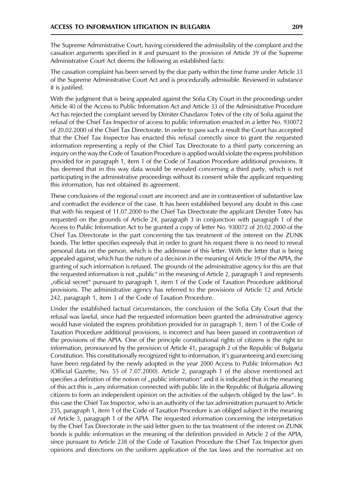The Supreme Administrative Court, having considered the admissibility of the complaint and the cassation arguments specified in it and pursuant to the provision of Article 39 of the Supreme Administrative Court Act deems the following as established facts:

The cassation complaint has been served by the due party within the time frame under Article 33 of the Supreme Administrative Court Act and is procedurally admissible. Reviewed in substance it is justified.

With the judgment that is being appealed against the Sofia City Court in the proceedings under Article 40 of the Access to Public Information Act and Article 33 of the Administrative Procedure Act has rejected the complaint served by Dimiter Chavdarov Totev of the city of Sofia against the refusal of the Chief Tax Inspector of access to public information enacted in a letter No. 930072 of 20.02.2000 of the Chief Tax Directorate. In order to pass such a result the Court has accepted that the Chief Tax Inspector has enacted this refusal correctly since to grant the requested information representing a reply of the Chief Tax Directorate to a third party concerning an inguiry on the way the Code of Taxation Procedure is applied would violate the express prohibition provided for in paragraph 1, item 1 of the Code of Taxation Procedure additional provisions. It has deemed that in this way data would be revealed concerning a third party, which is not participating in the administrative proceedings without its consent while the applicant requesting this information, has not obtained its agreement.

These conclusions of the regional court are incorrect and are in contravention of substantive law and contradict the evidence of the case. It has been established beyond any doubt in this case that with his request of 11.07.2000 to the Chief Tax Directorate the applicant Dimiter Totev has requested on the grounds of Article 24, paragraph 3 in conjunction with paragraph 1 of the Access to Public Information Act to be granted a copy of letter No. 930072 of 20.02.2000 of the Chief Tax Directorate in the part concerning the tax treatment of the interest on the ZUNK bonds. The letter specifies expressly that in order to grant his request there is no need to reveal personal data on the person, which is the addressee of this letter. With the letter that is being appealed against, which has the nature of a decision in the meaning of Article 39 of the APIA, the granting of such information is refused. The grounds of the administrative agency for this are that the requested information is not "public" in the meaning of Article 2, paragraph 1 and represents "official secret" pursuant to paragraph 1, item 1 of the Code of Taxation Procedure additional provisions. The administrative agency has referred to the provisions of Article 12 and Article 242, paragraph 1, item 3 of the Code of Taxation Procedure.

Under the established factual circumstances, the conclusion of the Sofia City Court that the refusal was lawful, since had the requested information been granted the administrative agency would have violated the express prohibition provided for in paragraph 1, item 1 of the Code of Taxation Procedure additional provisions, is incorrect and has been passed in contravention of the provisions of the APIA. One of the principle constitutional rights of citizens is the right to information, pronounced by the provision of Article 41, paragraph 2 of the Republic of Bulgaria Constitution. This constitutionally recognized right to information, it's guaranteeing and exercising have been regulated by the newly adopted in the year 2000 Access to Public Information Act (Official Gazette, No. 55 of 7.07.2000). Article 2, paragraph 1 of the above mentioned act specifies a definition of the notion of "public information" and it is indicated that in the meaning of this act this is "any information connected with public life in the Republic of Bulgaria allowing citizens to form an independent opinion on the activities of the subjects obliged by the law". In this case the Chief Tax Inspector, who is an authority of the tax administration pursuant to Article 235, paragraph 1, item 1 of the Code of Taxation Procedure is an obliged subject in the meaning of Article 3, paragraph 1 of the APIA. The requested information concerning the interpretation by the Chief Tax Directorate in the said letter given to the tax treatment of the interest on ZUNK bonds is public information in the meaning of the definition provided in Article 2 of the APIA, since pursuant to Article 238 of the Code of Taxation Procedure the Chief Tax Inspector gives opinions and directions on the uniform application of the tax laws and the normative act on